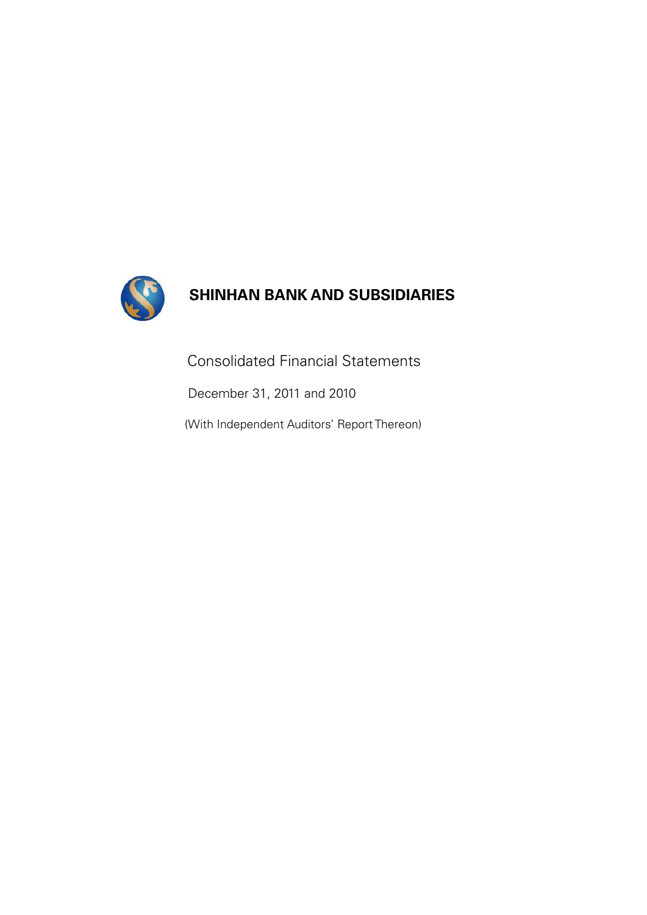

Consolidated Financial Statements December 31, 2011 and 2010 (With Independent Auditors' Report Thereon)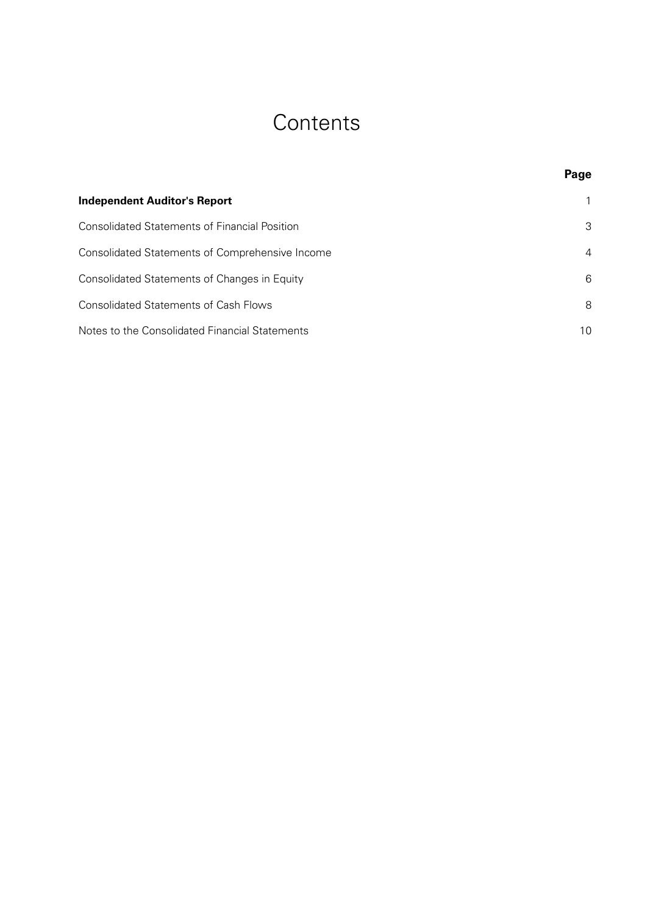# **Contents**

| Page |
|------|
|      |
|      |

| <b>Independent Auditor's Report</b>             | 1              |
|-------------------------------------------------|----------------|
| Consolidated Statements of Financial Position   | 3              |
| Consolidated Statements of Comprehensive Income | $\overline{4}$ |
| Consolidated Statements of Changes in Equity    | 6              |
| <b>Consolidated Statements of Cash Flows</b>    | 8              |
| Notes to the Consolidated Financial Statements  | 10             |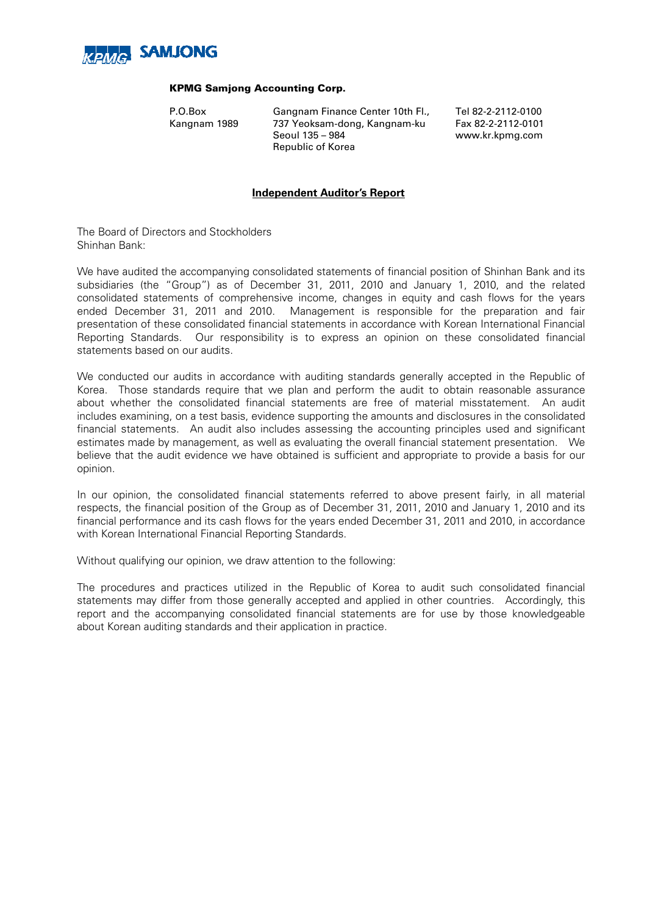

#### KPMG Samjong Accounting Corp.

P.O.Box Kangnam 1989 Gangnam Finance Center 10th Fl., 737 Yeoksam-dong, Kangnam-ku Seoul 135 – 984 Republic of Korea

Tel 82-2-2112-0100 Fax 82-2-2112-0101 www.kr.kpmg.com

#### **Independent Auditor's Report**

The Board of Directors and Stockholders Shinhan Bank:

We have audited the accompanying consolidated statements of financial position of Shinhan Bank and its subsidiaries (the "Group") as of December 31, 2011, 2010 and January 1, 2010, and the related consolidated statements of comprehensive income, changes in equity and cash flows for the years ended December 31, 2011 and 2010. Management is responsible for the preparation and fair presentation of these consolidated financial statements in accordance with Korean International Financial Reporting Standards. Our responsibility is to express an opinion on these consolidated financial statements based on our audits.

We conducted our audits in accordance with auditing standards generally accepted in the Republic of Korea. Those standards require that we plan and perform the audit to obtain reasonable assurance about whether the consolidated financial statements are free of material misstatement. An audit includes examining, on a test basis, evidence supporting the amounts and disclosures in the consolidated financial statements. An audit also includes assessing the accounting principles used and significant estimates made by management, as well as evaluating the overall financial statement presentation. We believe that the audit evidence we have obtained is sufficient and appropriate to provide a basis for our opinion.

In our opinion, the consolidated financial statements referred to above present fairly, in all material respects, the financial position of the Group as of December 31, 2011, 2010 and January 1, 2010 and its financial performance and its cash flows for the years ended December 31, 2011 and 2010, in accordance with Korean International Financial Reporting Standards.

Without qualifying our opinion, we draw attention to the following:

The procedures and practices utilized in the Republic of Korea to audit such consolidated financial statements may differ from those generally accepted and applied in other countries. Accordingly, this report and the accompanying consolidated financial statements are for use by those knowledgeable about Korean auditing standards and their application in practice.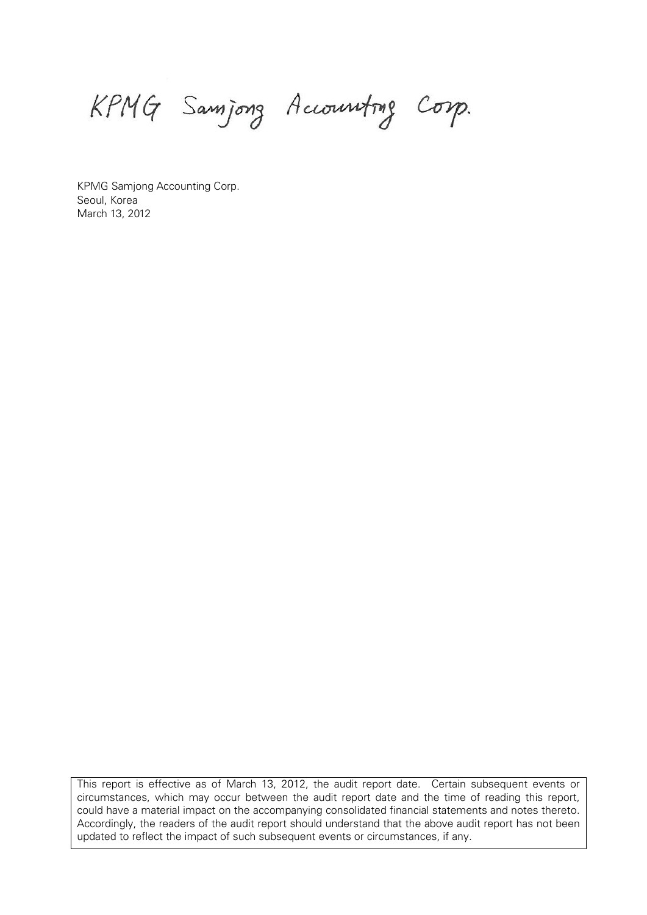KPMG Samjong Accounting Corp.

KPMG Samjong Accounting Corp. Seoul, Korea March 13, 2012

This report is effective as of March 13, 2012, the audit report date. Certain subsequent events or circumstances, which may occur between the audit report date and the time of reading this report, could have a material impact on the accompanying consolidated financial statements and notes thereto. Accordingly, the readers of the audit report should understand that the above audit report has not been updated to reflect the impact of such subsequent events or circumstances, if any.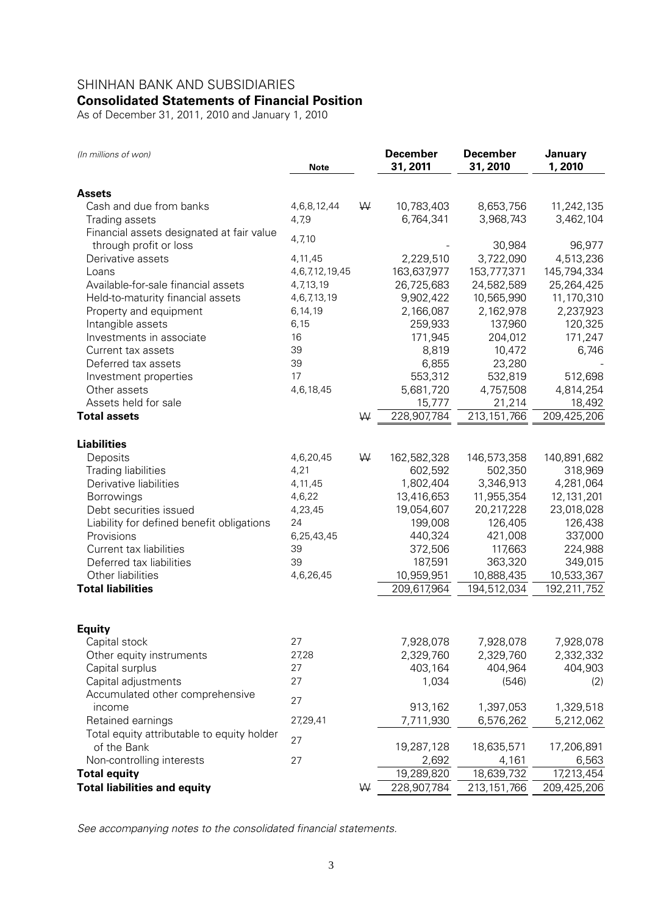## **Consolidated Statements of Financial Position**

As of December 31, 2011, 2010 and January 1, 2010

| (In millions of won)                                                | <b>Note</b>    |   | <b>December</b><br>31, 2011 | <b>December</b><br>31, 2010 | January<br>1,2010 |
|---------------------------------------------------------------------|----------------|---|-----------------------------|-----------------------------|-------------------|
| <b>Assets</b>                                                       |                |   |                             |                             |                   |
| Cash and due from banks                                             | 4,6,8,12,44    | W | 10,783,403                  | 8,653,756                   | 11,242,135        |
| Trading assets                                                      | 4,7,9          |   | 6,764,341                   | 3,968,743                   | 3,462,104         |
| Financial assets designated at fair value<br>through profit or loss | 4,7,10         |   |                             | 30,984                      | 96,977            |
| Derivative assets                                                   | 4, 11, 45      |   | 2,229,510                   | 3,722,090                   | 4,513,236         |
| Loans                                                               | 4,6,7,12,19,45 |   | 163,637,977                 | 153,777,371                 | 145,794,334       |
| Available-for-sale financial assets                                 | 4,7,13,19      |   | 26,725,683                  | 24,582,589                  | 25,264,425        |
| Held-to-maturity financial assets                                   | 4,6,7,13,19    |   | 9,902,422                   | 10,565,990                  | 11,170,310        |
| Property and equipment                                              | 6,14,19        |   | 2,166,087                   | 2,162,978                   | 2,237,923         |
| Intangible assets                                                   | 6,15           |   | 259,933                     | 137,960                     | 120,325           |
| Investments in associate                                            | 16             |   | 171,945                     | 204,012                     | 171,247           |
| Current tax assets                                                  | 39             |   | 8,819                       | 10,472                      | 6,746             |
| Deferred tax assets                                                 | 39             |   | 6,855                       | 23,280                      |                   |
| Investment properties                                               | 17             |   | 553,312                     | 532,819                     | 512,698           |
| Other assets                                                        | 4,6,18,45      |   | 5,681,720                   | 4,757,508                   | 4,814,254         |
| Assets held for sale                                                |                |   | 15,777                      | 21,214                      | 18,492            |
| <b>Total assets</b>                                                 |                | W | 228,907,784                 | 213, 151, 766               | 209,425,206       |
| <b>Liabilities</b>                                                  |                |   |                             |                             |                   |
| Deposits                                                            | 4,6,20,45      | W | 162,582,328                 | 146,573,358                 | 140,891,682       |
| <b>Trading liabilities</b>                                          | 4,21           |   | 602,592                     | 502,350                     | 318,969           |
| Derivative liabilities                                              | 4, 11, 45      |   | 1,802,404                   | 3,346,913                   | 4,281,064         |
| Borrowings                                                          | 4,6,22         |   | 13,416,653                  | 11,955,354                  | 12, 131, 201      |
| Debt securities issued                                              | 4,23,45        |   | 19,054,607                  | 20,217,228                  | 23,018,028        |
| Liability for defined benefit obligations                           | 24             |   | 199,008                     | 126,405                     | 126,438           |
| Provisions                                                          | 6,25,43,45     |   | 440,324                     | 421,008                     | 337,000           |
| Current tax liabilities                                             | 39             |   | 372,506                     | 117,663                     | 224,988           |
| Deferred tax liabilities                                            | 39             |   | 187,591                     | 363,320                     | 349,015           |
| Other liabilities                                                   | 4,6,26,45      |   | 10,959,951                  | 10,888,435                  | 10,533,367        |
| <b>Total liabilities</b>                                            |                |   | 209,617,964                 | 194,512,034                 | 192,211,752       |
|                                                                     |                |   |                             |                             |                   |
| <b>Equity</b>                                                       |                |   |                             |                             |                   |
| Capital stock                                                       | 27             |   | 7,928,078                   | 7,928,078                   | 7,928,078         |
| Other equity instruments                                            | 27,28          |   | 2,329,760                   | 2,329,760                   | 2,332,332         |
| Capital surplus                                                     | 27             |   | 403,164                     | 404,964                     | 404,903           |
| Capital adjustments                                                 | 27             |   | 1,034                       | (546)                       | (2)               |
| Accumulated other comprehensive<br>income                           | 27             |   | 913,162                     | 1,397,053                   | 1,329,518         |
| Retained earnings                                                   | 27,29,41       |   | 7,711,930                   | 6,576,262                   | 5,212,062         |
| Total equity attributable to equity holder                          |                |   |                             |                             |                   |
| of the Bank                                                         | 27             |   | 19,287,128                  | 18,635,571                  | 17,206,891        |
| Non-controlling interests                                           | 27             |   | 2,692                       | 4,161                       | 6,563             |
| <b>Total equity</b>                                                 |                |   | 19,289,820                  | 18,639,732                  | 17,213,454        |
| <b>Total liabilities and equity</b>                                 |                | W | 228,907,784                 | 213, 151, 766               | 209,425,206       |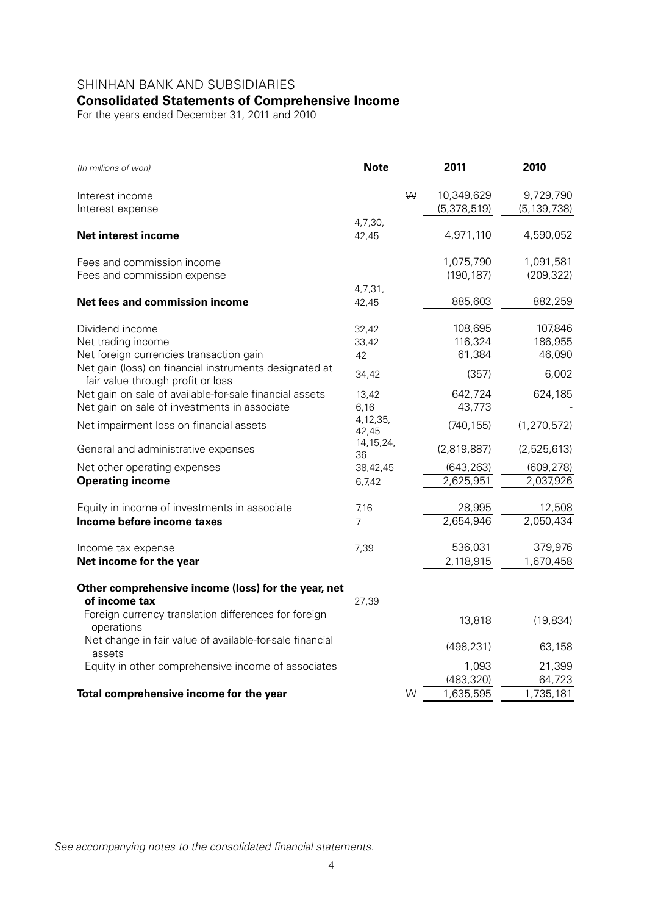## **Consolidated Statements of Comprehensive Income**

For the years ended December 31, 2011 and 2010

| (In millions of won)                                                                                                                         | <b>Note</b>          | 2011                         | 2010                         |
|----------------------------------------------------------------------------------------------------------------------------------------------|----------------------|------------------------------|------------------------------|
| Interest income                                                                                                                              | W                    | 10,349,629                   | 9,729,790                    |
| Interest expense                                                                                                                             |                      | (5,378,519)                  | (5, 139, 738)                |
| <b>Net interest income</b>                                                                                                                   | 4,7,30,<br>42,45     | 4,971,110                    | 4,590,052                    |
| Fees and commission income<br>Fees and commission expense                                                                                    |                      | 1,075,790<br>(190, 187)      | 1,091,581<br>(209, 322)      |
| <b>Net fees and commission income</b>                                                                                                        | 4,7,31,<br>42,45     | 885,603                      | 882,259                      |
| Dividend income<br>Net trading income<br>Net foreign currencies transaction gain                                                             | 32,42<br>33,42<br>42 | 108,695<br>116,324<br>61,384 | 107,846<br>186,955<br>46,090 |
| Net gain (loss) on financial instruments designated at                                                                                       | 34,42                | (357)                        | 6,002                        |
| fair value through profit or loss<br>Net gain on sale of available-for-sale financial assets<br>Net gain on sale of investments in associate | 13,42<br>6,16        | 642,724<br>43,773            | 624,185                      |
| Net impairment loss on financial assets                                                                                                      | 4,12,35,<br>42,45    | (740, 155)                   | (1, 270, 572)                |
| General and administrative expenses                                                                                                          | 14, 15, 24,<br>36    | (2,819,887)                  | (2,525,613)                  |
| Net other operating expenses                                                                                                                 | 38,42,45             | (643, 263)                   | (609, 278)                   |
| <b>Operating income</b>                                                                                                                      | 6,7,42               | 2,625,951                    | 2,037,926                    |
| Equity in income of investments in associate                                                                                                 | 7,16                 | 28,995                       | 12,508                       |
| Income before income taxes                                                                                                                   | 7                    | 2,654,946                    | 2,050,434                    |
| Income tax expense                                                                                                                           | 7,39                 | 536,031                      | 379,976                      |
| Net income for the year                                                                                                                      |                      | 2,118,915                    | 1,670,458                    |
| Other comprehensive income (loss) for the year, net<br>of income tax                                                                         | 27,39                |                              |                              |
| Foreign currency translation differences for foreign<br>operations                                                                           |                      | 13,818                       | (19, 834)                    |
| Net change in fair value of available-for-sale financial<br>assets                                                                           |                      | (498, 231)                   | 63,158                       |
| Equity in other comprehensive income of associates                                                                                           |                      | 1,093                        | 21,399                       |
|                                                                                                                                              |                      | (483, 320)                   | 64,723                       |
| Total comprehensive income for the year                                                                                                      | W                    | 1,635,595                    | 1,735,181                    |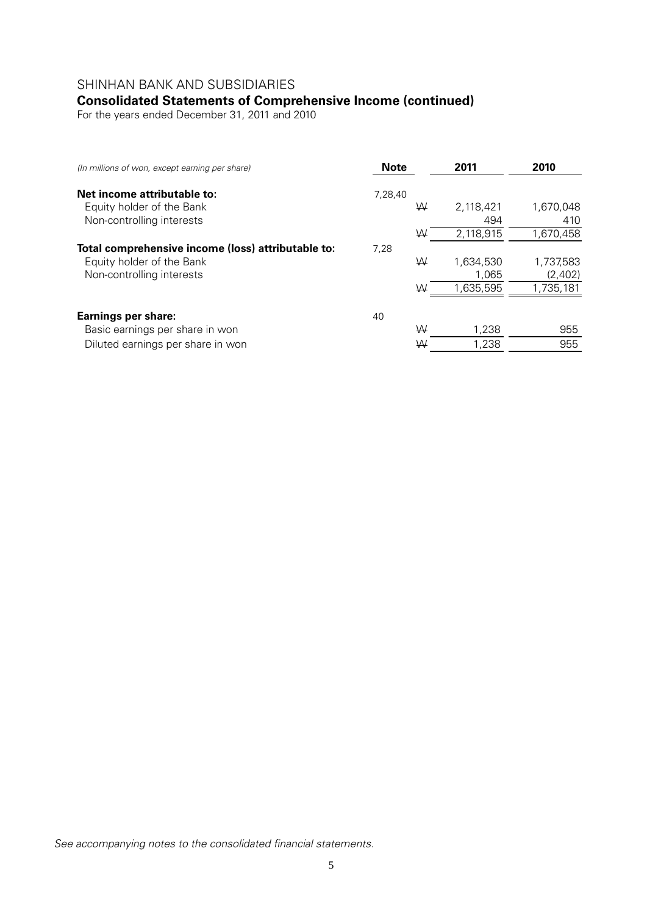## **Consolidated Statements of Comprehensive Income (continued)**

For the years ended December 31, 2011 and 2010

| (In millions of won, except earning per share)     | <b>Note</b> |   | 2011      | 2010      |
|----------------------------------------------------|-------------|---|-----------|-----------|
| Net income attributable to:                        | 7.28.40     |   |           |           |
| Equity holder of the Bank                          |             | W | 2,118,421 | 1,670,048 |
| Non-controlling interests                          |             |   | 494       | 410       |
|                                                    |             | W | 2,118,915 | 1,670,458 |
| Total comprehensive income (loss) attributable to: | 7.28        |   |           |           |
| Equity holder of the Bank                          |             | W | 1,634,530 | 1,737,583 |
| Non-controlling interests                          |             |   | 1.065     | (2,402)   |
|                                                    |             | W | 1,635,595 | 1,735,181 |
| <b>Earnings per share:</b>                         | 40          |   |           |           |
| Basic earnings per share in won                    |             | W | 1,238     | 955       |
| Diluted earnings per share in won                  |             | W | 1,238     | 955       |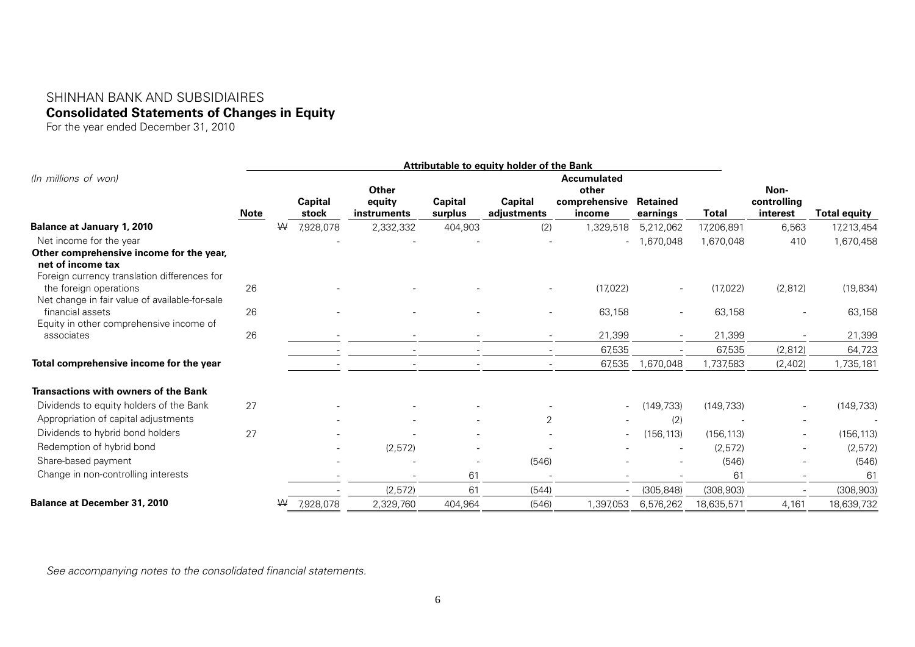## SHINHAN BANK AND SUBSIDIAIRES **Consolidated Statements of Changes in Equity**

For the year ended December 31, 2010

|                                                                                                                                          |      |   |                         |                                |                           | Attributable to equity holder of the Bank |                                                        |                          |              |                                 |                     |
|------------------------------------------------------------------------------------------------------------------------------------------|------|---|-------------------------|--------------------------------|---------------------------|-------------------------------------------|--------------------------------------------------------|--------------------------|--------------|---------------------------------|---------------------|
| (In millions of won)                                                                                                                     | Note |   | <b>Capital</b><br>stock | Other<br>equity<br>instruments | <b>Capital</b><br>surplus | <b>Capital</b><br>adjustments             | <b>Accumulated</b><br>other<br>comprehensive<br>income | Retained<br>earnings     | <b>Total</b> | Non-<br>controlling<br>interest | <b>Total equity</b> |
| <b>Balance at January 1, 2010</b>                                                                                                        |      | ₩ | 7,928,078               | 2,332,332                      | 404,903                   | (2)                                       | 1,329,518                                              | 5,212,062                | 17,206,891   | 6,563                           | 17,213,454          |
| Net income for the year<br>Other comprehensive income for the year,<br>net of income tax<br>Foreign currency translation differences for |      |   |                         |                                |                           |                                           |                                                        | 1,670,048                | 1,670,048    | 410                             | 1,670,458           |
| the foreign operations                                                                                                                   | 26   |   |                         |                                |                           |                                           | (17,022)                                               | $\overline{\phantom{a}}$ | (17,022)     | (2, 812)                        | (19, 834)           |
| Net change in fair value of available-for-sale<br>financial assets<br>Equity in other comprehensive income of                            | 26   |   |                         |                                |                           |                                           | 63,158                                                 | $\overline{\phantom{a}}$ | 63,158       |                                 | 63,158              |
| associates                                                                                                                               | 26   |   |                         |                                |                           |                                           | 21,399                                                 |                          | 21,399       |                                 | 21,399              |
|                                                                                                                                          |      |   |                         |                                |                           | $\overline{\phantom{a}}$                  | 67,535                                                 |                          | 67,535       | (2,812)                         | 64,723              |
| Total comprehensive income for the year                                                                                                  |      |   |                         |                                |                           |                                           | 67,535                                                 | 1,670,048                | 1,737,583    | (2,402)                         | 1,735,181           |
| <b>Transactions with owners of the Bank</b>                                                                                              |      |   |                         |                                |                           |                                           |                                                        |                          |              |                                 |                     |
| Dividends to equity holders of the Bank                                                                                                  | 27   |   |                         |                                |                           |                                           | $\overline{\phantom{a}}$                               | (149, 733)               | (149, 733)   |                                 | (149, 733)          |
| Appropriation of capital adjustments                                                                                                     |      |   |                         |                                |                           | 2                                         |                                                        | (2)                      |              |                                 |                     |
| Dividends to hybrid bond holders                                                                                                         | 27   |   |                         |                                | $\overline{\phantom{a}}$  |                                           | $\overline{\phantom{a}}$                               | (156, 113)               | (156, 113)   | $\overline{\phantom{a}}$        | (156, 113)          |
| Redemption of hybrid bond                                                                                                                |      |   |                         | (2, 572)                       |                           |                                           |                                                        |                          | (2, 572)     | $\overline{\phantom{a}}$        | (2, 572)            |
| Share-based payment                                                                                                                      |      |   |                         |                                |                           | (546)                                     |                                                        |                          | (546)        | $\overline{\phantom{a}}$        | (546)               |
| Change in non-controlling interests                                                                                                      |      |   |                         |                                | 61                        |                                           |                                                        |                          | 61           |                                 | 61                  |
|                                                                                                                                          |      |   |                         | (2, 572)                       | 61                        | (544)                                     |                                                        | (305, 848)               | (308, 903)   |                                 | (308, 903)          |
| <b>Balance at December 31, 2010</b>                                                                                                      |      | W | 7,928,078               | 2,329,760                      | 404,964                   | (546)                                     | 1,397,053                                              | 6,576,262                | 18,635,571   | 4,161                           | 18,639,732          |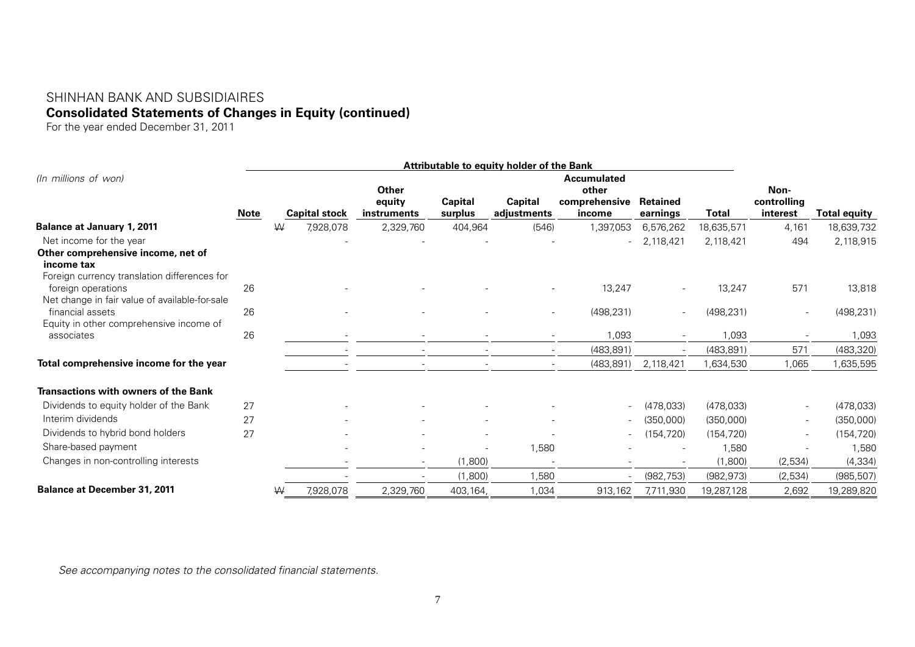## **Consolidated Statements of Changes in Equity (continued)**

For the year ended December 31, 2011

|                                                                                                  |             |   |                      |                                       |                           | Attributable to equity holder of the Bank |                                                        |                      |            |                                 |                     |
|--------------------------------------------------------------------------------------------------|-------------|---|----------------------|---------------------------------------|---------------------------|-------------------------------------------|--------------------------------------------------------|----------------------|------------|---------------------------------|---------------------|
| (In millions of won)                                                                             | <b>Note</b> |   | <b>Capital stock</b> | <b>Other</b><br>equity<br>instruments | <b>Capital</b><br>surplus | <b>Capital</b><br>adjustments             | <b>Accumulated</b><br>other<br>comprehensive<br>income | Retained<br>earnings | Total      | Non-<br>controlling<br>interest | <b>Total equity</b> |
| <b>Balance at January 1, 2011</b>                                                                |             | W | 7,928,078            | 2,329,760                             | 404,964                   | (546)                                     | 1,397,053                                              | 6,576,262            | 18,635,571 | 4,161                           | 18,639,732          |
| Net income for the year                                                                          |             |   |                      |                                       |                           |                                           |                                                        | 2,118,421            | 2,118,421  | 494                             | 2,118,915           |
| Other comprehensive income, net of<br>income tax<br>Foreign currency translation differences for |             |   |                      |                                       |                           |                                           |                                                        |                      |            |                                 |                     |
| foreign operations<br>Net change in fair value of available-for-sale                             | 26          |   |                      |                                       |                           |                                           | 13,247                                                 |                      | 13,247     | 571                             | 13,818              |
| financial assets<br>Equity in other comprehensive income of                                      | 26          |   |                      |                                       |                           | $\overline{\phantom{0}}$                  | (498, 231)                                             | $\blacksquare$       | (498, 231) | $\sim$                          | (498, 231)          |
| associates                                                                                       | 26          |   |                      |                                       |                           |                                           | 1,093                                                  |                      | 1,093      |                                 | 1,093               |
|                                                                                                  |             |   |                      | $\overline{\phantom{a}}$              |                           | $\overline{\phantom{0}}$                  | (483, 891)                                             |                      | (483, 891) | 571                             | (483, 320)          |
| Total comprehensive income for the year                                                          |             |   |                      |                                       |                           |                                           | (483, 891)                                             | 2,118,421            | 634,530,   | 1,065                           | 1,635,595           |
| <b>Transactions with owners of the Bank</b>                                                      |             |   |                      |                                       |                           |                                           |                                                        |                      |            |                                 |                     |
| Dividends to equity holder of the Bank                                                           | 27          |   |                      |                                       |                           |                                           | $\overline{\phantom{a}}$                               | (478, 033)           | (478,033)  | $\overline{\phantom{a}}$        | (478, 033)          |
| Interim dividends                                                                                | 27          |   |                      |                                       |                           |                                           |                                                        | (350,000)            | (350,000)  | $\overline{\phantom{a}}$        | (350,000)           |
| Dividends to hybrid bond holders                                                                 | 27          |   |                      |                                       |                           |                                           | ٠                                                      | (154, 720)           | (154, 720) | $\overline{\phantom{a}}$        | (154, 720)          |
| Share-based payment                                                                              |             |   |                      |                                       |                           | 1,580                                     |                                                        |                      | 1,580      |                                 | 1,580               |
| Changes in non-controlling interests                                                             |             |   |                      | $\overline{\phantom{a}}$              | (1,800)                   |                                           |                                                        |                      | (1,800)    | (2,534)                         | (4, 334)            |
|                                                                                                  |             |   |                      |                                       | (1,800)                   | 1,580                                     |                                                        | (982, 753)           | (982, 973) | (2,534)                         | (985, 507)          |
| <b>Balance at December 31, 2011</b>                                                              |             | W | 7,928,078            | 2,329,760                             | 403,164,                  | 1,034                                     | 913,162                                                | 7,711,930            | 19,287,128 | 2,692                           | 19,289,820          |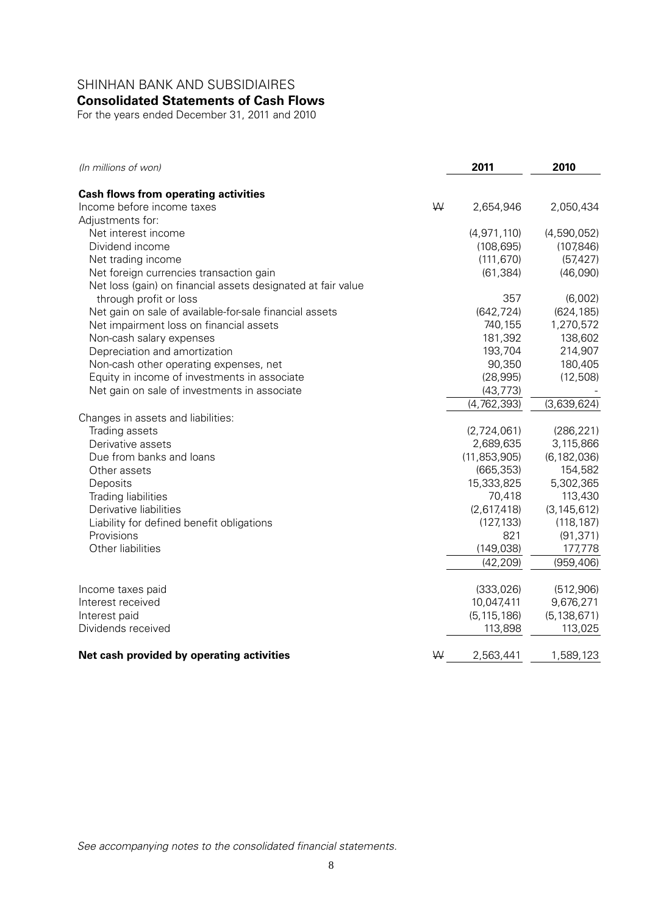## **Consolidated Statements of Cash Flows**

For the years ended December 31, 2011 and 2010

| (In millions of won)                                         |   | 2011           | 2010          |
|--------------------------------------------------------------|---|----------------|---------------|
| <b>Cash flows from operating activities</b>                  |   |                |               |
| Income before income taxes                                   | W | 2,654,946      | 2,050,434     |
| Adjustments for:                                             |   |                |               |
| Net interest income                                          |   | (4,971,110)    | (4,590,052)   |
| Dividend income                                              |   | (108, 695)     | (107, 846)    |
| Net trading income                                           |   | (111, 670)     | (57, 427)     |
| Net foreign currencies transaction gain                      |   | (61, 384)      | (46,090)      |
| Net loss (gain) on financial assets designated at fair value |   |                |               |
| through profit or loss                                       |   | 357            | (6,002)       |
| Net gain on sale of available-for-sale financial assets      |   | (642, 724)     | (624, 185)    |
| Net impairment loss on financial assets                      |   | 740,155        | 1,270,572     |
| Non-cash salary expenses                                     |   | 181,392        | 138,602       |
| Depreciation and amortization                                |   | 193,704        | 214,907       |
| Non-cash other operating expenses, net                       |   | 90,350         | 180,405       |
| Equity in income of investments in associate                 |   | (28, 995)      | (12,508)      |
| Net gain on sale of investments in associate                 |   | (43, 773)      |               |
|                                                              |   | (4, 762, 393)  | (3,639,624)   |
| Changes in assets and liabilities:                           |   |                |               |
| Trading assets                                               |   | (2,724,061)    | (286, 221)    |
| Derivative assets                                            |   | 2,689,635      | 3,115,866     |
| Due from banks and loans                                     |   | (11, 853, 905) | (6, 182, 036) |
| Other assets                                                 |   | (665, 353)     | 154,582       |
| Deposits                                                     |   | 15,333,825     | 5,302,365     |
| Trading liabilities                                          |   | 70,418         | 113,430       |
| Derivative liabilities                                       |   | (2,617,418)    | (3, 145, 612) |
| Liability for defined benefit obligations                    |   | (127, 133)     | (118, 187)    |
| Provisions                                                   |   | 821            | (91, 371)     |
| Other liabilities                                            |   | (149, 038)     | 177,778       |
|                                                              |   | (42, 209)      | (959, 406)    |
| Income taxes paid                                            |   | (333,026)      | (512,906)     |
| Interest received                                            |   | 10,047,411     | 9,676,271     |
| Interest paid                                                |   | (5, 115, 186)  | (5, 138, 671) |
| Dividends received                                           |   | 113,898        | 113,025       |
| Net cash provided by operating activities                    | W | 2,563,441      | 1,589,123     |
|                                                              |   |                |               |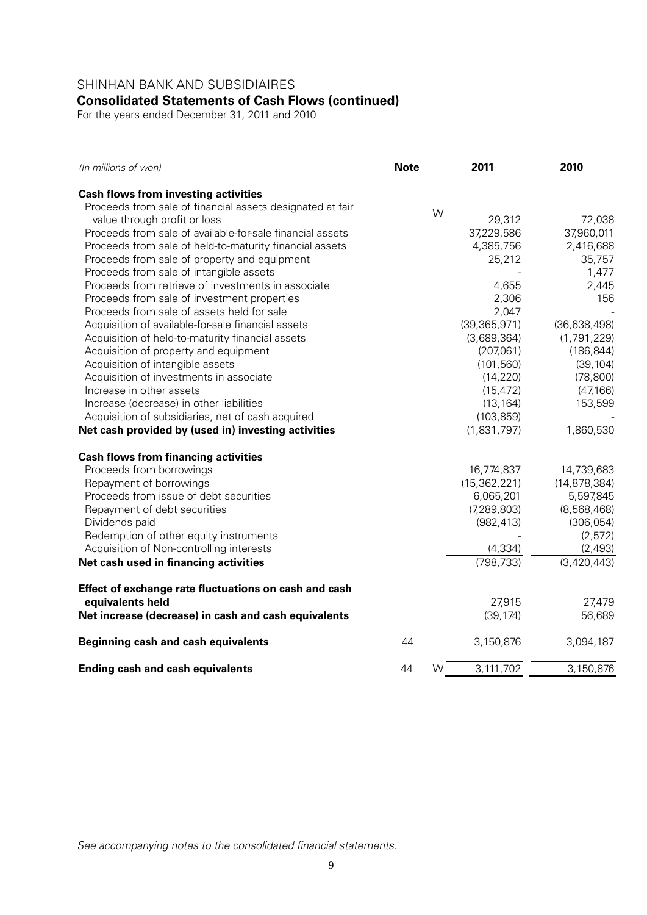## **Consolidated Statements of Cash Flows (continued)**

For the years ended December 31, 2011 and 2010

| <b>Cash flows from investing activities</b><br>Proceeds from sale of financial assets designated at fair<br>W<br>value through profit or loss<br>29,312<br>37,229,586<br>Proceeds from sale of available-for-sale financial assets<br>4,385,756<br>Proceeds from sale of held-to-maturity financial assets<br>Proceeds from sale of property and equipment<br>25,212<br>Proceeds from sale of intangible assets<br>Proceeds from retrieve of investments in associate<br>4,655<br>Proceeds from sale of investment properties<br>2,306<br>Proceeds from sale of assets held for sale<br>2,047<br>Acquisition of available-for-sale financial assets<br>(39, 365, 971)<br>(3,689,364)<br>Acquisition of held-to-maturity financial assets<br>Acquisition of property and equipment<br>(207,061)<br>Acquisition of intangible assets<br>(101, 560)<br>Acquisition of investments in associate<br>(14, 220)<br>Increase in other assets<br>(15, 472)<br>Increase (decrease) in other liabilities<br>(13, 164) | 2010           | 2011 | <b>Note</b> | (In millions of won) |
|------------------------------------------------------------------------------------------------------------------------------------------------------------------------------------------------------------------------------------------------------------------------------------------------------------------------------------------------------------------------------------------------------------------------------------------------------------------------------------------------------------------------------------------------------------------------------------------------------------------------------------------------------------------------------------------------------------------------------------------------------------------------------------------------------------------------------------------------------------------------------------------------------------------------------------------------------------------------------------------------------------|----------------|------|-------------|----------------------|
|                                                                                                                                                                                                                                                                                                                                                                                                                                                                                                                                                                                                                                                                                                                                                                                                                                                                                                                                                                                                            |                |      |             |                      |
|                                                                                                                                                                                                                                                                                                                                                                                                                                                                                                                                                                                                                                                                                                                                                                                                                                                                                                                                                                                                            |                |      |             |                      |
|                                                                                                                                                                                                                                                                                                                                                                                                                                                                                                                                                                                                                                                                                                                                                                                                                                                                                                                                                                                                            | 72,038         |      |             |                      |
|                                                                                                                                                                                                                                                                                                                                                                                                                                                                                                                                                                                                                                                                                                                                                                                                                                                                                                                                                                                                            | 37,960,011     |      |             |                      |
|                                                                                                                                                                                                                                                                                                                                                                                                                                                                                                                                                                                                                                                                                                                                                                                                                                                                                                                                                                                                            | 2,416,688      |      |             |                      |
|                                                                                                                                                                                                                                                                                                                                                                                                                                                                                                                                                                                                                                                                                                                                                                                                                                                                                                                                                                                                            | 35,757         |      |             |                      |
|                                                                                                                                                                                                                                                                                                                                                                                                                                                                                                                                                                                                                                                                                                                                                                                                                                                                                                                                                                                                            | 1,477          |      |             |                      |
|                                                                                                                                                                                                                                                                                                                                                                                                                                                                                                                                                                                                                                                                                                                                                                                                                                                                                                                                                                                                            | 2,445          |      |             |                      |
|                                                                                                                                                                                                                                                                                                                                                                                                                                                                                                                                                                                                                                                                                                                                                                                                                                                                                                                                                                                                            | 156            |      |             |                      |
|                                                                                                                                                                                                                                                                                                                                                                                                                                                                                                                                                                                                                                                                                                                                                                                                                                                                                                                                                                                                            |                |      |             |                      |
|                                                                                                                                                                                                                                                                                                                                                                                                                                                                                                                                                                                                                                                                                                                                                                                                                                                                                                                                                                                                            | (36, 638, 498) |      |             |                      |
|                                                                                                                                                                                                                                                                                                                                                                                                                                                                                                                                                                                                                                                                                                                                                                                                                                                                                                                                                                                                            | (1,791,229)    |      |             |                      |
|                                                                                                                                                                                                                                                                                                                                                                                                                                                                                                                                                                                                                                                                                                                                                                                                                                                                                                                                                                                                            | (186, 844)     |      |             |                      |
|                                                                                                                                                                                                                                                                                                                                                                                                                                                                                                                                                                                                                                                                                                                                                                                                                                                                                                                                                                                                            | (39, 104)      |      |             |                      |
|                                                                                                                                                                                                                                                                                                                                                                                                                                                                                                                                                                                                                                                                                                                                                                                                                                                                                                                                                                                                            | (78, 800)      |      |             |                      |
|                                                                                                                                                                                                                                                                                                                                                                                                                                                                                                                                                                                                                                                                                                                                                                                                                                                                                                                                                                                                            | (47, 166)      |      |             |                      |
|                                                                                                                                                                                                                                                                                                                                                                                                                                                                                                                                                                                                                                                                                                                                                                                                                                                                                                                                                                                                            | 153,599        |      |             |                      |
| Acquisition of subsidiaries, net of cash acquired<br>(103, 859)                                                                                                                                                                                                                                                                                                                                                                                                                                                                                                                                                                                                                                                                                                                                                                                                                                                                                                                                            |                |      |             |                      |
| (1,831,797)<br>Net cash provided by (used in) investing activities                                                                                                                                                                                                                                                                                                                                                                                                                                                                                                                                                                                                                                                                                                                                                                                                                                                                                                                                         | 1,860,530      |      |             |                      |
| <b>Cash flows from financing activities</b>                                                                                                                                                                                                                                                                                                                                                                                                                                                                                                                                                                                                                                                                                                                                                                                                                                                                                                                                                                |                |      |             |                      |
| Proceeds from borrowings<br>16,774,837                                                                                                                                                                                                                                                                                                                                                                                                                                                                                                                                                                                                                                                                                                                                                                                                                                                                                                                                                                     | 14,739,683     |      |             |                      |
| (15, 362, 221)<br>Repayment of borrowings                                                                                                                                                                                                                                                                                                                                                                                                                                                                                                                                                                                                                                                                                                                                                                                                                                                                                                                                                                  | (14, 878, 384) |      |             |                      |
| Proceeds from issue of debt securities<br>6,065,201                                                                                                                                                                                                                                                                                                                                                                                                                                                                                                                                                                                                                                                                                                                                                                                                                                                                                                                                                        | 5,597,845      |      |             |                      |
| (7, 289, 803)<br>Repayment of debt securities                                                                                                                                                                                                                                                                                                                                                                                                                                                                                                                                                                                                                                                                                                                                                                                                                                                                                                                                                              | (8,568,468)    |      |             |                      |
| Dividends paid<br>(982, 413)                                                                                                                                                                                                                                                                                                                                                                                                                                                                                                                                                                                                                                                                                                                                                                                                                                                                                                                                                                               | (306, 054)     |      |             |                      |
| Redemption of other equity instruments                                                                                                                                                                                                                                                                                                                                                                                                                                                                                                                                                                                                                                                                                                                                                                                                                                                                                                                                                                     | (2, 572)       |      |             |                      |
| (4, 334)<br>Acquisition of Non-controlling interests                                                                                                                                                                                                                                                                                                                                                                                                                                                                                                                                                                                                                                                                                                                                                                                                                                                                                                                                                       | (2, 493)       |      |             |                      |
| (798, 733)<br>Net cash used in financing activities                                                                                                                                                                                                                                                                                                                                                                                                                                                                                                                                                                                                                                                                                                                                                                                                                                                                                                                                                        | (3,420,443)    |      |             |                      |
| Effect of exchange rate fluctuations on cash and cash                                                                                                                                                                                                                                                                                                                                                                                                                                                                                                                                                                                                                                                                                                                                                                                                                                                                                                                                                      |                |      |             |                      |
| equivalents held<br>27,915                                                                                                                                                                                                                                                                                                                                                                                                                                                                                                                                                                                                                                                                                                                                                                                                                                                                                                                                                                                 | 27,479         |      |             |                      |
| (39, 174)<br>Net increase (decrease) in cash and cash equivalents                                                                                                                                                                                                                                                                                                                                                                                                                                                                                                                                                                                                                                                                                                                                                                                                                                                                                                                                          | 56,689         |      |             |                      |
| 3,150,876<br><b>Beginning cash and cash equivalents</b><br>44                                                                                                                                                                                                                                                                                                                                                                                                                                                                                                                                                                                                                                                                                                                                                                                                                                                                                                                                              | 3,094,187      |      |             |                      |
| 3,111,702<br><b>Ending cash and cash equivalents</b><br>44<br>W                                                                                                                                                                                                                                                                                                                                                                                                                                                                                                                                                                                                                                                                                                                                                                                                                                                                                                                                            | 3,150,876      |      |             |                      |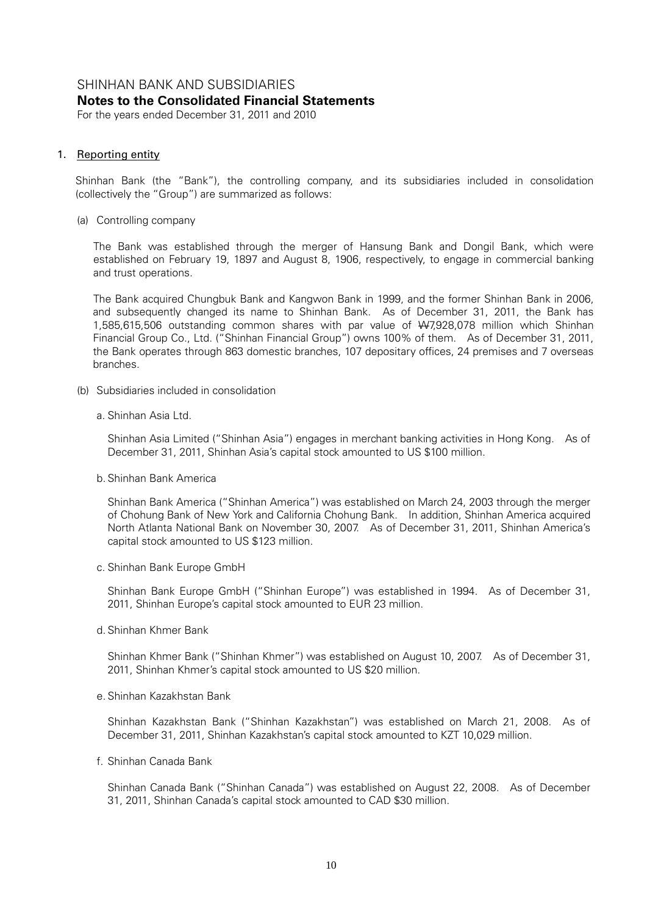For the years ended December 31, 2011 and 2010

#### 1. Reporting entity

Shinhan Bank (the "Bank"), the controlling company, and its subsidiaries included in consolidation (collectively the "Group") are summarized as follows:

(a) Controlling company

The Bank was established through the merger of Hansung Bank and Dongil Bank, which were established on February 19, 1897 and August 8, 1906, respectively, to engage in commercial banking and trust operations.

The Bank acquired Chungbuk Bank and Kangwon Bank in 1999, and the former Shinhan Bank in 2006, and subsequently changed its name to Shinhan Bank. As of December 31, 2011, the Bank has 1,585,615,506 outstanding common shares with par value of W7,928,078 million which Shinhan Financial Group Co., Ltd. ("Shinhan Financial Group") owns 100% of them. As of December 31, 2011, the Bank operates through 863 domestic branches, 107 depositary offices, 24 premises and 7 overseas branches.

- (b) Subsidiaries included in consolidation
	- a. Shinhan Asia Ltd.

Shinhan Asia Limited ("Shinhan Asia") engages in merchant banking activities in Hong Kong. As of December 31, 2011, Shinhan Asia's capital stock amounted to US \$100 million.

b. Shinhan Bank America

Shinhan Bank America ("Shinhan America") was established on March 24, 2003 through the merger of Chohung Bank of New York and California Chohung Bank. In addition, Shinhan America acquired North Atlanta National Bank on November 30, 2007. As of December 31, 2011, Shinhan America's capital stock amounted to US \$123 million.

c. Shinhan Bank Europe GmbH

Shinhan Bank Europe GmbH ("Shinhan Europe") was established in 1994. As of December 31, 2011, Shinhan Europe's capital stock amounted to EUR 23 million.

d. Shinhan Khmer Bank

Shinhan Khmer Bank ("Shinhan Khmer") was established on August 10, 2007. As of December 31, 2011, Shinhan Khmer's capital stock amounted to US \$20 million.

e. Shinhan Kazakhstan Bank

Shinhan Kazakhstan Bank ("Shinhan Kazakhstan") was established on March 21, 2008. As of December 31, 2011, Shinhan Kazakhstan's capital stock amounted to KZT 10,029 million.

f. Shinhan Canada Bank

Shinhan Canada Bank ("Shinhan Canada") was established on August 22, 2008. As of December 31, 2011, Shinhan Canada's capital stock amounted to CAD \$30 million.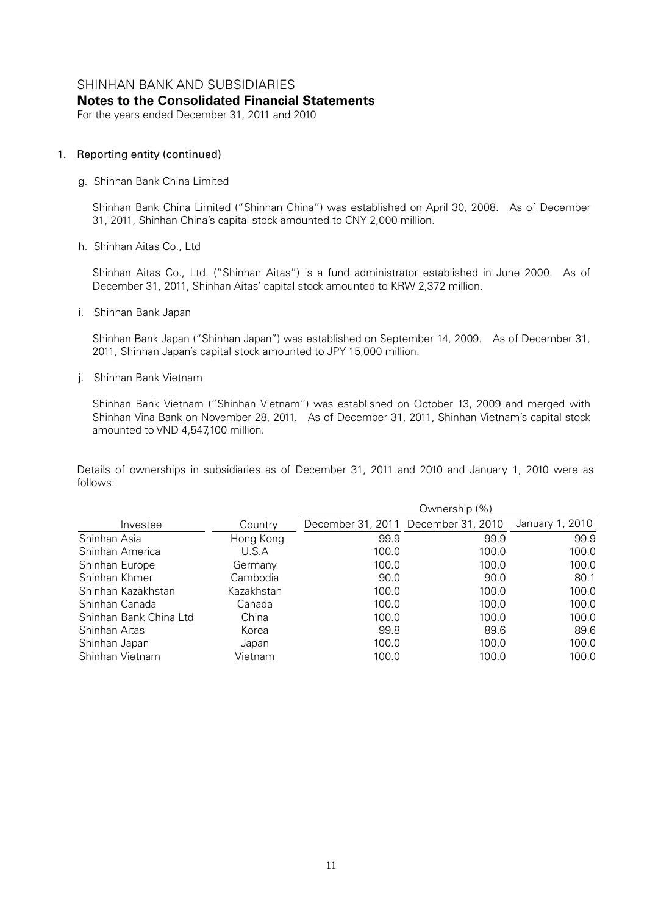For the years ended December 31, 2011 and 2010

#### 1. Reporting entity (continued)

g. Shinhan Bank China Limited

Shinhan Bank China Limited ("Shinhan China") was established on April 30, 2008. As of December 31, 2011, Shinhan China's capital stock amounted to CNY 2,000 million.

h. Shinhan Aitas Co., Ltd

Shinhan Aitas Co., Ltd. ("Shinhan Aitas") is a fund administrator established in June 2000. As of December 31, 2011, Shinhan Aitas' capital stock amounted to KRW 2,372 million.

i. Shinhan Bank Japan

Shinhan Bank Japan ("Shinhan Japan") was established on September 14, 2009. As of December 31, 2011, Shinhan Japan's capital stock amounted to JPY 15,000 million.

j. Shinhan Bank Vietnam

Shinhan Bank Vietnam ("Shinhan Vietnam") was established on October 13, 2009 and merged with Shinhan Vina Bank on November 28, 2011. As of December 31, 2011, Shinhan Vietnam's capital stock amounted to VND 4,547,100 million.

Details of ownerships in subsidiaries as of December 31, 2011 and 2010 and January 1, 2010 were as follows:

|                        |            |       | Ownership (%)                       |                 |
|------------------------|------------|-------|-------------------------------------|-----------------|
| Investee               | Country    |       | December 31, 2011 December 31, 2010 | January 1, 2010 |
| Shinhan Asia           | Hong Kong  | 99.9  | 99.9                                | 99.9            |
| Shinhan America        | U.S.A      | 100.0 | 100.0                               | 100.0           |
| Shinhan Europe         | Germany    | 100.0 | 100.0                               | 100.0           |
| Shinhan Khmer          | Cambodia   | 90.0  | 90.0                                | 80.1            |
| Shinhan Kazakhstan     | Kazakhstan | 100.0 | 100.0                               | 100.0           |
| Shinhan Canada         | Canada     | 100.0 | 100.0                               | 100.0           |
| Shinhan Bank China Ltd | China      | 100.0 | 100.0                               | 100.0           |
| Shinhan Aitas          | Korea      | 99.8  | 89.6                                | 89.6            |
| Shinhan Japan          | Japan      | 100.0 | 100.0                               | 100.0           |
| Shinhan Vietnam        | Vietnam    | 100.0 | 100.0                               | 100.0           |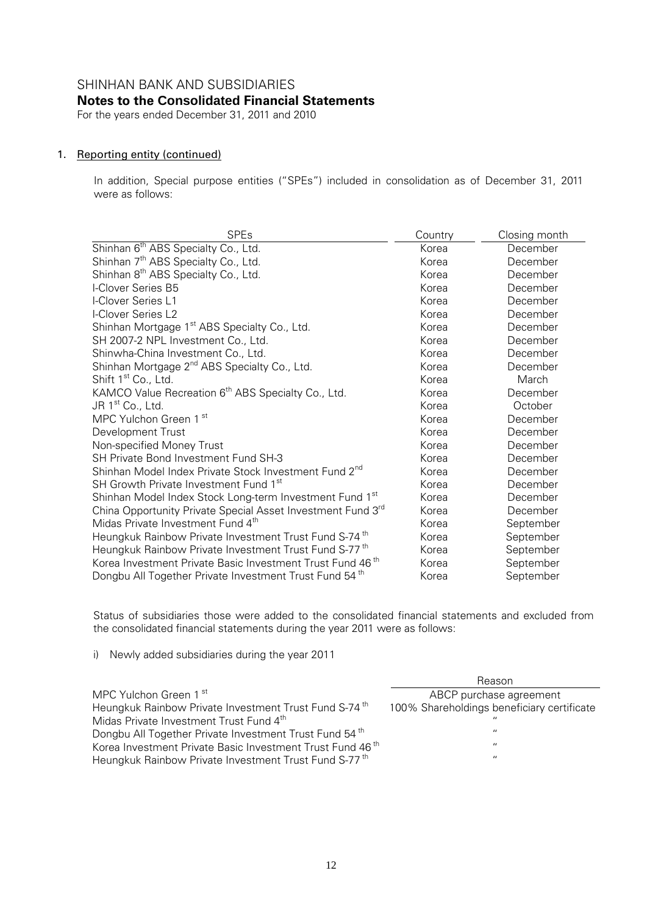### **Notes to the Consolidated Financial Statements**

For the years ended December 31, 2011 and 2010

#### 1. Reporting entity (continued)

In addition, Special purpose entities ("SPEs") included in consolidation as of December 31, 2011 were as follows:

| <b>SPEs</b>                                                             | Country | Closing month |
|-------------------------------------------------------------------------|---------|---------------|
| Shinhan 6 <sup>th</sup> ABS Specialty Co., Ltd.                         | Korea   | December      |
| Shinhan 7 <sup>th</sup> ABS Specialty Co., Ltd.                         | Korea   | December      |
| Shinhan 8 <sup>th</sup> ABS Specialty Co., Ltd.                         | Korea   | December      |
| I-Clover Series B5                                                      | Korea   | December      |
| I-Clover Series L1                                                      | Korea   | December      |
| I-Clover Series L2                                                      | Korea   | December      |
| Shinhan Mortgage 1 <sup>st</sup> ABS Specialty Co., Ltd.                | Korea   | December      |
| SH 2007-2 NPL Investment Co., Ltd.                                      | Korea   | December      |
| Shinwha-China Investment Co., Ltd.                                      | Korea   | December      |
| Shinhan Mortgage 2 <sup>nd</sup> ABS Specialty Co., Ltd.                | Korea   | December      |
| Shift 1 <sup>st</sup> Co., Ltd.                                         | Korea   | March         |
| KAMCO Value Recreation 6 <sup>th</sup> ABS Specialty Co., Ltd.          | Korea   | December      |
| JR 1 <sup>st</sup> Co., Ltd.                                            | Korea   | October       |
| MPC Yulchon Green 1 <sup>st</sup>                                       | Korea   | December      |
| Development Trust                                                       | Korea   | December      |
| Non-specified Money Trust                                               | Korea   | December      |
| SH Private Bond Investment Fund SH-3                                    | Korea   | December      |
| Shinhan Model Index Private Stock Investment Fund 2 <sup>nd</sup>       | Korea   | December      |
| SH Growth Private Investment Fund 1 <sup>st</sup>                       | Korea   | December      |
| Shinhan Model Index Stock Long-term Investment Fund 1 <sup>st</sup>     | Korea   | December      |
| China Opportunity Private Special Asset Investment Fund 3 <sup>rd</sup> | Korea   | December      |
| Midas Private Investment Fund 4 <sup>th</sup>                           | Korea   | September     |
| Heungkuk Rainbow Private Investment Trust Fund S-74 <sup>th</sup>       | Korea   | September     |
| Heungkuk Rainbow Private Investment Trust Fund S-77 <sup>th</sup>       | Korea   | September     |
| Korea Investment Private Basic Investment Trust Fund 46 <sup>th</sup>   | Korea   | September     |
| Dongbu All Together Private Investment Trust Fund 54 <sup>th</sup>      | Korea   | September     |

Status of subsidiaries those were added to the consolidated financial statements and excluded from the consolidated financial statements during the year 2011 were as follows:

i) Newly added subsidiaries during the year 2011

|                                                                       | Reason                                     |
|-----------------------------------------------------------------------|--------------------------------------------|
| MPC Yulchon Green 1 <sup>st</sup>                                     | ABCP purchase agreement                    |
| Heungkuk Rainbow Private Investment Trust Fund S-74 <sup>th</sup>     | 100% Shareholdings beneficiary certificate |
| Midas Private Investment Trust Fund 4 <sup>th</sup>                   | $\mathbf{u}$                               |
| Dongbu All Together Private Investment Trust Fund 54 <sup>th</sup>    | $\mathbf{u}$                               |
| Korea Investment Private Basic Investment Trust Fund 46 <sup>th</sup> | $\mathbf{u}$                               |
| Heungkuk Rainbow Private Investment Trust Fund S-77 <sup>th</sup>     | $\mathbf{u}$                               |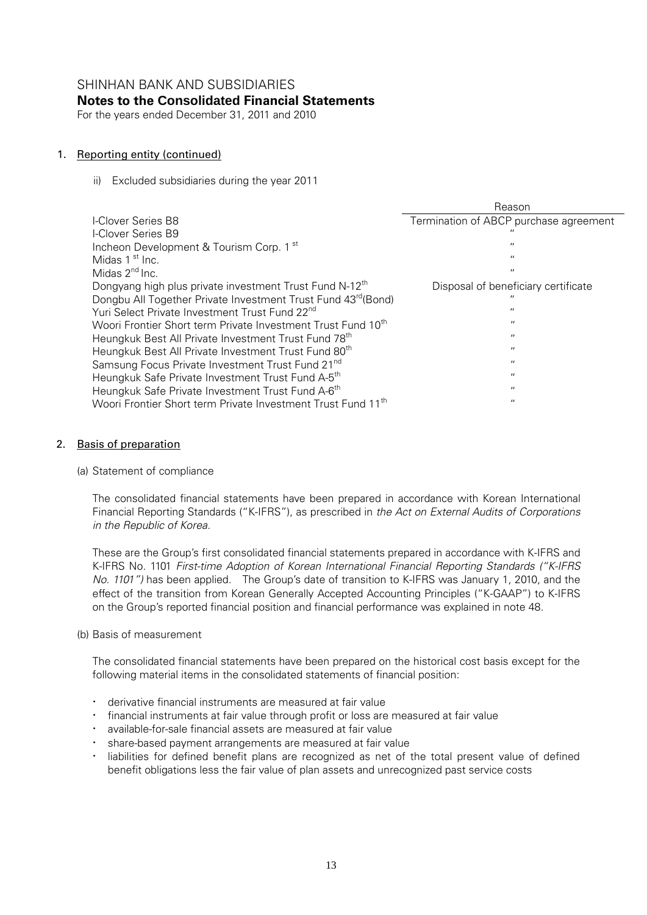For the years ended December 31, 2011 and 2010

#### 1. Reporting entity (continued)

ii) Excluded subsidiaries during the year 2011

|                                                                           | Reason                                 |
|---------------------------------------------------------------------------|----------------------------------------|
| <b>I-Clover Series B8</b>                                                 | Termination of ABCP purchase agreement |
| I-Clover Series B9                                                        |                                        |
| Incheon Development & Tourism Corp. 1 <sup>st</sup>                       |                                        |
| Midas 1 <sup>st</sup> Inc.                                                | $\mathbf{u}$                           |
| Midas $2^{nd}$ Inc.                                                       | $\mathbf{u}$                           |
| Dongyang high plus private investment Trust Fund N-12 <sup>th</sup>       | Disposal of beneficiary certificate    |
| Dongbu All Together Private Investment Trust Fund 43 <sup>rd</sup> (Bond) |                                        |
| Yuri Select Private Investment Trust Fund 22 <sup>nd</sup>                | $\mathbf{u}$                           |
| Woori Frontier Short term Private Investment Trust Fund 10 <sup>th</sup>  | $\mathbf{u}$                           |
| Heungkuk Best All Private Investment Trust Fund 78 <sup>th</sup>          | $\mathbf{u}$                           |
| Heungkuk Best All Private Investment Trust Fund 80 <sup>th</sup>          | $\mathbf{u}$                           |
| Samsung Focus Private Investment Trust Fund 21 <sup>nd</sup>              | $\mathbf{u}$                           |
| Heungkuk Safe Private Investment Trust Fund A-5 <sup>th</sup>             | $\mathbf{u}$                           |
| Heungkuk Safe Private Investment Trust Fund A-6 <sup>th</sup>             | $\mathbf{u}$                           |
| Woori Frontier Short term Private Investment Trust Fund 11 <sup>th</sup>  | $\mathbf{u}$                           |

#### 2. Basis of preparation

#### (a) Statement of compliance

The consolidated financial statements have been prepared in accordance with Korean International Financial Reporting Standards ("K-IFRS"), as prescribed in *the Act on External Audits of Corporations in the Republic of Korea.*

These are the Group's first consolidated financial statements prepared in accordance with K-IFRS and K-IFRS No. 1101 *First-time Adoption of Korean International Financial Reporting Standards ("K-IFRS No. 1101")* has been applied. The Group's date of transition to K-IFRS was January 1, 2010, and the effect of the transition from Korean Generally Accepted Accounting Principles ("K-GAAP") to K-IFRS on the Group's reported financial position and financial performance was explained in note 48.

(b) Basis of measurement

The consolidated financial statements have been prepared on the historical cost basis except for the following material items in the consolidated statements of financial position:

- derivative financial instruments are measured at fair value
- financial instruments at fair value through profit or loss are measured at fair value
- available-for-sale financial assets are measured at fair value
- share-based payment arrangements are measured at fair value
- liabilities for defined benefit plans are recognized as net of the total present value of defined benefit obligations less the fair value of plan assets and unrecognized past service costs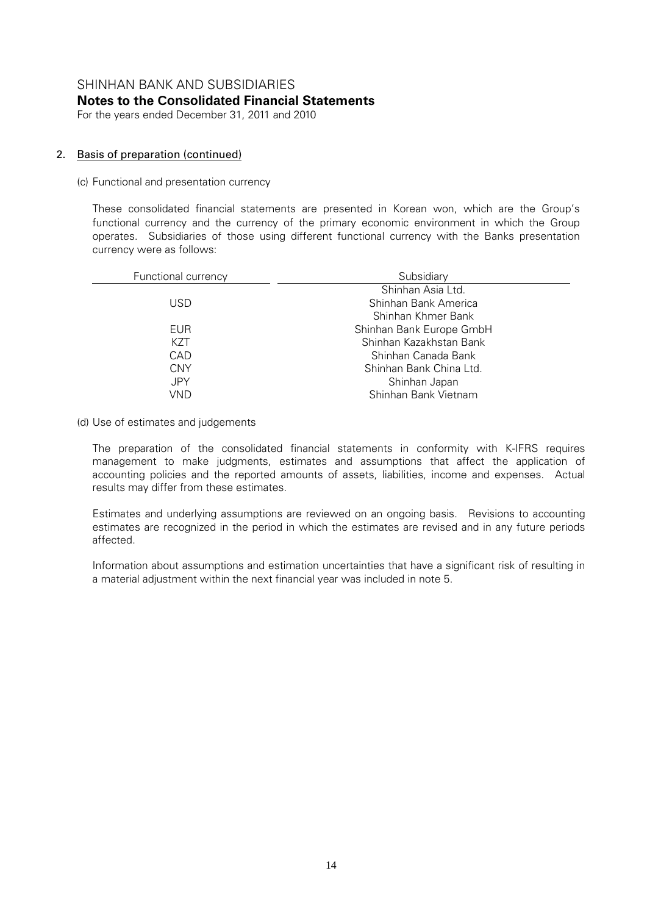#### 2. Basis of preparation (continued)

#### (c) Functional and presentation currency

These consolidated financial statements are presented in Korean won, which are the Group's functional currency and the currency of the primary economic environment in which the Group operates. Subsidiaries of those using different functional currency with the Banks presentation currency were as follows:

| Functional currency | Subsidiary               |  |
|---------------------|--------------------------|--|
|                     | Shinhan Asia Ltd.        |  |
| USD.                | Shinhan Bank America     |  |
|                     | Shinhan Khmer Bank       |  |
| EUR.                | Shinhan Bank Europe GmbH |  |
| KZT                 | Shinhan Kazakhstan Bank  |  |
| CAD                 | Shinhan Canada Bank      |  |
| <b>CNY</b>          | Shinhan Bank China Ltd.  |  |
| JPY.                | Shinhan Japan            |  |
| VND                 | Shinhan Bank Vietnam     |  |

#### (d) Use of estimates and judgements

The preparation of the consolidated financial statements in conformity with K-IFRS requires management to make judgments, estimates and assumptions that affect the application of accounting policies and the reported amounts of assets, liabilities, income and expenses. Actual results may differ from these estimates.

Estimates and underlying assumptions are reviewed on an ongoing basis. Revisions to accounting estimates are recognized in the period in which the estimates are revised and in any future periods affected.

Information about assumptions and estimation uncertainties that have a significant risk of resulting in a material adjustment within the next financial year was included in note 5.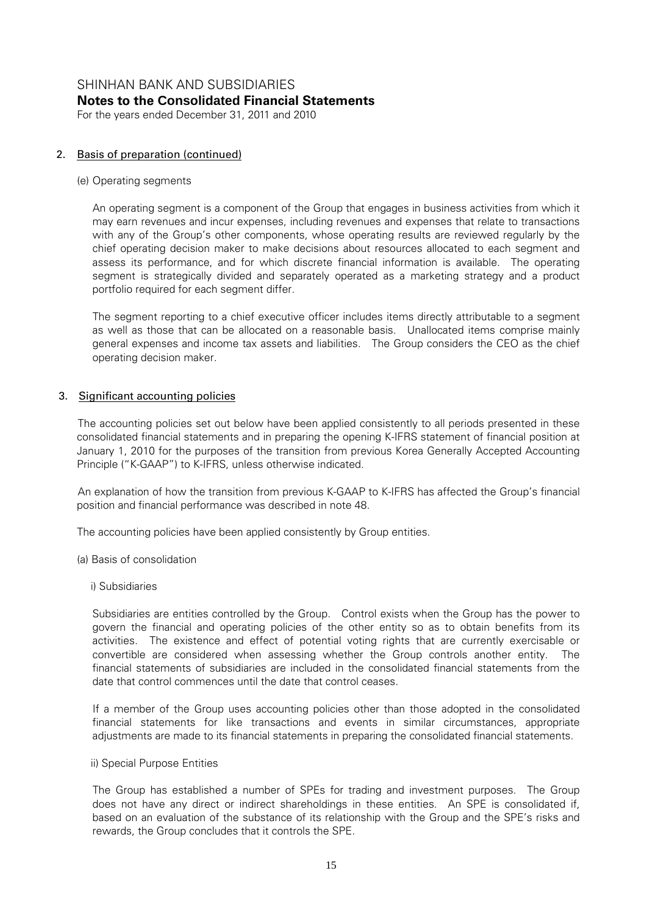For the years ended December 31, 2011 and 2010

#### 2. Basis of preparation (continued)

#### (e) Operating segments

An operating segment is a component of the Group that engages in business activities from which it may earn revenues and incur expenses, including revenues and expenses that relate to transactions with any of the Group's other components, whose operating results are reviewed regularly by the chief operating decision maker to make decisions about resources allocated to each segment and assess its performance, and for which discrete financial information is available. The operating segment is strategically divided and separately operated as a marketing strategy and a product portfolio required for each segment differ.

The segment reporting to a chief executive officer includes items directly attributable to a segment as well as those that can be allocated on a reasonable basis. Unallocated items comprise mainly general expenses and income tax assets and liabilities. The Group considers the CEO as the chief operating decision maker.

#### 3. Significant accounting policies

The accounting policies set out below have been applied consistently to all periods presented in these consolidated financial statements and in preparing the opening K-IFRS statement of financial position at January 1, 2010 for the purposes of the transition from previous Korea Generally Accepted Accounting Principle ("K-GAAP") to K-IFRS, unless otherwise indicated.

An explanation of how the transition from previous K-GAAP to K-IFRS has affected the Group's financial position and financial performance was described in note 48.

The accounting policies have been applied consistently by Group entities.

(a) Basis of consolidation

#### i) Subsidiaries

Subsidiaries are entities controlled by the Group. Control exists when the Group has the power to govern the financial and operating policies of the other entity so as to obtain benefits from its activities. The existence and effect of potential voting rights that are currently exercisable or convertible are considered when assessing whether the Group controls another entity. The financial statements of subsidiaries are included in the consolidated financial statements from the date that control commences until the date that control ceases.

If a member of the Group uses accounting policies other than those adopted in the consolidated financial statements for like transactions and events in similar circumstances, appropriate adjustments are made to its financial statements in preparing the consolidated financial statements.

#### ii) Special Purpose Entities

The Group has established a number of SPEs for trading and investment purposes. The Group does not have any direct or indirect shareholdings in these entities. An SPE is consolidated if, based on an evaluation of the substance of its relationship with the Group and the SPE's risks and rewards, the Group concludes that it controls the SPE.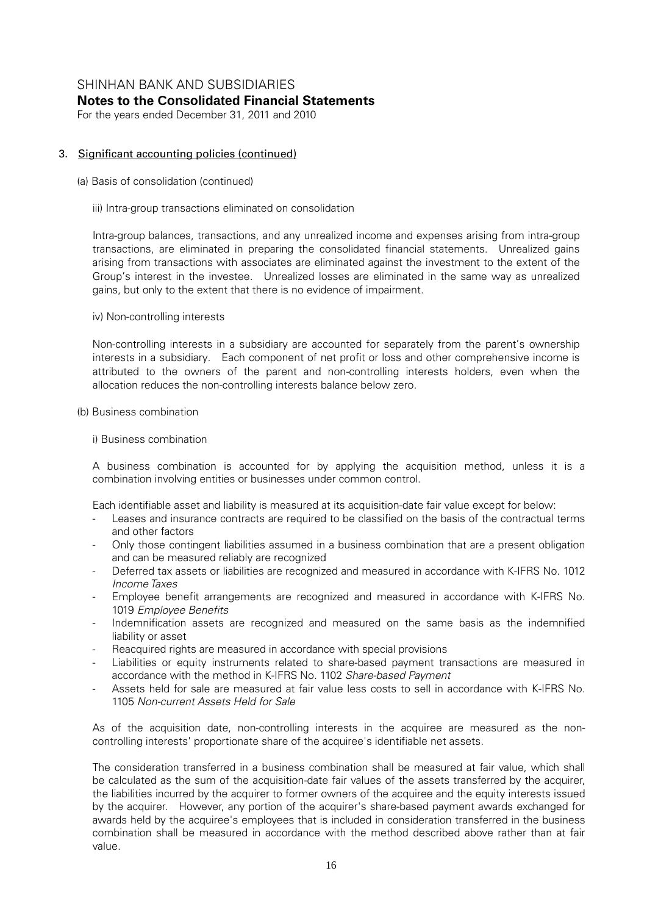#### (a) Basis of consolidation (continued)

#### iii) Intra-group transactions eliminated on consolidation

Intra-group balances, transactions, and any unrealized income and expenses arising from intra-group transactions, are eliminated in preparing the consolidated financial statements. Unrealized gains arising from transactions with associates are eliminated against the investment to the extent of the Group's interest in the investee. Unrealized losses are eliminated in the same way as unrealized gains, but only to the extent that there is no evidence of impairment.

#### iv) Non-controlling interests

Non-controlling interests in a subsidiary are accounted for separately from the parent's ownership interests in a subsidiary. Each component of net profit or loss and other comprehensive income is attributed to the owners of the parent and non-controlling interests holders, even when the allocation reduces the non-controlling interests balance below zero.

#### (b) Business combination

#### i) Business combination

A business combination is accounted for by applying the acquisition method, unless it is a combination involving entities or businesses under common control.

Each identifiable asset and liability is measured at its acquisition-date fair value except for below:

- Leases and insurance contracts are required to be classified on the basis of the contractual terms and other factors
- Only those contingent liabilities assumed in a business combination that are a present obligation and can be measured reliably are recognized
- Deferred tax assets or liabilities are recognized and measured in accordance with K-IFRS No. 1012 *Income Taxes*
- Employee benefit arrangements are recognized and measured in accordance with K-IFRS No. 1019 *Employee Benefits*
- Indemnification assets are recognized and measured on the same basis as the indemnified liability or asset
- Reacquired rights are measured in accordance with special provisions
- Liabilities or equity instruments related to share-based payment transactions are measured in accordance with the method in K-IFRS No. 1102 *Share-based Payment*
- Assets held for sale are measured at fair value less costs to sell in accordance with K-IFRS No. 1105 *Non-current Assets Held for Sale*

As of the acquisition date, non-controlling interests in the acquiree are measured as the noncontrolling interests' proportionate share of the acquiree's identifiable net assets.

The consideration transferred in a business combination shall be measured at fair value, which shall be calculated as the sum of the acquisition-date fair values of the assets transferred by the acquirer, the liabilities incurred by the acquirer to former owners of the acquiree and the equity interests issued by the acquirer. However, any portion of the acquirer's share-based payment awards exchanged for awards held by the acquiree's employees that is included in consideration transferred in the business combination shall be measured in accordance with the method described above rather than at fair value.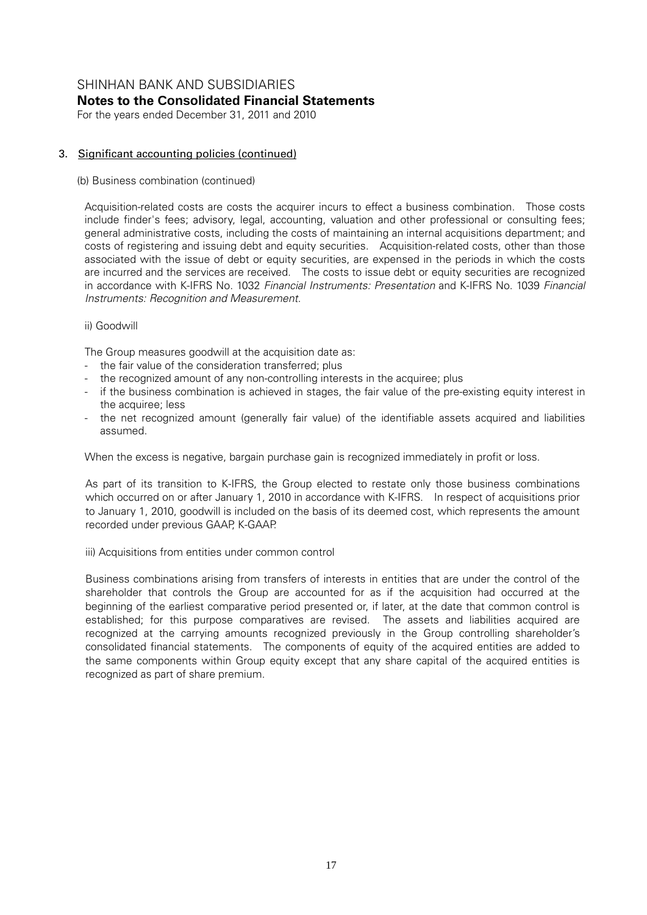For the years ended December 31, 2011 and 2010

#### 3. Significant accounting policies (continued)

#### (b) Business combination (continued)

Acquisition-related costs are costs the acquirer incurs to effect a business combination. Those costs include finder's fees; advisory, legal, accounting, valuation and other professional or consulting fees; general administrative costs, including the costs of maintaining an internal acquisitions department; and costs of registering and issuing debt and equity securities. Acquisition-related costs, other than those associated with the issue of debt or equity securities, are expensed in the periods in which the costs are incurred and the services are received. The costs to issue debt or equity securities are recognized in accordance with K-IFRS No. 1032 *Financial Instruments: Presentation* and K-IFRS No. 1039 *Financial Instruments: Recognition and Measurement*.

#### ii) Goodwill

The Group measures goodwill at the acquisition date as:

- the fair value of the consideration transferred; plus
- the recognized amount of any non-controlling interests in the acquiree; plus
- if the business combination is achieved in stages, the fair value of the pre-existing equity interest in the acquiree; less
- the net recognized amount (generally fair value) of the identifiable assets acquired and liabilities assumed.

When the excess is negative, bargain purchase gain is recognized immediately in profit or loss.

As part of its transition to K-IFRS, the Group elected to restate only those business combinations which occurred on or after January 1, 2010 in accordance with K-IFRS. In respect of acquisitions prior to January 1, 2010, goodwill is included on the basis of its deemed cost, which represents the amount recorded under previous GAAP, K-GAAP.

#### iii) Acquisitions from entities under common control

Business combinations arising from transfers of interests in entities that are under the control of the shareholder that controls the Group are accounted for as if the acquisition had occurred at the beginning of the earliest comparative period presented or, if later, at the date that common control is established; for this purpose comparatives are revised. The assets and liabilities acquired are recognized at the carrying amounts recognized previously in the Group controlling shareholder's consolidated financial statements. The components of equity of the acquired entities are added to the same components within Group equity except that any share capital of the acquired entities is recognized as part of share premium.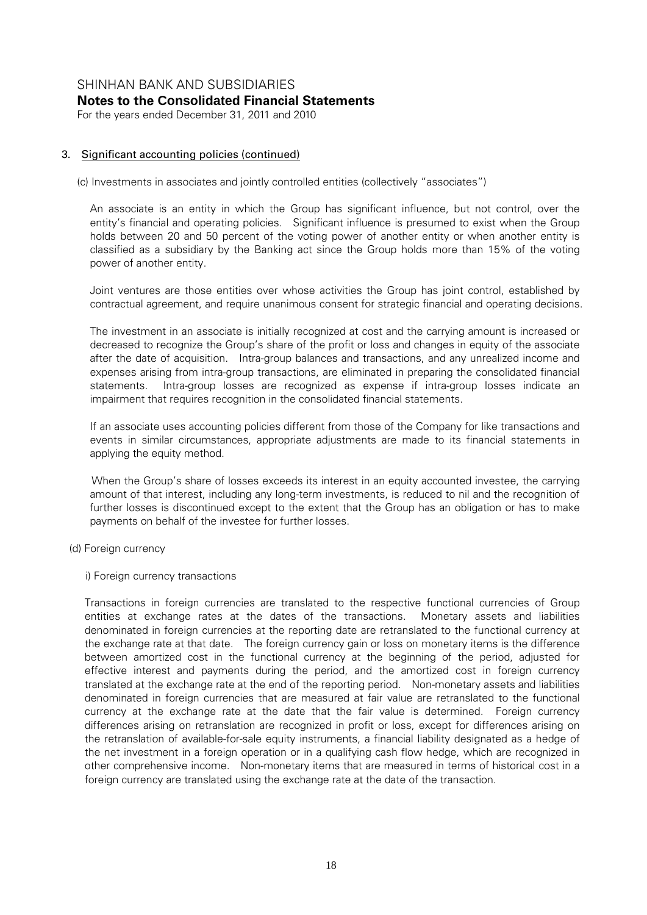For the years ended December 31, 2011 and 2010

#### 3. Significant accounting policies (continued)

#### (c) Investments in associates and jointly controlled entities (collectively "associates")

An associate is an entity in which the Group has significant influence, but not control, over the entity's financial and operating policies. Significant influence is presumed to exist when the Group holds between 20 and 50 percent of the voting power of another entity or when another entity is classified as a subsidiary by the Banking act since the Group holds more than 15% of the voting power of another entity.

Joint ventures are those entities over whose activities the Group has joint control, established by contractual agreement, and require unanimous consent for strategic financial and operating decisions.

The investment in an associate is initially recognized at cost and the carrying amount is increased or decreased to recognize the Group's share of the profit or loss and changes in equity of the associate after the date of acquisition. Intra-group balances and transactions, and any unrealized income and expenses arising from intra-group transactions, are eliminated in preparing the consolidated financial statements. Intra-group losses are recognized as expense if intra-group losses indicate an impairment that requires recognition in the consolidated financial statements.

If an associate uses accounting policies different from those of the Company for like transactions and events in similar circumstances, appropriate adjustments are made to its financial statements in applying the equity method.

When the Group's share of losses exceeds its interest in an equity accounted investee, the carrying amount of that interest, including any long-term investments, is reduced to nil and the recognition of further losses is discontinued except to the extent that the Group has an obligation or has to make payments on behalf of the investee for further losses.

- (d) Foreign currency
	- i) Foreign currency transactions

Transactions in foreign currencies are translated to the respective functional currencies of Group entities at exchange rates at the dates of the transactions. Monetary assets and liabilities denominated in foreign currencies at the reporting date are retranslated to the functional currency at the exchange rate at that date. The foreign currency gain or loss on monetary items is the difference between amortized cost in the functional currency at the beginning of the period, adjusted for effective interest and payments during the period, and the amortized cost in foreign currency translated at the exchange rate at the end of the reporting period. Non-monetary assets and liabilities denominated in foreign currencies that are measured at fair value are retranslated to the functional currency at the exchange rate at the date that the fair value is determined. Foreign currency differences arising on retranslation are recognized in profit or loss, except for differences arising on the retranslation of available-for-sale equity instruments, a financial liability designated as a hedge of the net investment in a foreign operation or in a qualifying cash flow hedge, which are recognized in other comprehensive income. Non-monetary items that are measured in terms of historical cost in a foreign currency are translated using the exchange rate at the date of the transaction.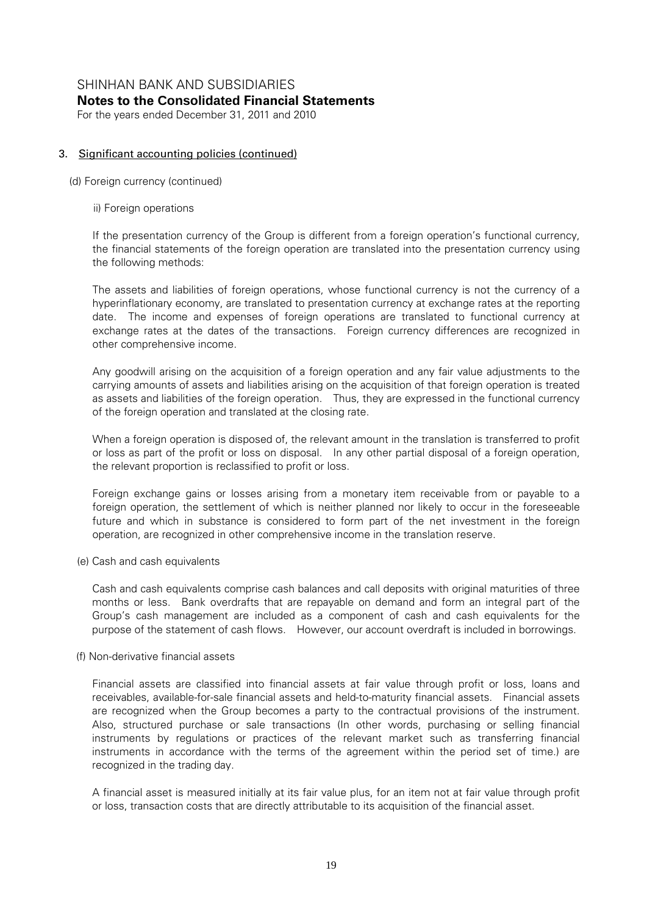- (d) Foreign currency (continued)
	- ii) Foreign operations

If the presentation currency of the Group is different from a foreign operation's functional currency, the financial statements of the foreign operation are translated into the presentation currency using the following methods:

The assets and liabilities of foreign operations, whose functional currency is not the currency of a hyperinflationary economy, are translated to presentation currency at exchange rates at the reporting date. The income and expenses of foreign operations are translated to functional currency at exchange rates at the dates of the transactions. Foreign currency differences are recognized in other comprehensive income.

Any goodwill arising on the acquisition of a foreign operation and any fair value adjustments to the carrying amounts of assets and liabilities arising on the acquisition of that foreign operation is treated as assets and liabilities of the foreign operation. Thus, they are expressed in the functional currency of the foreign operation and translated at the closing rate.

When a foreign operation is disposed of, the relevant amount in the translation is transferred to profit or loss as part of the profit or loss on disposal. In any other partial disposal of a foreign operation, the relevant proportion is reclassified to profit or loss.

Foreign exchange gains or losses arising from a monetary item receivable from or payable to a foreign operation, the settlement of which is neither planned nor likely to occur in the foreseeable future and which in substance is considered to form part of the net investment in the foreign operation, are recognized in other comprehensive income in the translation reserve.

(e) Cash and cash equivalents

Cash and cash equivalents comprise cash balances and call deposits with original maturities of three months or less. Bank overdrafts that are repayable on demand and form an integral part of the Group's cash management are included as a component of cash and cash equivalents for the purpose of the statement of cash flows. However, our account overdraft is included in borrowings.

(f) Non-derivative financial assets

Financial assets are classified into financial assets at fair value through profit or loss, loans and receivables, available-for-sale financial assets and held-to-maturity financial assets. Financial assets are recognized when the Group becomes a party to the contractual provisions of the instrument. Also, structured purchase or sale transactions (In other words, purchasing or selling financial instruments by regulations or practices of the relevant market such as transferring financial instruments in accordance with the terms of the agreement within the period set of time.) are recognized in the trading day.

A financial asset is measured initially at its fair value plus, for an item not at fair value through profit or loss, transaction costs that are directly attributable to its acquisition of the financial asset.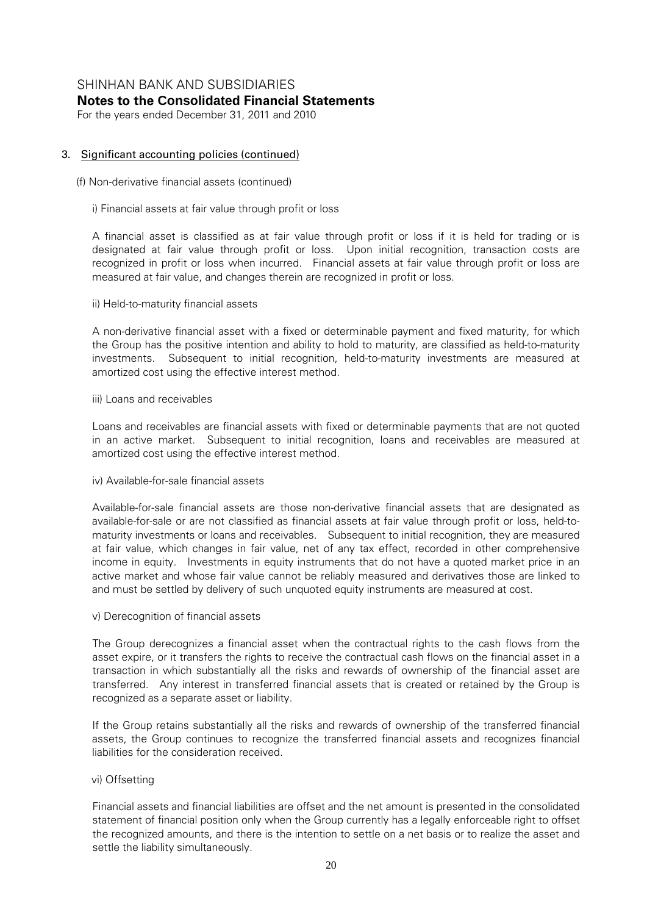#### (f) Non-derivative financial assets (continued)

#### i) Financial assets at fair value through profit or loss

A financial asset is classified as at fair value through profit or loss if it is held for trading or is designated at fair value through profit or loss. Upon initial recognition, transaction costs are recognized in profit or loss when incurred. Financial assets at fair value through profit or loss are measured at fair value, and changes therein are recognized in profit or loss.

#### ii) Held-to-maturity financial assets

A non-derivative financial asset with a fixed or determinable payment and fixed maturity, for which the Group has the positive intention and ability to hold to maturity, are classified as held-to-maturity investments. Subsequent to initial recognition, held-to-maturity investments are measured at amortized cost using the effective interest method.

#### iii) Loans and receivables

Loans and receivables are financial assets with fixed or determinable payments that are not quoted in an active market. Subsequent to initial recognition, loans and receivables are measured at amortized cost using the effective interest method.

#### iv) Available-for-sale financial assets

Available-for-sale financial assets are those non-derivative financial assets that are designated as available-for-sale or are not classified as financial assets at fair value through profit or loss, held-tomaturity investments or loans and receivables. Subsequent to initial recognition, they are measured at fair value, which changes in fair value, net of any tax effect, recorded in other comprehensive income in equity. Investments in equity instruments that do not have a quoted market price in an active market and whose fair value cannot be reliably measured and derivatives those are linked to and must be settled by delivery of such unquoted equity instruments are measured at cost.

v) Derecognition of financial assets

The Group derecognizes a financial asset when the contractual rights to the cash flows from the asset expire, or it transfers the rights to receive the contractual cash flows on the financial asset in a transaction in which substantially all the risks and rewards of ownership of the financial asset are transferred. Any interest in transferred financial assets that is created or retained by the Group is recognized as a separate asset or liability.

If the Group retains substantially all the risks and rewards of ownership of the transferred financial assets, the Group continues to recognize the transferred financial assets and recognizes financial liabilities for the consideration received.

#### vi) Offsetting

Financial assets and financial liabilities are offset and the net amount is presented in the consolidated statement of financial position only when the Group currently has a legally enforceable right to offset the recognized amounts, and there is the intention to settle on a net basis or to realize the asset and settle the liability simultaneously.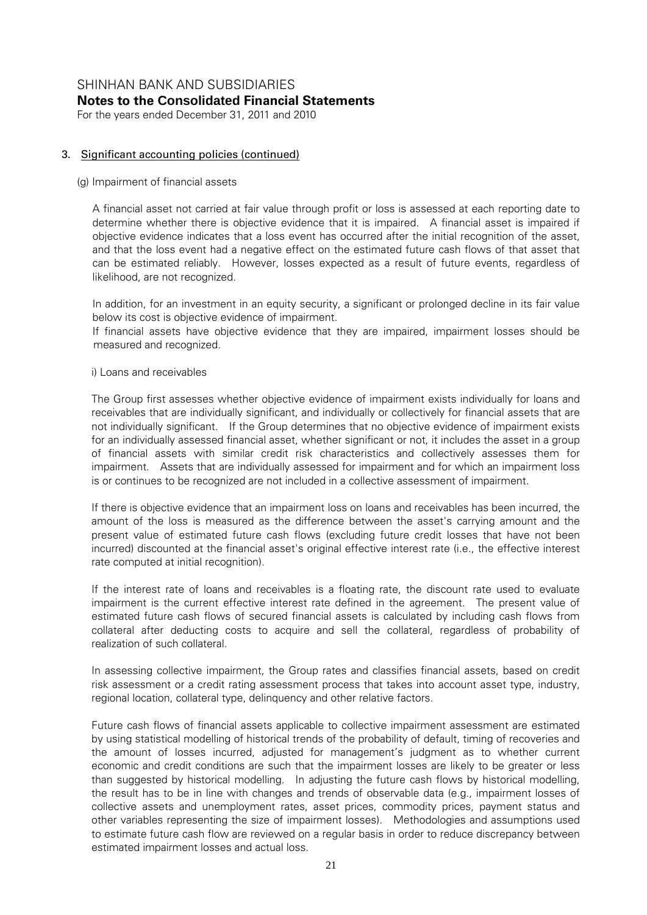#### (g) Impairment of financial assets

A financial asset not carried at fair value through profit or loss is assessed at each reporting date to determine whether there is objective evidence that it is impaired. A financial asset is impaired if objective evidence indicates that a loss event has occurred after the initial recognition of the asset, and that the loss event had a negative effect on the estimated future cash flows of that asset that can be estimated reliably. However, losses expected as a result of future events, regardless of likelihood, are not recognized.

In addition, for an investment in an equity security, a significant or prolonged decline in its fair value below its cost is objective evidence of impairment.

If financial assets have objective evidence that they are impaired, impairment losses should be measured and recognized.

#### i) Loans and receivables

The Group first assesses whether objective evidence of impairment exists individually for loans and receivables that are individually significant, and individually or collectively for financial assets that are not individually significant. If the Group determines that no objective evidence of impairment exists for an individually assessed financial asset, whether significant or not, it includes the asset in a group of financial assets with similar credit risk characteristics and collectively assesses them for impairment. Assets that are individually assessed for impairment and for which an impairment loss is or continues to be recognized are not included in a collective assessment of impairment.

If there is objective evidence that an impairment loss on loans and receivables has been incurred, the amount of the loss is measured as the difference between the asset's carrying amount and the present value of estimated future cash flows (excluding future credit losses that have not been incurred) discounted at the financial asset's original effective interest rate (i.e., the effective interest rate computed at initial recognition).

If the interest rate of loans and receivables is a floating rate, the discount rate used to evaluate impairment is the current effective interest rate defined in the agreement. The present value of estimated future cash flows of secured financial assets is calculated by including cash flows from collateral after deducting costs to acquire and sell the collateral, regardless of probability of realization of such collateral.

In assessing collective impairment, the Group rates and classifies financial assets, based on credit risk assessment or a credit rating assessment process that takes into account asset type, industry, regional location, collateral type, delinquency and other relative factors.

Future cash flows of financial assets applicable to collective impairment assessment are estimated by using statistical modelling of historical trends of the probability of default, timing of recoveries and the amount of losses incurred, adjusted for management's judgment as to whether current economic and credit conditions are such that the impairment losses are likely to be greater or less than suggested by historical modelling. In adjusting the future cash flows by historical modelling, the result has to be in line with changes and trends of observable data (e.g., impairment losses of collective assets and unemployment rates, asset prices, commodity prices, payment status and other variables representing the size of impairment losses). Methodologies and assumptions used to estimate future cash flow are reviewed on a regular basis in order to reduce discrepancy between estimated impairment losses and actual loss.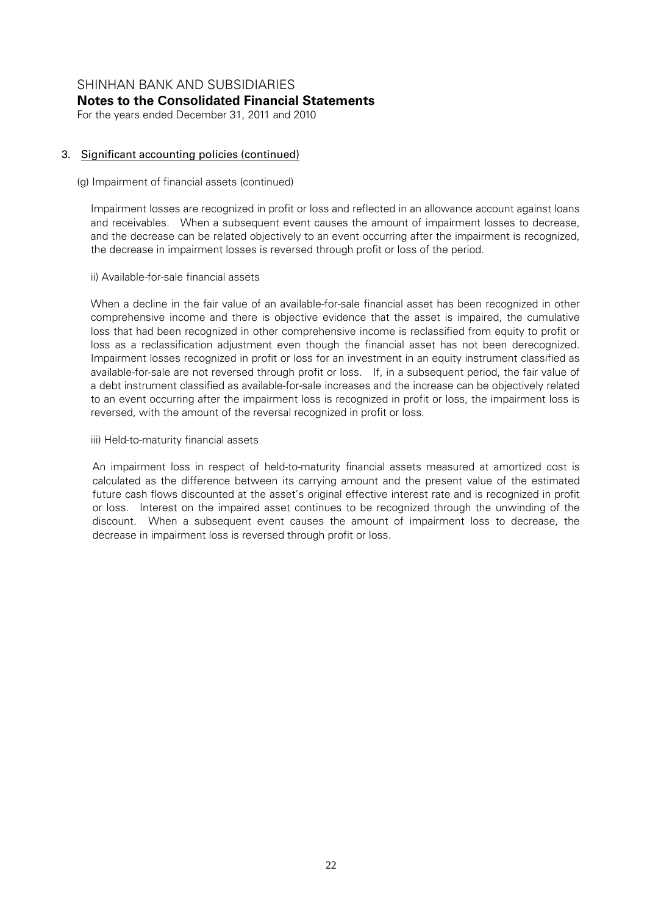For the years ended December 31, 2011 and 2010

#### 3. Significant accounting policies (continued)

#### (g) Impairment of financial assets (continued)

Impairment losses are recognized in profit or loss and reflected in an allowance account against loans and receivables. When a subsequent event causes the amount of impairment losses to decrease, and the decrease can be related objectively to an event occurring after the impairment is recognized, the decrease in impairment losses is reversed through profit or loss of the period.

#### ii) Available-for-sale financial assets

When a decline in the fair value of an available-for-sale financial asset has been recognized in other comprehensive income and there is objective evidence that the asset is impaired, the cumulative loss that had been recognized in other comprehensive income is reclassified from equity to profit or loss as a reclassification adjustment even though the financial asset has not been derecognized. Impairment losses recognized in profit or loss for an investment in an equity instrument classified as available-for-sale are not reversed through profit or loss. If, in a subsequent period, the fair value of a debt instrument classified as available-for-sale increases and the increase can be objectively related to an event occurring after the impairment loss is recognized in profit or loss, the impairment loss is reversed, with the amount of the reversal recognized in profit or loss.

#### iii) Held-to-maturity financial assets

An impairment loss in respect of held-to-maturity financial assets measured at amortized cost is calculated as the difference between its carrying amount and the present value of the estimated future cash flows discounted at the asset's original effective interest rate and is recognized in profit or loss. Interest on the impaired asset continues to be recognized through the unwinding of the discount. When a subsequent event causes the amount of impairment loss to decrease, the decrease in impairment loss is reversed through profit or loss.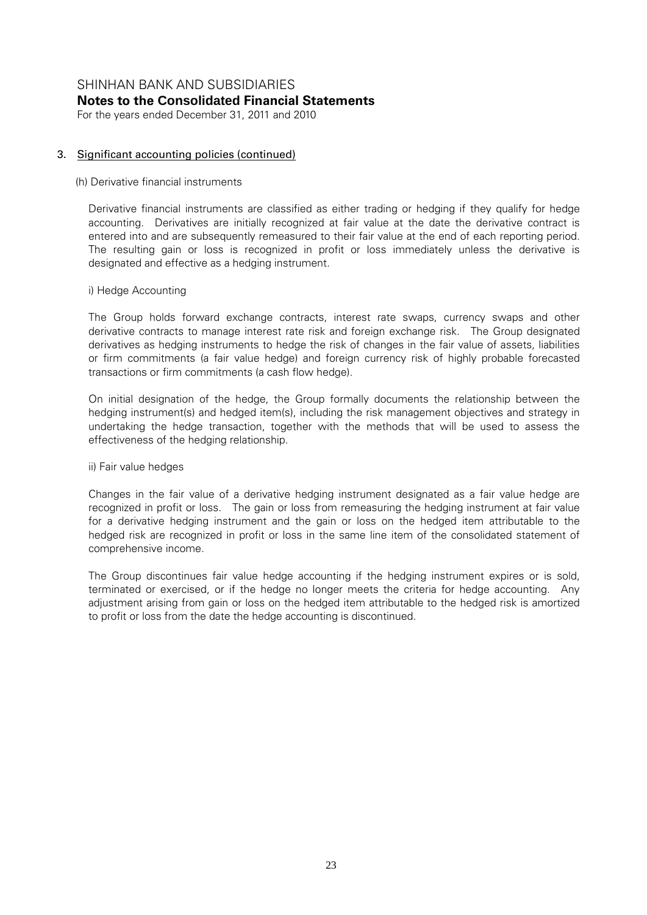For the years ended December 31, 2011 and 2010

#### 3. Significant accounting policies (continued)

#### (h) Derivative financial instruments

Derivative financial instruments are classified as either trading or hedging if they qualify for hedge accounting. Derivatives are initially recognized at fair value at the date the derivative contract is entered into and are subsequently remeasured to their fair value at the end of each reporting period. The resulting gain or loss is recognized in profit or loss immediately unless the derivative is designated and effective as a hedging instrument.

#### i) Hedge Accounting

The Group holds forward exchange contracts, interest rate swaps, currency swaps and other derivative contracts to manage interest rate risk and foreign exchange risk. The Group designated derivatives as hedging instruments to hedge the risk of changes in the fair value of assets, liabilities or firm commitments (a fair value hedge) and foreign currency risk of highly probable forecasted transactions or firm commitments (a cash flow hedge).

On initial designation of the hedge, the Group formally documents the relationship between the hedging instrument(s) and hedged item(s), including the risk management objectives and strategy in undertaking the hedge transaction, together with the methods that will be used to assess the effectiveness of the hedging relationship.

#### ii) Fair value hedges

Changes in the fair value of a derivative hedging instrument designated as a fair value hedge are recognized in profit or loss. The gain or loss from remeasuring the hedging instrument at fair value for a derivative hedging instrument and the gain or loss on the hedged item attributable to the hedged risk are recognized in profit or loss in the same line item of the consolidated statement of comprehensive income.

The Group discontinues fair value hedge accounting if the hedging instrument expires or is sold, terminated or exercised, or if the hedge no longer meets the criteria for hedge accounting. Any adjustment arising from gain or loss on the hedged item attributable to the hedged risk is amortized to profit or loss from the date the hedge accounting is discontinued.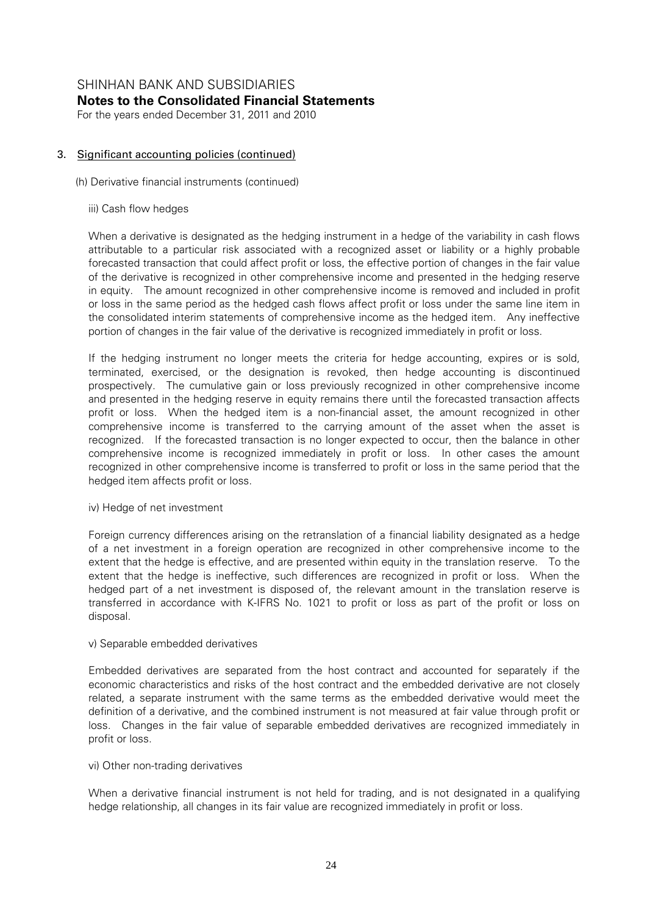(h) Derivative financial instruments (continued)

iii) Cash flow hedges

When a derivative is designated as the hedging instrument in a hedge of the variability in cash flows attributable to a particular risk associated with a recognized asset or liability or a highly probable forecasted transaction that could affect profit or loss, the effective portion of changes in the fair value of the derivative is recognized in other comprehensive income and presented in the hedging reserve in equity. The amount recognized in other comprehensive income is removed and included in profit or loss in the same period as the hedged cash flows affect profit or loss under the same line item in the consolidated interim statements of comprehensive income as the hedged item. Any ineffective portion of changes in the fair value of the derivative is recognized immediately in profit or loss.

If the hedging instrument no longer meets the criteria for hedge accounting, expires or is sold, terminated, exercised, or the designation is revoked, then hedge accounting is discontinued prospectively. The cumulative gain or loss previously recognized in other comprehensive income and presented in the hedging reserve in equity remains there until the forecasted transaction affects profit or loss. When the hedged item is a non-financial asset, the amount recognized in other comprehensive income is transferred to the carrying amount of the asset when the asset is recognized. If the forecasted transaction is no longer expected to occur, then the balance in other comprehensive income is recognized immediately in profit or loss. In other cases the amount recognized in other comprehensive income is transferred to profit or loss in the same period that the hedged item affects profit or loss.

iv) Hedge of net investment

Foreign currency differences arising on the retranslation of a financial liability designated as a hedge of a net investment in a foreign operation are recognized in other comprehensive income to the extent that the hedge is effective, and are presented within equity in the translation reserve. To the extent that the hedge is ineffective, such differences are recognized in profit or loss. When the hedged part of a net investment is disposed of, the relevant amount in the translation reserve is transferred in accordance with K-IFRS No. 1021 to profit or loss as part of the profit or loss on disposal.

v) Separable embedded derivatives

Embedded derivatives are separated from the host contract and accounted for separately if the economic characteristics and risks of the host contract and the embedded derivative are not closely related, a separate instrument with the same terms as the embedded derivative would meet the definition of a derivative, and the combined instrument is not measured at fair value through profit or loss. Changes in the fair value of separable embedded derivatives are recognized immediately in profit or loss.

#### vi) Other non-trading derivatives

When a derivative financial instrument is not held for trading, and is not designated in a qualifying hedge relationship, all changes in its fair value are recognized immediately in profit or loss.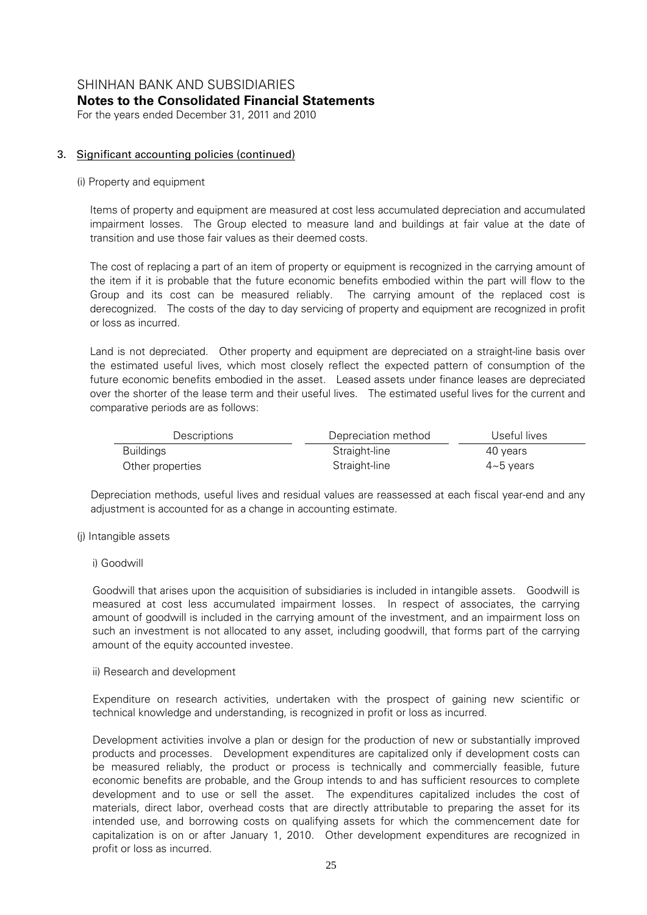#### (i) Property and equipment

Items of property and equipment are measured at cost less accumulated depreciation and accumulated impairment losses. The Group elected to measure land and buildings at fair value at the date of transition and use those fair values as their deemed costs.

The cost of replacing a part of an item of property or equipment is recognized in the carrying amount of the item if it is probable that the future economic benefits embodied within the part will flow to the Group and its cost can be measured reliably. The carrying amount of the replaced cost is derecognized. The costs of the day to day servicing of property and equipment are recognized in profit or loss as incurred.

Land is not depreciated. Other property and equipment are depreciated on a straight-line basis over the estimated useful lives, which most closely reflect the expected pattern of consumption of the future economic benefits embodied in the asset. Leased assets under finance leases are depreciated over the shorter of the lease term and their useful lives. The estimated useful lives for the current and comparative periods are as follows:

| Descriptions     | Depreciation method | Useful lives  |
|------------------|---------------------|---------------|
| <b>Buildings</b> | Straight-line       | 40 vears      |
| Other properties | Straight-line       | $4 - 5$ years |

Depreciation methods, useful lives and residual values are reassessed at each fiscal year-end and any adjustment is accounted for as a change in accounting estimate.

#### (j) Intangible assets

#### i) Goodwill

Goodwill that arises upon the acquisition of subsidiaries is included in intangible assets. Goodwill is measured at cost less accumulated impairment losses. In respect of associates, the carrying amount of goodwill is included in the carrying amount of the investment, and an impairment loss on such an investment is not allocated to any asset, including goodwill, that forms part of the carrying amount of the equity accounted investee.

#### ii) Research and development

Expenditure on research activities, undertaken with the prospect of gaining new scientific or technical knowledge and understanding, is recognized in profit or loss as incurred.

Development activities involve a plan or design for the production of new or substantially improved products and processes. Development expenditures are capitalized only if development costs can be measured reliably, the product or process is technically and commercially feasible, future economic benefits are probable, and the Group intends to and has sufficient resources to complete development and to use or sell the asset. The expenditures capitalized includes the cost of materials, direct labor, overhead costs that are directly attributable to preparing the asset for its intended use, and borrowing costs on qualifying assets for which the commencement date for capitalization is on or after January 1, 2010. Other development expenditures are recognized in profit or loss as incurred.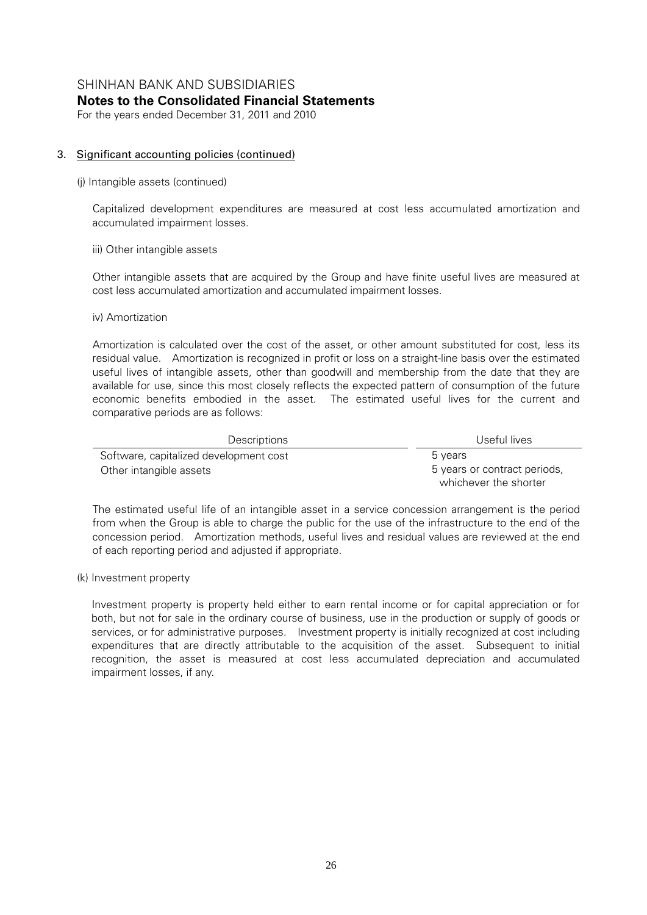#### (j) Intangible assets (continued)

Capitalized development expenditures are measured at cost less accumulated amortization and accumulated impairment losses.

#### iii) Other intangible assets

Other intangible assets that are acquired by the Group and have finite useful lives are measured at cost less accumulated amortization and accumulated impairment losses.

#### iv) Amortization

Amortization is calculated over the cost of the asset, or other amount substituted for cost, less its residual value. Amortization is recognized in profit or loss on a straight-line basis over the estimated useful lives of intangible assets, other than goodwill and membership from the date that they are available for use, since this most closely reflects the expected pattern of consumption of the future economic benefits embodied in the asset. The estimated useful lives for the current and comparative periods are as follows:

| <b>Descriptions</b>                    | Useful lives                 |
|----------------------------------------|------------------------------|
| Software, capitalized development cost | 5 vears                      |
| Other intangible assets                | 5 years or contract periods, |
|                                        | whichever the shorter        |

The estimated useful life of an intangible asset in a service concession arrangement is the period from when the Group is able to charge the public for the use of the infrastructure to the end of the concession period. Amortization methods, useful lives and residual values are reviewed at the end of each reporting period and adjusted if appropriate.

#### (k) Investment property

Investment property is property held either to earn rental income or for capital appreciation or for both, but not for sale in the ordinary course of business, use in the production or supply of goods or services, or for administrative purposes. Investment property is initially recognized at cost including expenditures that are directly attributable to the acquisition of the asset. Subsequent to initial recognition, the asset is measured at cost less accumulated depreciation and accumulated impairment losses, if any.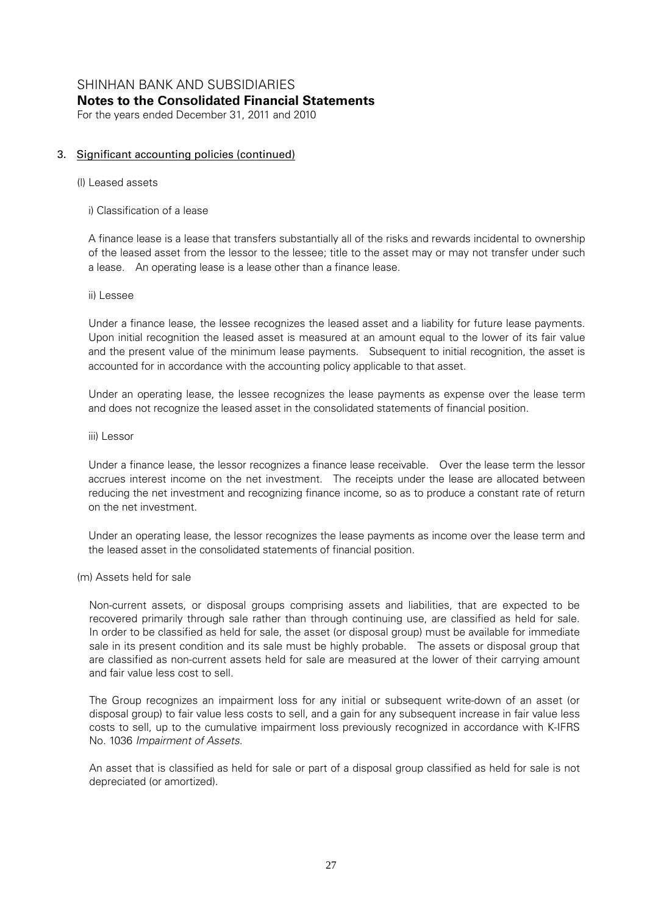For the years ended December 31, 2011 and 2010

#### 3. Significant accounting policies (continued)

#### (l) Leased assets

i) Classification of a lease

A finance lease is a lease that transfers substantially all of the risks and rewards incidental to ownership of the leased asset from the lessor to the lessee; title to the asset may or may not transfer under such a lease. An operating lease is a lease other than a finance lease.

#### ii) Lessee

Under a finance lease, the lessee recognizes the leased asset and a liability for future lease payments. Upon initial recognition the leased asset is measured at an amount equal to the lower of its fair value and the present value of the minimum lease payments. Subsequent to initial recognition, the asset is accounted for in accordance with the accounting policy applicable to that asset.

Under an operating lease, the lessee recognizes the lease payments as expense over the lease term and does not recognize the leased asset in the consolidated statements of financial position.

#### iii) Lessor

Under a finance lease, the lessor recognizes a finance lease receivable. Over the lease term the lessor accrues interest income on the net investment. The receipts under the lease are allocated between reducing the net investment and recognizing finance income, so as to produce a constant rate of return on the net investment.

Under an operating lease, the lessor recognizes the lease payments as income over the lease term and the leased asset in the consolidated statements of financial position.

#### (m) Assets held for sale

Non-current assets, or disposal groups comprising assets and liabilities, that are expected to be recovered primarily through sale rather than through continuing use, are classified as held for sale. In order to be classified as held for sale, the asset (or disposal group) must be available for immediate sale in its present condition and its sale must be highly probable. The assets or disposal group that are classified as non-current assets held for sale are measured at the lower of their carrying amount and fair value less cost to sell.

The Group recognizes an impairment loss for any initial or subsequent write-down of an asset (or disposal group) to fair value less costs to sell, and a gain for any subsequent increase in fair value less costs to sell, up to the cumulative impairment loss previously recognized in accordance with K-IFRS No. 1036 *Impairment of Assets*.

An asset that is classified as held for sale or part of a disposal group classified as held for sale is not depreciated (or amortized).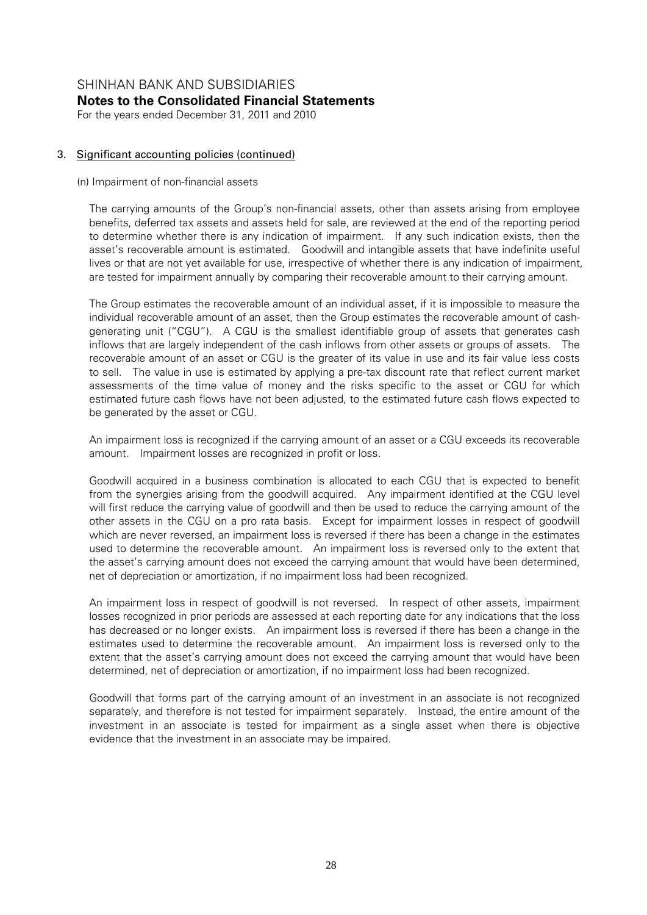For the years ended December 31, 2011 and 2010

#### 3. Significant accounting policies (continued)

#### (n) Impairment of non-financial assets

The carrying amounts of the Group's non-financial assets, other than assets arising from employee benefits, deferred tax assets and assets held for sale, are reviewed at the end of the reporting period to determine whether there is any indication of impairment. If any such indication exists, then the asset's recoverable amount is estimated. Goodwill and intangible assets that have indefinite useful lives or that are not yet available for use, irrespective of whether there is any indication of impairment, are tested for impairment annually by comparing their recoverable amount to their carrying amount.

The Group estimates the recoverable amount of an individual asset, if it is impossible to measure the individual recoverable amount of an asset, then the Group estimates the recoverable amount of cashgenerating unit ("CGU"). A CGU is the smallest identifiable group of assets that generates cash inflows that are largely independent of the cash inflows from other assets or groups of assets. The recoverable amount of an asset or CGU is the greater of its value in use and its fair value less costs to sell. The value in use is estimated by applying a pre-tax discount rate that reflect current market assessments of the time value of money and the risks specific to the asset or CGU for which estimated future cash flows have not been adjusted, to the estimated future cash flows expected to be generated by the asset or CGU.

An impairment loss is recognized if the carrying amount of an asset or a CGU exceeds its recoverable amount. Impairment losses are recognized in profit or loss.

Goodwill acquired in a business combination is allocated to each CGU that is expected to benefit from the synergies arising from the goodwill acquired. Any impairment identified at the CGU level will first reduce the carrying value of goodwill and then be used to reduce the carrying amount of the other assets in the CGU on a pro rata basis. Except for impairment losses in respect of goodwill which are never reversed, an impairment loss is reversed if there has been a change in the estimates used to determine the recoverable amount. An impairment loss is reversed only to the extent that the asset's carrying amount does not exceed the carrying amount that would have been determined, net of depreciation or amortization, if no impairment loss had been recognized.

An impairment loss in respect of goodwill is not reversed. In respect of other assets, impairment losses recognized in prior periods are assessed at each reporting date for any indications that the loss has decreased or no longer exists. An impairment loss is reversed if there has been a change in the estimates used to determine the recoverable amount. An impairment loss is reversed only to the extent that the asset's carrying amount does not exceed the carrying amount that would have been determined, net of depreciation or amortization, if no impairment loss had been recognized.

Goodwill that forms part of the carrying amount of an investment in an associate is not recognized separately, and therefore is not tested for impairment separately. Instead, the entire amount of the investment in an associate is tested for impairment as a single asset when there is objective evidence that the investment in an associate may be impaired.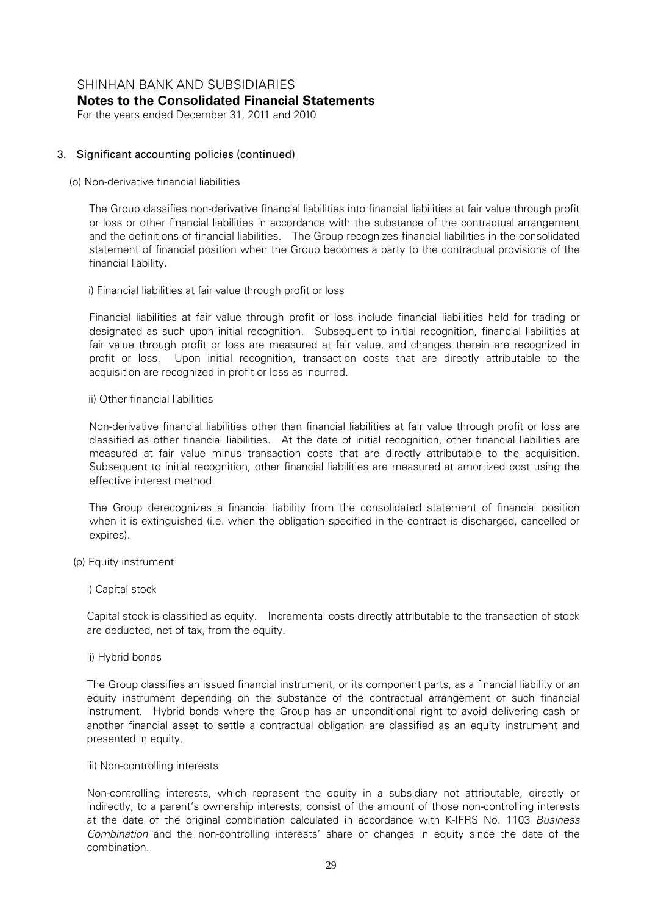### (o) Non-derivative financial liabilities

The Group classifies non-derivative financial liabilities into financial liabilities at fair value through profit or loss or other financial liabilities in accordance with the substance of the contractual arrangement and the definitions of financial liabilities. The Group recognizes financial liabilities in the consolidated statement of financial position when the Group becomes a party to the contractual provisions of the financial liability.

i) Financial liabilities at fair value through profit or loss

Financial liabilities at fair value through profit or loss include financial liabilities held for trading or designated as such upon initial recognition. Subsequent to initial recognition, financial liabilities at fair value through profit or loss are measured at fair value, and changes therein are recognized in profit or loss. Upon initial recognition, transaction costs that are directly attributable to the acquisition are recognized in profit or loss as incurred.

#### ii) Other financial liabilities

Non-derivative financial liabilities other than financial liabilities at fair value through profit or loss are classified as other financial liabilities. At the date of initial recognition, other financial liabilities are measured at fair value minus transaction costs that are directly attributable to the acquisition. Subsequent to initial recognition, other financial liabilities are measured at amortized cost using the effective interest method.

The Group derecognizes a financial liability from the consolidated statement of financial position when it is extinguished (i.e. when the obligation specified in the contract is discharged, cancelled or expires).

- (p) Equity instrument
	- i) Capital stock

Capital stock is classified as equity. Incremental costs directly attributable to the transaction of stock are deducted, net of tax, from the equity.

ii) Hybrid bonds

The Group classifies an issued financial instrument, or its component parts, as a financial liability or an equity instrument depending on the substance of the contractual arrangement of such financial instrument. Hybrid bonds where the Group has an unconditional right to avoid delivering cash or another financial asset to settle a contractual obligation are classified as an equity instrument and presented in equity.

#### iii) Non-controlling interests

Non-controlling interests, which represent the equity in a subsidiary not attributable, directly or indirectly, to a parent's ownership interests, consist of the amount of those non-controlling interests at the date of the original combination calculated in accordance with K-IFRS No. 1103 *Business Combination* and the non-controlling interests' share of changes in equity since the date of the combination.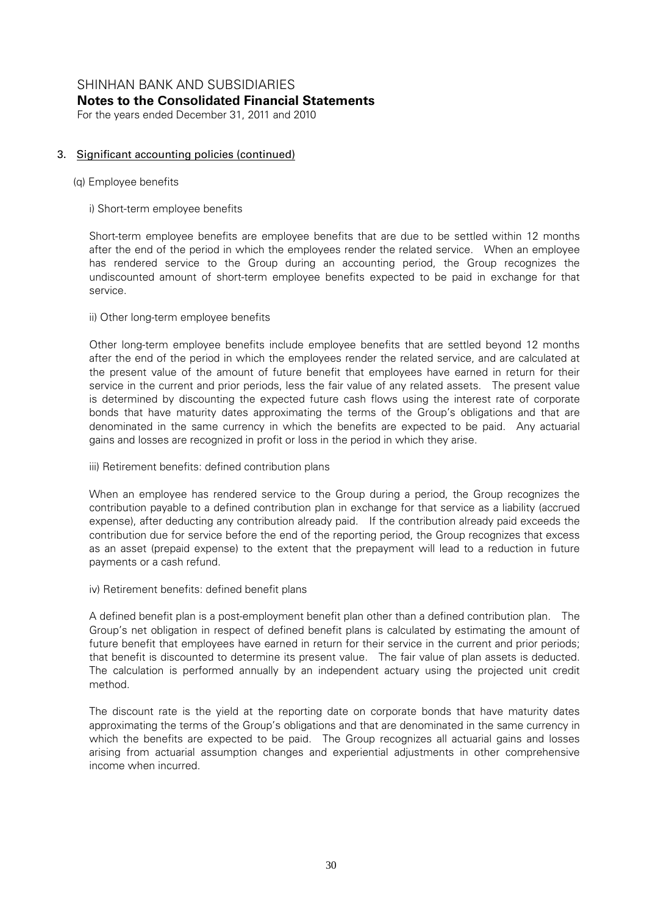For the years ended December 31, 2011 and 2010

#### 3. Significant accounting policies (continued)

#### (q) Employee benefits

#### i) Short-term employee benefits

Short-term employee benefits are employee benefits that are due to be settled within 12 months after the end of the period in which the employees render the related service. When an employee has rendered service to the Group during an accounting period, the Group recognizes the undiscounted amount of short-term employee benefits expected to be paid in exchange for that service.

#### ii) Other long-term employee benefits

Other long-term employee benefits include employee benefits that are settled beyond 12 months after the end of the period in which the employees render the related service, and are calculated at the present value of the amount of future benefit that employees have earned in return for their service in the current and prior periods, less the fair value of any related assets. The present value is determined by discounting the expected future cash flows using the interest rate of corporate bonds that have maturity dates approximating the terms of the Group's obligations and that are denominated in the same currency in which the benefits are expected to be paid. Any actuarial gains and losses are recognized in profit or loss in the period in which they arise.

#### iii) Retirement benefits: defined contribution plans

When an employee has rendered service to the Group during a period, the Group recognizes the contribution payable to a defined contribution plan in exchange for that service as a liability (accrued expense), after deducting any contribution already paid. If the contribution already paid exceeds the contribution due for service before the end of the reporting period, the Group recognizes that excess as an asset (prepaid expense) to the extent that the prepayment will lead to a reduction in future payments or a cash refund.

#### iv) Retirement benefits: defined benefit plans

A defined benefit plan is a post-employment benefit plan other than a defined contribution plan. The Group's net obligation in respect of defined benefit plans is calculated by estimating the amount of future benefit that employees have earned in return for their service in the current and prior periods; that benefit is discounted to determine its present value. The fair value of plan assets is deducted. The calculation is performed annually by an independent actuary using the projected unit credit method.

The discount rate is the yield at the reporting date on corporate bonds that have maturity dates approximating the terms of the Group's obligations and that are denominated in the same currency in which the benefits are expected to be paid. The Group recognizes all actuarial gains and losses arising from actuarial assumption changes and experiential adjustments in other comprehensive income when incurred.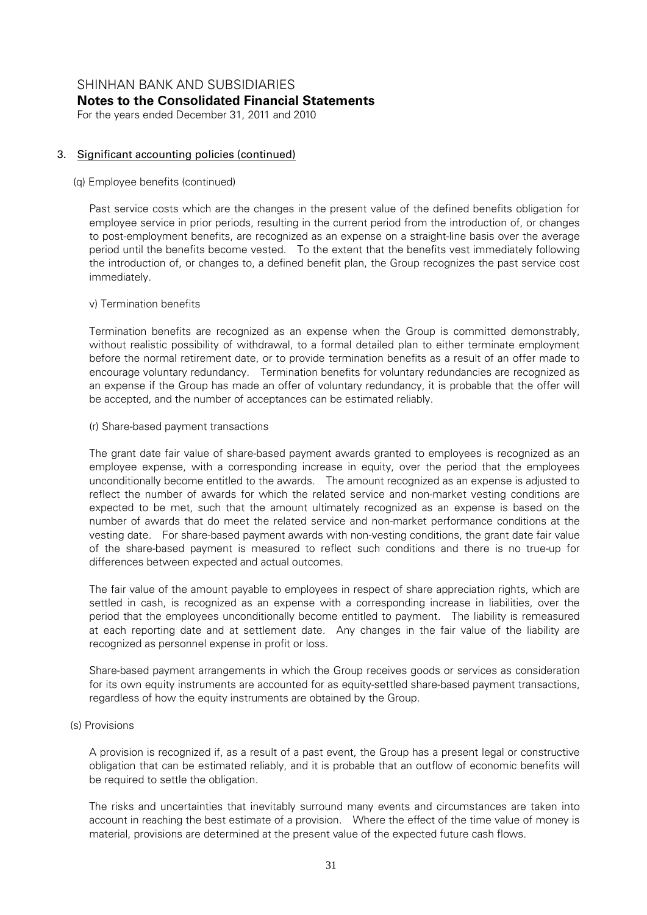For the years ended December 31, 2011 and 2010

#### 3. Significant accounting policies (continued)

#### (q) Employee benefits (continued)

Past service costs which are the changes in the present value of the defined benefits obligation for employee service in prior periods, resulting in the current period from the introduction of, or changes to post-employment benefits, are recognized as an expense on a straight-line basis over the average period until the benefits become vested. To the extent that the benefits vest immediately following the introduction of, or changes to, a defined benefit plan, the Group recognizes the past service cost immediately.

#### v) Termination benefits

Termination benefits are recognized as an expense when the Group is committed demonstrably, without realistic possibility of withdrawal, to a formal detailed plan to either terminate employment before the normal retirement date, or to provide termination benefits as a result of an offer made to encourage voluntary redundancy. Termination benefits for voluntary redundancies are recognized as an expense if the Group has made an offer of voluntary redundancy, it is probable that the offer will be accepted, and the number of acceptances can be estimated reliably.

#### (r) Share-based payment transactions

The grant date fair value of share-based payment awards granted to employees is recognized as an employee expense, with a corresponding increase in equity, over the period that the employees unconditionally become entitled to the awards. The amount recognized as an expense is adjusted to reflect the number of awards for which the related service and non-market vesting conditions are expected to be met, such that the amount ultimately recognized as an expense is based on the number of awards that do meet the related service and non-market performance conditions at the vesting date. For share-based payment awards with non-vesting conditions, the grant date fair value of the share-based payment is measured to reflect such conditions and there is no true-up for differences between expected and actual outcomes.

The fair value of the amount payable to employees in respect of share appreciation rights, which are settled in cash, is recognized as an expense with a corresponding increase in liabilities, over the period that the employees unconditionally become entitled to payment. The liability is remeasured at each reporting date and at settlement date. Any changes in the fair value of the liability are recognized as personnel expense in profit or loss.

Share-based payment arrangements in which the Group receives goods or services as consideration for its own equity instruments are accounted for as equity-settled share-based payment transactions, regardless of how the equity instruments are obtained by the Group.

#### (s) Provisions

A provision is recognized if, as a result of a past event, the Group has a present legal or constructive obligation that can be estimated reliably, and it is probable that an outflow of economic benefits will be required to settle the obligation.

The risks and uncertainties that inevitably surround many events and circumstances are taken into account in reaching the best estimate of a provision. Where the effect of the time value of money is material, provisions are determined at the present value of the expected future cash flows.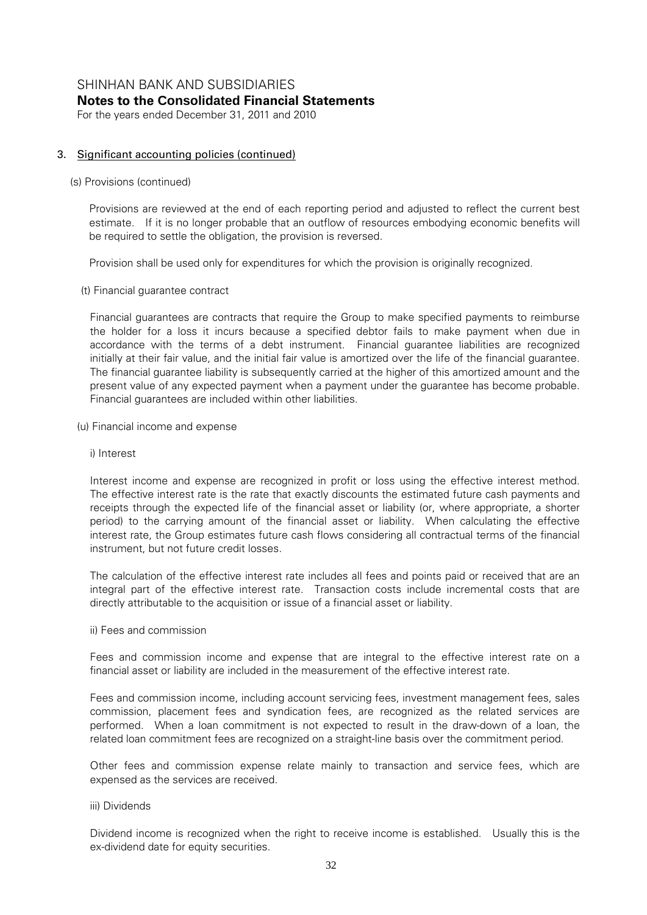For the years ended December 31, 2011 and 2010

#### 3. Significant accounting policies (continued)

#### (s) Provisions (continued)

Provisions are reviewed at the end of each reporting period and adjusted to reflect the current best estimate. If it is no longer probable that an outflow of resources embodying economic benefits will be required to settle the obligation, the provision is reversed.

Provision shall be used only for expenditures for which the provision is originally recognized.

(t) Financial guarantee contract

Financial guarantees are contracts that require the Group to make specified payments to reimburse the holder for a loss it incurs because a specified debtor fails to make payment when due in accordance with the terms of a debt instrument. Financial guarantee liabilities are recognized initially at their fair value, and the initial fair value is amortized over the life of the financial guarantee. The financial guarantee liability is subsequently carried at the higher of this amortized amount and the present value of any expected payment when a payment under the guarantee has become probable. Financial guarantees are included within other liabilities.

- (u) Financial income and expense
	- i) Interest

Interest income and expense are recognized in profit or loss using the effective interest method. The effective interest rate is the rate that exactly discounts the estimated future cash payments and receipts through the expected life of the financial asset or liability (or, where appropriate, a shorter period) to the carrying amount of the financial asset or liability. When calculating the effective interest rate, the Group estimates future cash flows considering all contractual terms of the financial instrument, but not future credit losses.

The calculation of the effective interest rate includes all fees and points paid or received that are an integral part of the effective interest rate. Transaction costs include incremental costs that are directly attributable to the acquisition or issue of a financial asset or liability.

ii) Fees and commission

Fees and commission income and expense that are integral to the effective interest rate on a financial asset or liability are included in the measurement of the effective interest rate.

Fees and commission income, including account servicing fees, investment management fees, sales commission, placement fees and syndication fees, are recognized as the related services are performed. When a loan commitment is not expected to result in the draw-down of a loan, the related loan commitment fees are recognized on a straight-line basis over the commitment period.

Other fees and commission expense relate mainly to transaction and service fees, which are expensed as the services are received.

iii) Dividends

Dividend income is recognized when the right to receive income is established. Usually this is the ex-dividend date for equity securities.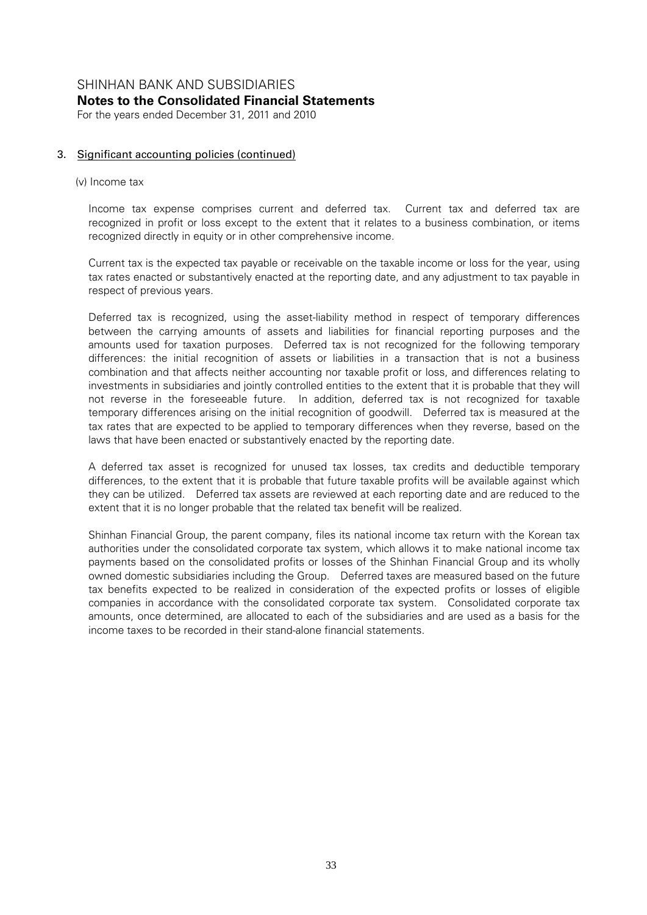#### (v) Income tax

Income tax expense comprises current and deferred tax. Current tax and deferred tax are recognized in profit or loss except to the extent that it relates to a business combination, or items recognized directly in equity or in other comprehensive income.

Current tax is the expected tax payable or receivable on the taxable income or loss for the year, using tax rates enacted or substantively enacted at the reporting date, and any adjustment to tax payable in respect of previous years.

Deferred tax is recognized, using the asset-liability method in respect of temporary differences between the carrying amounts of assets and liabilities for financial reporting purposes and the amounts used for taxation purposes. Deferred tax is not recognized for the following temporary differences: the initial recognition of assets or liabilities in a transaction that is not a business combination and that affects neither accounting nor taxable profit or loss, and differences relating to investments in subsidiaries and jointly controlled entities to the extent that it is probable that they will not reverse in the foreseeable future. In addition, deferred tax is not recognized for taxable temporary differences arising on the initial recognition of goodwill. Deferred tax is measured at the tax rates that are expected to be applied to temporary differences when they reverse, based on the laws that have been enacted or substantively enacted by the reporting date.

A deferred tax asset is recognized for unused tax losses, tax credits and deductible temporary differences, to the extent that it is probable that future taxable profits will be available against which they can be utilized. Deferred tax assets are reviewed at each reporting date and are reduced to the extent that it is no longer probable that the related tax benefit will be realized.

Shinhan Financial Group, the parent company, files its national income tax return with the Korean tax authorities under the consolidated corporate tax system, which allows it to make national income tax payments based on the consolidated profits or losses of the Shinhan Financial Group and its wholly owned domestic subsidiaries including the Group. Deferred taxes are measured based on the future tax benefits expected to be realized in consideration of the expected profits or losses of eligible companies in accordance with the consolidated corporate tax system. Consolidated corporate tax amounts, once determined, are allocated to each of the subsidiaries and are used as a basis for the income taxes to be recorded in their stand-alone financial statements.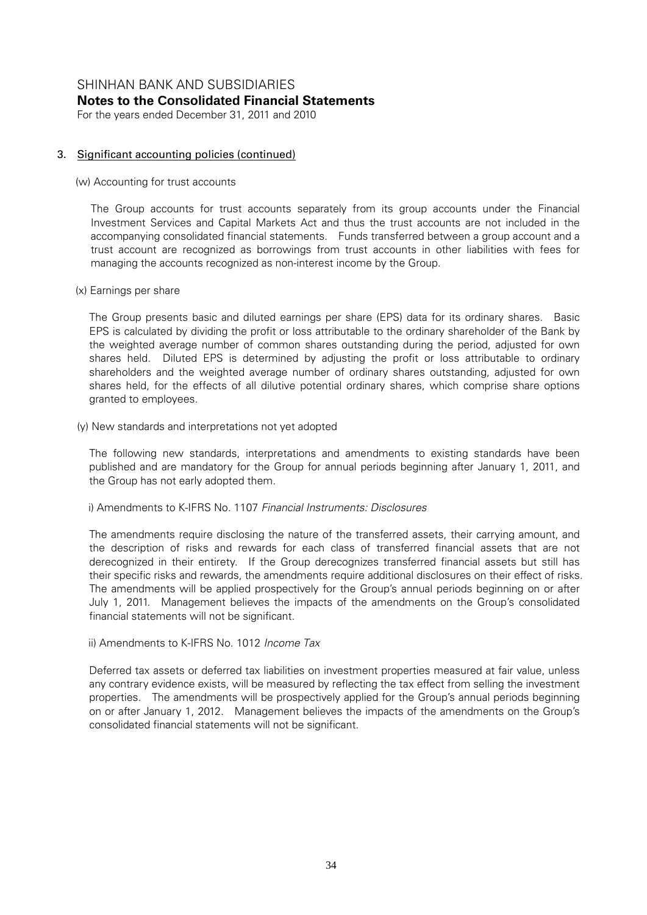For the years ended December 31, 2011 and 2010

#### 3. Significant accounting policies (continued)

#### (w) Accounting for trust accounts

The Group accounts for trust accounts separately from its group accounts under the Financial Investment Services and Capital Markets Act and thus the trust accounts are not included in the accompanying consolidated financial statements. Funds transferred between a group account and a trust account are recognized as borrowings from trust accounts in other liabilities with fees for managing the accounts recognized as non-interest income by the Group.

#### (x) Earnings per share

The Group presents basic and diluted earnings per share (EPS) data for its ordinary shares. Basic EPS is calculated by dividing the profit or loss attributable to the ordinary shareholder of the Bank by the weighted average number of common shares outstanding during the period, adjusted for own shares held. Diluted EPS is determined by adjusting the profit or loss attributable to ordinary shareholders and the weighted average number of ordinary shares outstanding, adjusted for own shares held, for the effects of all dilutive potential ordinary shares, which comprise share options granted to employees.

#### (y) New standards and interpretations not yet adopted

The following new standards, interpretations and amendments to existing standards have been published and are mandatory for the Group for annual periods beginning after January 1, 2011, and the Group has not early adopted them.

#### i) Amendments to K-IFRS No. 1107 *Financial Instruments: Disclosures*

The amendments require disclosing the nature of the transferred assets, their carrying amount, and the description of risks and rewards for each class of transferred financial assets that are not derecognized in their entirety. If the Group derecognizes transferred financial assets but still has their specific risks and rewards, the amendments require additional disclosures on their effect of risks. The amendments will be applied prospectively for the Group's annual periods beginning on or after July 1, 2011. Management believes the impacts of the amendments on the Group's consolidated financial statements will not be significant.

#### ii) Amendments to K-IFRS No. 1012 *Income Tax*

Deferred tax assets or deferred tax liabilities on investment properties measured at fair value, unless any contrary evidence exists, will be measured by reflecting the tax effect from selling the investment properties. The amendments will be prospectively applied for the Group's annual periods beginning on or after January 1, 2012. Management believes the impacts of the amendments on the Group's consolidated financial statements will not be significant.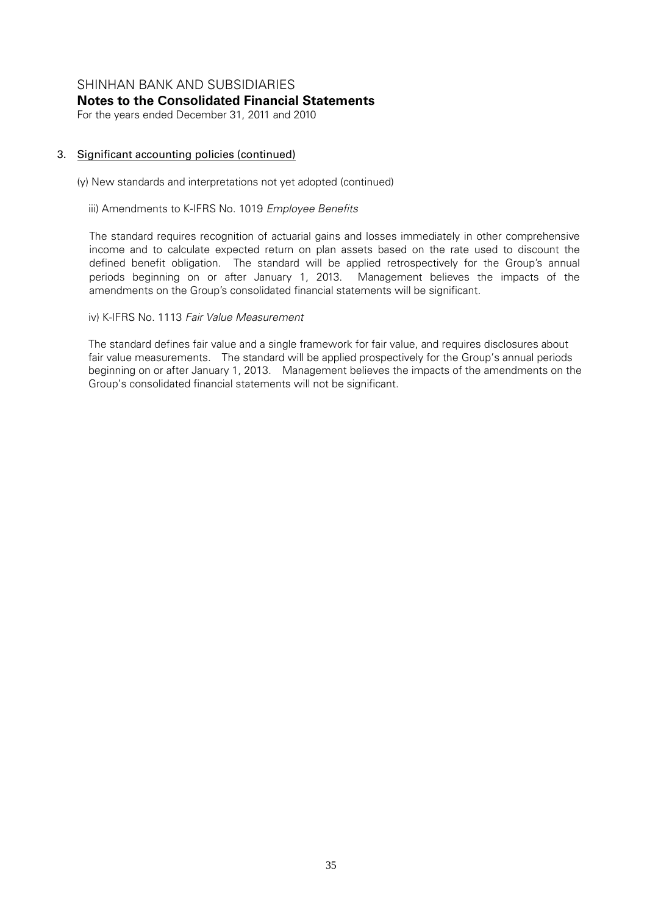### 3. Significant accounting policies (continued)

(y) New standards and interpretations not yet adopted (continued)

iii) Amendments to K-IFRS No. 1019 *Employee Benefits*

The standard requires recognition of actuarial gains and losses immediately in other comprehensive income and to calculate expected return on plan assets based on the rate used to discount the defined benefit obligation. The standard will be applied retrospectively for the Group's annual periods beginning on or after January 1, 2013. Management believes the impacts of the amendments on the Group's consolidated financial statements will be significant.

### iv) K-IFRS No. 1113 *Fair Value Measurement*

The standard defines fair value and a single framework for fair value, and requires disclosures about fair value measurements. The standard will be applied prospectively for the Group's annual periods beginning on or after January 1, 2013. Management believes the impacts of the amendments on the Group's consolidated financial statements will not be significant.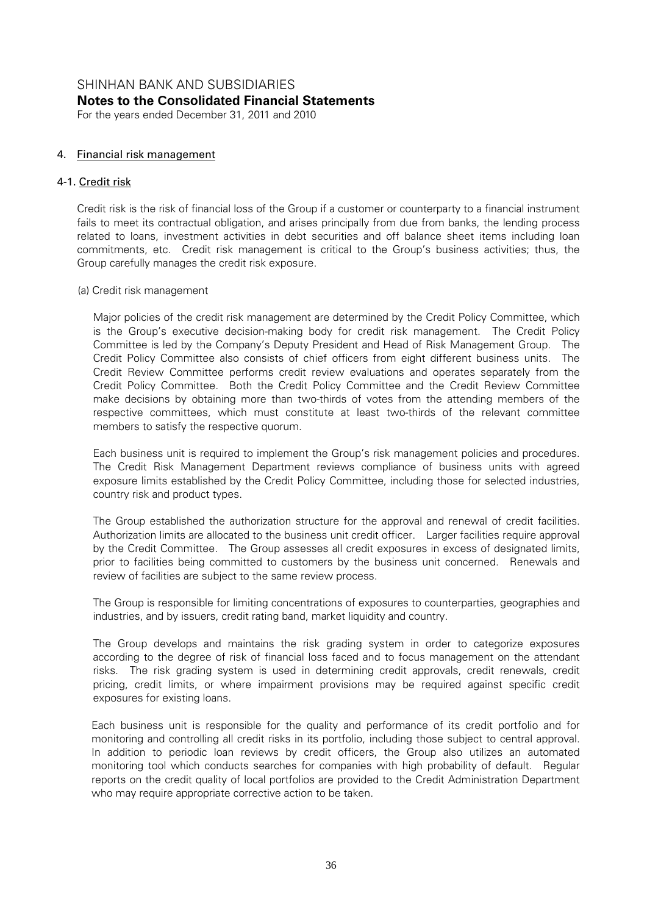For the years ended December 31, 2011 and 2010

### 4. Financial risk management

### 4-1. Credit risk

Credit risk is the risk of financial loss of the Group if a customer or counterparty to a financial instrument fails to meet its contractual obligation, and arises principally from due from banks, the lending process related to loans, investment activities in debt securities and off balance sheet items including loan commitments, etc. Credit risk management is critical to the Group's business activities; thus, the Group carefully manages the credit risk exposure.

### (a) Credit risk management

Major policies of the credit risk management are determined by the Credit Policy Committee, which is the Group's executive decision-making body for credit risk management. The Credit Policy Committee is led by the Company's Deputy President and Head of Risk Management Group. The Credit Policy Committee also consists of chief officers from eight different business units. The Credit Review Committee performs credit review evaluations and operates separately from the Credit Policy Committee. Both the Credit Policy Committee and the Credit Review Committee make decisions by obtaining more than two-thirds of votes from the attending members of the respective committees, which must constitute at least two-thirds of the relevant committee members to satisfy the respective quorum.

Each business unit is required to implement the Group's risk management policies and procedures. The Credit Risk Management Department reviews compliance of business units with agreed exposure limits established by the Credit Policy Committee, including those for selected industries, country risk and product types.

The Group established the authorization structure for the approval and renewal of credit facilities. Authorization limits are allocated to the business unit credit officer. Larger facilities require approval by the Credit Committee. The Group assesses all credit exposures in excess of designated limits, prior to facilities being committed to customers by the business unit concerned. Renewals and review of facilities are subject to the same review process.

The Group is responsible for limiting concentrations of exposures to counterparties, geographies and industries, and by issuers, credit rating band, market liquidity and country.

The Group develops and maintains the risk grading system in order to categorize exposures according to the degree of risk of financial loss faced and to focus management on the attendant risks. The risk grading system is used in determining credit approvals, credit renewals, credit pricing, credit limits, or where impairment provisions may be required against specific credit exposures for existing loans.

Each business unit is responsible for the quality and performance of its credit portfolio and for monitoring and controlling all credit risks in its portfolio, including those subject to central approval. In addition to periodic loan reviews by credit officers, the Group also utilizes an automated monitoring tool which conducts searches for companies with high probability of default. Regular reports on the credit quality of local portfolios are provided to the Credit Administration Department who may require appropriate corrective action to be taken.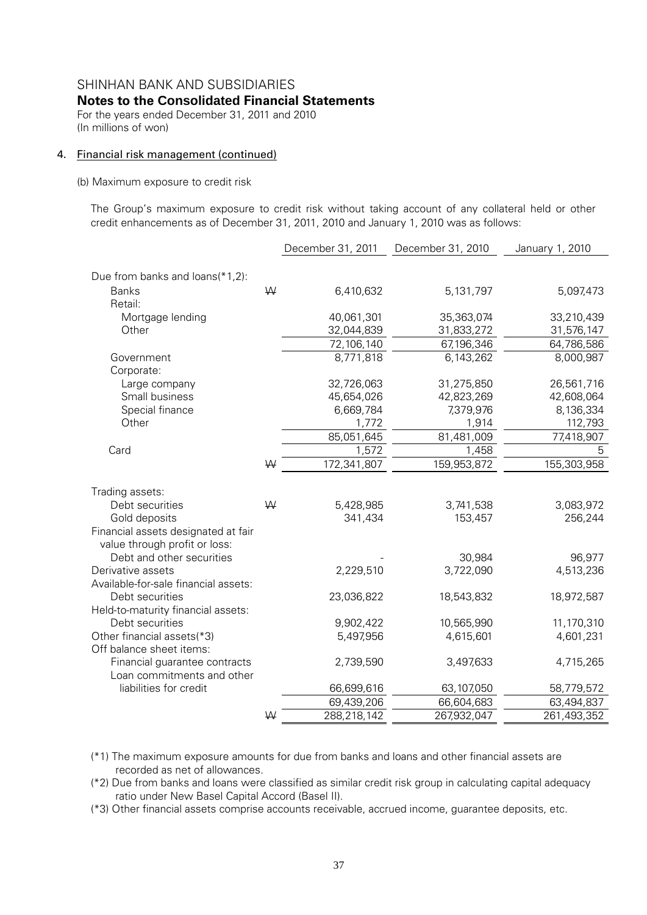(In millions of won)

### 4. Financial risk management (continued)

(b) Maximum exposure to credit risk

The Group's maximum exposure to credit risk without taking account of any collateral held or other credit enhancements as of December 31, 2011, 2010 and January 1, 2010 was as follows:

|                                      |   | December 31, 2011 | December 31, 2010 | January 1, 2010 |
|--------------------------------------|---|-------------------|-------------------|-----------------|
|                                      |   |                   |                   |                 |
| Due from banks and loans(*1,2):      |   |                   |                   |                 |
| <b>Banks</b>                         | W | 6,410,632         | 5,131,797         | 5,097,473       |
| Retail:                              |   |                   |                   |                 |
| Mortgage lending                     |   | 40,061,301        | 35,363,074        | 33,210,439      |
| Other                                |   | 32,044,839        | 31,833,272        | 31,576,147      |
|                                      |   | 72,106,140        | 67,196,346        | 64,786,586      |
| Government                           |   | 8,771,818         | 6,143,262         | 8,000,987       |
| Corporate:                           |   |                   |                   |                 |
| Large company                        |   | 32,726,063        | 31,275,850        | 26,561,716      |
| Small business                       |   | 45,654,026        | 42,823,269        | 42,608,064      |
| Special finance                      |   | 6,669,784         | 7,379,976         | 8,136,334       |
| Other                                |   | 1,772             | 1,914             | 112,793         |
|                                      |   | 85,051,645        | 81,481,009        | 77,418,907      |
| Card                                 |   | 1,572             | 1,458             | 5.              |
|                                      | W | 172,341,807       | 159,953,872       | 155,303,958     |
|                                      |   |                   |                   |                 |
| Trading assets:                      |   |                   |                   |                 |
| Debt securities                      | W | 5,428,985         | 3,741,538         | 3,083,972       |
| Gold deposits                        |   | 341,434           | 153,457           | 256,244         |
| Financial assets designated at fair  |   |                   |                   |                 |
| value through profit or loss:        |   |                   |                   |                 |
| Debt and other securities            |   |                   | 30,984            | 96,977          |
| Derivative assets                    |   | 2,229,510         | 3,722,090         | 4,513,236       |
| Available-for-sale financial assets: |   |                   |                   |                 |
| Debt securities                      |   | 23,036,822        | 18,543,832        | 18,972,587      |
| Held-to-maturity financial assets:   |   |                   |                   |                 |
| Debt securities                      |   | 9,902,422         | 10,565,990        | 11,170,310      |
| Other financial assets(*3)           |   | 5,497,956         | 4,615,601         | 4,601,231       |
| Off balance sheet items:             |   |                   |                   |                 |
| Financial guarantee contracts        |   | 2,739,590         | 3,497,633         | 4,715,265       |
| Loan commitments and other           |   |                   |                   |                 |
| liabilities for credit               |   | 66,699,616        | 63,107,050        | 58,779,572      |
|                                      |   | 69,439,206        | 66,604,683        | 63,494,837      |
|                                      | W | 288,218,142       | 267,932,047       | 261,493,352     |

(\*1) The maximum exposure amounts for due from banks and loans and other financial assets are recorded as net of allowances.

(\*2) Due from banks and loans were classified as similar credit risk group in calculating capital adequacy ratio under New Basel Capital Accord (Basel II).

(\*3) Other financial assets comprise accounts receivable, accrued income, guarantee deposits, etc.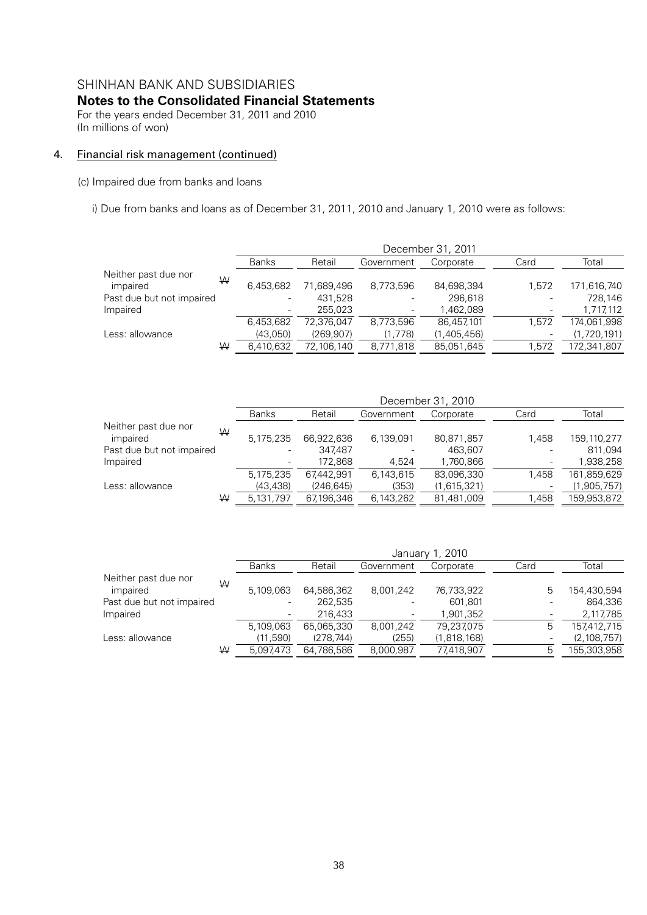(In millions of won)

# 4. Financial risk management (continued)

### (c) Impaired due from banks and loans

i) Due from banks and loans as of December 31, 2011, 2010 and January 1, 2010 were as follows:

|                           |                | December 31, 2011 |            |             |                          |             |  |  |  |
|---------------------------|----------------|-------------------|------------|-------------|--------------------------|-------------|--|--|--|
|                           | <b>Banks</b>   | Retail            | Government | Corporate   | Card                     | Total       |  |  |  |
| Neither past due nor      | W              |                   |            |             |                          |             |  |  |  |
| impaired                  | 6.453.682      | 71.689.496        | 8,773,596  | 84,698,394  | 1.572                    | 171,616,740 |  |  |  |
| Past due but not impaired |                | 431,528           |            | 296,618     |                          | 728.146     |  |  |  |
| Impaired                  |                | 255,023           |            | 1,462,089   | -                        | 1,717,112   |  |  |  |
|                           | 6.453.682      | 72.376.047        | 8.773.596  | 86.457.101  | 1.572                    | 174.061.998 |  |  |  |
| Less: allowance           | (43,050)       | (269, 907)        | (1,778)    | (1,405,456) | $\overline{\phantom{a}}$ | (1,720,191) |  |  |  |
|                           | W<br>6,410,632 | 72,106,140        | 8,771,818  | 85,051,645  | 1.572                    | 172.341.807 |  |  |  |

|                           |              | December 31, 2010 |            |             |                          |             |  |  |
|---------------------------|--------------|-------------------|------------|-------------|--------------------------|-------------|--|--|
|                           | <b>Banks</b> | Retail            | Government | Corporate   | Card                     | Total       |  |  |
| Neither past due nor<br>₩ |              |                   |            |             |                          |             |  |  |
| impaired                  | 5,175,235    | 66,922,636        | 6,139,091  | 80,871,857  | 1.458                    | 159,110,277 |  |  |
| Past due but not impaired |              | 347.487           |            | 463,607     |                          | 811.094     |  |  |
| Impaired                  |              | 172,868           | 4.524      | 1,760,866   |                          | 1,938,258   |  |  |
|                           | 5,175,235    | 67.442.991        | 6,143,615  | 83,096,330  | 1.458                    | 161,859,629 |  |  |
| Less: allowance           | (43, 438)    | (246, 645)        | (353)      | (1,615,321) | $\overline{\phantom{a}}$ | (1,905,757) |  |  |
| ₩                         | 5,131,797    | 67,196,346        | 6,143,262  | 81,481,009  | 1,458                    | 159,953,872 |  |  |

|                                       |              | January 1, 2010 |                          |             |      |               |  |  |  |
|---------------------------------------|--------------|-----------------|--------------------------|-------------|------|---------------|--|--|--|
|                                       | <b>Banks</b> | Retail          | Government               | Corporate   | Card | Total         |  |  |  |
| Neither past due nor<br>₩<br>impaired | 5.109.063    | 64,586,362      | 8.001.242                | 76,733,922  | ხ    | 154,430,594   |  |  |  |
| Past due but not impaired             |              | 262,535         | $\overline{\phantom{a}}$ | 601,801     |      | 864,336       |  |  |  |
| Impaired                              |              | 216,433         |                          | 1,901,352   |      | 2,117,785     |  |  |  |
|                                       | 5,109,063    | 65,065,330      | 8,001,242                | 79,237,075  | 5    | 157,412,715   |  |  |  |
| Less: allowance                       | (11,590)     | (278, 744)      | (255)                    | (1,818,168) |      | (2, 108, 757) |  |  |  |
| ₩                                     | 5,097,473    | 64,786,586      | 8,000,987                | 77,418,907  | 5    | 155,303,958   |  |  |  |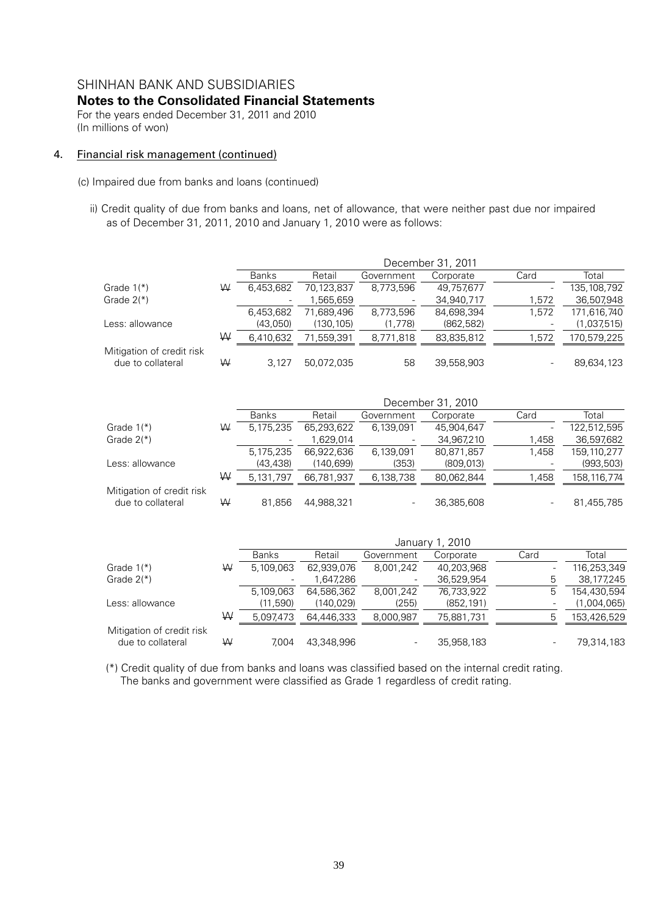(In millions of won)

## 4. Financial risk management (continued)

(c) Impaired due from banks and loans (continued)

ii) Credit quality of due from banks and loans, net of allowance, that were neither past due nor impaired as of December 31, 2011, 2010 and January 1, 2010 were as follows:

|                                                |   |              | December 31, 2011 |                |                   |                |               |
|------------------------------------------------|---|--------------|-------------------|----------------|-------------------|----------------|---------------|
|                                                |   | <b>Banks</b> | Retail            | Government     | Corporate         | Card           | Total         |
| Grade $1(*)$                                   | W | 6,453,682    | 70,123,837        | 8,773,596      | 49,757,677        |                | 135, 108, 792 |
| Grade $2(*)$                                   |   |              | 1,565,659         |                | 34,940,717        | 1,572          | 36,507,948    |
|                                                |   | 6,453,682    | 71,689,496        | 8,773,596      | 84,698,394        | 1,572          | 171,616,740   |
| Less: allowance                                |   | (43,050)     | (130, 105)        | (1,778)        | (862, 582)        |                | (1,037,515)   |
|                                                | W | 6,410,632    | 71,559,391        | 8,771,818      | 83,835,812        | 1,572          | 170,579,225   |
| Mitigation of credit risk                      |   |              |                   |                |                   |                |               |
| due to collateral                              | ₩ | 3,127        | 50,072,035        | 58             | 39,558,903        |                | 89,634,123    |
|                                                |   |              |                   |                |                   |                |               |
|                                                |   |              |                   |                | December 31, 2010 |                |               |
|                                                |   | <b>Banks</b> | Retail            | Government     | Corporate         | Card           | Total         |
| Grade $1(*)$                                   | W | 5,175,235    | 65,293,622        | 6,139,091      | 45,904,647        |                | 122,512,595   |
| Grade $2(*)$                                   |   |              | 1,629,014         |                | 34,967,210        | 1,458          | 36,597,682    |
|                                                |   | 5,175,235    | 66,922,636        | 6,139,091      | 80,871,857        | 1,458          | 159, 110, 277 |
| Less: allowance                                |   | (43, 438)    | (140, 699)        | (353)          | (809, 013)        |                | (993, 503)    |
|                                                | W | 5,131,797    | 66,781,937        | 6,138,738      | 80,062,844        | 1,458          | 158, 116, 774 |
| Mitigation of credit risk                      |   |              |                   |                |                   |                |               |
| due to collateral                              | W | 81,856       | 44,988,321        | $\overline{a}$ | 36,385,608        |                | 81,455,785    |
|                                                |   |              |                   |                |                   |                |               |
|                                                |   |              |                   |                |                   |                |               |
|                                                |   |              |                   |                | January 1, 2010   |                |               |
|                                                |   | <b>Banks</b> | Retail            | Government     | Corporate         | Card           | Total         |
| Grade $1(*)$                                   | W | 5,109,063    | 62,939,076        | 8,001,242      | 40,203,968        |                | 116,253,349   |
| Grade $2(*)$                                   |   |              | 1,647,286         |                | 36,529,954        | 5              | 38,177,245    |
|                                                |   | 5,109,063    | 64,586,362        | 8,001,242      | 76,733,922        | $\overline{5}$ | 154,430,594   |
| Less: allowance                                |   | (11, 590)    | (140, 029)        | (255)          | (852, 191)        |                | (1,004,065)   |
|                                                | ₩ | 5,097,473    | 64,446,333        | 8,000,987      | 75,881,731        | 5              | 153,426,529   |
| Mitigation of credit risk<br>due to collateral | W | 7.004        | 43.348.996        |                | 35,958,183        |                | 79,314,183    |
|                                                |   |              |                   |                |                   |                |               |

(\*) Credit quality of due from banks and loans was classified based on the internal credit rating. The banks and government were classified as Grade 1 regardless of credit rating.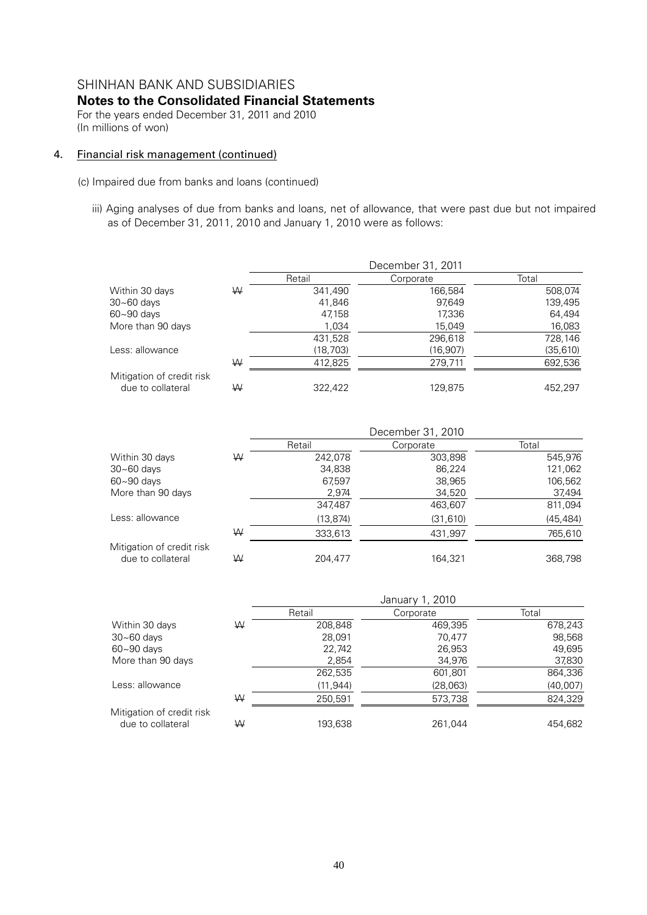(In millions of won)

## 4. Financial risk management (continued)

(c) Impaired due from banks and loans (continued)

iii) Aging analyses of due from banks and loans, net of allowance, that were past due but not impaired as of December 31, 2011, 2010 and January 1, 2010 were as follows:

|                                                |   |           | December 31, 2011 |           |
|------------------------------------------------|---|-----------|-------------------|-----------|
|                                                |   | Retail    | Corporate         | Total     |
| Within 30 days                                 | W | 341,490   | 166,584           | 508,074   |
| $30 - 60$ days                                 |   | 41,846    | 97.649            | 139,495   |
| $60 - 90$ days                                 |   | 47.158    | 17,336            | 64,494    |
| More than 90 days                              |   | 1,034     | 15,049            | 16,083    |
|                                                |   | 431,528   | 296,618           | 728.146   |
| Less: allowance                                |   | (18, 703) | (16, 907)         | (35, 610) |
|                                                | W | 412.825   | 279.711           | 692,536   |
| Mitigation of credit risk<br>due to collateral | W | 322,422   | 129.875           | 452,297   |

|                                                |   |           | December 31, 2010 |           |  |
|------------------------------------------------|---|-----------|-------------------|-----------|--|
|                                                |   | Retail    | Corporate         | Total     |  |
| Within 30 days                                 | W | 242.078   | 303,898           | 545,976   |  |
| $30 - 60$ days                                 |   | 34,838    | 86,224            | 121,062   |  |
| $60 - 90$ days                                 |   | 67,597    | 38,965            | 106,562   |  |
| More than 90 days                              |   | 2,974     | 34,520            | 37,494    |  |
|                                                |   | 347,487   | 463,607           | 811,094   |  |
| Less: allowance                                |   | (13, 874) | (31, 610)         | (45, 484) |  |
|                                                | W | 333.613   | 431.997           | 765,610   |  |
| Mitigation of credit risk<br>due to collateral | W | 204,477   | 164,321           | 368.798   |  |

|                                                |   |           | January 1, 2010 |          |  |
|------------------------------------------------|---|-----------|-----------------|----------|--|
|                                                |   | Retail    | Corporate       | Total    |  |
| Within 30 days                                 | W | 208,848   | 469,395         | 678,243  |  |
| $30 - 60$ days                                 |   | 28.091    | 70.477          | 98,568   |  |
| $60 - 90$ days                                 |   | 22,742    | 26,953          | 49,695   |  |
| More than 90 days                              |   | 2,854     | 34,976          | 37,830   |  |
|                                                |   | 262,535   | 601,801         | 864,336  |  |
| Less: allowance                                |   | (11, 944) | (28,063)        | (40,007) |  |
|                                                | ₩ | 250.591   | 573,738         | 824,329  |  |
| Mitigation of credit risk<br>due to collateral | W | 193,638   | 261.044         | 454.682  |  |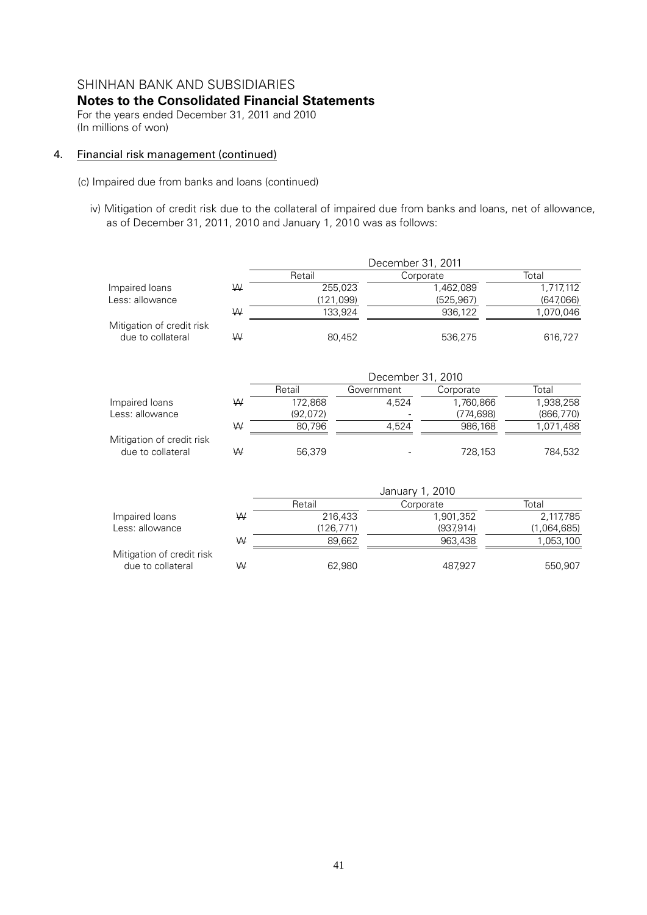(In millions of won)

## 4. Financial risk management (continued)

### (c) Impaired due from banks and loans (continued)

iv) Mitigation of credit risk due to the collateral of impaired due from banks and loans, net of allowance, as of December 31, 2011, 2010 and January 1, 2010 was as follows:

|                                                |   | December 31, 2011 |            |                   |            |             |
|------------------------------------------------|---|-------------------|------------|-------------------|------------|-------------|
|                                                |   | Retail            |            |                   | Corporate  | Total       |
| Impaired loans                                 | W | 255,023           |            | 1,462,089         |            | 1,717,112   |
| Less: allowance                                |   |                   | (121,099)  |                   | (525, 967) | (647,066)   |
|                                                | W |                   | 133,924    |                   | 936,122    | 1,070,046   |
| Mitigation of credit risk                      |   |                   |            |                   |            |             |
| due to collateral                              | W |                   | 80,452     |                   | 536,275    | 616,727     |
|                                                |   |                   |            | December 31, 2010 |            |             |
|                                                |   | Retail            | Government |                   | Corporate  | Total       |
| Impaired loans                                 | W | 172,868           |            | 4,524             | 1,760,866  | 1,938,258   |
| Less: allowance                                |   | (92,072)          |            |                   | (774, 698) | (866, 770)  |
|                                                | ₩ | 80,796            |            | 4,524             | 986,168    | 1,071,488   |
| Mitigation of credit risk                      |   |                   |            |                   |            |             |
| due to collateral                              | ₩ | 56,379            |            |                   | 728,153    | 784,532     |
|                                                |   |                   |            |                   |            |             |
|                                                |   |                   |            | January 1, 2010   |            |             |
|                                                |   | Retail            |            |                   | Corporate  | Total       |
| Impaired loans                                 | W |                   | 216,433    |                   | 1,901,352  | 2,117,785   |
| Less: allowance                                |   |                   | (126,771)  |                   | (937, 914) | (1,064,685) |
|                                                | W |                   | 89,662     |                   | 963,438    | 1,053,100   |
| Mitigation of credit risk<br>due to collateral | W |                   | 62,980     |                   | 487,927    | 550,907     |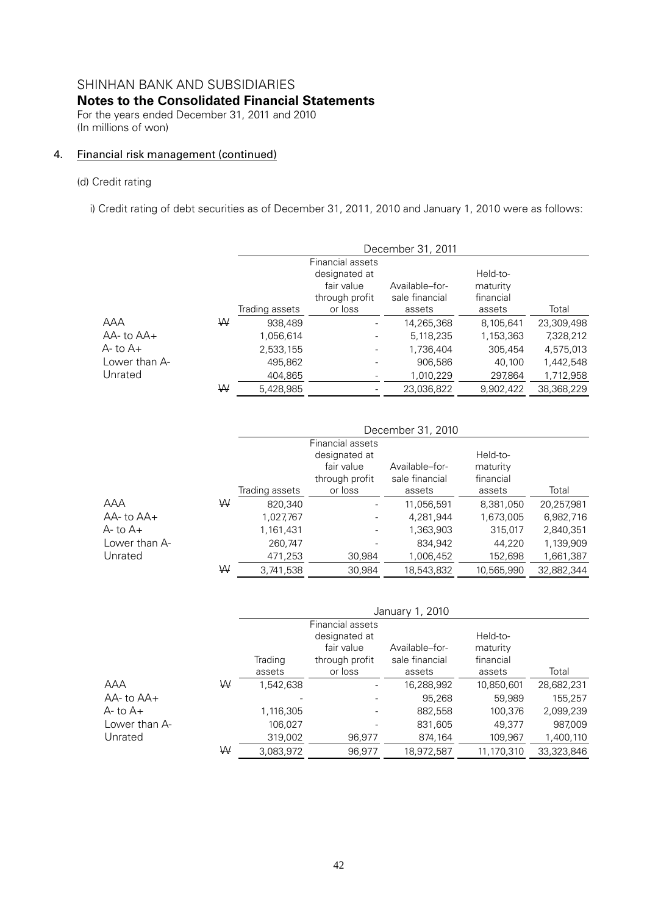# 4. Financial risk management (continued)

### (d) Credit rating

i) Credit rating of debt securities as of December 31, 2011, 2010 and January 1, 2010 were as follows:

|                  | December 31, 2011 |                                                                              |                                            |                                             |            |  |  |
|------------------|-------------------|------------------------------------------------------------------------------|--------------------------------------------|---------------------------------------------|------------|--|--|
|                  | Trading assets    | Financial assets<br>designated at<br>fair value<br>through profit<br>or loss | Available-for-<br>sale financial<br>assets | Held-to-<br>maturity<br>financial<br>assets | Total      |  |  |
| W<br><b>AAA</b>  | 938,489           |                                                                              | 14,265,368                                 | 8.105.641                                   | 23,309,498 |  |  |
| $AA$ - to $AA$ + | 1,056,614         |                                                                              | 5,118,235                                  | 1,153,363                                   | 7,328,212  |  |  |
| $A$ - to $A$ +   | 2,533,155         |                                                                              | 1,736,404                                  | 305,454                                     | 4,575,013  |  |  |
| Lower than A-    | 495,862           |                                                                              | 906,586                                    | 40,100                                      | 1,442,548  |  |  |
| Unrated          | 404,865           |                                                                              | 1,010,229                                  | 297,864                                     | 1,712,958  |  |  |
| W                | 5,428,985         |                                                                              | 23,036,822                                 | 9,902,422                                   | 38,368,229 |  |  |

|                  |   | December 31, 2010 |                                               |                                  |                                   |            |  |  |
|------------------|---|-------------------|-----------------------------------------------|----------------------------------|-----------------------------------|------------|--|--|
|                  |   |                   | Financial assets                              |                                  |                                   |            |  |  |
|                  |   |                   | designated at<br>fair value<br>through profit | Available-for-<br>sale financial | Held-to-<br>maturity<br>financial |            |  |  |
|                  |   | Trading assets    | or loss                                       | assets                           | assets                            | Total      |  |  |
| AAA              | ₩ | 820,340           | -                                             | 11,056,591                       | 8,381,050                         | 20,257,981 |  |  |
| $AA$ - to $AA$ + |   | 1,027,767         |                                               | 4,281,944                        | 1,673,005                         | 6,982,716  |  |  |
| $A$ - to $A$ +   |   | 1,161,431         |                                               | 1,363,903                        | 315,017                           | 2,840,351  |  |  |
| Lower than A-    |   | 260,747           |                                               | 834,942                          | 44,220                            | 1,139,909  |  |  |
| Unrated          |   | 471,253           | 30,984                                        | 1,006,452                        | 152,698                           | 1,661,387  |  |  |
|                  | W | 3,741,538         | 30.984                                        | 18,543,832                       | 10,565,990                        | 32,882,344 |  |  |

|                  |   |           | January 1, 2010  |                |            |            |  |  |  |
|------------------|---|-----------|------------------|----------------|------------|------------|--|--|--|
|                  |   |           | Financial assets |                |            |            |  |  |  |
|                  |   |           | designated at    |                | Held-to-   |            |  |  |  |
|                  |   |           | fair value       | Available-for- | maturity   |            |  |  |  |
|                  |   | Trading   | through profit   | sale financial | financial  |            |  |  |  |
|                  |   | assets    | or loss          | assets         | assets     | Total      |  |  |  |
| AAA              | ₩ | 1.542.638 |                  | 16,288,992     | 10,850,601 | 28,682,231 |  |  |  |
| $AA$ - to $AA$ + |   |           |                  | 95.268         | 59,989     | 155,257    |  |  |  |
| A- to A+         |   | 1,116,305 |                  | 882,558        | 100,376    | 2,099,239  |  |  |  |
| Lower than A-    |   | 106,027   |                  | 831,605        | 49,377     | 987,009    |  |  |  |
| Unrated          |   | 319,002   | 96,977           | 874,164        | 109,967    | 1,400,110  |  |  |  |
|                  | ₩ | 3.083.972 | 96,977           | 18.972.587     | 11.170.310 | 33.323.846 |  |  |  |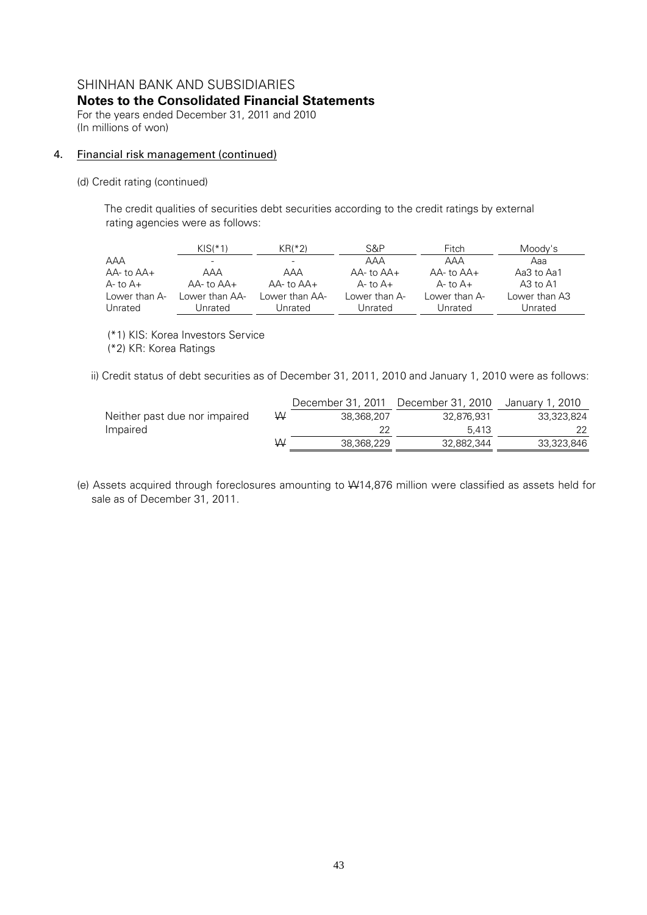(In millions of won)

# 4. Financial risk management (continued)

(d) Credit rating (continued)

The credit qualities of securities debt securities according to the credit ratings by external rating agencies were as follows:

|                          | $KIS(*1)$                 | $KR(*2)$                  | S&P                      | Fitch                    | Moody's                  |
|--------------------------|---------------------------|---------------------------|--------------------------|--------------------------|--------------------------|
| AAA                      |                           | $\overline{\phantom{0}}$  | AAA                      | AAA                      | Ааа                      |
| $AA-$ to $AA+$           | AAA                       | AAA                       | $AA-$ to $AA+$           | $AA-$ to $AA+$           | Aa3 to Aa1               |
| $A-$ to $A+$             | $AA-$ to $AA+$            | $AA-$ to $AA+$            | $A - t \circ A +$        | $A-$ to $A+$             | $A3$ to $A1$             |
| Lower than A-<br>Unrated | Lower than AA-<br>Jnrated | Lower than AA-<br>Unrated | Lower than A-<br>Unrated | Lower than A-<br>Unrated | Lower than A3<br>Unrated |
|                          |                           |                           |                          |                          |                          |

(\*1) KIS: Korea Investors Service (\*2) KR: Korea Ratings

ii) Credit status of debt securities as of December 31, 2011, 2010 and January 1, 2010 were as follows:

|          |                               |   | December 31, 2011 | December 31, 2010 | . 2010<br>January 1 |
|----------|-------------------------------|---|-------------------|-------------------|---------------------|
|          | Neither past due nor impaired | W | 38.368.207        | 32.876.931        | 33,323,824          |
| Impaired |                               |   |                   | 5.413             | 22                  |
|          |                               | W | 38.368.229        | 32,882,344        | 33,323,846          |
|          |                               |   |                   |                   |                     |

(e) Assets acquired through foreclosures amounting to W14,876 million were classified as assets held for sale as of December 31, 2011.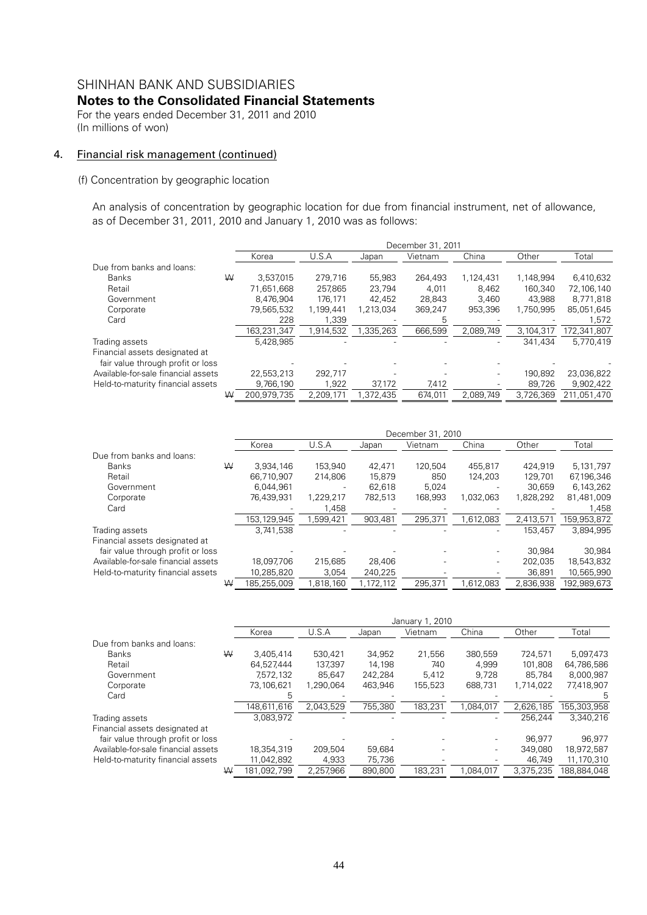(In millions of won)

## 4. Financial risk management (continued)

### (f) Concentration by geographic location

An analysis of concentration by geographic location for due from financial instrument, net of allowance, as of December 31, 2011, 2010 and January 1, 2010 was as follows:

|                                     |   | December 31, 2011 |           |           |         |           |           |             |  |  |
|-------------------------------------|---|-------------------|-----------|-----------|---------|-----------|-----------|-------------|--|--|
|                                     |   | Korea             | U.S.A     | Japan     | Vietnam | China     | Other     | Total       |  |  |
| Due from banks and loans:           |   |                   |           |           |         |           |           |             |  |  |
| <b>Banks</b>                        | ₩ | 3.537.015         | 279,716   | 55,983    | 264,493 | 1,124,431 | 1,148,994 | 6,410,632   |  |  |
| Retail                              |   | 71.651.668        | 257.865   | 23.794    | 4.011   | 8.462     | 160,340   | 72,106,140  |  |  |
| Government                          |   | 8.476.904         | 176.171   | 42.452    | 28.843  | 3,460     | 43.988    | 8,771,818   |  |  |
| Corporate                           |   | 79.565.532        | 1.199.441 | 1.213.034 | 369.247 | 953.396   | 1.750.995 | 85,051,645  |  |  |
| Card                                |   | 228               | 1,339     |           | 5       |           |           | 1,572       |  |  |
|                                     |   | 163,231,347       | 1.914.532 | 335.263   | 666,599 | 2,089,749 | 3.104.317 | 172,341,807 |  |  |
| Trading assets                      |   | 5,428,985         |           |           |         | -         | 341.434   | 5,770,419   |  |  |
| Financial assets designated at      |   |                   |           |           |         |           |           |             |  |  |
| fair value through profit or loss   |   |                   |           |           |         |           |           |             |  |  |
| Available-for-sale financial assets |   | 22,553,213        | 292.717   |           |         |           | 190.892   | 23,036,822  |  |  |
| Held-to-maturity financial assets   |   | 9,766,190         | 1,922     | 37,172    | 7,412   |           | 89.726    | 9,902,422   |  |  |
|                                     | W | 200.979.735       | 2.209.171 | .372.435  | 674.011 | 2.089.749 | 3.726.369 | 211.051.470 |  |  |

|                                     |   |             |                          |             | December 31, 2010 |                          |           |             |
|-------------------------------------|---|-------------|--------------------------|-------------|-------------------|--------------------------|-----------|-------------|
|                                     |   | Korea       | U.S.A                    | Japan       | Vietnam           | China                    | Other     | Total       |
| Due from banks and loans:           |   |             |                          |             |                   |                          |           |             |
| <b>Banks</b>                        | W | 3.934.146   | 153.940                  | 42.471      | 120.504           | 455.817                  | 424.919   | 5, 131, 797 |
| Retail                              |   | 66.710.907  | 214,806                  | 15,879      | 850               | 124.203                  | 129.701   | 67,196,346  |
| Government                          |   | 6.044.961   | $\overline{\phantom{a}}$ | 62.618      | 5,024             |                          | 30.659    | 6,143,262   |
| Corporate                           |   | 76.439.931  | 1,229,217                | 782.513     | 168,993           | 1,032,063                | 1,828,292 | 81,481,009  |
| Card                                |   |             | 1,458                    |             |                   |                          |           | 1,458       |
|                                     |   | 153,129,945 | .599.421                 | 903.481     | 295.371           | 1.612.083                | 2.413.571 | 159,953,872 |
| Trading assets                      |   | 3.741.538   |                          |             |                   | $\overline{\phantom{a}}$ | 153.457   | 3.894.995   |
| Financial assets designated at      |   |             |                          |             |                   |                          |           |             |
| fair value through profit or loss   |   |             |                          |             |                   |                          | 30.984    | 30.984      |
| Available-for-sale financial assets |   | 18.097.706  | 215.685                  | 28,406      |                   | $\overline{\phantom{a}}$ | 202.035   | 18,543,832  |
| Held-to-maturity financial assets   |   | 10,285,820  | 3,054                    | 240,225     |                   | $\overline{\phantom{0}}$ | 36,891    | 10,565,990  |
|                                     | W | 185,255,009 | 1,818,160                | 1, 172, 112 | 295,371           | ,612,083                 | 2,836,938 | 192,989,673 |
|                                     |   |             |                          |             |                   |                          |           |             |

|                                     |   | January 1, 2010 |           |         |         |                          |           |             |  |  |
|-------------------------------------|---|-----------------|-----------|---------|---------|--------------------------|-----------|-------------|--|--|
|                                     |   | Korea           | U.S.A     | Japan   | Vietnam | China                    | Other     | Total       |  |  |
| Due from banks and loans:           |   |                 |           |         |         |                          |           |             |  |  |
| <b>Banks</b>                        | W | 3.405.414       | 530.421   | 34.952  | 21.556  | 380.559                  | 724.571   | 5,097,473   |  |  |
| Retail                              |   | 64.527.444      | 137.397   | 14.198  | 740     | 4.999                    | 101.808   | 64,786,586  |  |  |
| Government                          |   | 7.572.132       | 85.647    | 242.284 | 5.412   | 9.728                    | 85,784    | 8,000,987   |  |  |
| Corporate                           |   | 73,106,621      | 1.290.064 | 463.946 | 155,523 | 688.731                  | 1,714,022 | 77,418,907  |  |  |
| Card                                |   | 5               |           |         |         |                          |           | 5           |  |  |
|                                     |   | 148,611,616     | 2.043.529 | 755,380 | 183.231 | 1.084.017                | 2,626,185 | 155,303,958 |  |  |
| Trading assets                      |   | 3.083.972       |           |         |         |                          | 256.244   | 3.340.216   |  |  |
| Financial assets designated at      |   |                 |           |         |         |                          |           |             |  |  |
| fair value through profit or loss   |   |                 |           |         |         |                          | 96.977    | 96.977      |  |  |
| Available-for-sale financial assets |   | 18,354,319      | 209.504   | 59.684  |         | $\overline{\phantom{0}}$ | 349.080   | 18,972,587  |  |  |
| Held-to-maturity financial assets   |   | 11,042,892      | 4,933     | 75,736  |         |                          | 46.749    | 11,170,310  |  |  |
|                                     | ₩ | 181.092.799     | 2.257.966 | 890.800 | 183,231 | 1.084.017                | 3,375,235 | 188.884.048 |  |  |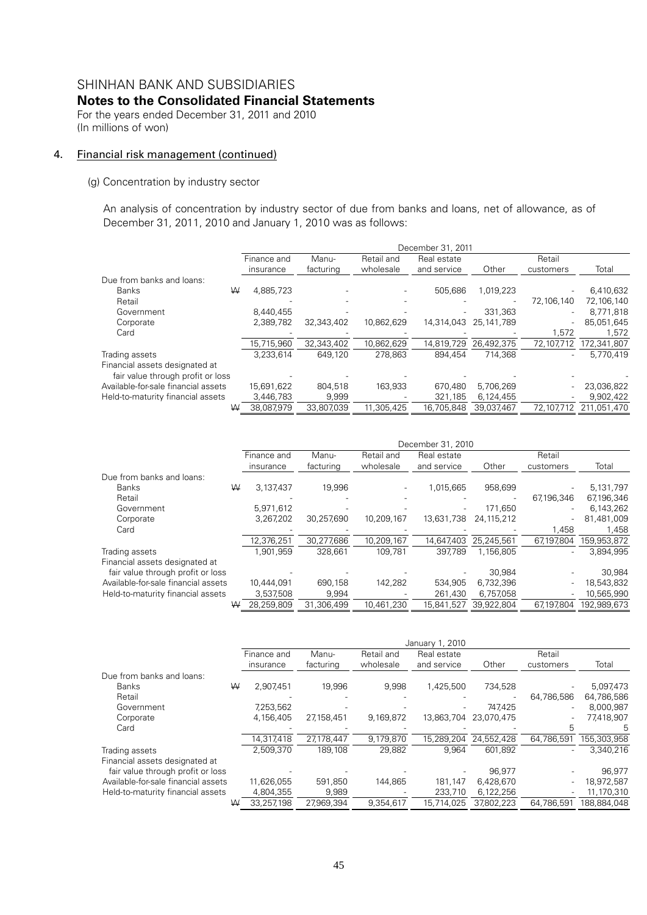(In millions of won)

## 4. Financial risk management (continued)

### (g) Concentration by industry sector

An analysis of concentration by industry sector of due from banks and loans, net of allowance, as of December 31, 2011, 2010 and January 1, 2010 was as follows:

|                                     |   |                      |            |             | December 31, 2011 |                          |                          |             |
|-------------------------------------|---|----------------------|------------|-------------|-------------------|--------------------------|--------------------------|-------------|
|                                     |   | Manu-<br>Finance and | Retail and | Real estate | Retail            |                          |                          |             |
|                                     |   | insurance            | facturing  | wholesale   | and service       | Other                    | customers                | Total       |
| Due from banks and loans:           |   |                      |            |             |                   |                          |                          |             |
| <b>Banks</b>                        | W | 4,885,723            |            |             | 505.686           | 1,019,223                | $\overline{\phantom{0}}$ | 6,410,632   |
| Retail                              |   |                      |            |             |                   | $\overline{\phantom{a}}$ | 72.106.140               | 72,106,140  |
| Government                          |   | 8,440,455            |            |             |                   | 331,363                  |                          | 8,771,818   |
| Corporate                           |   | 2,389,782            | 32,343,402 | 10,862,629  | 14.314.043        | 25.141.789               | $\overline{a}$           | 85,051,645  |
| Card                                |   |                      |            |             |                   |                          | 1,572                    | 1,572       |
|                                     |   | 15,715,960           | 32,343,402 | 10,862,629  | 14,819,729        | 26.492.375               | 72.107.712               | 172,341,807 |
| Trading assets                      |   | 3.233.614            | 649.120    | 278.863     | 894.454           | 714.368                  | $\overline{\phantom{0}}$ | 5.770.419   |
| Financial assets designated at      |   |                      |            |             |                   |                          |                          |             |
| fair value through profit or loss   |   |                      |            |             |                   |                          |                          |             |
| Available-for-sale financial assets |   | 15.691.622           | 804,518    | 163.933     | 670,480           | 5,706,269                |                          | 23,036,822  |
| Held-to-maturity financial assets   |   | 3,446,783            | 9,999      |             | 321,185           | 6,124,455                |                          | 9,902,422   |
|                                     | W | 38,087,979           | 33,807,039 | 11,305,425  | 16.705.848        | 39.037.467               | 72.107.712               | 211,051,470 |

|                                     |   |             |            |            | December 31, 2010 |              |                          |             |
|-------------------------------------|---|-------------|------------|------------|-------------------|--------------|--------------------------|-------------|
|                                     |   | Finance and | Manu-      | Retail and | Real estate       |              | Retail                   |             |
|                                     |   | insurance   | facturing  | wholesale  | and service       | Other        | customers                | Total       |
| Due from banks and loans:           |   |             |            |            |                   |              |                          |             |
| Banks                               | W | 3,137,437   | 19,996     |            | 1,015,665         | 958,699      |                          | 5,131,797   |
| Retail                              |   |             |            |            |                   |              | 67.196.346               | 67,196,346  |
| Government                          |   | 5,971,612   |            |            |                   | 171.650      |                          | 6.143.262   |
| Corporate                           |   | 3,267,202   | 30,257,690 | 10,209,167 | 13,631,738        | 24, 115, 212 | $\overline{\phantom{a}}$ | 81,481,009  |
| Card                                |   |             |            |            |                   |              | 1.458                    | 1,458       |
|                                     |   | 12,376,251  | 30,277,686 | 10,209,167 | 14,647,403        | 25,245,561   | 67,197,804               | 159,953,872 |
| Trading assets                      |   | 1.901.959   | 328.661    | 109.781    | 397.789           | 1.156.805    | $\overline{\phantom{a}}$ | 3.894.995   |
| Financial assets designated at      |   |             |            |            |                   |              |                          |             |
| fair value through profit or loss   |   |             |            |            |                   | 30.984       |                          | 30,984      |
| Available-for-sale financial assets |   | 10.444.091  | 690.158    | 142.282    | 534.905           | 6.732.396    |                          | 18,543,832  |
| Held-to-maturity financial assets   |   | 3,537,508   | 9,994      |            | 261,430           | 6,757,058    |                          | 10,565,990  |
|                                     | W | 28,259,809  | 31,306,499 | 10.461.230 | 15.841.527        | 39.922.804   | 67.197.804               | 192.989.673 |
|                                     |   |             |            |            |                   |              |                          |             |

|                                     |   | January 1, 2010 |            |            |             |            |                          |             |
|-------------------------------------|---|-----------------|------------|------------|-------------|------------|--------------------------|-------------|
|                                     |   | Finance and     | Manu-      | Retail and | Real estate |            | Retail                   |             |
|                                     |   | insurance       | facturing  | wholesale  | and service | Other      | customers                | Total       |
| Due from banks and loans:           |   |                 |            |            |             |            |                          |             |
| <b>Banks</b>                        | ₩ | 2,907,451       | 19,996     | 9,998      | 1,425,500   | 734.528    |                          | 5,097,473   |
| Retail                              |   |                 |            |            |             |            | 64,786,586               | 64,786,586  |
| Government                          |   | 7,253,562       |            |            |             | 747.425    | $\overline{a}$           | 8,000,987   |
| Corporate                           |   | 4.156.405       | 27.158.451 | 9,169,872  | 13.863.704  | 23.070.475 | ۰                        | 77,418,907  |
| Card                                |   |                 |            |            |             |            | 5                        | 5           |
|                                     |   | 14,317,418      | 27,178,447 | 9,179,870  | 15.289.204  | 24,552,428 | 64.786.591               | 155,303,958 |
| Trading assets                      |   | 2.509.370       | 189,108    | 29.882     | 9.964       | 601.892    | $\overline{a}$           | 3.340.216   |
| Financial assets designated at      |   |                 |            |            |             |            |                          |             |
| fair value through profit or loss   |   |                 |            |            |             | 96.977     |                          | 96.977      |
| Available-for-sale financial assets |   | 11,626,055      | 591,850    | 144.865    | 181.147     | 6,428,670  | $\overline{\phantom{0}}$ | 18,972,587  |
| Held-to-maturity financial assets   |   | 4,804,355       | 9,989      |            | 233,710     | 6,122,256  | $\overline{a}$           | 11,170,310  |
|                                     | W | 33.257.198      | 27.969.394 | 9.354.617  | 15.714.025  | 37.802.223 | 64.786.591               | 188.884.048 |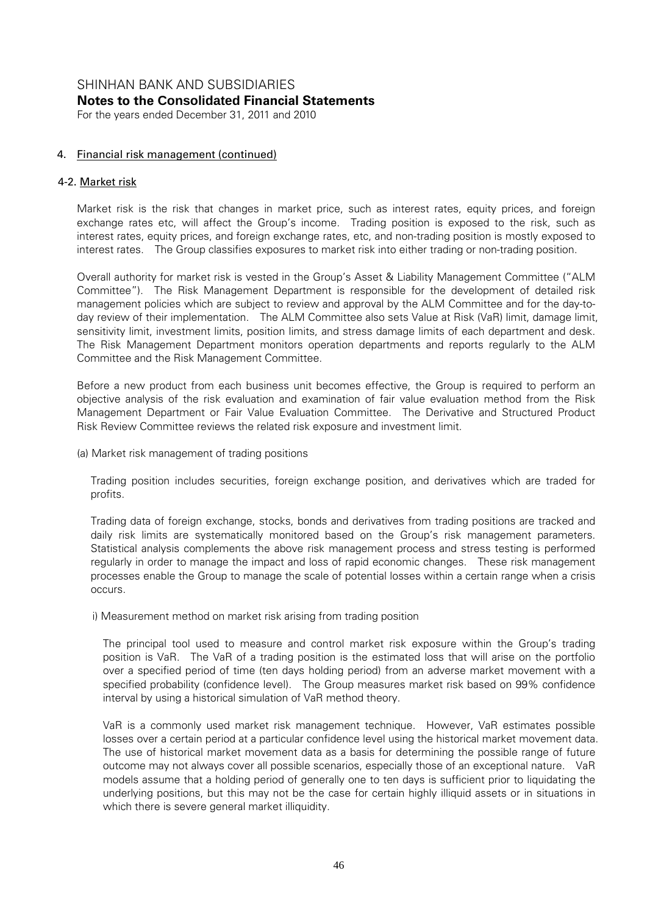For the years ended December 31, 2011 and 2010

## 4. Financial risk management (continued)

### 4-2. Market risk

Market risk is the risk that changes in market price, such as interest rates, equity prices, and foreign exchange rates etc, will affect the Group's income. Trading position is exposed to the risk, such as interest rates, equity prices, and foreign exchange rates, etc, and non-trading position is mostly exposed to interest rates. The Group classifies exposures to market risk into either trading or non-trading position.

Overall authority for market risk is vested in the Group's Asset & Liability Management Committee ("ALM Committee"). The Risk Management Department is responsible for the development of detailed risk management policies which are subject to review and approval by the ALM Committee and for the day-today review of their implementation. The ALM Committee also sets Value at Risk (VaR) limit, damage limit, sensitivity limit, investment limits, position limits, and stress damage limits of each department and desk. The Risk Management Department monitors operation departments and reports regularly to the ALM Committee and the Risk Management Committee.

Before a new product from each business unit becomes effective, the Group is required to perform an objective analysis of the risk evaluation and examination of fair value evaluation method from the Risk Management Department or Fair Value Evaluation Committee. The Derivative and Structured Product Risk Review Committee reviews the related risk exposure and investment limit.

(a) Market risk management of trading positions

Trading position includes securities, foreign exchange position, and derivatives which are traded for profits.

Trading data of foreign exchange, stocks, bonds and derivatives from trading positions are tracked and daily risk limits are systematically monitored based on the Group's risk management parameters. Statistical analysis complements the above risk management process and stress testing is performed regularly in order to manage the impact and loss of rapid economic changes. These risk management processes enable the Group to manage the scale of potential losses within a certain range when a crisis occurs.

i) Measurement method on market risk arising from trading position

The principal tool used to measure and control market risk exposure within the Group's trading position is VaR. The VaR of a trading position is the estimated loss that will arise on the portfolio over a specified period of time (ten days holding period) from an adverse market movement with a specified probability (confidence level). The Group measures market risk based on 99% confidence interval by using a historical simulation of VaR method theory.

VaR is a commonly used market risk management technique. However, VaR estimates possible losses over a certain period at a particular confidence level using the historical market movement data. The use of historical market movement data as a basis for determining the possible range of future outcome may not always cover all possible scenarios, especially those of an exceptional nature. VaR models assume that a holding period of generally one to ten days is sufficient prior to liquidating the underlying positions, but this may not be the case for certain highly illiquid assets or in situations in which there is severe general market illiquidity.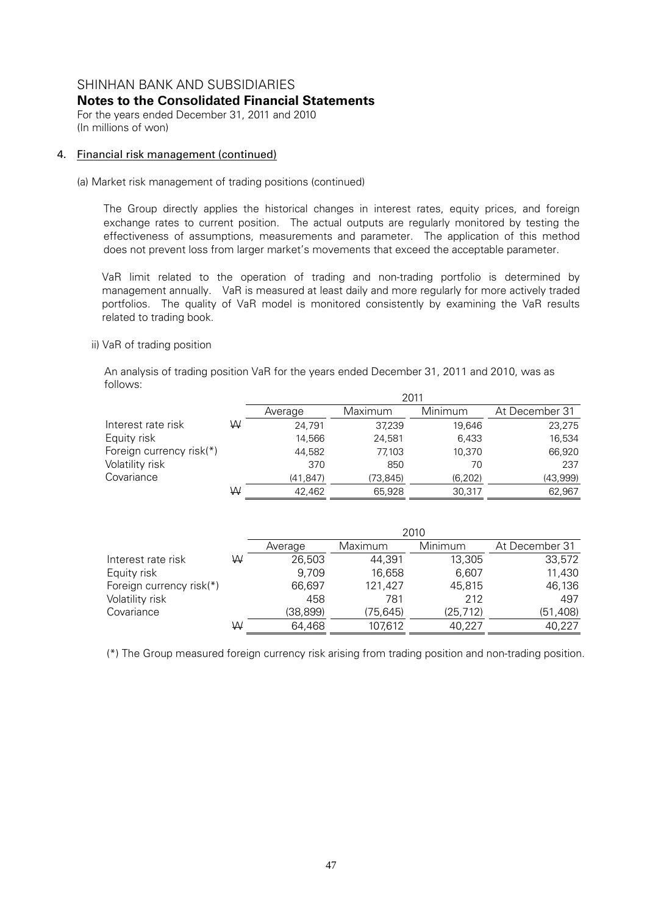### 4. Financial risk management (continued)

(a) Market risk management of trading positions (continued)

The Group directly applies the historical changes in interest rates, equity prices, and foreign exchange rates to current position. The actual outputs are regularly monitored by testing the effectiveness of assumptions, measurements and parameter. The application of this method does not prevent loss from larger market's movements that exceed the acceptable parameter.

VaR limit related to the operation of trading and non-trading portfolio is determined by management annually. VaR is measured at least daily and more regularly for more actively traded portfolios. The quality of VaR model is monitored consistently by examining the VaR results related to trading book.

#### ii) VaR of trading position

An analysis of trading position VaR for the years ended December 31, 2011 and 2010, was as follows:

|                          |   |           |           | 2011           |                |
|--------------------------|---|-----------|-----------|----------------|----------------|
|                          |   | Average   | Maximum   | <b>Minimum</b> | At December 31 |
| Interest rate risk       | W | 24,791    | 37.239    | 19,646         | 23,275         |
| Equity risk              |   | 14,566    | 24,581    | 6,433          | 16.534         |
| Foreign currency risk(*) |   | 44,582    | 77,103    | 10.370         | 66,920         |
| Volatility risk          |   | 370       | 850       | 70             | 237            |
| Covariance               |   | (41, 847) | (73, 845) | (6, 202)       | (43,999)       |
|                          | W | 42.462    | 65.928    | 30,317         | 62.967         |

|                          |   | 2010     |          |                |                |  |  |  |  |
|--------------------------|---|----------|----------|----------------|----------------|--|--|--|--|
|                          |   | Average  | Maximum  | <b>Minimum</b> | At December 31 |  |  |  |  |
| Interest rate risk       | W | 26,503   | 44.391   | 13,305         | 33,572         |  |  |  |  |
| Equity risk              |   | 9,709    | 16,658   | 6,607          | 11,430         |  |  |  |  |
| Foreign currency risk(*) |   | 66,697   | 121,427  | 45,815         | 46,136         |  |  |  |  |
| Volatility risk          |   | 458      | 781      | 212            | 497            |  |  |  |  |
| Covariance               |   | (38,899) | (75,645) | (25, 712)      | (51, 408)      |  |  |  |  |
|                          | W | 64,468   | 107,612  | 40.227         | 40,227         |  |  |  |  |

(\*) The Group measured foreign currency risk arising from trading position and non-trading position.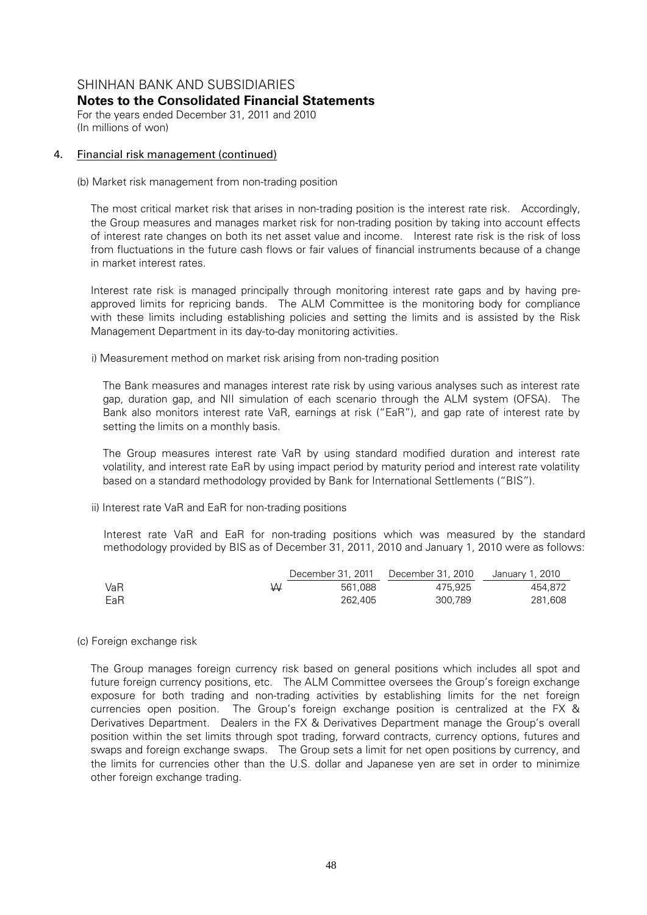#### 4. Financial risk management (continued)

(b) Market risk management from non-trading position

The most critical market risk that arises in non-trading position is the interest rate risk. Accordingly, the Group measures and manages market risk for non-trading position by taking into account effects of interest rate changes on both its net asset value and income. Interest rate risk is the risk of loss from fluctuations in the future cash flows or fair values of financial instruments because of a change in market interest rates.

Interest rate risk is managed principally through monitoring interest rate gaps and by having preapproved limits for repricing bands. The ALM Committee is the monitoring body for compliance with these limits including establishing policies and setting the limits and is assisted by the Risk Management Department in its day-to-day monitoring activities.

i) Measurement method on market risk arising from non-trading position

The Bank measures and manages interest rate risk by using various analyses such as interest rate gap, duration gap, and NII simulation of each scenario through the ALM system (OFSA). The Bank also monitors interest rate VaR, earnings at risk ("EaR"), and gap rate of interest rate by setting the limits on a monthly basis.

The Group measures interest rate VaR by using standard modified duration and interest rate volatility, and interest rate EaR by using impact period by maturity period and interest rate volatility based on a standard methodology provided by Bank for International Settlements ("BIS").

ii) Interest rate VaR and EaR for non-trading positions

Interest rate VaR and EaR for non-trading positions which was measured by the standard methodology provided by BIS as of December 31, 2011, 2010 and January 1, 2010 were as follows:

|          | December 31, 2011 | December 31, 2010 | January 1, 2010 |
|----------|-------------------|-------------------|-----------------|
| VaR<br>W | 561.088           | 475.925           | 454.872         |
| EaR      | 262,405           | 300.789           | 281.608         |

#### (c) Foreign exchange risk

The Group manages foreign currency risk based on general positions which includes all spot and future foreign currency positions, etc. The ALM Committee oversees the Group's foreign exchange exposure for both trading and non-trading activities by establishing limits for the net foreign currencies open position. The Group's foreign exchange position is centralized at the FX & Derivatives Department. Dealers in the FX & Derivatives Department manage the Group's overall position within the set limits through spot trading, forward contracts, currency options, futures and swaps and foreign exchange swaps. The Group sets a limit for net open positions by currency, and the limits for currencies other than the U.S. dollar and Japanese yen are set in order to minimize other foreign exchange trading.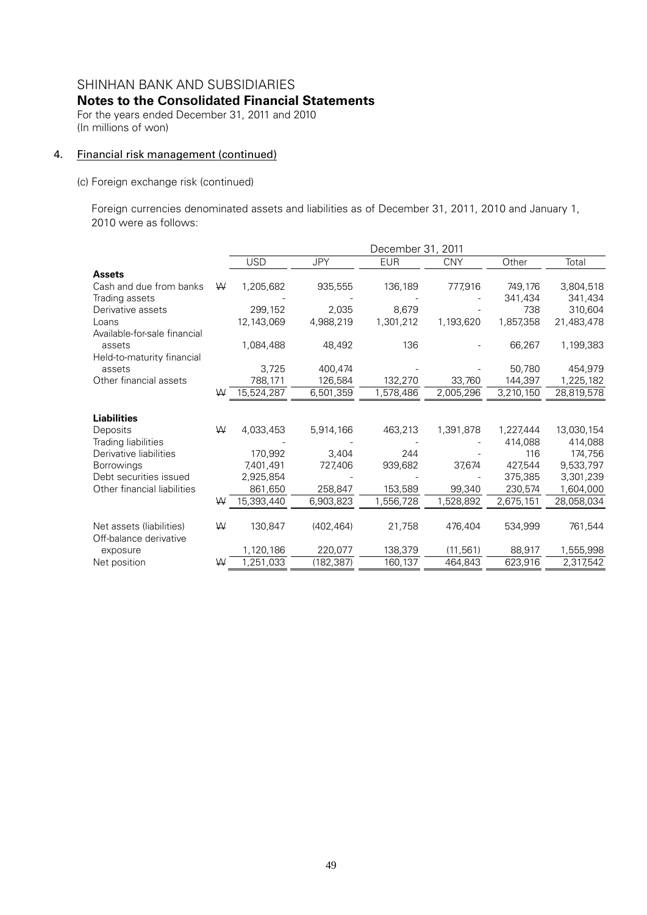(In millions of won)

# 4. Financial risk management (continued)

(c) Foreign exchange risk (continued)

Foreign currencies denominated assets and liabilities as of December 31, 2011, 2010 and January 1, 2010 were as follows:

|                                                    |   | December 31, 2011 |            |            |            |           |            |  |  |
|----------------------------------------------------|---|-------------------|------------|------------|------------|-----------|------------|--|--|
|                                                    |   | <b>USD</b>        | <b>JPY</b> | <b>EUR</b> | <b>CNY</b> | Other     | Total      |  |  |
| <b>Assets</b>                                      |   |                   |            |            |            |           |            |  |  |
| Cash and due from banks                            | W | 1,205,682         | 935,555    | 136,189    | 777,916    | 749,176   | 3,804,518  |  |  |
| Trading assets                                     |   |                   |            |            |            | 341,434   | 341,434    |  |  |
| Derivative assets                                  |   | 299,152           | 2,035      | 8,679      |            | 738       | 310,604    |  |  |
| Loans                                              |   | 12,143,069        | 4,988,219  | 1,301,212  | 1,193,620  | 1,857,358 | 21,483,478 |  |  |
| Available-for-sale financial                       |   |                   |            |            |            |           |            |  |  |
| assets                                             |   | 1,084,488         | 48,492     | 136        |            | 66,267    | 1,199,383  |  |  |
| Held-to-maturity financial                         |   |                   |            |            |            |           |            |  |  |
| assets                                             |   | 3,725             | 400,474    |            |            | 50,780    | 454,979    |  |  |
| Other financial assets                             |   | 788,171           | 126,584    | 132,270    | 33,760     | 144,397   | 1,225,182  |  |  |
|                                                    | W | 15,524,287        | 6,501,359  | 1,578,486  | 2,005,296  | 3,210,150 | 28,819,578 |  |  |
|                                                    |   |                   |            |            |            |           |            |  |  |
| <b>Liabilities</b>                                 |   |                   |            |            |            |           |            |  |  |
| Deposits                                           | W | 4,033,453         | 5,914,166  | 463,213    | 1,391,878  | 1,227,444 | 13,030,154 |  |  |
| Trading liabilities                                |   |                   |            |            |            | 414,088   | 414,088    |  |  |
| Derivative liabilities                             |   | 170,992           | 3,404      | 244        |            | 116       | 174,756    |  |  |
| <b>Borrowings</b>                                  |   | 7,401,491         | 727,406    | 939,682    | 37,674     | 427,544   | 9,533,797  |  |  |
| Debt securities issued                             |   | 2,925,854         |            |            |            | 375,385   | 3,301,239  |  |  |
| Other financial liabilities                        |   | 861,650           | 258,847    | 153,589    | 99,340     | 230,574   | 1,604,000  |  |  |
|                                                    | W | 15,393,440        | 6,903,823  | 1,556,728  | 1,528,892  | 2,675,151 | 28,058,034 |  |  |
|                                                    |   |                   |            |            |            |           |            |  |  |
| Net assets (liabilities)<br>Off-balance derivative | W | 130,847           | (402, 464) | 21,758     | 476,404    | 534,999   | 761,544    |  |  |
| exposure                                           |   | 1,120,186         | 220,077    | 138,379    | (11, 561)  | 88,917    | 1,555,998  |  |  |
| Net position                                       | W | 1,251,033         | (182, 387) | 160,137    | 464,843    | 623,916   | 2,317,542  |  |  |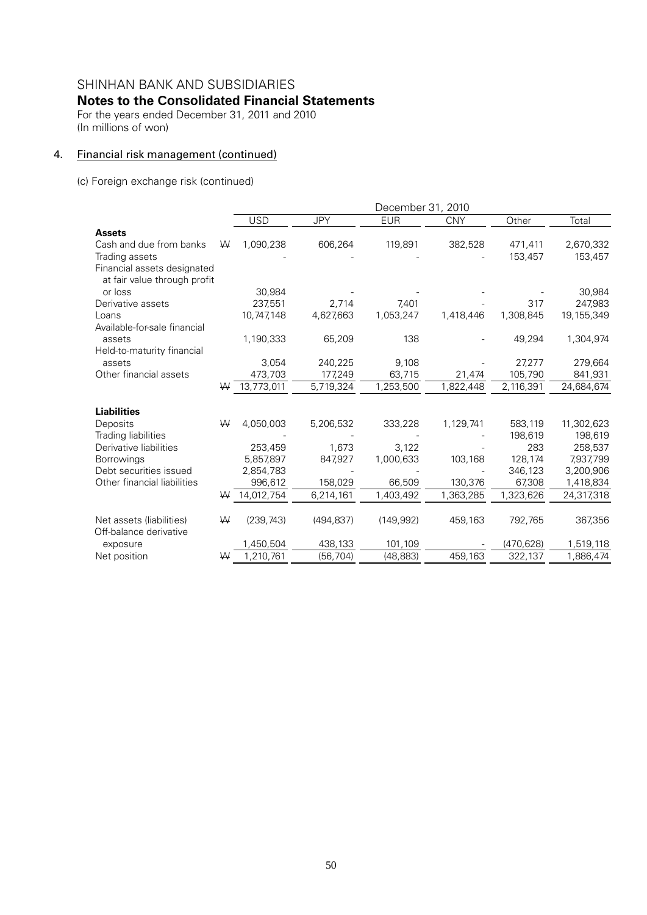# SHINHAN BANK AND SUBSIDIARIES

## **Notes to the Consolidated Financial Statements**

For the years ended December 31, 2011 and 2010 (In millions of won)

# 4. Financial risk management (continued)

(c) Foreign exchange risk (continued)

|                              |   | December 31, 2010 |            |            |            |            |              |  |
|------------------------------|---|-------------------|------------|------------|------------|------------|--------------|--|
|                              |   | <b>USD</b>        | <b>JPY</b> | <b>EUR</b> | <b>CNY</b> | Other      | Total        |  |
| <b>Assets</b>                |   |                   |            |            |            |            |              |  |
| Cash and due from banks      | W | 1,090,238         | 606,264    | 119,891    | 382,528    | 471,411    | 2,670,332    |  |
| Trading assets               |   |                   |            |            |            | 153,457    | 153,457      |  |
| Financial assets designated  |   |                   |            |            |            |            |              |  |
| at fair value through profit |   |                   |            |            |            |            |              |  |
| or loss                      |   | 30,984            |            |            |            |            | 30,984       |  |
| Derivative assets            |   | 237,551           | 2,714      | 7,401      |            | 317        | 247,983      |  |
| Loans                        |   | 10,747,148        | 4,627,663  | 1,053,247  | 1,418,446  | 1,308,845  | 19, 155, 349 |  |
| Available-for-sale financial |   |                   |            |            |            |            |              |  |
| assets                       |   | 1,190,333         | 65,209     | 138        |            | 49,294     | 1,304,974    |  |
| Held-to-maturity financial   |   |                   |            |            |            |            |              |  |
| assets                       |   | 3,054             | 240,225    | 9,108      |            | 27,277     | 279,664      |  |
| Other financial assets       |   | 473,703           | 177,249    | 63,715     | 21,474     | 105,790    | 841,931      |  |
|                              | W | 13,773,011        | 5,719,324  | 1,253,500  | 1,822,448  | 2,116,391  | 24,684,674   |  |
|                              |   |                   |            |            |            |            |              |  |
| <b>Liabilities</b>           |   |                   |            |            |            |            |              |  |
| Deposits                     | ₩ | 4,050,003         | 5,206,532  | 333,228    | 1,129,741  | 583,119    | 11,302,623   |  |
| <b>Trading liabilities</b>   |   |                   |            |            |            | 198,619    | 198,619      |  |
| Derivative liabilities       |   | 253,459           | 1.673      | 3,122      |            | 283        | 258,537      |  |
| <b>Borrowings</b>            |   | 5,857,897         | 847,927    | 1,000,633  | 103,168    | 128,174    | 7,937,799    |  |
| Debt securities issued       |   | 2,854,783         |            |            |            | 346,123    | 3,200,906    |  |
| Other financial liabilities  |   | 996,612           | 158,029    | 66,509     | 130,376    | 67,308     | 1,418,834    |  |
|                              | ₩ | 14,012,754        | 6,214,161  | 1,403,492  | 1,363,285  | 1,323,626  | 24,317,318   |  |
| Net assets (liabilities)     | ₩ | (239, 743)        | (494, 837) | (149, 992) | 459,163    | 792,765    | 367,356      |  |
| Off-balance derivative       |   |                   |            |            |            |            |              |  |
| exposure                     |   | 1,450,504         | 438,133    | 101,109    |            | (470, 628) | 1,519,118    |  |
| Net position                 | ₩ | 1,210,761         | (56, 704)  | (48, 883)  | 459,163    | 322,137    | 1,886,474    |  |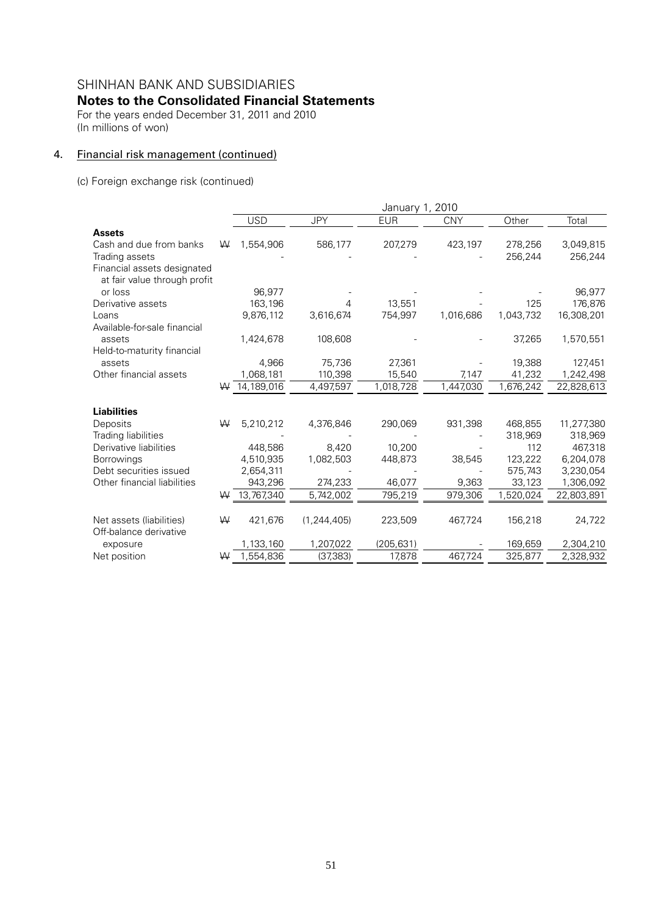# SHINHAN BANK AND SUBSIDIARIES

# **Notes to the Consolidated Financial Statements**

For the years ended December 31, 2011 and 2010 (In millions of won)

# 4. Financial risk management (continued)

(c) Foreign exchange risk (continued)

|                                                             |   |            | January 1, 2010 |            |            |           |            |  |  |
|-------------------------------------------------------------|---|------------|-----------------|------------|------------|-----------|------------|--|--|
|                                                             |   | <b>USD</b> | <b>JPY</b>      | <b>EUR</b> | <b>CNY</b> | Other     | Total      |  |  |
| <b>Assets</b>                                               |   |            |                 |            |            |           |            |  |  |
| Cash and due from banks                                     | W | 1,554,906  | 586,177         | 207,279    | 423,197    | 278,256   | 3,049,815  |  |  |
| Trading assets                                              |   |            |                 |            |            | 256,244   | 256,244    |  |  |
| Financial assets designated<br>at fair value through profit |   |            |                 |            |            |           |            |  |  |
| or loss                                                     |   | 96,977     |                 |            |            |           | 96,977     |  |  |
| Derivative assets                                           |   | 163,196    | 4               | 13,551     |            | 125       | 176,876    |  |  |
| Loans                                                       |   | 9,876,112  | 3,616,674       | 754,997    | 1,016,686  | 1,043,732 | 16,308,201 |  |  |
| Available-for-sale financial                                |   |            |                 |            |            |           |            |  |  |
| assets                                                      |   | 1,424,678  | 108,608         |            |            | 37,265    | 1,570,551  |  |  |
| Held-to-maturity financial                                  |   |            |                 |            |            |           |            |  |  |
| assets                                                      |   | 4,966      | 75,736          | 27,361     |            | 19,388    | 127,451    |  |  |
| Other financial assets                                      |   | 1,068,181  | 110,398         | 15,540     | 7,147      | 41,232    | 1,242,498  |  |  |
|                                                             | W | 14,189,016 | 4,497,597       | 1,018,728  | 1,447,030  | 1,676,242 | 22,828,613 |  |  |
| <b>Liabilities</b>                                          |   |            |                 |            |            |           |            |  |  |
| Deposits                                                    | W | 5,210,212  | 4,376,846       | 290,069    | 931,398    | 468,855   | 11,277,380 |  |  |
| Trading liabilities                                         |   |            |                 |            |            | 318,969   | 318,969    |  |  |
| Derivative liabilities                                      |   | 448,586    | 8,420           | 10,200     |            | 112       | 467,318    |  |  |
| Borrowings                                                  |   | 4,510,935  | 1,082,503       | 448,873    | 38,545     | 123,222   | 6,204,078  |  |  |
| Debt securities issued                                      |   | 2,654,311  |                 |            |            | 575,743   | 3,230,054  |  |  |
| Other financial liabilities                                 |   | 943,296    | 274,233         | 46,077     | 9,363      | 33,123    | 1,306,092  |  |  |
|                                                             | W | 13,767,340 | 5,742,002       | 795,219    | 979,306    | 1,520,024 | 22,803,891 |  |  |
|                                                             |   |            |                 |            |            |           |            |  |  |
| Net assets (liabilities)<br>Off-balance derivative          | W | 421,676    | (1, 244, 405)   | 223,509    | 467,724    | 156,218   | 24,722     |  |  |
| exposure                                                    |   | 1,133,160  | 1,207,022       | (205, 631) |            | 169,659   | 2,304,210  |  |  |
| Net position                                                | W | 1,554,836  | (37, 383)       | 17,878     | 467,724    | 325,877   | 2,328,932  |  |  |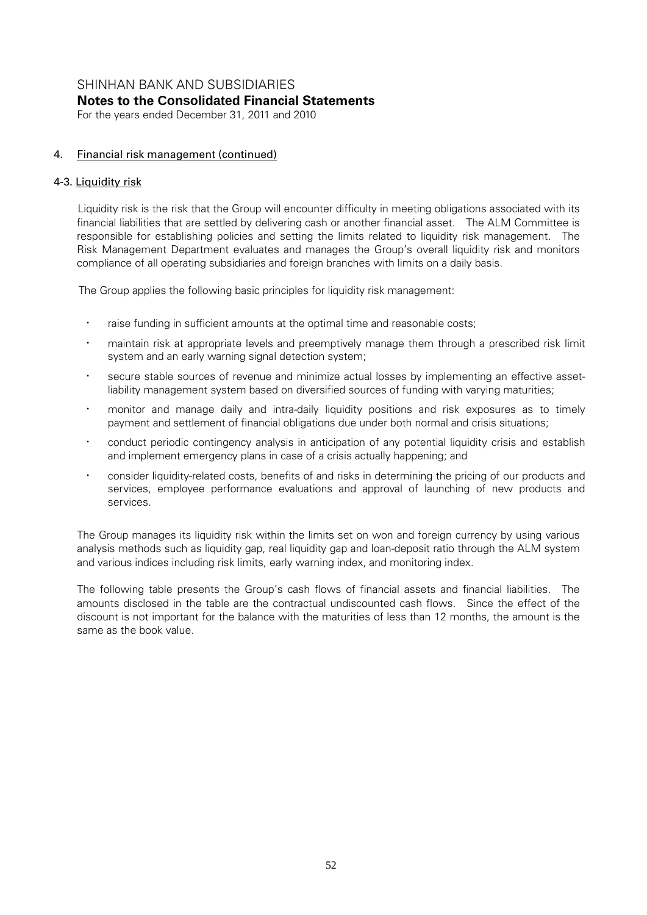For the years ended December 31, 2011 and 2010

### 4. Financial risk management (continued)

### 4-3. Liquidity risk

Liquidity risk is the risk that the Group will encounter difficulty in meeting obligations associated with its financial liabilities that are settled by delivering cash or another financial asset. The ALM Committee is responsible for establishing policies and setting the limits related to liquidity risk management. The Risk Management Department evaluates and manages the Group's overall liquidity risk and monitors compliance of all operating subsidiaries and foreign branches with limits on a daily basis.

The Group applies the following basic principles for liquidity risk management:

- raise funding in sufficient amounts at the optimal time and reasonable costs;
- maintain risk at appropriate levels and preemptively manage them through a prescribed risk limit system and an early warning signal detection system;
- secure stable sources of revenue and minimize actual losses by implementing an effective assetliability management system based on diversified sources of funding with varying maturities;
- monitor and manage daily and intra-daily liquidity positions and risk exposures as to timely payment and settlement of financial obligations due under both normal and crisis situations;
- conduct periodic contingency analysis in anticipation of any potential liquidity crisis and establish and implement emergency plans in case of a crisis actually happening; and
- consider liquidity-related costs, benefits of and risks in determining the pricing of our products and services, employee performance evaluations and approval of launching of new products and services.

The Group manages its liquidity risk within the limits set on won and foreign currency by using various analysis methods such as liquidity gap, real liquidity gap and loan-deposit ratio through the ALM system and various indices including risk limits, early warning index, and monitoring index.

The following table presents the Group's cash flows of financial assets and financial liabilities. The amounts disclosed in the table are the contractual undiscounted cash flows. Since the effect of the discount is not important for the balance with the maturities of less than 12 months, the amount is the same as the book value.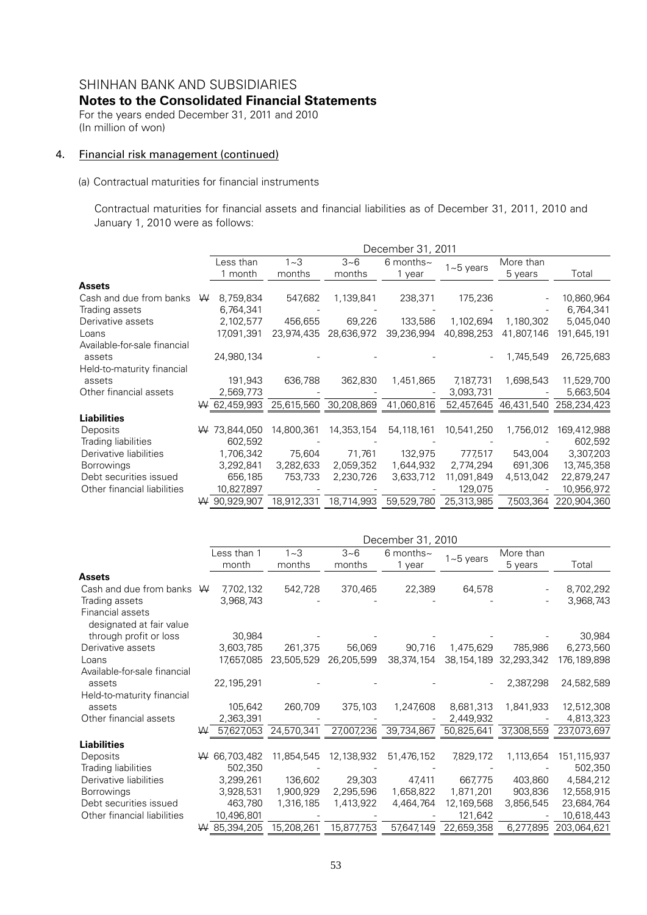(In million of won)

## 4. Financial risk management (continued)

### (a) Contractual maturities for financial instruments

Contractual maturities for financial assets and financial liabilities as of December 31, 2011, 2010 and January 1, 2010 were as follows:

|                              |   |              |            |            | December 31, 2011 |            |            |             |
|------------------------------|---|--------------|------------|------------|-------------------|------------|------------|-------------|
|                              |   | Less than    | $1 - 3$    | $3 - 6$    | 6 months $\sim$   | 1~5 years  | More than  |             |
|                              |   | 1 month      | months     | months     | 1 year            |            | 5 years    | Total       |
| Assets                       |   |              |            |            |                   |            |            |             |
| Cash and due from banks      | W | 8,759,834    | 547,682    | 1,139,841  | 238,371           | 175,236    |            | 10,860,964  |
| Trading assets               |   | 6,764,341    |            |            |                   |            |            | 6,764,341   |
| Derivative assets            |   | 2,102,577    | 456,655    | 69,226     | 133,586           | 1,102,694  | 1,180,302  | 5,045,040   |
| Loans                        |   | 17,091,391   | 23,974,435 | 28,636,972 | 39,236,994        | 40,898,253 | 41,807,146 | 191,645,191 |
| Available-for-sale financial |   |              |            |            |                   |            |            |             |
| assets                       |   | 24,980,134   |            |            |                   |            | 1,745,549  | 26,725,683  |
| Held-to-maturity financial   |   |              |            |            |                   |            |            |             |
| assets                       |   | 191,943      | 636,788    | 362,830    | 1,451,865         | 7,187,731  | 1,698,543  | 11,529,700  |
| Other financial assets       |   | 2,569,773    |            |            |                   | 3,093,731  |            | 5,663,504   |
|                              |   | W 62.459.993 | 25,615,560 | 30,208,869 | 41,060,816        | 52,457,645 | 46,431,540 | 258,234,423 |
| <b>Liabilities</b>           |   |              |            |            |                   |            |            |             |
| Deposits                     | W | 73,844,050   | 14,800,361 | 14,353,154 | 54,118,161        | 10,541,250 | 1,756,012  | 169,412,988 |
| Trading liabilities          |   | 602,592      |            |            |                   |            |            | 602,592     |
| Derivative liabilities       |   | 1,706,342    | 75,604     | 71,761     | 132,975           | 777,517    | 543,004    | 3,307,203   |
| <b>Borrowings</b>            |   | 3,292,841    | 3,282,633  | 2,059,352  | 1,644,932         | 2,774,294  | 691,306    | 13,745,358  |
| Debt securities issued       |   | 656,185      | 753,733    | 2,230,726  | 3,633,712         | 11,091,849 | 4,513,042  | 22,879,247  |
| Other financial liabilities  |   | 10,827,897   |            |            |                   | 129,075    |            | 10,956,972  |
|                              |   | W 90.929.907 | 18,912,331 | 18,714,993 | 59,529,780        | 25,313,985 | 7,503,364  | 220,904,360 |

|                                              |   |              |            |            | December 31, 2010 |               |            |               |
|----------------------------------------------|---|--------------|------------|------------|-------------------|---------------|------------|---------------|
|                                              |   | Less than 1  | $1 - 3$    | $3 - 6$    | 6 months $\sim$   |               | More than  |               |
|                                              |   | month        | months     | months     | 1 year            | $1 - 5$ years | 5 years    | Total         |
| <b>Assets</b>                                |   |              |            |            |                   |               |            |               |
| Cash and due from banks $W$                  |   | 7,702,132    | 542,728    | 370,465    | 22,389            | 64,578        |            | 8,702,292     |
| Trading assets                               |   | 3,968,743    |            |            |                   |               |            | 3,968,743     |
| Financial assets<br>designated at fair value |   |              |            |            |                   |               |            |               |
| through profit or loss                       |   | 30,984       |            |            |                   |               |            | 30,984        |
| Derivative assets                            |   | 3,603,785    | 261,375    | 56,069     | 90,716            | 1,475,629     | 785,986    | 6,273,560     |
| Loans                                        |   | 17,657,085   | 23,505,529 | 26,205,599 | 38,374,154        | 38, 154, 189  | 32,293,342 | 176, 189, 898 |
| Available-for-sale financial                 |   |              |            |            |                   |               |            |               |
| assets                                       |   | 22, 195, 291 |            |            |                   |               | 2,387,298  | 24,582,589    |
| Held-to-maturity financial                   |   |              |            |            |                   |               |            |               |
| assets                                       |   | 105,642      | 260,709    | 375,103    | 1,247,608         | 8,681,313     | 1,841,933  | 12,512,308    |
| Other financial assets                       |   | 2,363,391    |            |            |                   | 2,449,932     |            | 4,813,323     |
|                                              | W | 57,627,053   | 24,570,341 | 27,007,236 | 39,734,867        | 50,825,641    | 37,308,559 | 237,073,697   |
| <b>Liabilities</b>                           |   |              |            |            |                   |               |            |               |
| Deposits                                     | W | 66,703,482   | 11,854,545 | 12,138,932 | 51,476,152        | 7,829,172     | 1,113,654  | 151, 115, 937 |
| Trading liabilities                          |   | 502,350      |            |            |                   |               |            | 502,350       |
| Derivative liabilities                       |   | 3,299,261    | 136,602    | 29,303     | 47,411            | 667,775       | 403,860    | 4,584,212     |
| <b>Borrowings</b>                            |   | 3,928,531    | 1,900,929  | 2,295,596  | 1,658,822         | 1,871,201     | 903,836    | 12,558,915    |
| Debt securities issued                       |   | 463,780      | 1,316,185  | 1,413,922  | 4,464,764         | 12,169,568    | 3,856,545  | 23,684,764    |
| Other financial liabilities                  |   | 10,496,801   |            |            |                   | 121,642       |            | 10,618,443    |
|                                              |   | W 85,394,205 | 15,208,261 | 15,877,753 | 57,647,149        | 22,659,358    | 6,277,895  | 203,064,621   |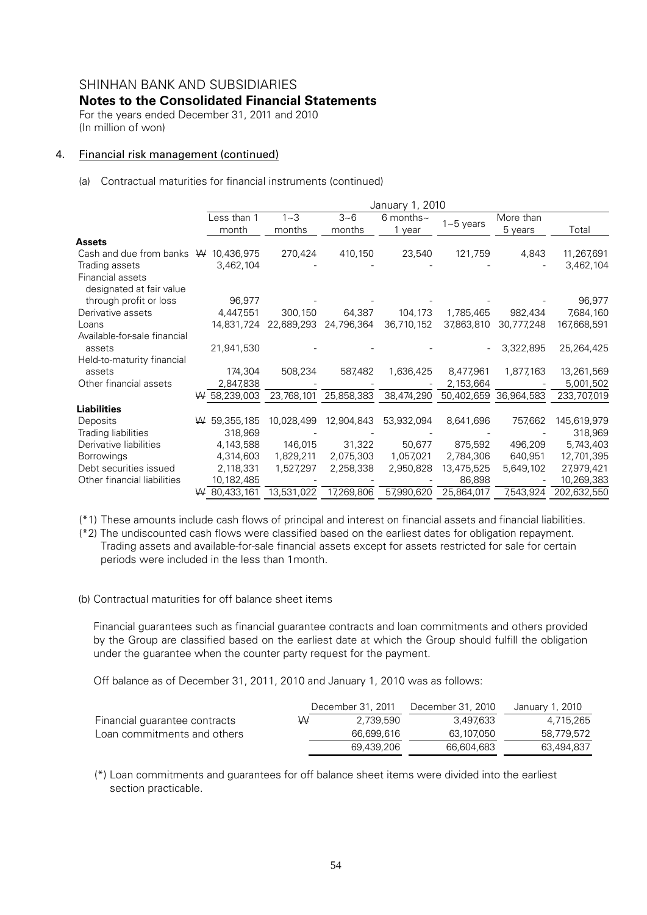# SHINHAN BANK AND SUBSIDIARIES

# **Notes to the Consolidated Financial Statements**

For the years ended December 31, 2011 and 2010 (In million of won)

### 4. Financial risk management (continued)

### (a) Contractual maturities for financial instruments (continued)

|                                              |                      |                   |                   | January 1, 2010           |               |                      |             |
|----------------------------------------------|----------------------|-------------------|-------------------|---------------------------|---------------|----------------------|-------------|
|                                              | Less than 1<br>month | $1 - 3$<br>months | $3 - 6$<br>months | 6 months $\sim$<br>1 year | $1 - 5$ years | More than<br>5 years | Total       |
| <b>Assets</b>                                |                      |                   |                   |                           |               |                      |             |
| Cash and due from banks $W$                  | 10,436,975           | 270,424           | 410,150           | 23,540                    | 121,759       | 4,843                | 11,267,691  |
| Trading assets                               | 3,462,104            |                   |                   |                           |               |                      | 3,462,104   |
| Financial assets<br>designated at fair value |                      |                   |                   |                           |               |                      |             |
| through profit or loss                       | 96,977               |                   |                   |                           |               |                      | 96,977      |
| Derivative assets                            | 4,447,551            | 300,150           | 64,387            | 104,173                   | 1,785,465     | 982,434              | 7,684,160   |
| Loans                                        | 14,831,724           | 22,689,293        | 24,796,364        | 36,710,152                | 37,863,810    | 30,777,248           | 167,668,591 |
| Available-for-sale financial                 |                      |                   |                   |                           |               |                      |             |
| assets                                       | 21,941,530           |                   |                   |                           |               | 3,322,895            | 25,264,425  |
| Held-to-maturity financial                   |                      |                   |                   |                           |               |                      |             |
| assets                                       | 174,304              | 508,234           | 587,482           | 1,636,425                 | 8,477,961     | 1,877,163            | 13,261,569  |
| Other financial assets                       | 2,847,838            |                   |                   |                           | 2,153,664     |                      | 5,001,502   |
|                                              | W 58,239,003         | 23,768,101        | 25,858,383        | 38,474,290                | 50,402,659    | 36,964,583           | 233,707,019 |
| Liabilities                                  |                      |                   |                   |                           |               |                      |             |
| Deposits                                     | 59,355,185<br>W.     | 10,028,499        | 12,904,843        | 53,932,094                | 8,641,696     | 757,662              | 145,619,979 |
| Trading liabilities                          | 318,969              |                   |                   |                           |               |                      | 318,969     |
| Derivative liabilities                       | 4,143,588            | 146,015           | 31,322            | 50,677                    | 875,592       | 496,209              | 5,743,403   |
| <b>Borrowings</b>                            | 4,314,603            | 1,829,211         | 2,075,303         | 1,057,021                 | 2,784,306     | 640,951              | 12,701,395  |
| Debt securities issued                       | 2,118,331            | 1,527,297         | 2,258,338         | 2,950,828                 | 13,475,525    | 5,649,102            | 27,979,421  |
| Other financial liabilities                  | 10,182,485           |                   |                   |                           | 86,898        |                      | 10,269,383  |
|                                              | 80,433,161<br>W      | 13,531,022        | 17,269,806        | 57,990,620                | 25,864,017    | 7,543,924            | 202,632,550 |

(\*1) These amounts include cash flows of principal and interest on financial assets and financial liabilities.

(\*2) The undiscounted cash flows were classified based on the earliest dates for obligation repayment. Trading assets and available-for-sale financial assets except for assets restricted for sale for certain periods were included in the less than 1month.

### (b) Contractual maturities for off balance sheet items

Financial guarantees such as financial guarantee contracts and loan commitments and others provided by the Group are classified based on the earliest date at which the Group should fulfill the obligation under the guarantee when the counter party request for the payment.

Off balance as of December 31, 2011, 2010 and January 1, 2010 was as follows:

|                               |   | December 31, 2011 | December 31, 2010 | January 1, 2010 |
|-------------------------------|---|-------------------|-------------------|-----------------|
| Financial guarantee contracts | ₩ | 2,739,590         | 3.497.633         | 4,715,265       |
| Loan commitments and others   |   | 66.699.616        | 63.107.050        | 58.779.572      |
|                               |   | 69.439.206        | 66.604.683        | 63.494.837      |

(\*) Loan commitments and guarantees for off balance sheet items were divided into the earliest section practicable.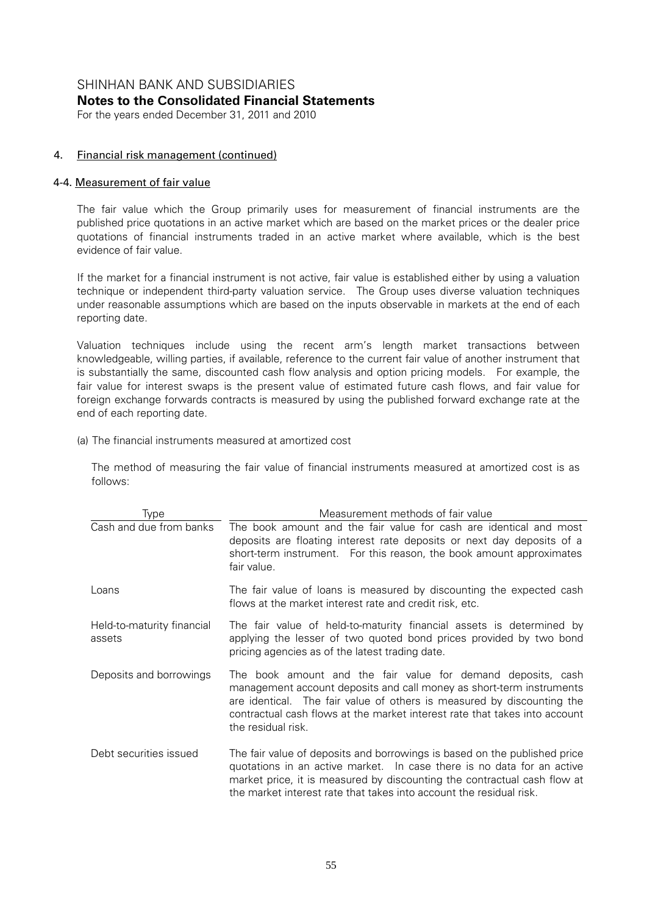For the years ended December 31, 2011 and 2010

### 4. Financial risk management (continued)

### 4-4. Measurement of fair value

The fair value which the Group primarily uses for measurement of financial instruments are the published price quotations in an active market which are based on the market prices or the dealer price quotations of financial instruments traded in an active market where available, which is the best evidence of fair value.

If the market for a financial instrument is not active, fair value is established either by using a valuation technique or independent third-party valuation service. The Group uses diverse valuation techniques under reasonable assumptions which are based on the inputs observable in markets at the end of each reporting date.

Valuation techniques include using the recent arm's length market transactions between knowledgeable, willing parties, if available, reference to the current fair value of another instrument that is substantially the same, discounted cash flow analysis and option pricing models. For example, the fair value for interest swaps is the present value of estimated future cash flows, and fair value for foreign exchange forwards contracts is measured by using the published forward exchange rate at the end of each reporting date.

(a) The financial instruments measured at amortized cost

The method of measuring the fair value of financial instruments measured at amortized cost is as follows:

| Type                                 | Measurement methods of fair value                                                                                                                                                                                                                                                                                  |
|--------------------------------------|--------------------------------------------------------------------------------------------------------------------------------------------------------------------------------------------------------------------------------------------------------------------------------------------------------------------|
| Cash and due from banks              | The book amount and the fair value for cash are identical and most<br>deposits are floating interest rate deposits or next day deposits of a<br>short-term instrument. For this reason, the book amount approximates<br>fair value.                                                                                |
| Loans                                | The fair value of loans is measured by discounting the expected cash<br>flows at the market interest rate and credit risk, etc.                                                                                                                                                                                    |
| Held-to-maturity financial<br>assets | The fair value of held-to-maturity financial assets is determined by<br>applying the lesser of two quoted bond prices provided by two bond<br>pricing agencies as of the latest trading date.                                                                                                                      |
| Deposits and borrowings              | The book amount and the fair value for demand deposits, cash<br>management account deposits and call money as short-term instruments<br>are identical. The fair value of others is measured by discounting the<br>contractual cash flows at the market interest rate that takes into account<br>the residual risk. |
| Debt securities issued               | The fair value of deposits and borrowings is based on the published price<br>quotations in an active market. In case there is no data for an active<br>market price, it is measured by discounting the contractual cash flow at<br>the market interest rate that takes into account the residual risk.             |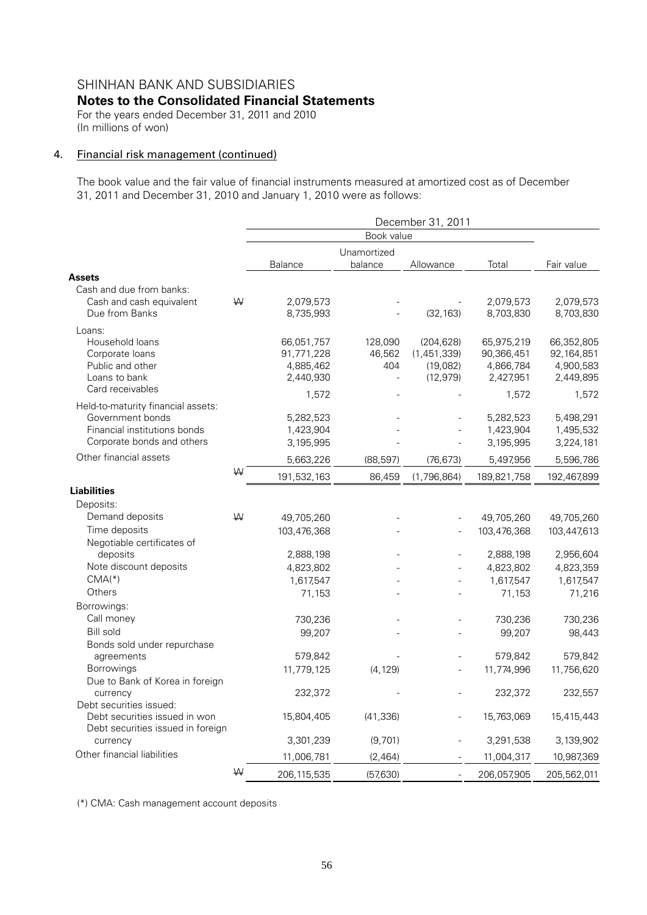For the years ended December 31, 2011 and 2010 (In millions of won)

## 4. Financial risk management (continued)

The book value and the fair value of financial instruments measured at amortized cost as of December 31, 2011 and December 31, 2010 and January 1, 2010 were as follows:

|                                                                                             |   | December 31, 2011                                           |                          |                                                    |                                                             |                                                             |  |  |  |
|---------------------------------------------------------------------------------------------|---|-------------------------------------------------------------|--------------------------|----------------------------------------------------|-------------------------------------------------------------|-------------------------------------------------------------|--|--|--|
|                                                                                             |   |                                                             | Book value               |                                                    |                                                             |                                                             |  |  |  |
|                                                                                             |   |                                                             | Unamortized              |                                                    |                                                             |                                                             |  |  |  |
|                                                                                             |   | <b>Balance</b>                                              | balance                  | Allowance                                          | Total                                                       | Fair value                                                  |  |  |  |
| Assets                                                                                      |   |                                                             |                          |                                                    |                                                             |                                                             |  |  |  |
| Cash and due from banks:<br>Cash and cash equivalent<br>Due from Banks                      | W | 2,079,573<br>8,735,993                                      |                          | (32, 163)                                          | 2,079,573<br>8,703,830                                      | 2,079,573<br>8,703,830                                      |  |  |  |
| Loans:                                                                                      |   |                                                             |                          |                                                    |                                                             |                                                             |  |  |  |
| Household loans<br>Corporate loans<br>Public and other<br>Loans to bank<br>Card receivables |   | 66,051,757<br>91,771,228<br>4,885,462<br>2,440,930<br>1,572 | 128,090<br>46,562<br>404 | (204, 628)<br>(1,451,339)<br>(19,082)<br>(12, 979) | 65,975,219<br>90,366,451<br>4,866,784<br>2,427,951<br>1,572 | 66,352,805<br>92,164,851<br>4,900,583<br>2,449,895<br>1,572 |  |  |  |
| Held-to-maturity financial assets:                                                          |   |                                                             |                          |                                                    |                                                             |                                                             |  |  |  |
| Government bonds<br>Financial institutions bonds<br>Corporate bonds and others              |   | 5,282,523<br>1,423,904<br>3,195,995                         |                          |                                                    | 5,282,523<br>1,423,904<br>3,195,995                         | 5,498,291<br>1,495,532<br>3,224,181                         |  |  |  |
| Other financial assets                                                                      |   | 5,663,226                                                   | (88, 597)                | (76, 673)                                          | 5,497,956                                                   | 5,596,786                                                   |  |  |  |
|                                                                                             | W |                                                             | 86,459                   | (1,796,864)                                        |                                                             |                                                             |  |  |  |
| <b>Liabilities</b>                                                                          |   | 191,532,163                                                 |                          |                                                    | 189,821,758                                                 | 192,467,899                                                 |  |  |  |
| Deposits:                                                                                   |   |                                                             |                          |                                                    |                                                             |                                                             |  |  |  |
| Demand deposits                                                                             | W | 49,705,260                                                  |                          |                                                    | 49,705,260                                                  | 49,705,260                                                  |  |  |  |
| Time deposits                                                                               |   | 103,476,368                                                 |                          |                                                    | 103,476,368                                                 | 103,447,613                                                 |  |  |  |
| Negotiable certificates of                                                                  |   |                                                             |                          |                                                    |                                                             |                                                             |  |  |  |
| deposits                                                                                    |   | 2,888,198                                                   |                          |                                                    | 2,888,198                                                   | 2,956,604                                                   |  |  |  |
| Note discount deposits                                                                      |   | 4,823,802                                                   |                          |                                                    | 4,823,802                                                   | 4,823,359                                                   |  |  |  |
| $CMA(*)$                                                                                    |   | 1,617,547                                                   |                          | ÷.                                                 | 1,617,547                                                   | 1,617,547                                                   |  |  |  |
| Others                                                                                      |   | 71,153                                                      |                          |                                                    | 71,153                                                      | 71,216                                                      |  |  |  |
| Borrowings:                                                                                 |   |                                                             |                          |                                                    |                                                             |                                                             |  |  |  |
| Call money                                                                                  |   | 730,236                                                     |                          |                                                    | 730,236                                                     | 730,236                                                     |  |  |  |
| <b>Bill sold</b>                                                                            |   | 99,207                                                      |                          |                                                    | 99,207                                                      | 98,443                                                      |  |  |  |
| Bonds sold under repurchase                                                                 |   |                                                             |                          |                                                    |                                                             |                                                             |  |  |  |
| agreements                                                                                  |   | 579,842                                                     |                          |                                                    | 579,842                                                     | 579,842                                                     |  |  |  |
| <b>Borrowings</b>                                                                           |   | 11,779,125                                                  | (4, 129)                 |                                                    | 11,774,996                                                  | 11,756,620                                                  |  |  |  |
| Due to Bank of Korea in foreign                                                             |   |                                                             |                          |                                                    |                                                             |                                                             |  |  |  |
| currency                                                                                    |   | 232,372                                                     |                          |                                                    | 232,372                                                     | 232,557                                                     |  |  |  |
| Debt securities issued:                                                                     |   |                                                             |                          |                                                    |                                                             |                                                             |  |  |  |
| Debt securities issued in won<br>Debt securities issued in foreign                          |   | 15,804,405                                                  | (41, 336)                |                                                    | 15,763,069                                                  | 15,415,443                                                  |  |  |  |
| currency                                                                                    |   | 3,301,239                                                   | (9,701)                  |                                                    | 3,291,538                                                   | 3,139,902                                                   |  |  |  |
| Other financial liabilities                                                                 |   |                                                             |                          |                                                    |                                                             |                                                             |  |  |  |
|                                                                                             |   | 11,006,781                                                  | (2, 464)                 |                                                    | 11,004,317                                                  | 10,987,369                                                  |  |  |  |
|                                                                                             | W | 206, 115, 535                                               | (57,630)                 |                                                    | 206,057,905                                                 | 205,562,011                                                 |  |  |  |

(\*) CMA: Cash management account deposits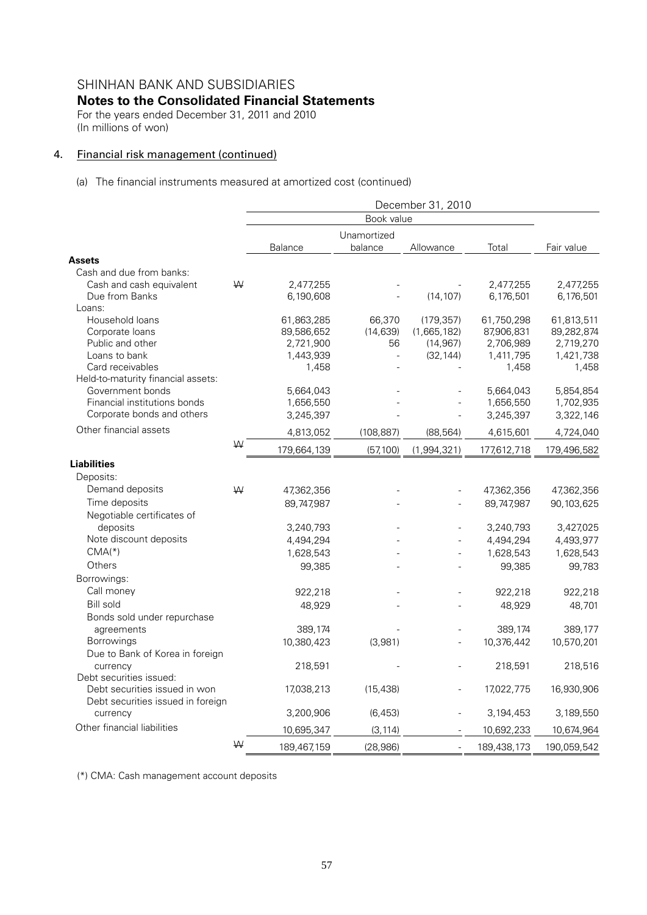For the years ended December 31, 2011 and 2010 (In millions of won)

## 4. Financial risk management (continued)

### (a) The financial instruments measured at amortized cost (continued)

|                                                                    |   | December 31, 2010        |                     |                           |                          |             |  |  |  |  |
|--------------------------------------------------------------------|---|--------------------------|---------------------|---------------------------|--------------------------|-------------|--|--|--|--|
|                                                                    |   |                          | Book value          |                           |                          |             |  |  |  |  |
|                                                                    |   |                          | Unamortized         |                           |                          |             |  |  |  |  |
|                                                                    |   | <b>Balance</b>           | balance             | Allowance                 | Total                    | Fair value  |  |  |  |  |
| <b>Assets</b>                                                      |   |                          |                     |                           |                          |             |  |  |  |  |
| Cash and due from banks:                                           |   |                          |                     |                           |                          |             |  |  |  |  |
| Cash and cash equivalent                                           | W | 2,477,255                |                     |                           | 2,477,255                | 2,477,255   |  |  |  |  |
| Due from Banks                                                     |   | 6,190,608                |                     | (14, 107)                 | 6,176,501                | 6,176,501   |  |  |  |  |
| Loans:<br>Household loans                                          |   |                          |                     |                           |                          | 61,813,511  |  |  |  |  |
| Corporate loans                                                    |   | 61,863,285<br>89,586,652 | 66,370<br>(14, 639) | (179, 357)<br>(1,665,182) | 61,750,298<br>87,906,831 | 89,282,874  |  |  |  |  |
| Public and other                                                   |   | 2,721,900                | 56                  | (14, 967)                 | 2,706,989                | 2,719,270   |  |  |  |  |
| Loans to bank                                                      |   | 1,443,939                | $\equiv$            | (32, 144)                 | 1,411,795                | 1,421,738   |  |  |  |  |
| Card receivables                                                   |   | 1,458                    |                     |                           | 1,458                    | 1,458       |  |  |  |  |
| Held-to-maturity financial assets:                                 |   |                          |                     |                           |                          |             |  |  |  |  |
| Government bonds                                                   |   | 5,664,043                |                     |                           | 5,664,043                | 5,854,854   |  |  |  |  |
| Financial institutions bonds                                       |   | 1,656,550                |                     |                           | 1,656,550                | 1,702,935   |  |  |  |  |
| Corporate bonds and others                                         |   | 3,245,397                |                     |                           | 3,245,397                | 3,322,146   |  |  |  |  |
| Other financial assets                                             |   | 4,813,052                | (108, 887)          | (88, 564)                 | 4,615,601                | 4,724,040   |  |  |  |  |
|                                                                    | W | 179,664,139              | (57, 100)           | (1,994,321)               | 177,612,718              | 179,496,582 |  |  |  |  |
| <b>Liabilities</b>                                                 |   |                          |                     |                           |                          |             |  |  |  |  |
| Deposits:                                                          |   |                          |                     |                           |                          |             |  |  |  |  |
| Demand deposits                                                    | W | 47,362,356               |                     |                           | 47,362,356               | 47,362,356  |  |  |  |  |
| Time deposits                                                      |   | 89,747,987               |                     |                           | 89,747,987               | 90,103,625  |  |  |  |  |
| Negotiable certificates of                                         |   |                          |                     |                           |                          |             |  |  |  |  |
| deposits                                                           |   | 3,240,793                |                     |                           | 3,240,793                | 3,427,025   |  |  |  |  |
| Note discount deposits                                             |   | 4,494,294                |                     |                           | 4,494,294                | 4,493,977   |  |  |  |  |
| $CMA(*)$                                                           |   | 1,628,543                |                     |                           | 1,628,543                | 1,628,543   |  |  |  |  |
| Others                                                             |   | 99,385                   |                     |                           | 99,385                   | 99,783      |  |  |  |  |
| Borrowings:                                                        |   |                          |                     |                           |                          |             |  |  |  |  |
| Call money                                                         |   | 922,218                  |                     |                           | 922,218                  | 922,218     |  |  |  |  |
| <b>Bill sold</b>                                                   |   | 48,929                   |                     |                           | 48,929                   | 48,701      |  |  |  |  |
| Bonds sold under repurchase                                        |   |                          |                     |                           |                          |             |  |  |  |  |
| agreements                                                         |   | 389,174                  |                     |                           | 389,174                  | 389,177     |  |  |  |  |
| Borrowings                                                         |   | 10,380,423               | (3,981)             |                           | 10,376,442               | 10,570,201  |  |  |  |  |
| Due to Bank of Korea in foreign                                    |   |                          |                     |                           |                          |             |  |  |  |  |
| currency                                                           |   | 218,591                  |                     |                           | 218,591                  | 218,516     |  |  |  |  |
| Debt securities issued:                                            |   |                          |                     |                           |                          |             |  |  |  |  |
| Debt securities issued in won<br>Debt securities issued in foreign |   | 17,038,213               | (15, 438)           |                           | 17,022,775               | 16,930,906  |  |  |  |  |
| currency                                                           |   | 3,200,906                | (6, 453)            |                           | 3,194,453                | 3,189,550   |  |  |  |  |
| Other financial liabilities                                        |   | 10,695,347               | (3, 114)            |                           | 10,692,233               | 10,674,964  |  |  |  |  |
|                                                                    | W |                          |                     |                           |                          |             |  |  |  |  |
|                                                                    |   | 189,467,159              | (28, 986)           |                           | 189,438,173              | 190,059,542 |  |  |  |  |

(\*) CMA: Cash management account deposits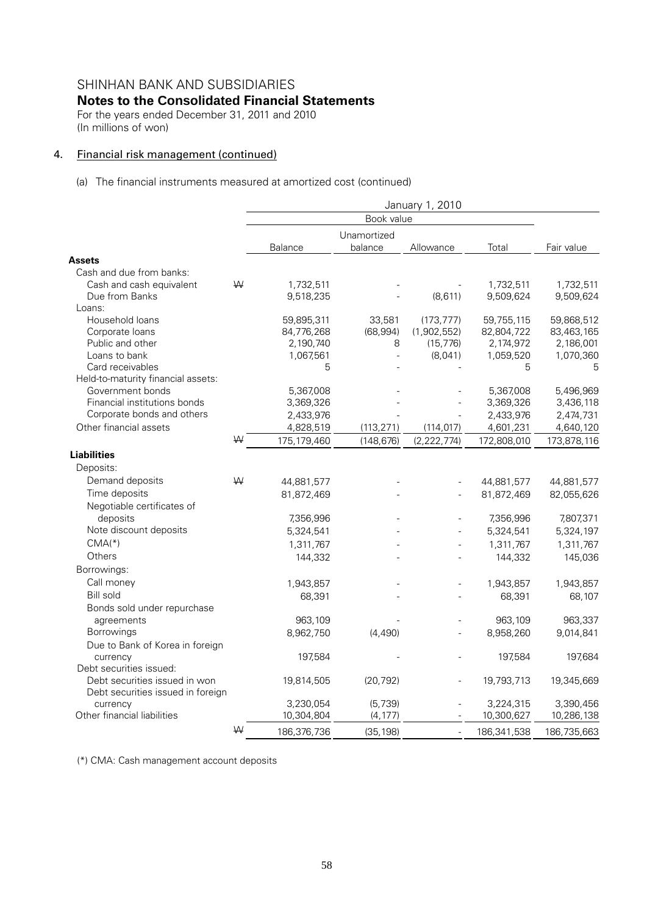# SHINHAN BANK AND SUBSIDIARIES

# **Notes to the Consolidated Financial Statements**

For the years ended December 31, 2011 and 2010 (In millions of won)

## 4. Financial risk management (continued)

### (a) The financial instruments measured at amortized cost (continued)

|                                                  |   |                |             | January 1, 2010 |             |             |
|--------------------------------------------------|---|----------------|-------------|-----------------|-------------|-------------|
|                                                  |   |                | Book value  |                 |             |             |
|                                                  |   |                | Unamortized |                 |             |             |
|                                                  |   | <b>Balance</b> | balance     | Allowance       | Total       | Fair value  |
| <b>Assets</b>                                    |   |                |             |                 |             |             |
| Cash and due from banks:                         |   |                |             |                 |             |             |
| Cash and cash equivalent                         | W | 1,732,511      |             |                 | 1,732,511   | 1,732,511   |
| Due from Banks                                   |   | 9,518,235      |             | (8,611)         | 9,509,624   | 9,509,624   |
| Loans:                                           |   |                |             |                 |             |             |
| Household loans                                  |   | 59,895,311     | 33,581      | (173, 777)      | 59,755,115  | 59,868,512  |
| Corporate loans                                  |   | 84,776,268     | (68, 994)   | (1,902,552)     | 82,804,722  | 83,463,165  |
| Public and other                                 |   | 2,190,740      | 8           | (15, 776)       | 2,174,972   | 2,186,001   |
| Loans to bank                                    |   | 1,067,561      |             | (8,041)         | 1,059,520   | 1,070,360   |
| Card receivables                                 |   | 5              |             |                 | 5           | 5           |
| Held-to-maturity financial assets:               |   |                |             |                 |             |             |
| Government bonds<br>Financial institutions bonds |   | 5,367,008      |             |                 | 5,367,008   | 5,496,969   |
| Corporate bonds and others                       |   | 3,369,326      |             |                 | 3,369,326   | 3,436,118   |
| Other financial assets                           |   | 2,433,976      |             |                 | 2,433,976   | 2,474,731   |
|                                                  | W | 4,828,519      | (113, 271)  | (114, 017)      | 4,601,231   | 4,640,120   |
|                                                  |   | 175, 179, 460  | (148, 676)  | (2, 222, 774)   | 172,808,010 | 173,878,116 |
| <b>Liabilities</b>                               |   |                |             |                 |             |             |
| Deposits:                                        |   |                |             |                 |             |             |
| Demand deposits                                  | W | 44,881,577     |             |                 | 44,881,577  | 44,881,577  |
| Time deposits                                    |   | 81,872,469     |             |                 | 81,872,469  | 82,055,626  |
| Negotiable certificates of                       |   |                |             |                 |             |             |
| deposits                                         |   | 7,356,996      |             |                 | 7,356,996   | 7,807,371   |
| Note discount deposits                           |   | 5,324,541      |             |                 | 5,324,541   | 5,324,197   |
| $CMA(*)$                                         |   | 1,311,767      |             |                 | 1,311,767   | 1,311,767   |
| Others                                           |   | 144,332        |             |                 | 144,332     | 145,036     |
| Borrowings:                                      |   |                |             |                 |             |             |
| Call money                                       |   | 1,943,857      |             |                 | 1,943,857   | 1,943,857   |
| <b>Bill sold</b>                                 |   | 68,391         |             |                 | 68,391      | 68,107      |
| Bonds sold under repurchase                      |   |                |             |                 |             |             |
| agreements                                       |   | 963,109        |             |                 | 963,109     | 963,337     |
| <b>Borrowings</b>                                |   | 8,962,750      | (4, 490)    |                 | 8,958,260   | 9,014,841   |
| Due to Bank of Korea in foreign                  |   |                |             |                 |             |             |
| currency                                         |   | 197,584        |             |                 | 197,584     | 197,684     |
| Debt securities issued:                          |   |                |             |                 |             |             |
| Debt securities issued in won                    |   | 19,814,505     | (20, 792)   |                 | 19,793,713  | 19,345,669  |
| Debt securities issued in foreign                |   |                |             |                 |             |             |
| currency                                         |   | 3,230,054      | (5,739)     |                 | 3,224,315   | 3,390,456   |
| Other financial liabilities                      |   | 10,304,804     | (4, 177)    |                 | 10,300,627  | 10,286,138  |
|                                                  | W | 186,376,736    | (35, 198)   | $\overline{a}$  | 186,341,538 | 186,735,663 |

(\*) CMA: Cash management account deposits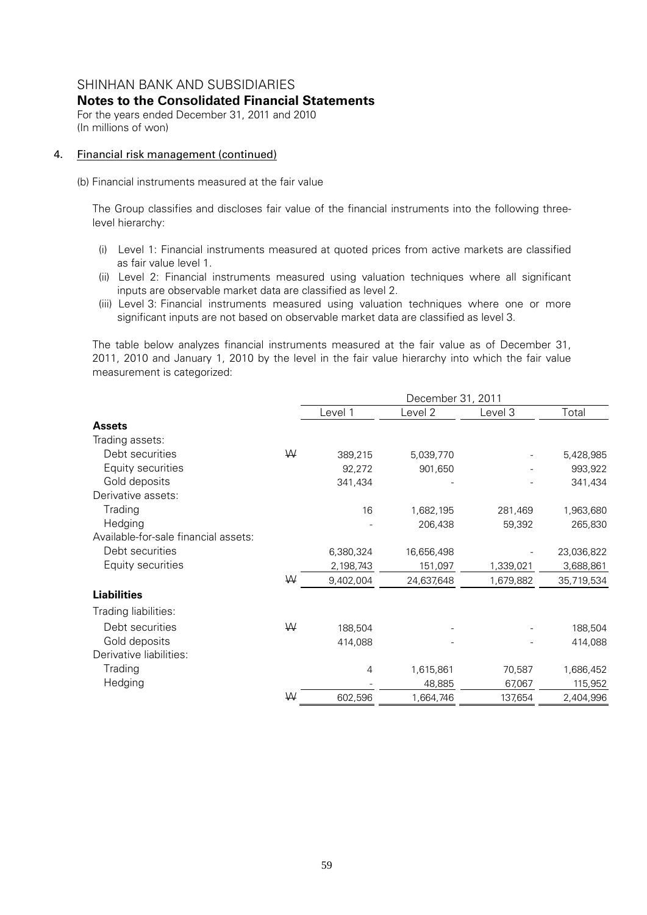For the years ended December 31, 2011 and 2010 (In millions of won)

### 4. Financial risk management (continued)

(b) Financial instruments measured at the fair value

The Group classifies and discloses fair value of the financial instruments into the following threelevel hierarchy:

- (i) Level 1: Financial instruments measured at quoted prices from active markets are classified as fair value level 1.
- (ii) Level 2: Financial instruments measured using valuation techniques where all significant inputs are observable market data are classified as level 2.
- (iii) Level 3: Financial instruments measured using valuation techniques where one or more significant inputs are not based on observable market data are classified as level 3.

The table below analyzes financial instruments measured at the fair value as of December 31, 2011, 2010 and January 1, 2010 by the level in the fair value hierarchy into which the fair value measurement is categorized:

|                                      |   |                | December 31, 2011 |           |            |
|--------------------------------------|---|----------------|-------------------|-----------|------------|
|                                      |   | Level 1        | Level 2           | Level 3   | Total      |
| <b>Assets</b>                        |   |                |                   |           |            |
| Trading assets:                      |   |                |                   |           |            |
| Debt securities                      | W | 389,215        | 5,039,770         |           | 5,428,985  |
| Equity securities                    |   | 92,272         | 901,650           |           | 993,922    |
| Gold deposits                        |   | 341,434        |                   |           | 341,434    |
| Derivative assets:                   |   |                |                   |           |            |
| Trading                              |   | 16             | 1,682,195         | 281,469   | 1,963,680  |
| Hedging                              |   |                | 206,438           | 59,392    | 265,830    |
| Available-for-sale financial assets: |   |                |                   |           |            |
| Debt securities                      |   | 6,380,324      | 16,656,498        |           | 23,036,822 |
| Equity securities                    |   | 2,198,743      | 151,097           | 1,339,021 | 3,688,861  |
|                                      | W | 9,402,004      | 24,637,648        | 1,679,882 | 35,719,534 |
| <b>Liabilities</b>                   |   |                |                   |           |            |
| Trading liabilities:                 |   |                |                   |           |            |
| Debt securities                      | W | 188,504        |                   |           | 188,504    |
| Gold deposits                        |   | 414,088        |                   |           | 414,088    |
| Derivative liabilities:              |   |                |                   |           |            |
| Trading                              |   | $\overline{4}$ | 1,615,861         | 70,587    | 1,686,452  |
| Hedging                              |   |                | 48,885            | 67,067    | 115,952    |
|                                      | W | 602,596        | 1,664,746         | 137,654   | 2,404,996  |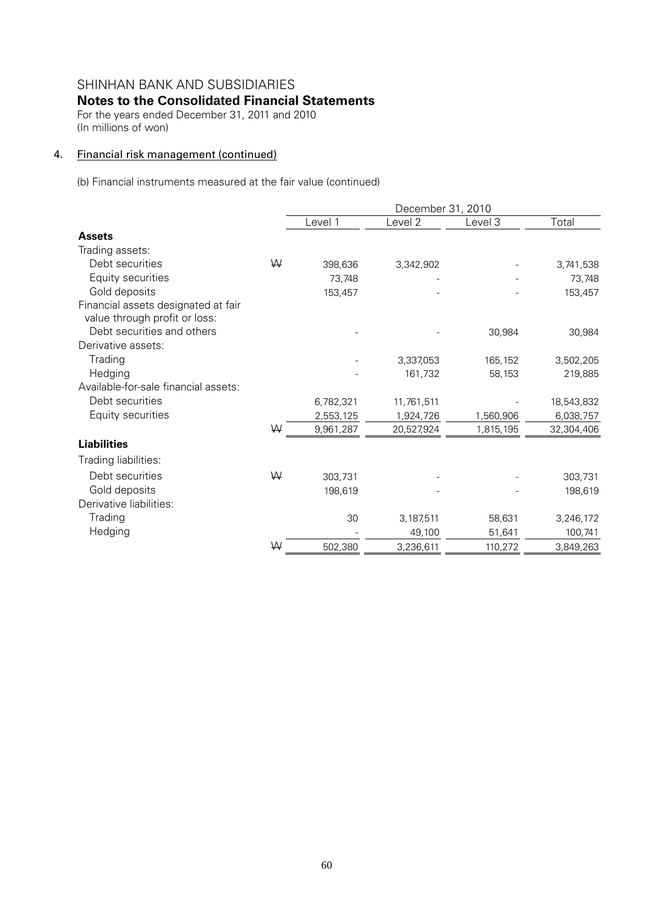# SHINHAN BANK AND SUBSIDIARIES

# **Notes to the Consolidated Financial Statements**

For the years ended December 31, 2011 and 2010 (In millions of won)

# 4. Financial risk management (continued)

(b) Financial instruments measured at the fair value (continued)

|                                                                      |   | December 31, 2010 |            |           |            |  |  |
|----------------------------------------------------------------------|---|-------------------|------------|-----------|------------|--|--|
|                                                                      |   | Level 1           | Level 2    | Level 3   | Total      |  |  |
| <b>Assets</b>                                                        |   |                   |            |           |            |  |  |
| Trading assets:                                                      |   |                   |            |           |            |  |  |
| Debt securities                                                      | W | 398,636           | 3,342,902  |           | 3,741,538  |  |  |
| Equity securities                                                    |   | 73,748            |            |           | 73,748     |  |  |
| Gold deposits                                                        |   | 153,457           |            |           | 153,457    |  |  |
| Financial assets designated at fair<br>value through profit or loss: |   |                   |            |           |            |  |  |
| Debt securities and others                                           |   |                   |            | 30,984    | 30,984     |  |  |
| Derivative assets:                                                   |   |                   |            |           |            |  |  |
| Trading                                                              |   |                   | 3,337,053  | 165,152   | 3,502,205  |  |  |
| Hedging                                                              |   |                   | 161,732    | 58,153    | 219,885    |  |  |
| Available-for-sale financial assets:                                 |   |                   |            |           |            |  |  |
| Debt securities                                                      |   | 6,782,321         | 11,761,511 |           | 18,543,832 |  |  |
| Equity securities                                                    |   | 2,553,125         | 1,924,726  | 1,560,906 | 6,038,757  |  |  |
|                                                                      | W | 9,961,287         | 20,527,924 | 1,815,195 | 32,304,406 |  |  |
| <b>Liabilities</b>                                                   |   |                   |            |           |            |  |  |
| Trading liabilities:                                                 |   |                   |            |           |            |  |  |
| Debt securities                                                      | W | 303,731           |            |           | 303,731    |  |  |
| Gold deposits                                                        |   | 198,619           |            |           | 198,619    |  |  |
| Derivative liabilities:                                              |   |                   |            |           |            |  |  |
| Trading                                                              |   | 30                | 3,187,511  | 58,631    | 3,246,172  |  |  |
| Hedging                                                              |   |                   | 49,100     | 51,641    | 100,741    |  |  |
|                                                                      | W | 502,380           | 3,236,611  | 110,272   | 3,849,263  |  |  |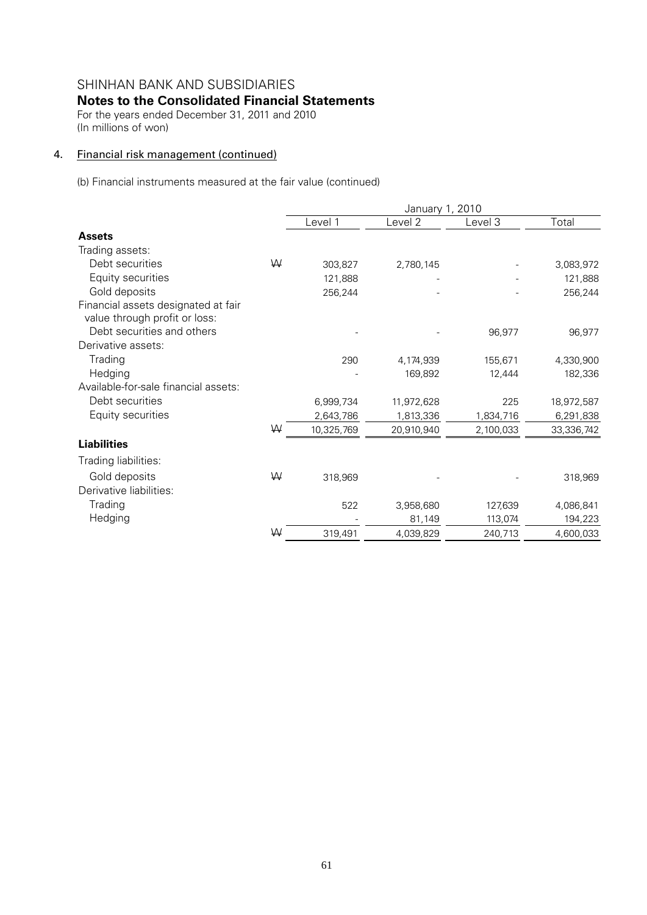# SHINHAN BANK AND SUBSIDIARIES

# **Notes to the Consolidated Financial Statements**

For the years ended December 31, 2011 and 2010 (In millions of won)

# 4. Financial risk management (continued)

(b) Financial instruments measured at the fair value (continued)

|   | January 1, 2010 |            |           |            |  |  |
|---|-----------------|------------|-----------|------------|--|--|
|   | Level 1         | Level 2    | Level 3   | Total      |  |  |
|   |                 |            |           |            |  |  |
|   |                 |            |           |            |  |  |
| W | 303,827         | 2,780,145  |           | 3,083,972  |  |  |
|   | 121,888         |            |           | 121,888    |  |  |
|   | 256,244         |            |           | 256,244    |  |  |
|   |                 |            |           |            |  |  |
|   |                 |            |           |            |  |  |
|   |                 |            | 96,977    | 96,977     |  |  |
|   |                 |            |           |            |  |  |
|   | 290             | 4,174,939  | 155,671   | 4,330,900  |  |  |
|   |                 | 169,892    | 12,444    | 182,336    |  |  |
|   |                 |            |           |            |  |  |
|   | 6,999,734       | 11,972,628 | 225       | 18,972,587 |  |  |
|   | 2,643,786       | 1,813,336  | 1,834,716 | 6,291,838  |  |  |
| ₩ | 10,325,769      | 20,910,940 | 2,100,033 | 33,336,742 |  |  |
|   |                 |            |           |            |  |  |
|   |                 |            |           |            |  |  |
| W |                 |            |           | 318,969    |  |  |
|   |                 |            |           |            |  |  |
|   | 522             | 3,958,680  | 127,639   | 4,086,841  |  |  |
|   |                 | 81,149     | 113,074   | 194,223    |  |  |
| W | 319,491         | 4,039,829  | 240,713   | 4,600,033  |  |  |
|   |                 | 318,969    |           |            |  |  |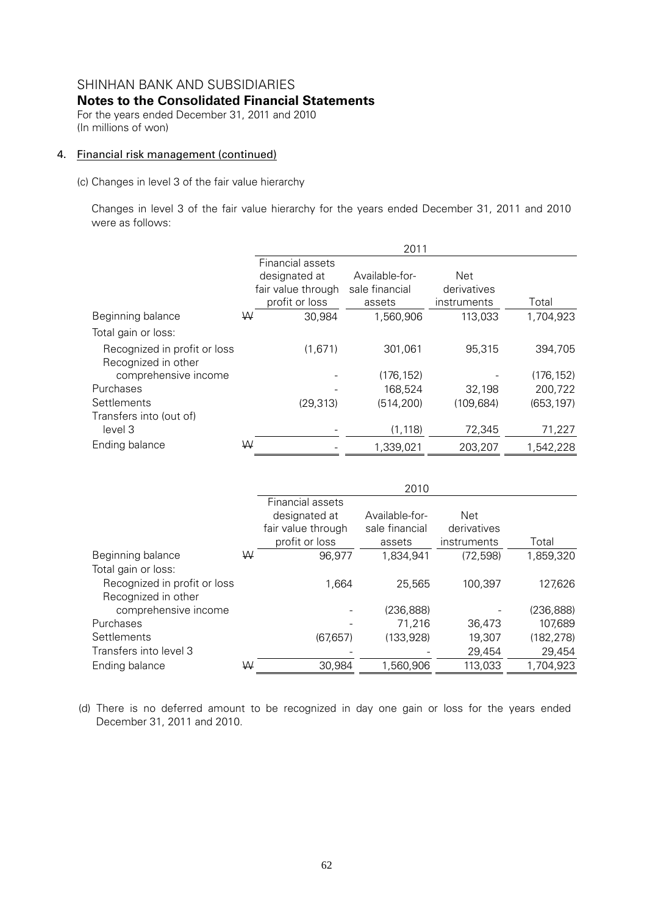(In millions of won)

## 4. Financial risk management (continued)

(c) Changes in level 3 of the fair value hierarchy

Changes in level 3 of the fair value hierarchy for the years ended December 31, 2011 and 2010 were as follows:

|                                                     |   |                                                                           | 2011                                       |                                          |            |
|-----------------------------------------------------|---|---------------------------------------------------------------------------|--------------------------------------------|------------------------------------------|------------|
|                                                     |   | Financial assets<br>designated at<br>fair value through<br>profit or loss | Available-for-<br>sale financial<br>assets | <b>Net</b><br>derivatives<br>instruments | Total      |
| Beginning balance                                   | W | 30,984                                                                    | 1,560,906                                  | 113,033                                  | 1,704,923  |
| Total gain or loss:                                 |   |                                                                           |                                            |                                          |            |
| Recognized in profit or loss<br>Recognized in other |   | (1,671)                                                                   | 301,061                                    | 95,315                                   | 394,705    |
| comprehensive income                                |   |                                                                           | (176, 152)                                 |                                          | (176, 152) |
| Purchases                                           |   |                                                                           | 168,524                                    | 32,198                                   | 200,722    |
| Settlements                                         |   | (29, 313)                                                                 | (514, 200)                                 | (109, 684)                               | (653, 197) |
| Transfers into (out of)                             |   |                                                                           |                                            |                                          |            |
| level 3                                             |   |                                                                           | (1, 118)                                   | 72,345                                   | 71,227     |
| Ending balance                                      | ₩ |                                                                           | 1,339,021                                  | 203,207                                  | 1,542,228  |

|                              |   |                                                                           | 2010                                       |                                          |            |
|------------------------------|---|---------------------------------------------------------------------------|--------------------------------------------|------------------------------------------|------------|
|                              |   | Financial assets<br>designated at<br>fair value through<br>profit or loss | Available-for-<br>sale financial<br>assets | <b>Net</b><br>derivatives<br>instruments | Total      |
| Beginning balance            | ₩ | 96,977                                                                    | 1,834,941                                  | (72, 598)                                | 1,859,320  |
| Total gain or loss:          |   |                                                                           |                                            |                                          |            |
| Recognized in profit or loss |   | 1,664                                                                     | 25,565                                     | 100,397                                  | 127,626    |
| Recognized in other          |   |                                                                           |                                            |                                          |            |
| comprehensive income         |   |                                                                           | (236, 888)                                 |                                          | (236, 888) |
| Purchases                    |   |                                                                           | 71,216                                     | 36,473                                   | 107,689    |
| Settlements                  |   | (67, 657)                                                                 | (133, 928)                                 | 19,307                                   | (182, 278) |
| Transfers into level 3       |   |                                                                           |                                            | 29,454                                   | 29,454     |
| Ending balance               | W | 30,984                                                                    | 1,560,906                                  | 113,033                                  | 1,704,923  |

(d) There is no deferred amount to be recognized in day one gain or loss for the years ended December 31, 2011 and 2010.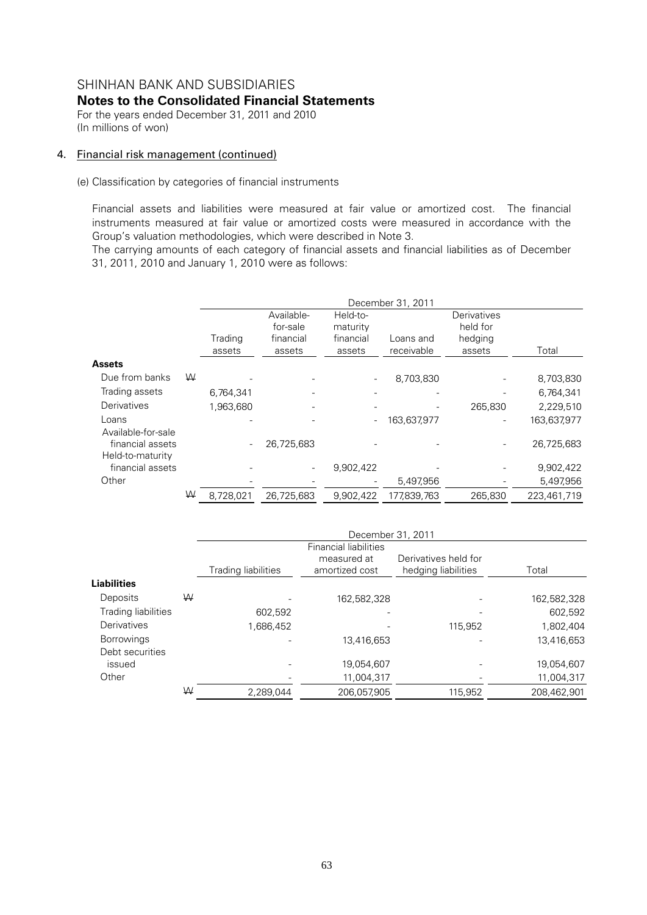(In millions of won)

## 4. Financial risk management (continued)

### (e) Classification by categories of financial instruments

Financial assets and liabilities were measured at fair value or amortized cost. The financial instruments measured at fair value or amortized costs were measured in accordance with the Group's valuation methodologies, which were described in Note 3.

The carrying amounts of each category of financial assets and financial liabilities as of December 31, 2011, 2010 and January 1, 2010 were as follows:

|                                      |   |                   |                                               |                                             | December 31, 2011       |                                                     |             |
|--------------------------------------|---|-------------------|-----------------------------------------------|---------------------------------------------|-------------------------|-----------------------------------------------------|-------------|
|                                      |   | Trading<br>assets | Available-<br>for-sale<br>financial<br>assets | Held-to-<br>maturity<br>financial<br>assets | Loans and<br>receivable | <b>Derivatives</b><br>held for<br>hedging<br>assets | Total       |
| <b>Assets</b>                        |   |                   |                                               |                                             |                         |                                                     |             |
| Due from banks                       | W |                   |                                               |                                             | 8,703,830               |                                                     | 8,703,830   |
| Trading assets                       |   | 6,764,341         |                                               |                                             |                         |                                                     | 6,764,341   |
| Derivatives                          |   | 1,963,680         |                                               |                                             |                         | 265,830                                             | 2,229,510   |
| Loans<br>Available-for-sale          |   |                   |                                               |                                             | 163,637,977             |                                                     | 163,637,977 |
| financial assets<br>Held-to-maturity |   |                   | 26,725,683                                    |                                             |                         |                                                     | 26,725,683  |
| financial assets                     |   |                   |                                               | 9,902,422                                   |                         |                                                     | 9,902,422   |
| Other                                |   |                   |                                               |                                             | 5,497,956               |                                                     | 5,497,956   |
|                                      | W | 8.728.021         | 26.725.683                                    | 9.902.422                                   | 177.839.763             | 265.830                                             | 223.461.719 |

|                     |   | December 31, 2011   |                              |                      |             |  |  |  |  |
|---------------------|---|---------------------|------------------------------|----------------------|-------------|--|--|--|--|
|                     |   |                     | <b>Financial liabilities</b> |                      |             |  |  |  |  |
|                     |   |                     | measured at                  | Derivatives held for |             |  |  |  |  |
|                     |   | Trading liabilities | amortized cost               | hedging liabilities  | Total       |  |  |  |  |
| Liabilities         |   |                     |                              |                      |             |  |  |  |  |
| Deposits            | W |                     | 162,582,328                  |                      | 162,582,328 |  |  |  |  |
| Trading liabilities |   | 602,592             |                              |                      | 602,592     |  |  |  |  |
| Derivatives         |   | 1,686,452           |                              | 115.952              | 1,802,404   |  |  |  |  |
| <b>Borrowings</b>   |   |                     | 13,416,653                   |                      | 13,416,653  |  |  |  |  |
| Debt securities     |   |                     |                              |                      |             |  |  |  |  |
| issued              |   |                     | 19,054,607                   |                      | 19,054,607  |  |  |  |  |
| Other               |   |                     | 11,004,317                   |                      | 11,004,317  |  |  |  |  |
|                     | W | 2,289,044           | 206,057,905                  | 115,952              | 208,462,901 |  |  |  |  |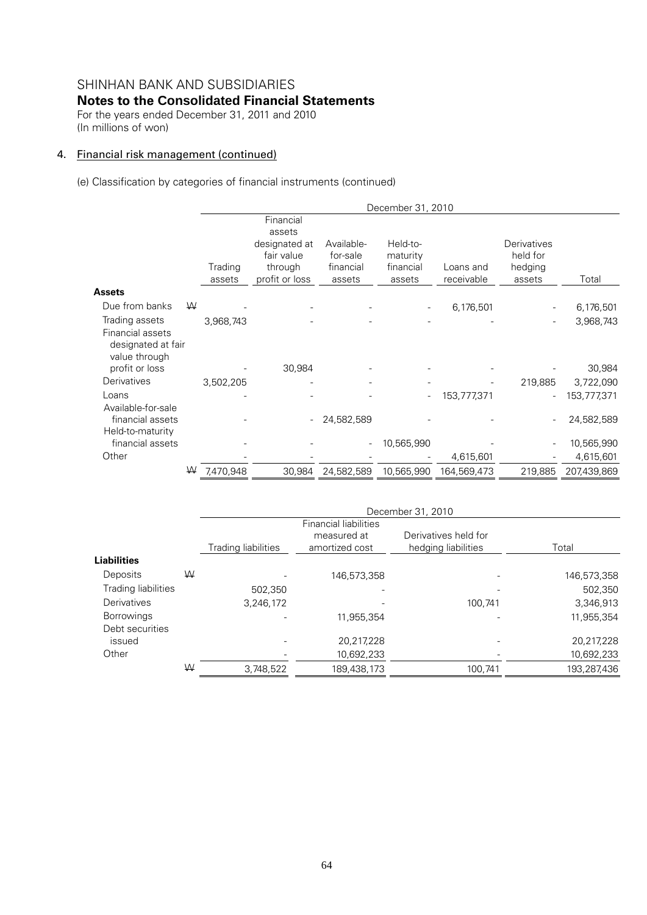For the years ended December 31, 2011 and 2010 (In millions of won)

# 4. Financial risk management (continued)

(e) Classification by categories of financial instruments (continued)

|                                                         |   |                   |                             |                        | December 31, 2010    |                         |                          |             |
|---------------------------------------------------------|---|-------------------|-----------------------------|------------------------|----------------------|-------------------------|--------------------------|-------------|
|                                                         |   |                   | Financial<br>assets         |                        |                      |                         |                          |             |
|                                                         |   |                   | designated at<br>fair value | Available-<br>for-sale | Held-to-<br>maturity |                         | Derivatives<br>held for  |             |
|                                                         |   | Trading<br>assets | through<br>profit or loss   | financial<br>assets    | financial<br>assets  | Loans and<br>receivable | hedging<br>assets        | Total       |
| <b>Assets</b>                                           |   |                   |                             |                        |                      |                         |                          |             |
| Due from banks                                          | W |                   |                             |                        |                      | 6,176,501               |                          | 6,176,501   |
| Trading assets                                          |   | 3,968,743         |                             |                        |                      |                         |                          | 3,968,743   |
| Financial assets<br>designated at fair<br>value through |   |                   |                             |                        |                      |                         |                          |             |
| profit or loss                                          |   |                   | 30,984                      |                        |                      |                         |                          | 30,984      |
| <b>Derivatives</b>                                      |   | 3,502,205         |                             |                        |                      |                         | 219,885                  | 3,722,090   |
| Loans<br>Available-for-sale                             |   |                   |                             |                        |                      | 153,777,371             | $\overline{\phantom{a}}$ | 153,777,371 |
| financial assets<br>Held-to-maturity                    |   |                   |                             | 24,582,589             |                      |                         |                          | 24,582,589  |
| financial assets                                        |   |                   |                             |                        | 10,565,990           |                         |                          | 10,565,990  |
| Other                                                   |   |                   |                             |                        |                      | 4,615,601               |                          | 4,615,601   |
|                                                         | ₩ | 7,470,948         | 30,984                      | 24,582,589             | 10,565,990           | 164,569,473             | 219,885                  | 207,439,869 |

|                     | December 31, 2010 |                     |                               |                                             |             |  |  |  |  |
|---------------------|-------------------|---------------------|-------------------------------|---------------------------------------------|-------------|--|--|--|--|
|                     |                   |                     | <b>Financial liabilities</b>  |                                             |             |  |  |  |  |
|                     |                   | Trading liabilities | measured at<br>amortized cost | Derivatives held for<br>hedging liabilities | Total       |  |  |  |  |
| <b>Liabilities</b>  |                   |                     |                               |                                             |             |  |  |  |  |
| Deposits            | W                 |                     | 146,573,358                   |                                             | 146,573,358 |  |  |  |  |
| Trading liabilities |                   | 502.350             |                               |                                             | 502,350     |  |  |  |  |
| <b>Derivatives</b>  |                   | 3,246,172           |                               | 100.741                                     | 3,346,913   |  |  |  |  |
| <b>Borrowings</b>   |                   |                     | 11,955,354                    |                                             | 11,955,354  |  |  |  |  |
| Debt securities     |                   |                     |                               |                                             |             |  |  |  |  |
| issued              |                   |                     | 20,217,228                    |                                             | 20,217,228  |  |  |  |  |
| Other               |                   |                     | 10,692,233                    |                                             | 10,692,233  |  |  |  |  |
|                     | W                 | 3.748.522           | 189.438.173                   | 100.741                                     | 193,287,436 |  |  |  |  |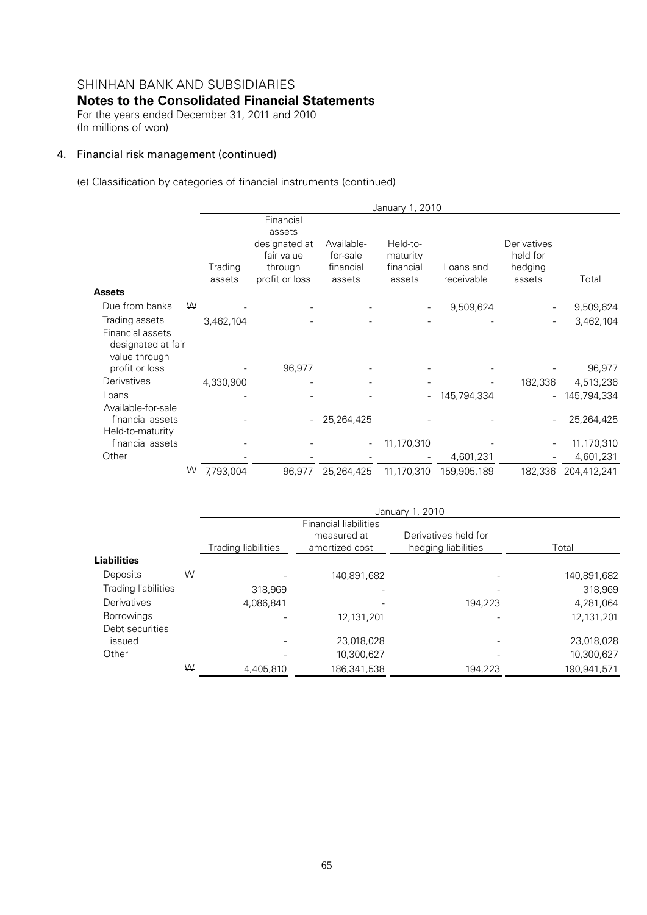For the years ended December 31, 2011 and 2010 (In millions of won)

# 4. Financial risk management (continued)

(e) Classification by categories of financial instruments (continued)

|                                                         |   |                   |                             |                        | January 1, 2010      |                         |                         |             |
|---------------------------------------------------------|---|-------------------|-----------------------------|------------------------|----------------------|-------------------------|-------------------------|-------------|
|                                                         |   |                   | Financial<br>assets         |                        |                      |                         |                         |             |
|                                                         |   |                   | designated at<br>fair value | Available-<br>for-sale | Held-to-<br>maturity |                         | Derivatives<br>held for |             |
|                                                         |   | Trading<br>assets | through<br>profit or loss   | financial<br>assets    | financial<br>assets  | Loans and<br>receivable | hedging<br>assets       | Total       |
| <b>Assets</b>                                           |   |                   |                             |                        |                      |                         |                         |             |
| Due from banks                                          | W |                   |                             |                        |                      | 9,509,624               |                         | 9,509,624   |
| Trading assets                                          |   | 3,462,104         |                             |                        |                      |                         |                         | 3,462,104   |
| Financial assets<br>designated at fair<br>value through |   |                   |                             |                        |                      |                         |                         |             |
| profit or loss                                          |   |                   | 96,977                      |                        |                      |                         |                         | 96,977      |
| Derivatives                                             |   | 4,330,900         |                             |                        |                      |                         | 182,336                 | 4,513,236   |
| Loans<br>Available-for-sale                             |   |                   |                             |                        |                      | 145,794,334             |                         | 145,794,334 |
| financial assets<br>Held-to-maturity                    |   |                   |                             | 25,264,425             |                      |                         |                         | 25,264,425  |
| financial assets                                        |   |                   |                             |                        | 11,170,310           |                         |                         | 11,170,310  |
| Other                                                   |   |                   |                             |                        |                      | 4,601,231               |                         | 4,601,231   |
|                                                         | ₩ | 7,793,004         | 96,977                      | 25,264,425             | 11,170,310           | 159,905,189             | 182,336                 | 204,412,241 |

|                     |   |                     |                               | January 1, 2010                             |              |
|---------------------|---|---------------------|-------------------------------|---------------------------------------------|--------------|
|                     |   |                     |                               |                                             |              |
|                     |   | Trading liabilities | measured at<br>amortized cost | Derivatives held for<br>hedging liabilities | Total        |
| <b>Liabilities</b>  |   |                     |                               |                                             |              |
| Deposits            | W |                     | 140,891,682                   |                                             | 140,891,682  |
| Trading liabilities |   | 318.969             |                               |                                             | 318,969      |
| Derivatives         |   | 4,086,841           |                               | 194.223                                     | 4,281,064    |
| <b>Borrowings</b>   |   |                     | 12, 131, 201                  |                                             | 12, 131, 201 |
| Debt securities     |   |                     |                               |                                             |              |
| issued              |   |                     | 23,018,028                    |                                             | 23,018,028   |
| Other               |   |                     | 10,300,627                    |                                             | 10,300,627   |
|                     | W | 4.405.810           | 186.341.538                   | 194.223                                     | 190.941.571  |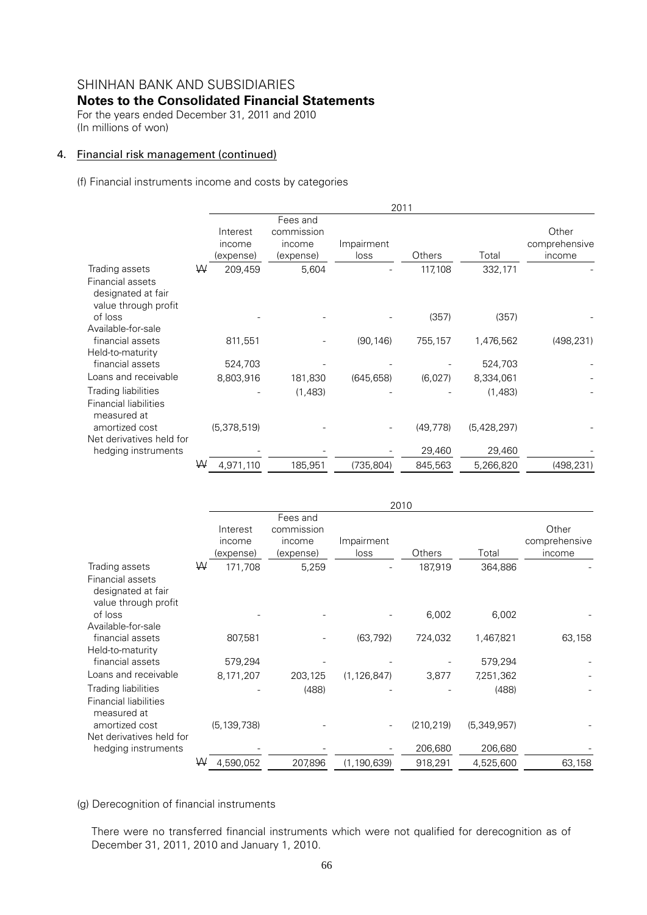For the years ended December 31, 2011 and 2010 (In millions of won)

## 4. Financial risk management (continued)

(f) Financial instruments income and costs by categories

|                                                                    |   |             |                        |            | 2011      |             |               |
|--------------------------------------------------------------------|---|-------------|------------------------|------------|-----------|-------------|---------------|
|                                                                    |   | Interest    | Fees and<br>commission |            |           |             | Other         |
|                                                                    |   | income      | income                 | Impairment |           |             | comprehensive |
| Trading assets                                                     | ₩ | (expense)   | (expense)              | loss       | Others    | Total       | income        |
| Financial assets<br>designated at fair<br>value through profit     |   | 209,459     | 5,604                  |            | 117,108   | 332,171     |               |
| of loss<br>Available-for-sale                                      |   |             |                        |            | (357)     | (357)       |               |
| financial assets<br>Held-to-maturity                               |   | 811,551     |                        | (90, 146)  | 755,157   | 1,476,562   | (498, 231)    |
| financial assets                                                   |   | 524,703     |                        |            |           | 524,703     |               |
| Loans and receivable                                               |   | 8,803,916   | 181,830                | (645, 658) | (6,027)   | 8,334,061   |               |
| Trading liabilities<br><b>Financial liabilities</b><br>measured at |   |             | (1,483)                |            |           | (1,483)     |               |
| amortized cost<br>Net derivatives held for                         |   | (5,378,519) |                        |            | (49, 778) | (5,428,297) |               |
| hedging instruments                                                |   |             |                        |            | 29,460    | 29,460      |               |
|                                                                    | ₩ | 4,971,110   | 185,951                | (735,804)  | 845,563   | 5,266,820   | (498, 231)    |

|                                                                                  |   |                                 |                                               |                    | 2010       |             |                                  |
|----------------------------------------------------------------------------------|---|---------------------------------|-----------------------------------------------|--------------------|------------|-------------|----------------------------------|
|                                                                                  |   | Interest<br>income<br>(expense) | Fees and<br>commission<br>income<br>(expense) | Impairment<br>loss | Others     | Total       | Other<br>comprehensive<br>income |
| Trading assets<br>Financial assets<br>designated at fair<br>value through profit | ₩ | 171,708                         | 5,259                                         |                    | 187,919    | 364,886     |                                  |
| of loss<br>Available-for-sale                                                    |   |                                 |                                               |                    | 6,002      | 6,002       |                                  |
| financial assets<br>Held-to-maturity                                             |   | 807,581                         |                                               | (63, 792)          | 724,032    | 1,467,821   | 63,158                           |
| financial assets                                                                 |   | 579,294                         |                                               |                    |            | 579,294     |                                  |
| Loans and receivable                                                             |   | 8,171,207                       | 203,125                                       | (1, 126, 847)      | 3,877      | 7,251,362   |                                  |
| Trading liabilities<br><b>Financial liabilities</b><br>measured at               |   |                                 | (488)                                         |                    |            | (488)       |                                  |
| amortized cost<br>Net derivatives held for                                       |   | (5, 139, 738)                   |                                               |                    | (210, 219) | (5,349,957) |                                  |
| hedging instruments                                                              |   |                                 |                                               |                    | 206,680    | 206,680     |                                  |
|                                                                                  | ₩ | 4,590,052                       | 207,896                                       | (1, 190, 639)      | 918,291    | 4,525,600   | 63,158                           |

(g) Derecognition of financial instruments

There were no transferred financial instruments which were not qualified for derecognition as of December 31, 2011, 2010 and January 1, 2010.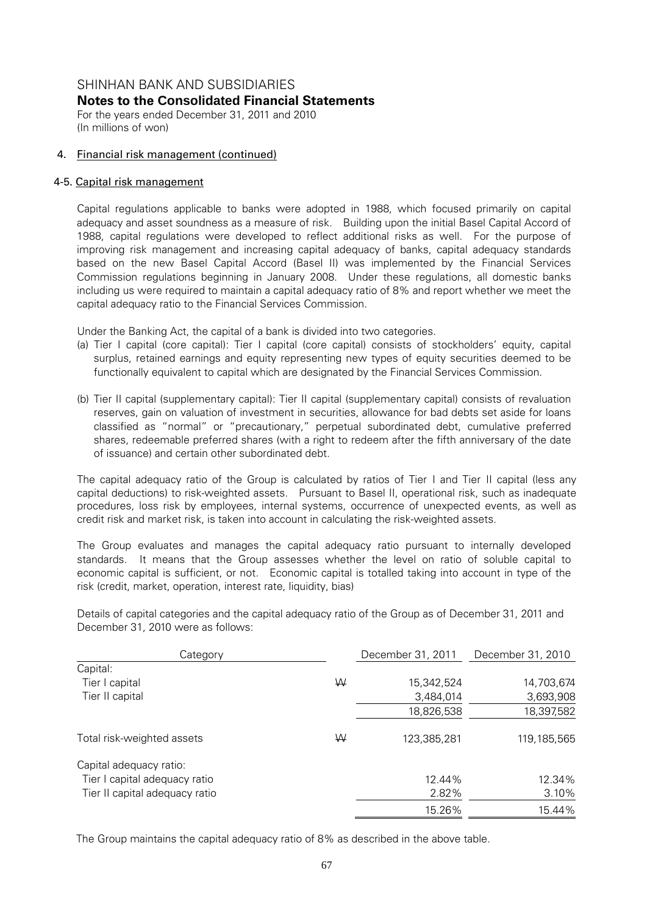(In millions of won)

### 4. Financial risk management (continued)

#### 4-5. Capital risk management

Capital regulations applicable to banks were adopted in 1988, which focused primarily on capital adequacy and asset soundness as a measure of risk. Building upon the initial Basel Capital Accord of 1988, capital regulations were developed to reflect additional risks as well. For the purpose of improving risk management and increasing capital adequacy of banks, capital adequacy standards based on the new Basel Capital Accord (Basel II) was implemented by the Financial Services Commission regulations beginning in January 2008. Under these regulations, all domestic banks including us were required to maintain a capital adequacy ratio of 8% and report whether we meet the capital adequacy ratio to the Financial Services Commission.

Under the Banking Act, the capital of a bank is divided into two categories.

- (a) Tier I capital (core capital): Tier I capital (core capital) consists of stockholders' equity, capital surplus, retained earnings and equity representing new types of equity securities deemed to be functionally equivalent to capital which are designated by the Financial Services Commission.
- (b) Tier II capital (supplementary capital): Tier II capital (supplementary capital) consists of revaluation reserves, gain on valuation of investment in securities, allowance for bad debts set aside for loans classified as "normal" or "precautionary," perpetual subordinated debt, cumulative preferred shares, redeemable preferred shares (with a right to redeem after the fifth anniversary of the date of issuance) and certain other subordinated debt.

The capital adequacy ratio of the Group is calculated by ratios of Tier I and Tier II capital (less any capital deductions) to risk-weighted assets. Pursuant to Basel II, operational risk, such as inadequate procedures, loss risk by employees, internal systems, occurrence of unexpected events, as well as credit risk and market risk, is taken into account in calculating the risk-weighted assets.

The Group evaluates and manages the capital adequacy ratio pursuant to internally developed standards. It means that the Group assesses whether the level on ratio of soluble capital to economic capital is sufficient, or not. Economic capital is totalled taking into account in type of the risk (credit, market, operation, interest rate, liquidity, bias)

Details of capital categories and the capital adequacy ratio of the Group as of December 31, 2011 and December 31, 2010 were as follows:

| Category                       |   | December 31, 2011 | December 31, 2010 |
|--------------------------------|---|-------------------|-------------------|
| Capital:                       |   |                   |                   |
| Tier I capital                 | W | 15,342,524        | 14,703,674        |
| Tier II capital                |   | 3,484,014         | 3,693,908         |
|                                |   | 18,826,538        | 18,397,582        |
| Total risk-weighted assets     | ₩ | 123,385,281       | 119, 185, 565     |
| Capital adequacy ratio:        |   |                   |                   |
| Tier I capital adequacy ratio  |   | 12.44%            | 12.34%            |
| Tier II capital adequacy ratio |   | 2.82%             | 3.10%             |
|                                |   | 15.26%            | 15.44%            |

The Group maintains the capital adequacy ratio of 8% as described in the above table.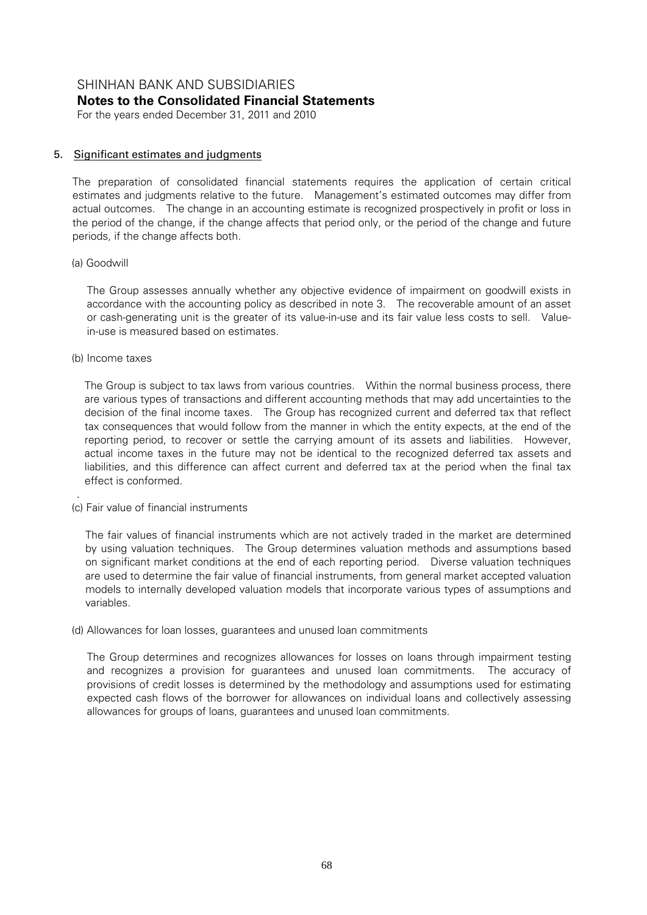For the years ended December 31, 2011 and 2010

### 5. Significant estimates and judgments

The preparation of consolidated financial statements requires the application of certain critical estimates and judgments relative to the future. Management's estimated outcomes may differ from actual outcomes. The change in an accounting estimate is recognized prospectively in profit or loss in the period of the change, if the change affects that period only, or the period of the change and future periods, if the change affects both.

### (a) Goodwill

The Group assesses annually whether any objective evidence of impairment on goodwill exists in accordance with the accounting policy as described in note 3. The recoverable amount of an asset or cash-generating unit is the greater of its value-in-use and its fair value less costs to sell. Valuein-use is measured based on estimates.

### (b) Income taxes

.

The Group is subject to tax laws from various countries. Within the normal business process, there are various types of transactions and different accounting methods that may add uncertainties to the decision of the final income taxes. The Group has recognized current and deferred tax that reflect tax consequences that would follow from the manner in which the entity expects, at the end of the reporting period, to recover or settle the carrying amount of its assets and liabilities. However, actual income taxes in the future may not be identical to the recognized deferred tax assets and liabilities, and this difference can affect current and deferred tax at the period when the final tax effect is conformed.

(c) Fair value of financial instruments

The fair values of financial instruments which are not actively traded in the market are determined by using valuation techniques. The Group determines valuation methods and assumptions based on significant market conditions at the end of each reporting period. Diverse valuation techniques are used to determine the fair value of financial instruments, from general market accepted valuation models to internally developed valuation models that incorporate various types of assumptions and variables.

### (d) Allowances for loan losses, guarantees and unused loan commitments

The Group determines and recognizes allowances for losses on loans through impairment testing and recognizes a provision for guarantees and unused loan commitments. The accuracy of provisions of credit losses is determined by the methodology and assumptions used for estimating expected cash flows of the borrower for allowances on individual loans and collectively assessing allowances for groups of loans, guarantees and unused loan commitments.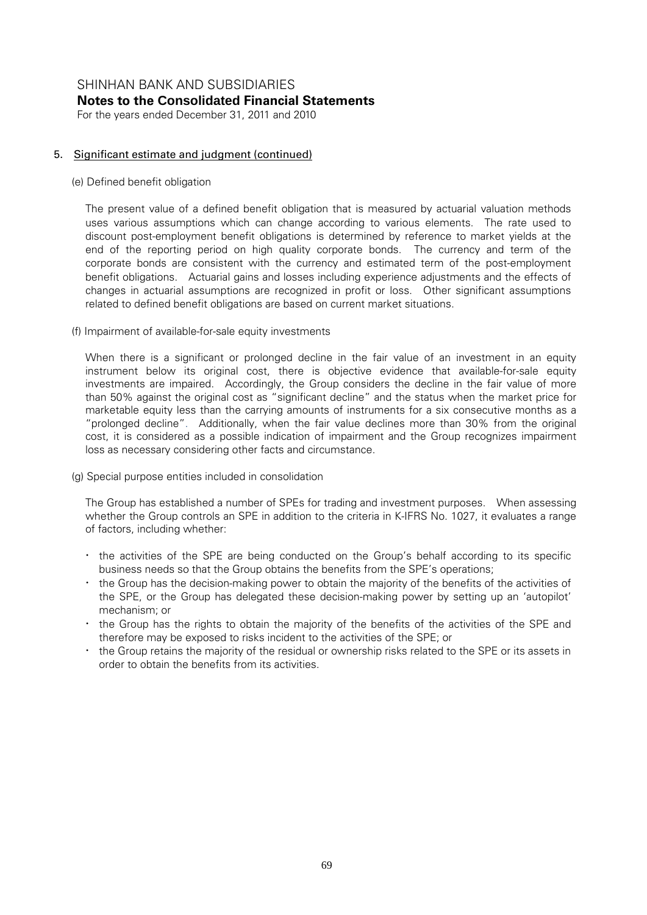For the years ended December 31, 2011 and 2010

### 5. Significant estimate and judgment (continued)

### (e) Defined benefit obligation

The present value of a defined benefit obligation that is measured by actuarial valuation methods uses various assumptions which can change according to various elements. The rate used to discount post-employment benefit obligations is determined by reference to market yields at the end of the reporting period on high quality corporate bonds. The currency and term of the corporate bonds are consistent with the currency and estimated term of the post-employment benefit obligations. Actuarial gains and losses including experience adjustments and the effects of changes in actuarial assumptions are recognized in profit or loss. Other significant assumptions related to defined benefit obligations are based on current market situations.

### (f) Impairment of available-for-sale equity investments

When there is a significant or prolonged decline in the fair value of an investment in an equity instrument below its original cost, there is objective evidence that available-for-sale equity investments are impaired. Accordingly, the Group considers the decline in the fair value of more than 50% against the original cost as "significant decline" and the status when the market price for marketable equity less than the carrying amounts of instruments for a six consecutive months as a "prolonged decline". Additionally, when the fair value declines more than 30% from the original cost, it is considered as a possible indication of impairment and the Group recognizes impairment loss as necessary considering other facts and circumstance.

(g) Special purpose entities included in consolidation

The Group has established a number of SPEs for trading and investment purposes. When assessing whether the Group controls an SPE in addition to the criteria in K-IFRS No. 1027, it evaluates a range of factors, including whether:

- the activities of the SPE are being conducted on the Group's behalf according to its specific business needs so that the Group obtains the benefits from the SPE's operations;
- the Group has the decision-making power to obtain the majority of the benefits of the activities of the SPE, or the Group has delegated these decision-making power by setting up an 'autopilot' mechanism; or
- the Group has the rights to obtain the majority of the benefits of the activities of the SPE and therefore may be exposed to risks incident to the activities of the SPE; or
- the Group retains the majority of the residual or ownership risks related to the SPE or its assets in order to obtain the benefits from its activities.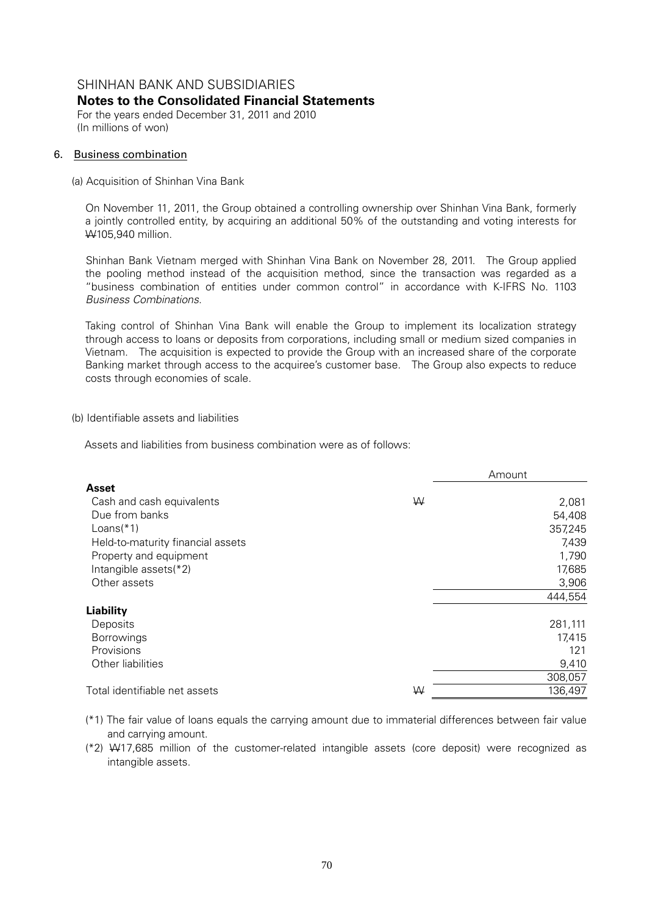(In millions of won)

### 6. Business combination

(a) Acquisition of Shinhan Vina Bank

On November 11, 2011, the Group obtained a controlling ownership over Shinhan Vina Bank, formerly a jointly controlled entity, by acquiring an additional 50% of the outstanding and voting interests for W105,940 million.

Shinhan Bank Vietnam merged with Shinhan Vina Bank on November 28, 2011. The Group applied the pooling method instead of the acquisition method, since the transaction was regarded as a "business combination of entities under common control" in accordance with K-IFRS No. 1103 *Business Combinations*.

Taking control of Shinhan Vina Bank will enable the Group to implement its localization strategy through access to loans or deposits from corporations, including small or medium sized companies in Vietnam. The acquisition is expected to provide the Group with an increased share of the corporate Banking market through access to the acquiree's customer base. The Group also expects to reduce costs through economies of scale.

## (b) Identifiable assets and liabilities

Assets and liabilities from business combination were as of follows:

|                                   |   | Amount  |
|-----------------------------------|---|---------|
| Asset                             |   |         |
| Cash and cash equivalents         | W | 2,081   |
| Due from banks                    |   | 54,408  |
| $Loans(*1)$                       |   | 357,245 |
| Held-to-maturity financial assets |   | 7,439   |
| Property and equipment            |   | 1,790   |
| Intangible assets(*2)             |   | 17,685  |
| Other assets                      |   | 3,906   |
|                                   |   | 444,554 |
| Liability                         |   |         |
| Deposits                          |   | 281,111 |
| <b>Borrowings</b>                 |   | 17,415  |
| Provisions                        |   | 121     |
| Other liabilities                 |   | 9,410   |
|                                   |   | 308,057 |
| Total identifiable net assets     | W | 136,497 |
|                                   |   |         |

- (\*1) The fair value of loans equals the carrying amount due to immaterial differences between fair value and carrying amount.
- (\*2) W17,685 million of the customer-related intangible assets (core deposit) were recognized as intangible assets.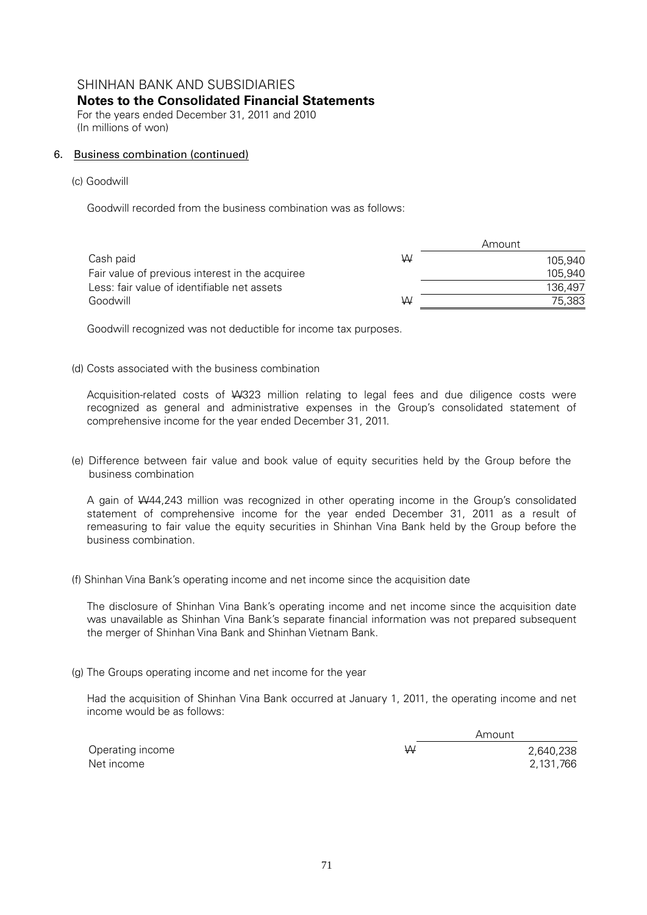(In millions of won)

#### 6. Business combination (continued)

(c) Goodwill

Goodwill recorded from the business combination was as follows:

|                                                 |   | Amount  |
|-------------------------------------------------|---|---------|
| Cash paid                                       | W | 105.940 |
| Fair value of previous interest in the acquiree |   | 105.940 |
| Less: fair value of identifiable net assets     |   | 136.497 |
| Goodwill                                        | W | 75,383  |

Goodwill recognized was not deductible for income tax purposes.

(d) Costs associated with the business combination

Acquisition-related costs of W323 million relating to legal fees and due diligence costs were recognized as general and administrative expenses in the Group's consolidated statement of comprehensive income for the year ended December 31, 2011.

(e) Difference between fair value and book value of equity securities held by the Group before the business combination

A gain of W44,243 million was recognized in other operating income in the Group's consolidated statement of comprehensive income for the year ended December 31, 2011 as a result of remeasuring to fair value the equity securities in Shinhan Vina Bank held by the Group before the business combination.

(f) Shinhan Vina Bank's operating income and net income since the acquisition date

The disclosure of Shinhan Vina Bank's operating income and net income since the acquisition date was unavailable as Shinhan Vina Bank's separate financial information was not prepared subsequent the merger of Shinhan Vina Bank and Shinhan Vietnam Bank.

(g) The Groups operating income and net income for the year

Had the acquisition of Shinhan Vina Bank occurred at January 1, 2011, the operating income and net income would be as follows:

|                  |   | Amount    |  |  |
|------------------|---|-----------|--|--|
| Operating income | W | 2,640,238 |  |  |
| Net income l     |   | 2,131,766 |  |  |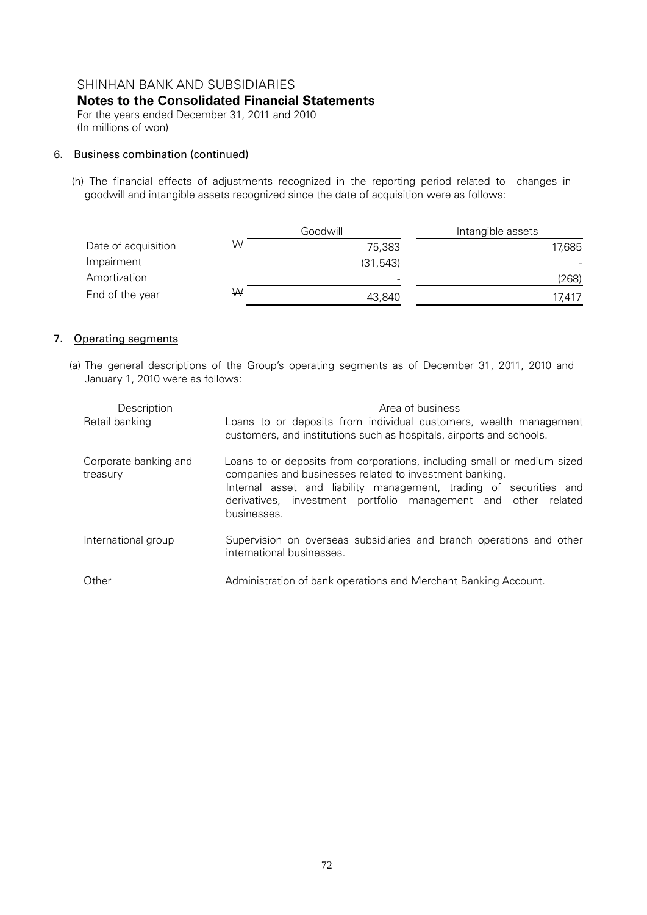(In millions of won)

#### 6. Business combination (continued)

(h) The financial effects of adjustments recognized in the reporting period related to changes in goodwill and intangible assets recognized since the date of acquisition were as follows:

|                     |   | Goodwill  | Intangible assets |
|---------------------|---|-----------|-------------------|
| Date of acquisition | ₩ | 75,383    | 17,685            |
| Impairment          |   | (31, 543) |                   |
| Amortization        |   | -         | (268)             |
| End of the year     | W | 43,840    | 17.417            |

#### 7. Operating segments

(a) The general descriptions of the Group's operating segments as of December 31, 2011, 2010 and January 1, 2010 were as follows:

| Description                       | Area of business                                                                                                                                                                                                                                                                             |  |  |  |  |
|-----------------------------------|----------------------------------------------------------------------------------------------------------------------------------------------------------------------------------------------------------------------------------------------------------------------------------------------|--|--|--|--|
| Retail banking                    | Loans to or deposits from individual customers, wealth management<br>customers, and institutions such as hospitals, airports and schools.                                                                                                                                                    |  |  |  |  |
| Corporate banking and<br>treasury | Loans to or deposits from corporations, including small or medium sized<br>companies and businesses related to investment banking.<br>Internal asset and liability management, trading of securities and<br>derivatives, investment portfolio management and other<br>related<br>businesses. |  |  |  |  |
| International group               | Supervision on overseas subsidiaries and branch operations and other<br>international businesses.                                                                                                                                                                                            |  |  |  |  |
| Other                             | Administration of bank operations and Merchant Banking Account.                                                                                                                                                                                                                              |  |  |  |  |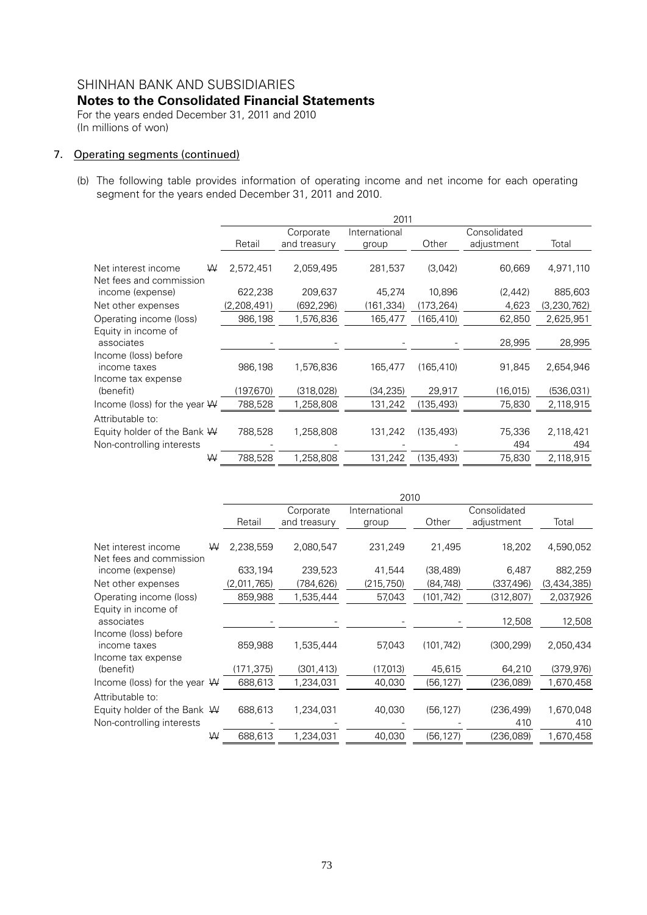## **Notes to the Consolidated Financial Statements**

For the years ended December 31, 2011 and 2010 (In millions of won)

#### 7. Operating segments (continued)

(b) The following table provides information of operating income and net income for each operating segment for the years ended December 31, 2011 and 2010.

|                                |             |              | 2011          |            |              |             |
|--------------------------------|-------------|--------------|---------------|------------|--------------|-------------|
|                                |             | Corporate    | International |            | Consolidated |             |
|                                | Retail      | and treasury | group         | Other      | adjustment   | Total       |
|                                |             |              |               |            |              |             |
| Net interest income<br>₩       | 2,572,451   | 2,059,495    | 281,537       | (3,042)    | 60,669       | 4,971,110   |
| Net fees and commission        |             |              |               |            |              |             |
| income (expense)               | 622,238     | 209,637      | 45,274        | 10,896     | (2, 442)     | 885,603     |
| Net other expenses             | (2,208,491) | (692, 296)   | (161, 334)    | (173, 264) | 4,623        | (3,230,762) |
| Operating income (loss)        | 986,198     | 1,576,836    | 165,477       | (165, 410) | 62,850       | 2,625,951   |
| Equity in income of            |             |              |               |            |              |             |
| associates                     |             |              |               |            | 28,995       | 28,995      |
| Income (loss) before           |             |              |               |            |              |             |
| income taxes                   | 986,198     | 1,576,836    | 165,477       | (165, 410) | 91,845       | 2,654,946   |
| Income tax expense             |             |              |               |            |              |             |
| (benefit)                      | (197,670)   | (318, 028)   | (34, 235)     | 29,917     | (16, 015)    | (536, 031)  |
| Income (loss) for the year $W$ | 788,528     | 1,258,808    | 131,242       | (135,493)  | 75,830       | 2,118,915   |
| Attributable to:               |             |              |               |            |              |             |
| Equity holder of the Bank W    | 788,528     | 1,258,808    | 131,242       | (135, 493) | 75,336       | 2,118,421   |
| Non-controlling interests      |             |              |               |            | 494          | 494         |
| ₩                              | 788,528     | 1,258,808    | 131,242       | (135, 493) | 75,830       | 2,118,915   |

|                                                |   | 2010        |              |               |            |              |             |
|------------------------------------------------|---|-------------|--------------|---------------|------------|--------------|-------------|
|                                                |   |             | Corporate    | International |            | Consolidated |             |
|                                                |   | Retail      | and treasury | group         | Other      | adjustment   | Total       |
| Net interest income<br>Net fees and commission | W | 2,238,559   | 2,080,547    | 231,249       | 21.495     | 18,202       | 4,590,052   |
| income (expense)                               |   | 633,194     | 239,523      | 41,544        | (38, 489)  | 6,487        | 882,259     |
| Net other expenses                             |   | (2,011,765) | (784,626)    | (215,750)     | (84, 748)  | (337, 496)   | (3,434,385) |
| Operating income (loss)                        |   | 859,988     | 1,535,444    | 57,043        | (101, 742) | (312, 807)   | 2,037,926   |
| Equity in income of<br>associates              |   |             |              |               |            | 12,508       | 12,508      |
| Income (loss) before<br>income taxes           |   | 859,988     | 1,535,444    | 57,043        | (101, 742) | (300, 299)   | 2,050,434   |
| Income tax expense                             |   |             |              |               |            |              |             |
| (benefit)                                      |   | (171,375)   | (301, 413)   | (17,013)      | 45,615     | 64,210       | (379, 976)  |
| Income (loss) for the year $W$                 |   | 688,613     | 1,234,031    | 40,030        | (56, 127)  | (236,089)    | 1,670,458   |
| Attributable to:                               |   |             |              |               |            |              |             |
| Equity holder of the Bank $W$                  |   | 688,613     | 1,234,031    | 40,030        | (56, 127)  | (236, 499)   | 1,670,048   |
| Non-controlling interests                      |   |             |              |               |            | 410          | 410         |
|                                                | W | 688,613     | 1,234,031    | 40,030        | (56, 127)  | (236,089)    | 1,670,458   |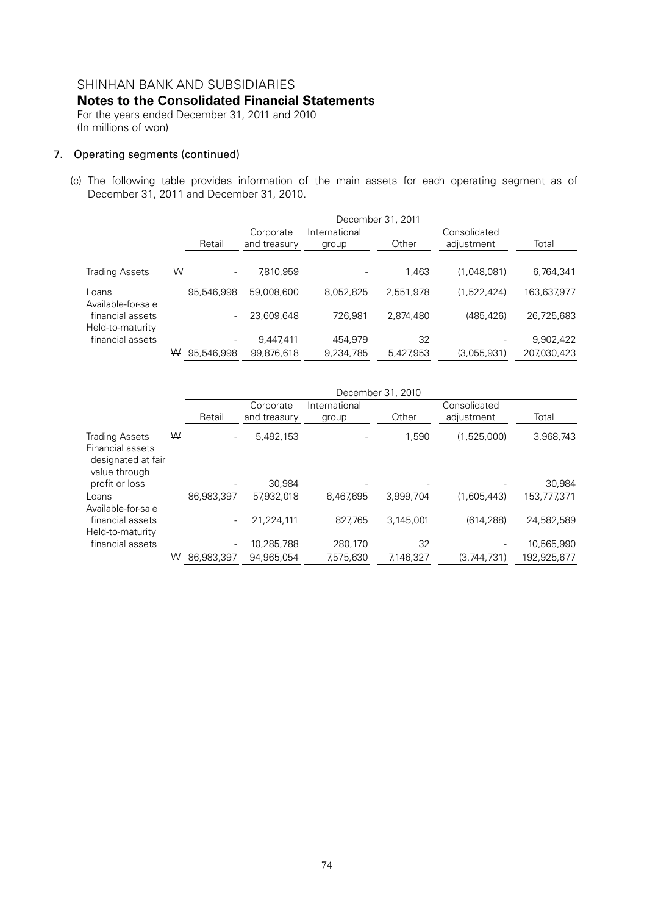For the years ended December 31, 2011 and 2010 (In millions of won)

## 7. Operating segments (continued)

(c) The following table provides information of the main assets for each operating segment as of December 31, 2011 and December 31, 2010.

|                                      |   | December 31, 2011        |                           |                        |           |                            |             |
|--------------------------------------|---|--------------------------|---------------------------|------------------------|-----------|----------------------------|-------------|
|                                      |   | Retail                   | Corporate<br>and treasury | International<br>group | Other     | Consolidated<br>adjustment | Total       |
| <b>Trading Assets</b>                | W | $\overline{\phantom{a}}$ | 7.810.959                 |                        | 1,463     | (1,048,081)                | 6,764,341   |
| Loans<br>Available-for-sale          |   | 95,546,998               | 59,008,600                | 8.052.825              | 2,551,978 | (1,522,424)                | 163,637,977 |
| financial assets<br>Held-to-maturity |   |                          | 23,609,648                | 726.981                | 2.874.480 | (485.426)                  | 26,725,683  |
| financial assets                     |   | $\overline{\phantom{a}}$ | 9,447,411                 | 454,979                | 32        |                            | 9,902,422   |
|                                      | W | 95.546.998               | 99,876,618                | 9,234,785              | 5,427,953 | (3,055,931)                | 207,030,423 |

|                                                                                  |   |            | December 31, 2010         |                        |           |                            |             |
|----------------------------------------------------------------------------------|---|------------|---------------------------|------------------------|-----------|----------------------------|-------------|
|                                                                                  |   | Retail     | Corporate<br>and treasury | International<br>group | Other     | Consolidated<br>adjustment | Total       |
| <b>Trading Assets</b><br>Financial assets<br>designated at fair<br>value through | W |            | 5,492,153                 |                        | 1.590     | (1,525,000)                | 3,968,743   |
| profit or loss                                                                   |   |            | 30.984                    |                        |           |                            | 30,984      |
| Loans<br>Available-for-sale                                                      |   | 86,983,397 | 57.932.018                | 6.467.695              | 3.999.704 | (1.605.443)                | 153,777,371 |
| financial assets<br>Held-to-maturity                                             |   |            | 21.224.111                | 827.765                | 3.145.001 | (614.288)                  | 24.582.589  |
| financial assets                                                                 |   | -          | 10,285,788                | 280,170                | 32        |                            | 10,565,990  |
|                                                                                  | ₩ | 86.983.397 | 94.965.054                | 7.575.630              | 7.146.327 | (3.744.731)                | 192.925.677 |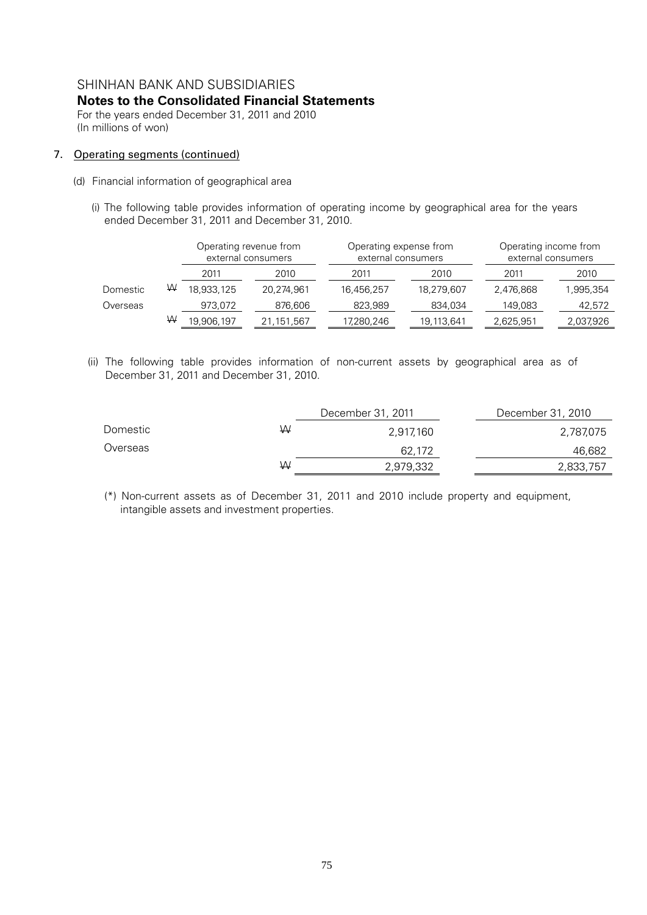(In millions of won)

### 7. Operating segments (continued)

- (d) Financial information of geographical area
	- (i) The following table provides information of operating income by geographical area for the years ended December 31, 2011 and December 31, 2010.

|          |   |            | Operating revenue from<br>external consumers | Operating expense from<br>external consumers |            | Operating income from<br>external consumers |           |  |
|----------|---|------------|----------------------------------------------|----------------------------------------------|------------|---------------------------------------------|-----------|--|
|          |   | 2011       | 2010                                         | 2011                                         | 2010       | 2011                                        | 2010      |  |
| Domestic | ₩ | 18,933,125 | 20,274,961                                   | 16,456,257                                   | 18,279,607 | 2,476,868                                   | 1,995,354 |  |
| Overseas |   | 973,072    | 876,606                                      | 823,989                                      | 834,034    | 149,083                                     | 42,572    |  |
|          | W | 19,906,197 | 21, 151, 567                                 | 17,280,246                                   | 19,113,641 | 2,625,951                                   | 2,037,926 |  |

(ii) The following table provides information of non-current assets by geographical area as of December 31, 2011 and December 31, 2010.

|          |   | December 31, 2011 | December 31, 2010 |
|----------|---|-------------------|-------------------|
| Domestic | ₩ | 2,917,160         | 2,787,075         |
| Overseas |   | 62.172            | 46,682            |
|          | ₩ | 2,979,332         | 2,833,757         |

(\*) Non-current assets as of December 31, 2011 and 2010 include property and equipment, intangible assets and investment properties.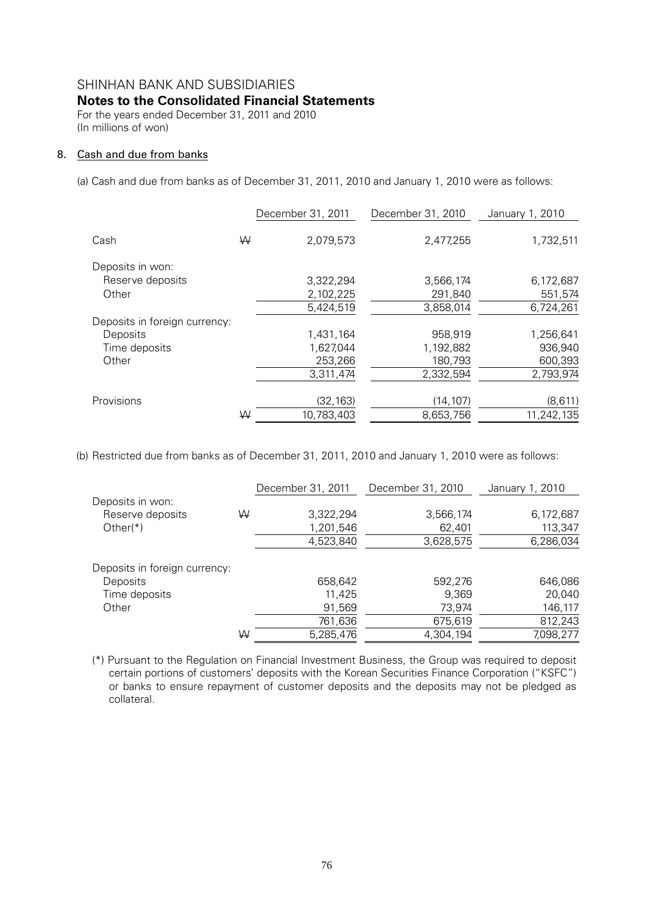### **Notes to the Consolidated Financial Statements**

For the years ended December 31, 2011 and 2010 (In millions of won)

#### 8. Cash and due from banks

(a) Cash and due from banks as of December 31, 2011, 2010 and January 1, 2010 were as follows:

|                               |   | December 31, 2011 | December 31, 2010 | January 1, 2010 |
|-------------------------------|---|-------------------|-------------------|-----------------|
| Cash                          | W | 2,079,573         | 2,477,255         | 1,732,511       |
| Deposits in won:              |   |                   |                   |                 |
| Reserve deposits              |   | 3,322,294         | 3,566,174         | 6,172,687       |
| Other                         |   | 2,102,225         | 291,840           | 551,574         |
|                               |   | 5,424,519         | 3,858,014         | 6,724,261       |
| Deposits in foreign currency: |   |                   |                   |                 |
| Deposits                      |   | 1,431,164         | 958,919           | 1,256,641       |
| Time deposits                 |   | 1,627,044         | 1,192,882         | 936,940         |
| Other                         |   | 253,266           | 180,793           | 600,393         |
|                               |   | 3,311,474         | 2,332,594         | 2,793,974       |
| Provisions                    |   | (32, 163)         | (14, 107)         | (8,611)         |
|                               | W | 10,783,403        | 8,653,756         | 11,242,135      |

(b) Restricted due from banks as of December 31, 2011, 2010 and January 1, 2010 were as follows:

|                               |   | December 31, 2011 | December 31, 2010 | January 1, 2010 |
|-------------------------------|---|-------------------|-------------------|-----------------|
| Deposits in won:              |   |                   |                   |                 |
| Reserve deposits              | ₩ | 3,322,294         | 3,566,174         | 6,172,687       |
| Other $(*)$                   |   | 1,201,546         | 62,401            | 113,347         |
|                               |   | 4,523,840         | 3,628,575         | 6,286,034       |
| Deposits in foreign currency: |   |                   |                   |                 |
| Deposits                      |   | 658,642           | 592,276           | 646,086         |
| Time deposits                 |   | 11,425            | 9,369             | 20,040          |
| Other                         |   | 91,569            | 73,974            | 146,117         |
|                               |   | 761,636           | 675,619           | 812,243         |
|                               | W | 5,285,476         | 4,304,194         | 7,098,277       |

(\*) Pursuant to the Regulation on Financial Investment Business, the Group was required to deposit certain portions of customers' deposits with the Korean Securities Finance Corporation ("KSFC") or banks to ensure repayment of customer deposits and the deposits may not be pledged as collateral.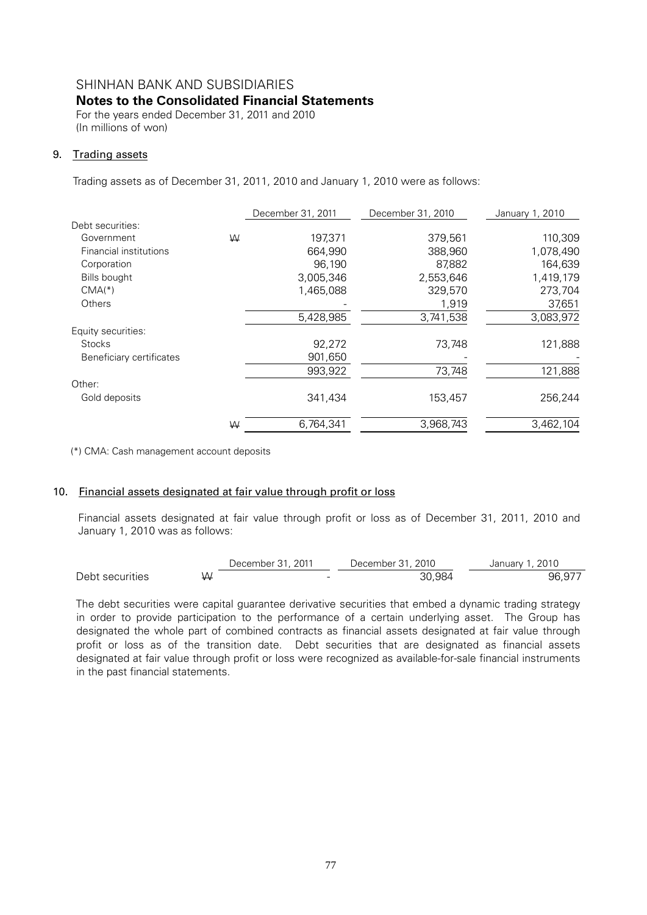For the years ended December 31, 2011 and 2010 (In millions of won)

#### 9. Trading assets

Trading assets as of December 31, 2011, 2010 and January 1, 2010 were as follows:

|                          |   | December 31, 2011 | December 31, 2010 | January 1, 2010 |
|--------------------------|---|-------------------|-------------------|-----------------|
| Debt securities:         |   |                   |                   |                 |
| Government               | W | 197,371           | 379,561           | 110,309         |
| Financial institutions   |   | 664,990           | 388,960           | 1,078,490       |
| Corporation              |   | 96,190            | 87,882            | 164,639         |
| Bills bought             |   | 3,005,346         | 2,553,646         | 1,419,179       |
| $CMA(*)$                 |   | 1,465,088         | 329,570           | 273,704         |
| <b>Others</b>            |   |                   | 1,919             | 37,651          |
|                          |   | 5,428,985         | 3,741,538         | 3,083,972       |
| Equity securities:       |   |                   |                   |                 |
| <b>Stocks</b>            |   | 92,272            | 73,748            | 121,888         |
| Beneficiary certificates |   | 901,650           |                   |                 |
|                          |   | 993,922           | 73,748            | 121,888         |
| Other:                   |   |                   |                   |                 |
| Gold deposits            |   | 341,434           | 153,457           | 256,244         |
|                          | W | 6,764,341         | 3,968,743         | 3,462,104       |

(\*) CMA: Cash management account deposits

#### 10. Financial assets designated at fair value through profit or loss

Financial assets designated at fair value through profit or loss as of December 31, 2011, 2010 and January 1, 2010 was as follows:

|                 |   | December 31, 2011 | December 31, 2010 | January 1, 2010 |
|-----------------|---|-------------------|-------------------|-----------------|
| Debt securities | W |                   | 30.984            | 96.977          |

The debt securities were capital guarantee derivative securities that embed a dynamic trading strategy in order to provide participation to the performance of a certain underlying asset. The Group has designated the whole part of combined contracts as financial assets designated at fair value through profit or loss as of the transition date. Debt securities that are designated as financial assets designated at fair value through profit or loss were recognized as available-for-sale financial instruments in the past financial statements.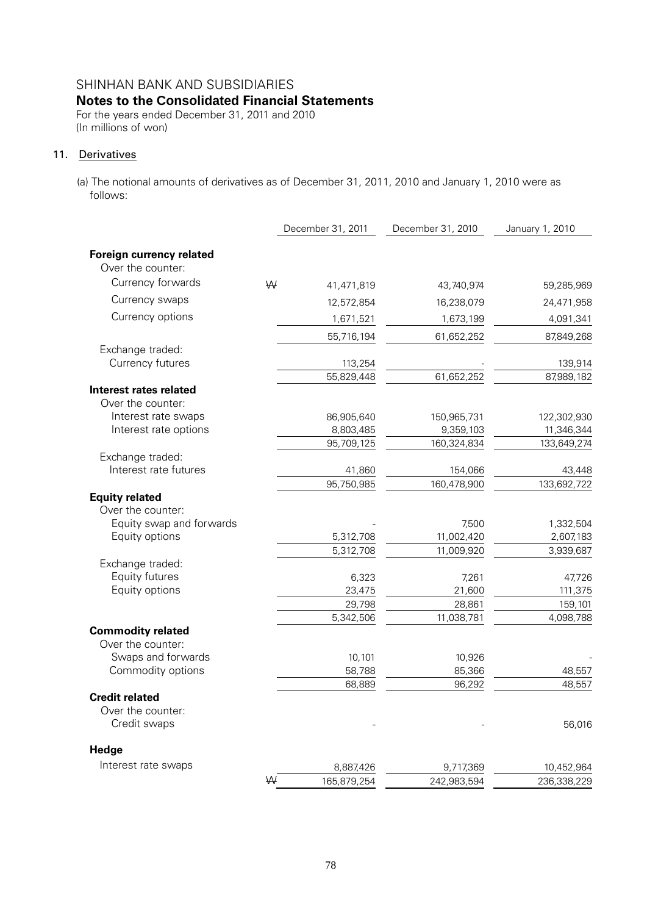## **Notes to the Consolidated Financial Statements**

For the years ended December 31, 2011 and 2010 (In millions of won)

## 11. Derivatives

 (a) The notional amounts of derivatives as of December 31, 2011, 2010 and January 1, 2010 were as follows:

|                                                                        |   | December 31, 2011    | December 31, 2010      | January 1, 2010       |
|------------------------------------------------------------------------|---|----------------------|------------------------|-----------------------|
| Foreign currency related<br>Over the counter:                          |   |                      |                        |                       |
| Currency forwards                                                      | W | 41,471,819           | 43,740,974             | 59,285,969            |
| Currency swaps                                                         |   | 12,572,854           | 16,238,079             | 24,471,958            |
| Currency options                                                       |   |                      |                        |                       |
|                                                                        |   | 1,671,521            | 1,673,199              | 4,091,341             |
|                                                                        |   | 55,716,194           | 61,652,252             | 87,849,268            |
| Exchange traded:<br>Currency futures                                   |   | 113,254              |                        | 139,914               |
|                                                                        |   | 55,829,448           | 61,652,252             | 87,989,182            |
| Interest rates related<br>Over the counter:                            |   |                      |                        |                       |
| Interest rate swaps                                                    |   | 86,905,640           | 150,965,731            | 122,302,930           |
| Interest rate options                                                  |   | 8,803,485            | 9,359,103              | 11,346,344            |
|                                                                        |   | 95,709,125           | 160,324,834            | 133,649,274           |
| Exchange traded:<br>Interest rate futures                              |   |                      |                        |                       |
|                                                                        |   | 41,860<br>95,750,985 | 154,066<br>160,478,900 | 43,448<br>133,692,722 |
| <b>Equity related</b><br>Over the counter:<br>Equity swap and forwards |   |                      | 7,500                  | 1,332,504             |
| Equity options                                                         |   | 5,312,708            | 11,002,420             | 2,607,183             |
|                                                                        |   | 5,312,708            | 11,009,920             | 3,939,687             |
| Exchange traded:                                                       |   |                      |                        |                       |
| Equity futures                                                         |   | 6,323                | 7,261                  | 47,726                |
| Equity options                                                         |   | 23,475               | 21,600                 | 111,375               |
|                                                                        |   | 29,798               | 28,861                 | 159,101               |
|                                                                        |   | 5,342,506            | 11,038,781             | 4,098,788             |
| <b>Commodity related</b><br>Over the counter:                          |   |                      |                        |                       |
| Swaps and forwards                                                     |   | 10,101               | 10,926                 |                       |
| Commodity options                                                      |   | 58,788               | 85,366                 | 48,557                |
|                                                                        |   | 68,889               | 96,292                 | 48,557                |
| <b>Credit related</b>                                                  |   |                      |                        |                       |
| Over the counter:                                                      |   |                      |                        |                       |
| Credit swaps                                                           |   |                      |                        | 56,016                |
| Hedge                                                                  |   |                      |                        |                       |
| Interest rate swaps                                                    |   | 8,887,426            | 9,717,369              | 10,452,964            |
|                                                                        | W | 165,879,254          | 242,983,594            | 236,338,229           |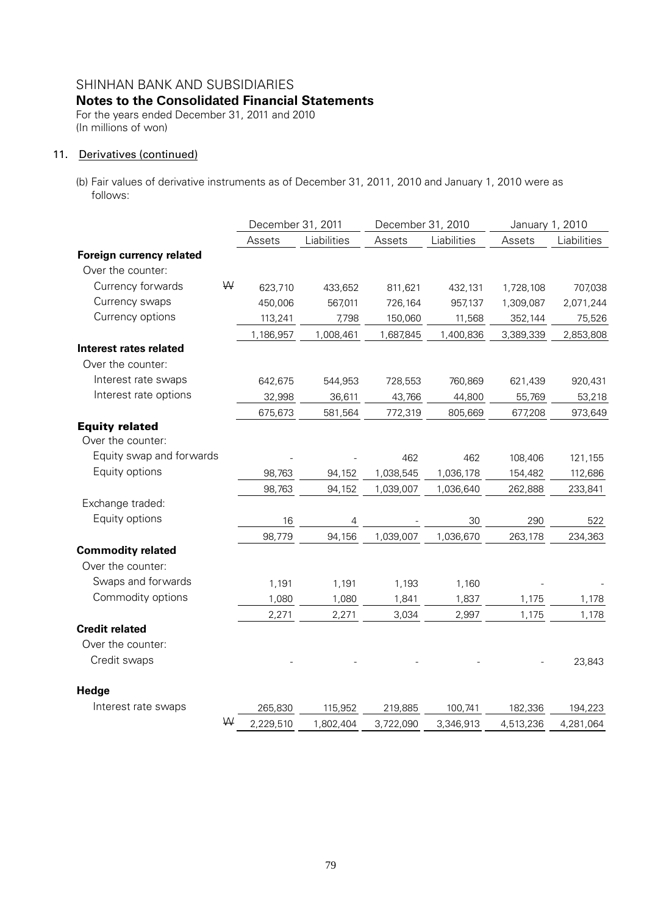## **Notes to the Consolidated Financial Statements**

For the years ended December 31, 2011 and 2010 (In millions of won)

#### 11. Derivatives (continued)

(b) Fair values of derivative instruments as of December 31, 2011, 2010 and January 1, 2010 were as follows:

|                                            |   | December 31, 2011 |                | December 31, 2010 |             | January 1, 2010 |             |
|--------------------------------------------|---|-------------------|----------------|-------------------|-------------|-----------------|-------------|
|                                            |   | Assets            | Liabilities    | Assets            | Liabilities | Assets          | Liabilities |
| Foreign currency related                   |   |                   |                |                   |             |                 |             |
| Over the counter:                          |   |                   |                |                   |             |                 |             |
| Currency forwards                          | W | 623,710           | 433,652        | 811,621           | 432,131     | 1,728,108       | 707,038     |
| Currency swaps                             |   | 450,006           | 567,011        | 726,164           | 957,137     | 1,309,087       | 2,071,244   |
| Currency options                           |   | 113,241           | 7,798          | 150,060           | 11,568      | 352,144         | 75,526      |
|                                            |   | 1,186,957         | 1,008,461      | 1,687,845         | 1,400,836   | 3,389,339       | 2,853,808   |
| <b>Interest rates related</b>              |   |                   |                |                   |             |                 |             |
| Over the counter:                          |   |                   |                |                   |             |                 |             |
| Interest rate swaps                        |   | 642,675           | 544,953        | 728,553           | 760,869     | 621,439         | 920,431     |
| Interest rate options                      |   | 32,998            | 36,611         | 43,766            | 44,800      | 55,769          | 53,218      |
|                                            |   | 675,673           | 581,564        | 772,319           | 805,669     | 677,208         | 973,649     |
| <b>Equity related</b><br>Over the counter: |   |                   |                |                   |             |                 |             |
| Equity swap and forwards                   |   |                   |                | 462               | 462         | 108,406         | 121,155     |
| Equity options                             |   | 98,763            | 94,152         | 1,038,545         | 1,036,178   | 154,482         | 112,686     |
|                                            |   | 98,763            | 94,152         | 1,039,007         | 1,036,640   | 262,888         | 233,841     |
| Exchange traded:                           |   |                   |                |                   |             |                 |             |
| Equity options                             |   | 16                | $\overline{4}$ |                   | 30          | 290             | 522         |
|                                            |   | 98,779            | 94,156         | 1,039,007         | 1,036,670   | 263,178         | 234,363     |
| <b>Commodity related</b>                   |   |                   |                |                   |             |                 |             |
| Over the counter:                          |   |                   |                |                   |             |                 |             |
| Swaps and forwards                         |   | 1,191             | 1,191          | 1,193             | 1,160       |                 |             |
| Commodity options                          |   | 1,080             | 1,080          | 1,841             | 1,837       | 1,175           | 1,178       |
|                                            |   | 2,271             | 2,271          | 3,034             | 2,997       | 1,175           | 1,178       |
| <b>Credit related</b>                      |   |                   |                |                   |             |                 |             |
| Over the counter:                          |   |                   |                |                   |             |                 |             |
| Credit swaps                               |   |                   |                |                   |             |                 | 23,843      |
| Hedge                                      |   |                   |                |                   |             |                 |             |
| Interest rate swaps                        |   | 265,830           | 115,952        | 219,885           | 100,741     | 182,336         | 194,223     |
|                                            | W | 2,229,510         | 1,802,404      | 3,722,090         | 3,346,913   | 4,513,236       | 4,281,064   |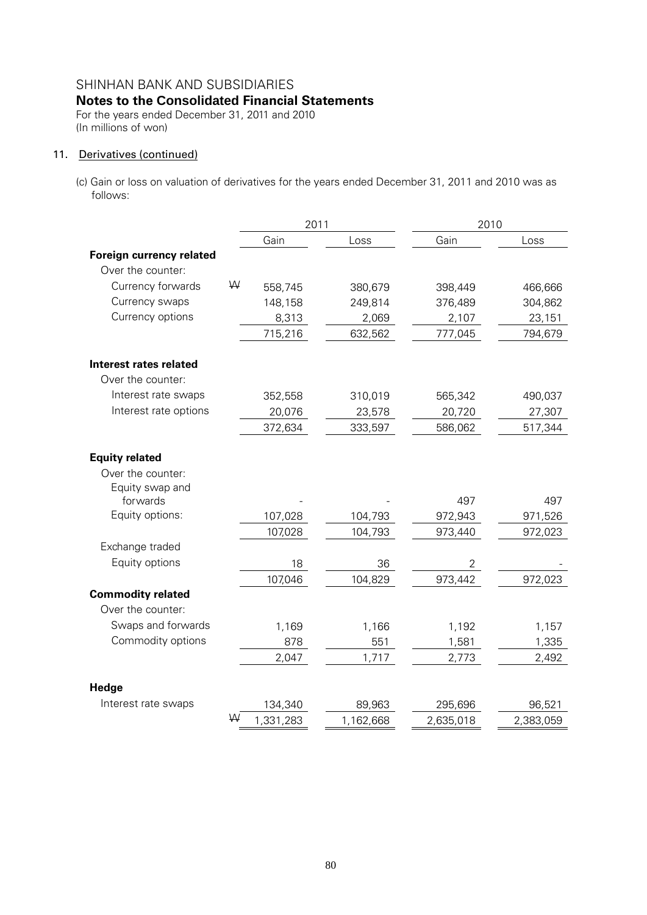For the years ended December 31, 2011 and 2010 (In millions of won)

## 11. Derivatives (continued)

(c) Gain or loss on valuation of derivatives for the years ended December 31, 2011 and 2010 was as follows:

|                               |   | 2011      |           | 2010      |           |  |
|-------------------------------|---|-----------|-----------|-----------|-----------|--|
|                               |   | Gain      | Loss      | Gain      | Loss      |  |
| Foreign currency related      |   |           |           |           |           |  |
| Over the counter:             |   |           |           |           |           |  |
| Currency forwards             | W | 558,745   | 380,679   | 398,449   | 466,666   |  |
| Currency swaps                |   | 148,158   | 249,814   | 376,489   | 304,862   |  |
| Currency options              |   | 8,313     | 2,069     | 2,107     | 23,151    |  |
|                               |   | 715,216   | 632,562   | 777,045   | 794,679   |  |
| <b>Interest rates related</b> |   |           |           |           |           |  |
| Over the counter:             |   |           |           |           |           |  |
| Interest rate swaps           |   | 352,558   | 310,019   | 565,342   | 490,037   |  |
| Interest rate options         |   | 20,076    | 23,578    | 20,720    | 27,307    |  |
|                               |   | 372,634   | 333,597   | 586,062   | 517,344   |  |
| <b>Equity related</b>         |   |           |           |           |           |  |
| Over the counter:             |   |           |           |           |           |  |
| Equity swap and               |   |           |           |           |           |  |
| forwards                      |   |           |           | 497       | 497       |  |
| Equity options:               |   | 107,028   | 104,793   | 972,943   | 971,526   |  |
|                               |   | 107,028   | 104,793   | 973,440   | 972,023   |  |
| Exchange traded               |   |           |           |           |           |  |
| Equity options                |   | 18        | 36        | 2         |           |  |
|                               |   | 107,046   | 104,829   | 973,442   | 972,023   |  |
| <b>Commodity related</b>      |   |           |           |           |           |  |
| Over the counter:             |   |           |           |           |           |  |
| Swaps and forwards            |   | 1,169     | 1,166     | 1,192     | 1,157     |  |
| Commodity options             |   | 878       | 551       | 1,581     | 1,335     |  |
|                               |   | 2,047     | 1,717     | 2,773     | 2,492     |  |
| Hedge                         |   |           |           |           |           |  |
| Interest rate swaps           |   | 134,340   | 89,963    | 295,696   | 96,521    |  |
|                               | W | 1,331,283 | 1,162,668 | 2,635,018 | 2,383,059 |  |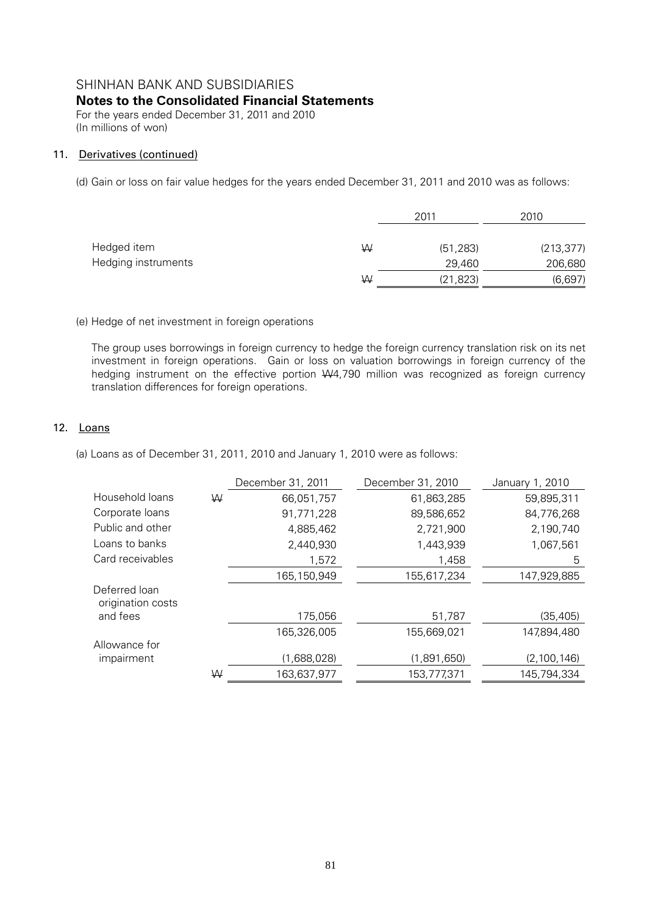(In millions of won)

#### 11. Derivatives (continued)

(d) Gain or loss on fair value hedges for the years ended December 31, 2011 and 2010 was as follows:

|                                    |   | 2011                | 2010                  |
|------------------------------------|---|---------------------|-----------------------|
| Hedged item<br>Hedging instruments | W | (51, 283)<br>29,460 | (213, 377)<br>206,680 |
|                                    | W | (21, 823)           | (6,697)               |

#### (e) Hedge of net investment in foreign operations

The group uses borrowings in foreign currency to hedge the foreign currency translation risk on its net investment in foreign operations. Gain or loss on valuation borrowings in foreign currency of the hedging instrument on the effective portion W4,790 million was recognized as foreign currency translation differences for foreign operations.

#### 12. Loans

(a) Loans as of December 31, 2011, 2010 and January 1, 2010 were as follows:

|                                    |   | December 31, 2011 | December 31, 2010 | January 1, 2010 |
|------------------------------------|---|-------------------|-------------------|-----------------|
| Household loans                    | W | 66,051,757        | 61,863,285        | 59,895,311      |
| Corporate loans                    |   | 91,771,228        | 89,586,652        | 84,776,268      |
| Public and other                   |   | 4,885,462         | 2,721,900         | 2,190,740       |
| Loans to banks                     |   | 2,440,930         | 1,443,939         | 1,067,561       |
| Card receivables                   |   | 1,572             | 1,458             | 5               |
|                                    |   | 165,150,949       | 155,617,234       | 147,929,885     |
| Deferred loan<br>origination costs |   |                   |                   |                 |
| and fees                           |   | 175,056           | 51,787            | (35, 405)       |
|                                    |   | 165,326,005       | 155,669,021       | 147,894,480     |
| Allowance for                      |   |                   |                   |                 |
| impairment                         |   | (1,688,028)       | (1,891,650)       | (2, 100, 146)   |
|                                    | W | 163,637,977       | 153,777,371       | 145,794,334     |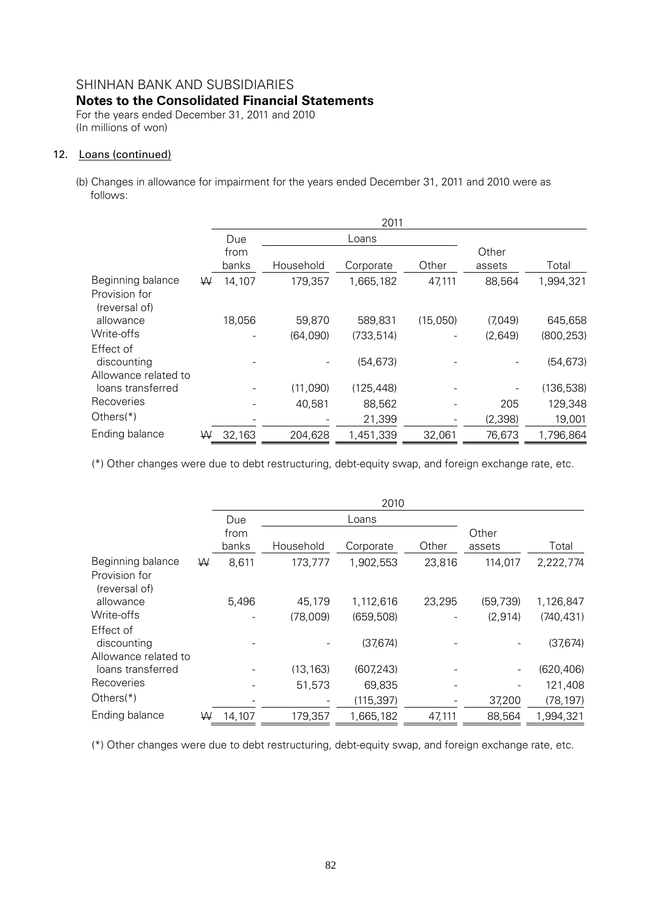(In millions of won)

## 12. Loans (continued)

(b) Changes in allowance for impairment for the years ended December 31, 2011 and 2010 were as follows:

|                                                     |   |               |           | 2011       |          |                 |            |
|-----------------------------------------------------|---|---------------|-----------|------------|----------|-----------------|------------|
|                                                     |   | Due           |           | Loans      |          |                 |            |
|                                                     |   | from<br>banks | Household | Corporate  | Other    | Other<br>assets | Total      |
| Beginning balance<br>Provision for<br>(reversal of) | W | 14,107        | 179,357   | 1,665,182  | 47,111   | 88,564          | 1,994,321  |
| allowance                                           |   | 18,056        | 59,870    | 589,831    | (15,050) | (7,049)         | 645,658    |
| Write-offs                                          |   |               | (64,090)  | (733, 514) |          | (2,649)         | (800, 253) |
| Effect of<br>discounting<br>Allowance related to    |   |               |           | (54, 673)  |          |                 | (54, 673)  |
| loans transferred                                   |   |               | (11,090)  | (125,448)  |          |                 | (136, 538) |
| Recoveries                                          |   |               | 40,581    | 88,562     |          | 205             | 129,348    |
| $Others(*)$                                         |   |               |           | 21,399     |          | (2,398)         | 19,001     |
| Ending balance                                      | W | 32,163        | 204,628   | 1,451,339  | 32,061   | 76,673          | 1,796,864  |

(\*) Other changes were due to debt restructuring, debt-equity swap, and foreign exchange rate, etc.

|                                                     |   | 2010          |           |            |        |                 |            |  |
|-----------------------------------------------------|---|---------------|-----------|------------|--------|-----------------|------------|--|
|                                                     |   | Due           |           | Loans      |        |                 |            |  |
|                                                     |   | from<br>banks | Household | Corporate  | Other  | Other<br>assets | Total      |  |
| Beginning balance<br>Provision for<br>(reversal of) | W | 8,611         | 173,777   | 1,902,553  | 23,816 | 114,017         | 2,222,774  |  |
| allowance                                           |   | 5,496         | 45,179    | 1,112,616  | 23,295 | (59, 739)       | 1,126,847  |  |
| Write-offs                                          |   |               | (78,009)  | (659, 508) |        | (2,914)         | (740, 431) |  |
| Effect of<br>discounting                            |   |               |           | (37,674)   |        |                 | (37, 674)  |  |
| Allowance related to<br>loans transferred           |   |               | (13, 163) | (607, 243) |        |                 | (620, 406) |  |
| Recoveries                                          |   |               | 51,573    | 69,835     |        |                 | 121,408    |  |
| Others $(*)$                                        |   |               |           | (115, 397) |        | 37,200          | (78, 197)  |  |
| Ending balance                                      | W | 14,107        | 179,357   | 1,665,182  | 47,111 | 88,564          | 1,994,321  |  |

(\*) Other changes were due to debt restructuring, debt-equity swap, and foreign exchange rate, etc.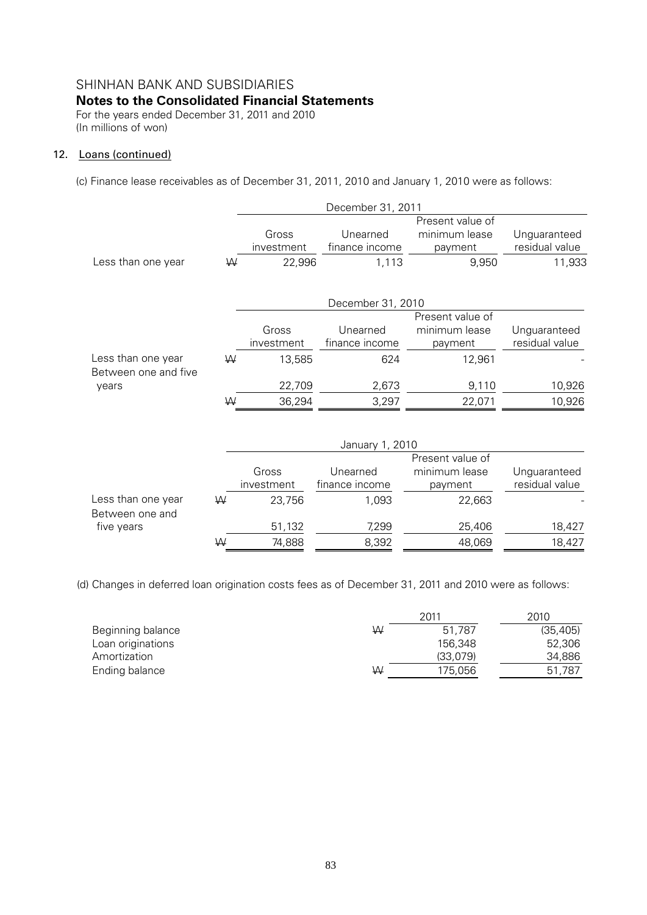(In millions of won)

## 12. Loans (continued)

(c) Finance lease receivables as of December 31, 2011, 2010 and January 1, 2010 were as follows:

|                      |   |                     | December 31, 2011          |                          |                                |
|----------------------|---|---------------------|----------------------------|--------------------------|--------------------------------|
|                      |   |                     |                            | Present value of         |                                |
|                      |   | Gross<br>investment | Unearned<br>finance income | minimum lease<br>payment | Unguaranteed<br>residual value |
| Less than one year   | W | 22,996              | 1,113                      | 9,950                    | 11,933                         |
|                      |   |                     |                            |                          |                                |
|                      |   |                     | December 31, 2010          |                          |                                |
|                      |   |                     |                            | Present value of         |                                |
|                      |   | Gross               | Unearned                   | minimum lease            | Unguaranteed                   |
|                      |   | investment          | finance income             | payment                  | residual value                 |
| Less than one year   | W | 13,585              | 624                        | 12,961                   |                                |
| Between one and five |   |                     |                            |                          |                                |
| years                |   | 22,709              | 2,673                      | 9,110                    | 10,926                         |
|                      | W | 36,294              | 3,297                      | 22,071                   | 10,926                         |

|                                       |   | January 1, 2010     |                            |                          |                                |  |
|---------------------------------------|---|---------------------|----------------------------|--------------------------|--------------------------------|--|
|                                       |   | Present value of    |                            |                          |                                |  |
|                                       |   | Gross<br>investment | Unearned<br>finance income | minimum lease<br>payment | Unguaranteed<br>residual value |  |
| Less than one year<br>Between one and | W | 23,756              | 1,093                      | 22,663                   |                                |  |
| five years                            |   | 51,132              | 7,299                      | 25,406                   | 18,427                         |  |
|                                       | W | 74,888              | 8,392                      | 48,069                   | 18,427                         |  |

(d) Changes in deferred loan origination costs fees as of December 31, 2011 and 2010 were as follows:

|                   |   | 2011     | 2010      |
|-------------------|---|----------|-----------|
| Beginning balance | W | 51.787   | (35, 405) |
| Loan originations |   | 156,348  | 52,306    |
| Amortization      |   | (33,079) | 34,886    |
| Ending balance    | ₩ | 175,056  | 51.787    |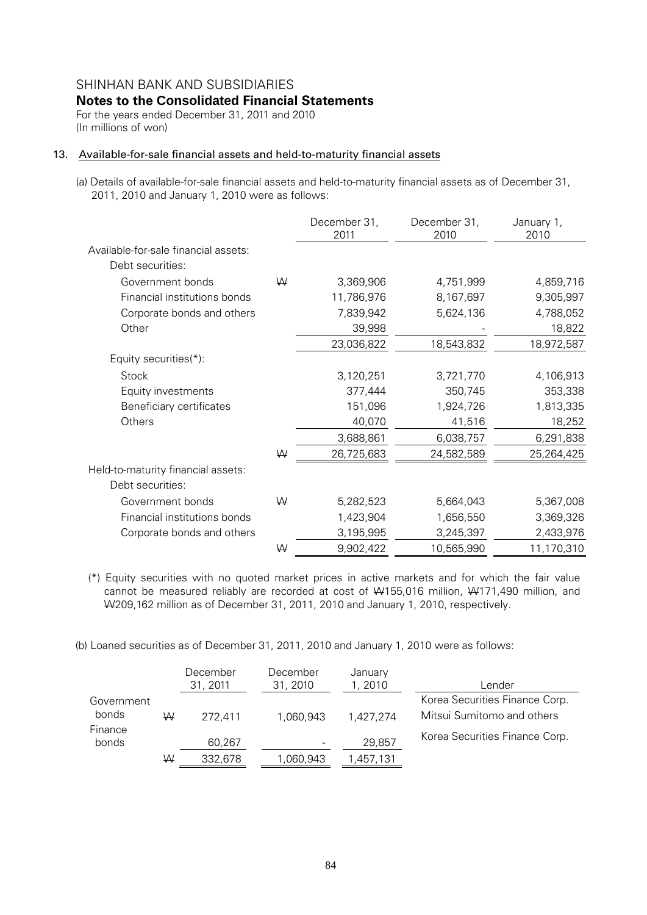#### **Notes to the Consolidated Financial Statements**

For the years ended December 31, 2011 and 2010 (In millions of won)

#### 13. Available-for-sale financial assets and held-to-maturity financial assets

(a) Details of available-for-sale financial assets and held-to-maturity financial assets as of December 31, 2011, 2010 and January 1, 2010 were as follows:

|                                      |   | December 31,<br>2011 | December 31,<br>2010 | January 1,<br>2010 |
|--------------------------------------|---|----------------------|----------------------|--------------------|
| Available-for-sale financial assets: |   |                      |                      |                    |
| Debt securities:                     |   |                      |                      |                    |
| Government bonds                     | W | 3,369,906            | 4,751,999            | 4,859,716          |
| Financial institutions bonds         |   | 11,786,976           | 8,167,697            | 9,305,997          |
| Corporate bonds and others           |   | 7,839,942            | 5,624,136            | 4,788,052          |
| Other                                |   | 39,998               |                      | 18,822             |
|                                      |   | 23,036,822           | 18,543,832           | 18,972,587         |
| Equity securities(*):                |   |                      |                      |                    |
| <b>Stock</b>                         |   | 3,120,251            | 3,721,770            | 4,106,913          |
| Equity investments                   |   | 377,444              | 350,745              | 353,338            |
| Beneficiary certificates             |   | 151,096              | 1,924,726            | 1,813,335          |
| Others                               |   | 40,070               | 41,516               | 18,252             |
|                                      |   | 3,688,861            | 6,038,757            | 6,291,838          |
|                                      | W | 26,725,683           | 24,582,589           | 25,264,425         |
| Held-to-maturity financial assets:   |   |                      |                      |                    |
| Debt securities:                     |   |                      |                      |                    |
| Government bonds                     | ₩ | 5,282,523            | 5,664,043            | 5,367,008          |
| Financial institutions bonds         |   | 1,423,904            | 1,656,550            | 3,369,326          |
| Corporate bonds and others           |   | 3,195,995            | 3,245,397            | 2,433,976          |
|                                      | W | 9,902,422            | 10,565,990           | 11,170,310         |

(\*) Equity securities with no quoted market prices in active markets and for which the fair value cannot be measured reliably are recorded at cost of W155,016 million, W171,490 million, and W209,162 million as of December 31, 2011, 2010 and January 1, 2010, respectively.

(b) Loaned securities as of December 31, 2011, 2010 and January 1, 2010 were as follows:

|            |   | December<br>31, 2011 | December<br>31, 2010 | January<br>1, 2010 | Lender                         |
|------------|---|----------------------|----------------------|--------------------|--------------------------------|
| Government |   |                      |                      |                    | Korea Securities Finance Corp. |
| bonds      | W | 272.411              | 1,060,943            | 1.427.274          | Mitsui Sumitomo and others     |
| Finance    |   |                      |                      |                    | Korea Securities Finance Corp. |
| bonds      |   | 60.267               |                      | 29,857             |                                |
|            | W | 332,678              | 1,060,943            | l,457,131          |                                |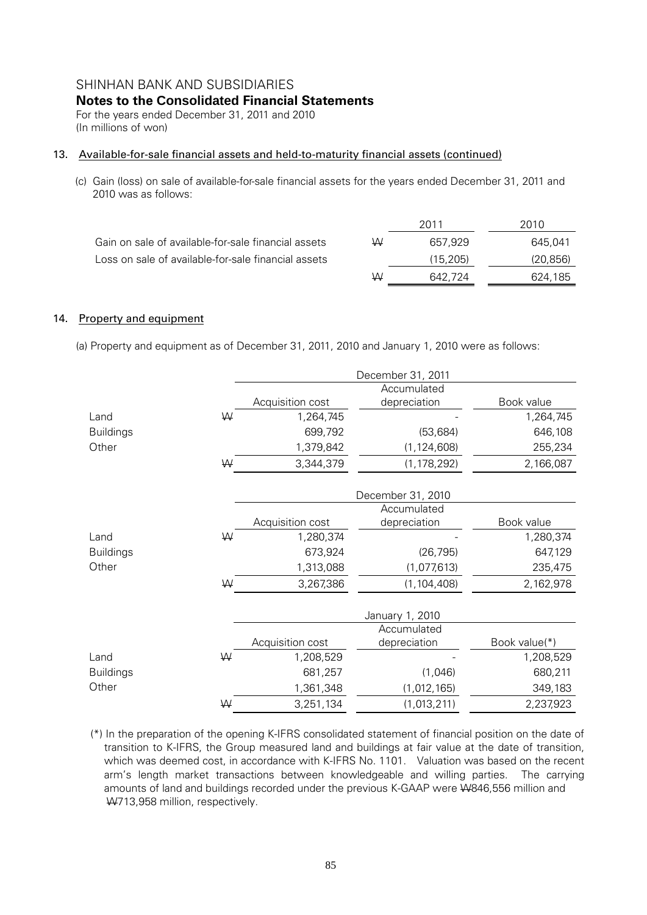### **Notes to the Consolidated Financial Statements**

For the years ended December 31, 2011 and 2010 (In millions of won)

#### 13. Available-for-sale financial assets and held-to-maturity financial assets (continued)

(c) Gain (loss) on sale of available-for-sale financial assets for the years ended December 31, 2011 and 2010 was as follows:

|                                                     |   | 2011     | 2010      |
|-----------------------------------------------------|---|----------|-----------|
| Gain on sale of available-for-sale financial assets | W | 657.929  | 645.041   |
| Loss on sale of available-for-sale financial assets |   | (15.205) | (20, 856) |
|                                                     | W | 642.724  | 624.185   |

#### 14. Property and equipment

(a) Property and equipment as of December 31, 2011, 2010 and January 1, 2010 were as follows:

|                  | December 31, 2011 |                                  |
|------------------|-------------------|----------------------------------|
|                  | Accumulated       |                                  |
| Acquisition cost | depreciation      | Book value                       |
| 1,264,745        |                   | 1,264,745                        |
| 699,792          | (53, 684)         | 646,108                          |
| 1,379,842        | (1, 124, 608)     | 255,234                          |
| 3,344,379        | (1, 178, 292)     | 2,166,087                        |
|                  |                   |                                  |
|                  |                   |                                  |
| Acquisition cost | depreciation      | Book value                       |
| 1,280,374        |                   | 1,280,374                        |
| 673,924          | (26, 795)         | 647,129                          |
| 1,313,088        | (1,077,613)       | 235,475                          |
| 3,267,386        | (1, 104, 408)     | 2,162,978                        |
|                  | January 1, 2010   |                                  |
|                  | Accumulated       |                                  |
| Acquisition cost | depreciation      | Book value(*)                    |
| 1,208,529        |                   | 1,208,529                        |
| 681,257          | (1,046)           | 680,211                          |
| 1,361,348        | (1,012,165)       | 349,183                          |
| 3,251,134        | (1,013,211)       | 2,237,923                        |
|                  |                   | December 31, 2010<br>Accumulated |

(\*) In the preparation of the opening K-IFRS consolidated statement of financial position on the date of transition to K-IFRS, the Group measured land and buildings at fair value at the date of transition, which was deemed cost, in accordance with K-IFRS No. 1101. Valuation was based on the recent arm's length market transactions between knowledgeable and willing parties. The carrying amounts of land and buildings recorded under the previous K-GAAP were W846,556 million and W713,958 million, respectively.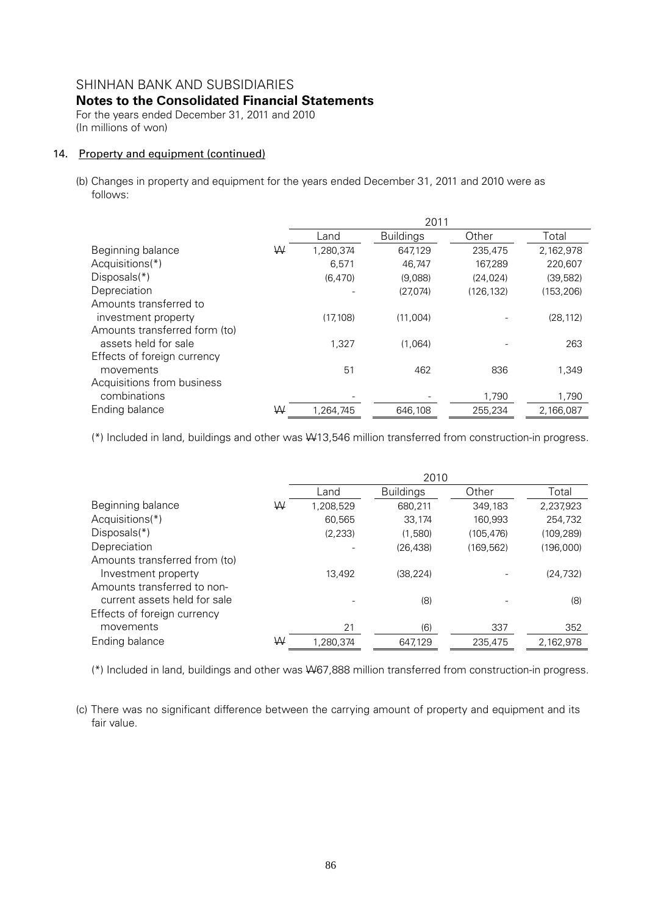#### **Notes to the Consolidated Financial Statements**

For the years ended December 31, 2011 and 2010 (In millions of won)

#### 14. Property and equipment (continued)

(b) Changes in property and equipment for the years ended December 31, 2011 and 2010 were as follows:

|                               |   | 2011      |                  |           |            |  |
|-------------------------------|---|-----------|------------------|-----------|------------|--|
|                               |   | Land      | <b>Buildings</b> | Other     | Total      |  |
| Beginning balance             | ₩ | 1,280,374 | 647,129          | 235,475   | 2,162,978  |  |
| Acquisitions(*)               |   | 6.571     | 46,747           | 167,289   | 220,607    |  |
| $Disposals(*)$                |   | (6, 470)  | (9,088)          | (24.024)  | (39.582)   |  |
| Depreciation                  |   |           | (27,074)         | (126.132) | (153, 206) |  |
| Amounts transferred to        |   |           |                  |           |            |  |
| investment property           |   | (17, 108) | (11,004)         |           | (28, 112)  |  |
| Amounts transferred form (to) |   |           |                  |           |            |  |
| assets held for sale          |   | 1,327     | (1,064)          |           | 263        |  |
| Effects of foreign currency   |   |           |                  |           |            |  |
| movements                     |   | 51        | 462              | 836       | 1,349      |  |
| Acquisitions from business    |   |           |                  |           |            |  |
| combinations                  |   |           |                  | 1,790     | 1,790      |  |
| Ending balance                | W | 1.264.745 | 646.108          | 255.234   | 2.166.087  |  |

(\*) Included in land, buildings and other was W13,546 million transferred from construction-in progress.

|                                                             |   | 2010      |                  |            |            |  |
|-------------------------------------------------------------|---|-----------|------------------|------------|------------|--|
|                                                             |   | Land      | <b>Buildings</b> | Other      | Total      |  |
| Beginning balance                                           | ₩ | 1,208,529 | 680,211          | 349,183    | 2,237,923  |  |
| Acquisitions <sup>(*)</sup>                                 |   | 60,565    | 33,174           | 160,993    | 254.732    |  |
| $Disposals(*)$                                              |   | (2.233)   | (1,580)          | (105, 476) | (109, 289) |  |
| Depreciation                                                |   |           | (26, 438)        | (169.562)  | (196.000)  |  |
| Amounts transferred from (to)<br>Investment property        |   | 13.492    | (38.224)         |            | (24.732)   |  |
| Amounts transferred to non-<br>current assets held for sale |   |           | (8)              |            | (8)        |  |
| Effects of foreign currency                                 |   |           |                  |            |            |  |
| movements                                                   |   | 21        | (6)              | 337        | 352        |  |
| Ending balance                                              | ₩ | 1,280,374 | 647,129          | 235,475    | 2,162,978  |  |

(\*) Included in land, buildings and other was W67,888 million transferred from construction-in progress.

(c) There was no significant difference between the carrying amount of property and equipment and its fair value.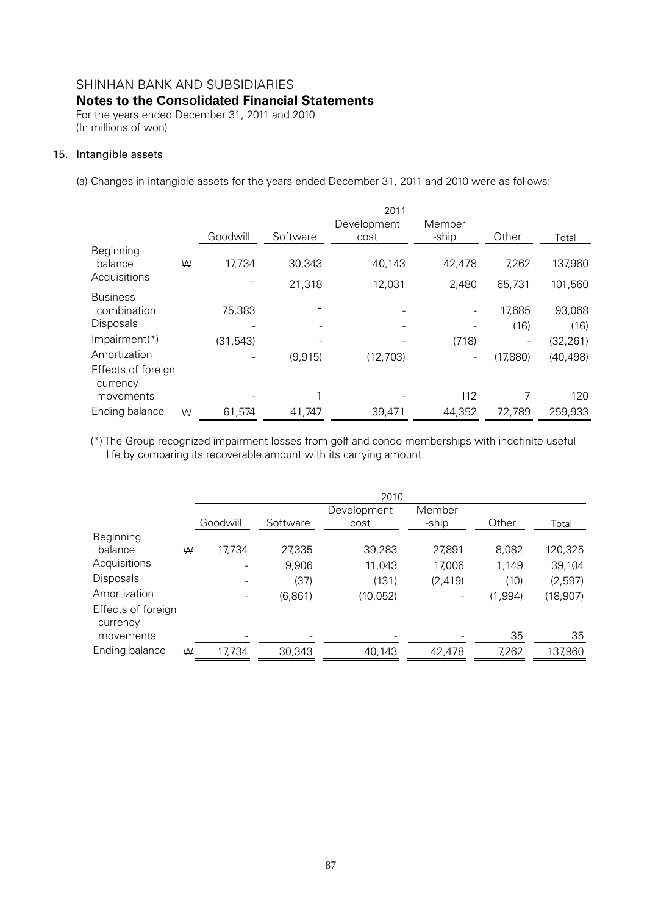For the years ended December 31, 2011 and 2010 (In millions of won)

## 15. Intangible assets

(a) Changes in intangible assets for the years ended December 31, 2011 and 2010 were as follows:

|                                |   |           |          | 2011                |                 |          |           |
|--------------------------------|---|-----------|----------|---------------------|-----------------|----------|-----------|
|                                |   | Goodwill  | Software | Development<br>cost | Member<br>-ship | Other    | Total     |
| Beginning<br>balance           | W | 17,734    | 30,343   | 40,143              | 42,478          | 7,262    | 137,960   |
| Acquisitions                   |   |           | 21,318   | 12,031              | 2,480           | 65,731   | 101,560   |
| <b>Business</b><br>combination |   | 75,383    |          |                     |                 | 17,685   | 93,068    |
| <b>Disposals</b>               |   |           |          |                     |                 | (16)     | (16)      |
| $Impairment(*)$                |   | (31, 543) |          |                     | (718)           |          | (32, 261) |
| Amortization                   |   |           | (9, 915) | (12, 703)           |                 | (17,880) | (40, 498) |
| Effects of foreign<br>currency |   |           |          |                     |                 |          |           |
| movements                      |   |           |          |                     | 112             |          | 120       |
| Ending balance                 | W | 61,574    | 41,747   | 39,471              | 44,352          | 72,789   | 259,933   |

(\*) The Group recognized impairment losses from golf and condo memberships with indefinite useful life by comparing its recoverable amount with its carrying amount.

|                                |   | 2010     |          |             |          |          |           |
|--------------------------------|---|----------|----------|-------------|----------|----------|-----------|
|                                |   |          |          | Development | Member   |          |           |
|                                |   | Goodwill | Software | cost        | -ship    | Other    | Total     |
| Beginning                      |   |          |          |             |          |          |           |
| balance                        | W | 17,734   | 27,335   | 39,283      | 27,891   | 8,082    | 120,325   |
| Acquisitions                   |   |          | 9,906    | 11,043      | 17,006   | 1,149    | 39,104    |
| <b>Disposals</b>               |   |          | (37)     | (131)       | (2, 419) | (10)     | (2,597)   |
| Amortization                   |   |          | (6,861)  | (10, 052)   |          | (1, 994) | (18, 907) |
| Effects of foreign<br>currency |   |          |          |             |          |          |           |
| movements                      |   |          |          |             |          | 35       | 35        |
| Ending balance                 | W | 17,734   | 30,343   | 40,143      | 42,478   | 7,262    | 137,960   |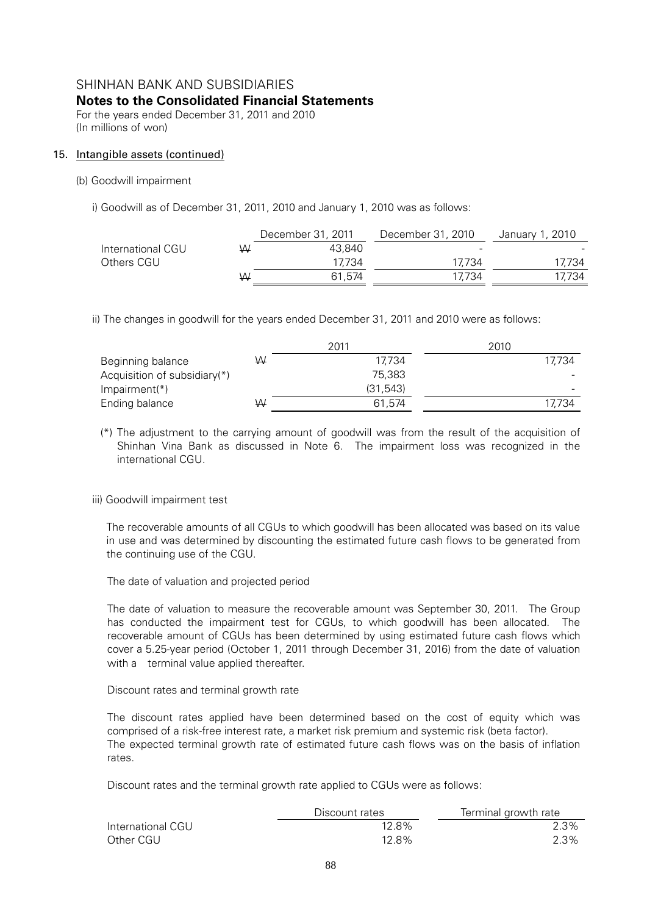For the years ended December 31, 2011 and 2010 (In millions of won)

#### 15. Intangible assets (continued)

- (b) Goodwill impairment
	- i) Goodwill as of December 31, 2011, 2010 and January 1, 2010 was as follows:

|                   |   | December 31, 2011 | December 31, 2010 | January 1, 2010 |
|-------------------|---|-------------------|-------------------|-----------------|
| International CGU | W | 43.840            | -                 |                 |
| Others CGU        |   | 17.734            | 17.734            | 17.734          |
|                   | W | 61.574            | 17.734            | 17.734          |

ii) The changes in goodwill for the years ended December 31, 2011 and 2010 were as follows:

|                                 |   | 2011      | 2010   |
|---------------------------------|---|-----------|--------|
| Beginning balance               | W | 17.734    | 17.734 |
| Acquisition of subsidiary $(*)$ |   | 75.383    |        |
| $Impairment(*)$                 |   | (31, 543) |        |
| Ending balance                  | W | 61.574    | 17.734 |

(\*) The adjustment to the carrying amount of goodwill was from the result of the acquisition of Shinhan Vina Bank as discussed in Note 6. The impairment loss was recognized in the international CGU.

#### iii) Goodwill impairment test

The recoverable amounts of all CGUs to which goodwill has been allocated was based on its value in use and was determined by discounting the estimated future cash flows to be generated from the continuing use of the CGU.

The date of valuation and projected period

The date of valuation to measure the recoverable amount was September 30, 2011. The Group has conducted the impairment test for CGUs, to which goodwill has been allocated. The recoverable amount of CGUs has been determined by using estimated future cash flows which cover a 5.25-year period (October 1, 2011 through December 31, 2016) from the date of valuation with a terminal value applied thereafter.

#### Discount rates and terminal growth rate

The discount rates applied have been determined based on the cost of equity which was comprised of a risk-free interest rate, a market risk premium and systemic risk (beta factor). The expected terminal growth rate of estimated future cash flows was on the basis of inflation rates.

Discount rates and the terminal growth rate applied to CGUs were as follows:

|                   | Discount rates | Terminal growth rate |  |
|-------------------|----------------|----------------------|--|
| International CGU | 12.8%          | 2.3%                 |  |
| Other CGU         | 12.8%          | 2.3%                 |  |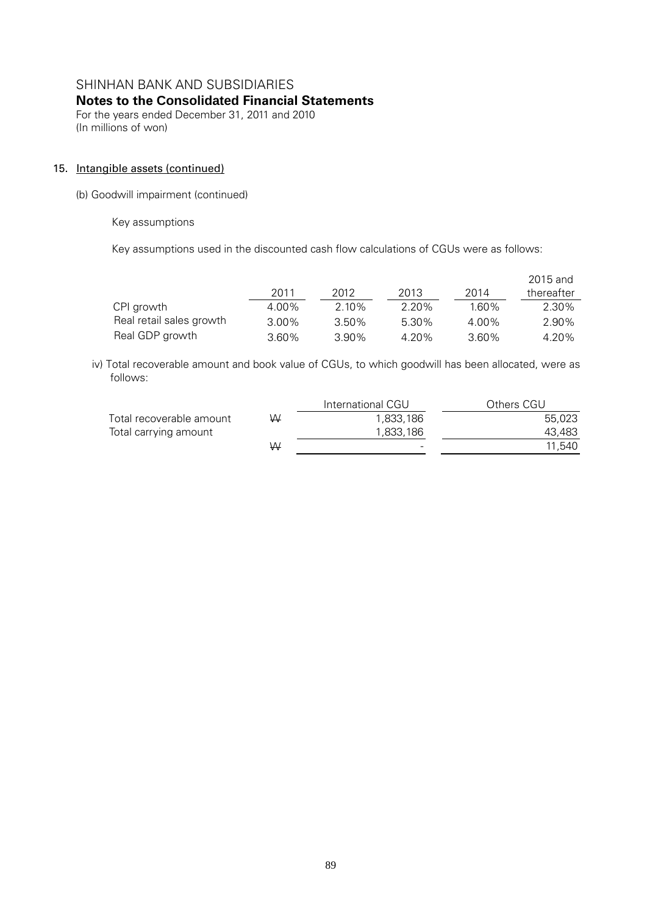#### 15. Intangible assets (continued)

(b) Goodwill impairment (continued)

Key assumptions

Key assumptions used in the discounted cash flow calculations of CGUs were as follows:

|                          |          |          |       |          | 2015 and   |
|--------------------------|----------|----------|-------|----------|------------|
|                          | 2011     | 2012     | 2013  | 2014     | thereafter |
| CPI growth               | 4.00%    | 2.10%    | 2.20% | $1.60\%$ | 2.30%      |
| Real retail sales growth | $3.00\%$ | $3.50\%$ | 5.30% | 4.00%    | $2.90\%$   |
| Real GDP growth          | $3.60\%$ | $3.90\%$ | 4.20% | $3.60\%$ | 4.20%      |

iv) Total recoverable amount and book value of CGUs, to which goodwill has been allocated, were as follows:

|                          |   | International CGU | Others CGU |
|--------------------------|---|-------------------|------------|
| Total recoverable amount | W | 1,833,186         | 55,023     |
| Total carrying amount    |   | 1.833.186         | 43.483     |
|                          | W | -                 | 11.540     |
|                          |   |                   |            |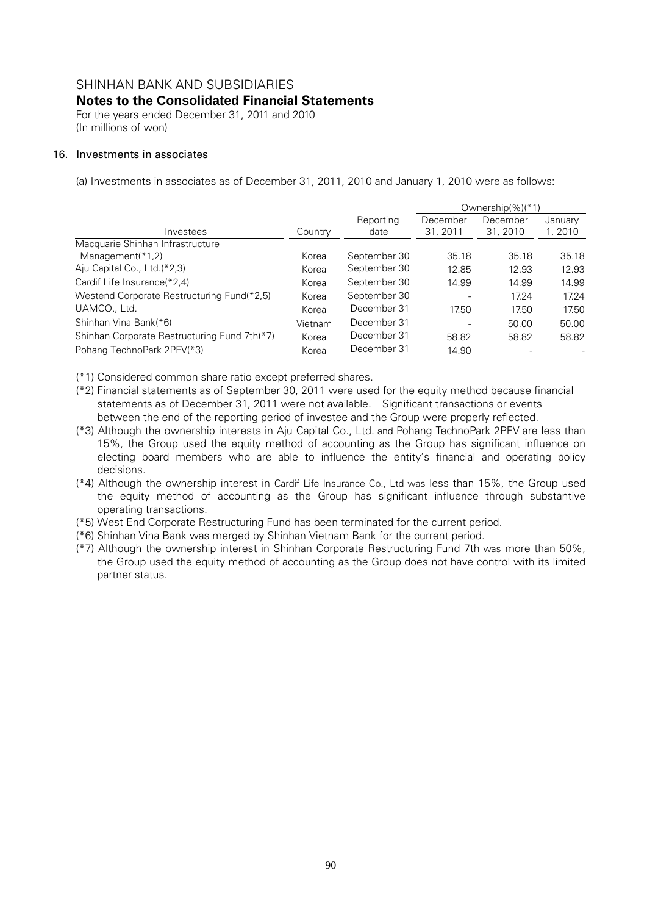### **Notes to the Consolidated Financial Statements**

For the years ended December 31, 2011 and 2010 (In millions of won)

#### 16. Investments in associates

(a) Investments in associates as of December 31, 2011, 2010 and January 1, 2010 were as follows:

|                                              |         |              | Ownership(%)(*1) |          |         |  |
|----------------------------------------------|---------|--------------|------------------|----------|---------|--|
|                                              |         | Reporting    | December         | December | January |  |
| Investees                                    | Country | date         | 31, 2011         | 31, 2010 | 1, 2010 |  |
| Macquarie Shinhan Infrastructure             |         |              |                  |          |         |  |
| Management $(*1,2)$                          | Korea   | September 30 | 35.18            | 35.18    | 35.18   |  |
| Aju Capital Co., Ltd. (*2,3)                 | Korea   | September 30 | 12.85            | 12.93    | 12.93   |  |
| Cardif Life Insurance (*2,4)                 | Korea   | September 30 | 14.99            | 14.99    | 14.99   |  |
| Westend Corporate Restructuring Fund(*2,5)   | Korea   | September 30 |                  | 17.24    | 17.24   |  |
| UAMCO., Ltd.                                 | Korea   | December 31  | 17.50            | 17.50    | 17.50   |  |
| Shinhan Vina Bank(*6)                        | Vietnam | December 31  |                  | 50.00    | 50.00   |  |
| Shinhan Corporate Restructuring Fund 7th(*7) | Korea   | December 31  | 58.82            | 58.82    | 58.82   |  |
| Pohang TechnoPark 2PFV(*3)                   | Korea   | December 31  | 14.90            |          |         |  |

(\*1) Considered common share ratio except preferred shares.

- (\*2) Financial statements as of September 30, 2011 were used for the equity method because financial statements as of December 31, 2011 were not available. Significant transactions or events between the end of the reporting period of investee and the Group were properly reflected.
- (\*3) Although the ownership interests in Aju Capital Co., Ltd. and Pohang TechnoPark 2PFV are less than 15%, the Group used the equity method of accounting as the Group has significant influence on electing board members who are able to influence the entity's financial and operating policy decisions.
- (\*4) Although the ownership interest in Cardif Life Insurance Co., Ltd was less than 15%, the Group used the equity method of accounting as the Group has significant influence through substantive operating transactions.
- (\*5) West End Corporate Restructuring Fund has been terminated for the current period.
- (\*6) Shinhan Vina Bank was merged by Shinhan Vietnam Bank for the current period.
- (\*7) Although the ownership interest in Shinhan Corporate Restructuring Fund 7th was more than 50%, the Group used the equity method of accounting as the Group does not have control with its limited partner status.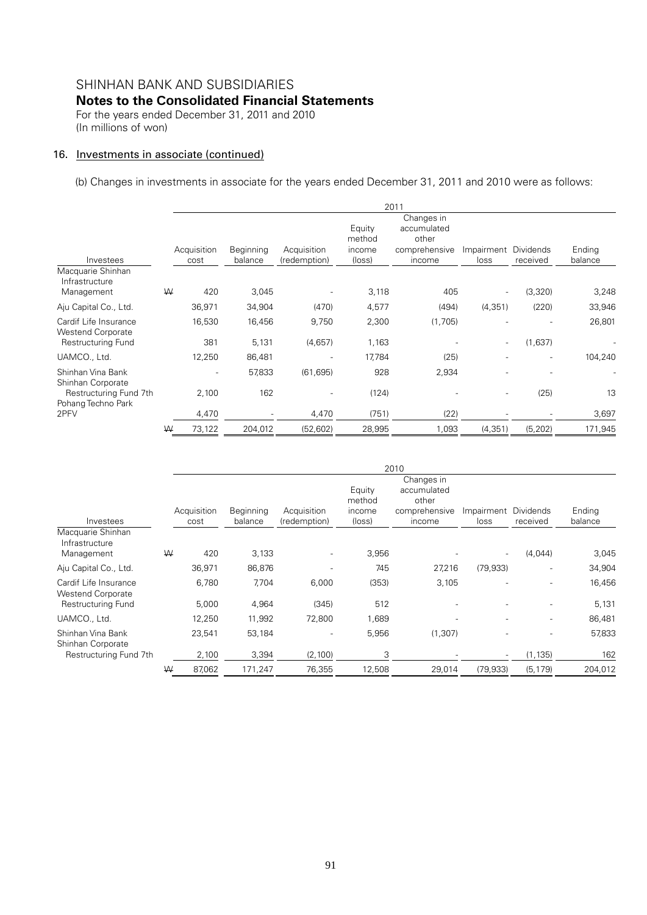For the years ended December 31, 2011 and 2010 (In millions of won)

#### 16. Investments in associate (continued)

(b) Changes in investments in associate for the years ended December 31, 2011 and 2010 were as follows:

|                                                   |   |                     |                             |                             |                                               | 2011                                                          |                    |                       |                   |
|---------------------------------------------------|---|---------------------|-----------------------------|-----------------------------|-----------------------------------------------|---------------------------------------------------------------|--------------------|-----------------------|-------------------|
| Investees                                         |   | Acquisition<br>cost | <b>Beginning</b><br>balance | Acquisition<br>(redemption) | Equity<br>method<br>income<br>$(\text{loss})$ | Changes in<br>accumulated<br>other<br>comprehensive<br>income | Impairment<br>loss | Dividends<br>received | Ending<br>balance |
| Macquarie Shinhan<br>Infrastructure<br>Management | W | 420                 | 3,045                       |                             | 3,118                                         | 405                                                           |                    | (3,320)               | 3,248             |
| Aju Capital Co., Ltd.                             |   | 36,971              | 34,904                      | (470)                       | 4,577                                         | (494)                                                         | (4, 351)           | (220)                 | 33,946            |
| Cardif Life Insurance<br><b>Westend Corporate</b> |   | 16,530              | 16,456                      | 9,750                       | 2,300                                         | (1,705)                                                       |                    |                       | 26,801            |
| <b>Restructuring Fund</b>                         |   | 381                 | 5,131                       | (4,657)                     | 1,163                                         |                                                               | Ξ.                 | (1,637)               |                   |
| UAMCO., Ltd.                                      |   | 12,250              | 86,481                      |                             | 17,784                                        | (25)                                                          |                    |                       | 104,240           |
| Shinhan Vina Bank<br>Shinhan Corporate            |   | $\overline{a}$      | 57,833                      | (61, 695)                   | 928                                           | 2,934                                                         |                    |                       |                   |
| Restructuring Fund 7th<br>Pohang Techno Park      |   | 2,100               | 162                         |                             | (124)                                         |                                                               | $\qquad \qquad -$  | (25)                  | 13                |
| 2PFV                                              |   | 4,470               |                             | 4,470                       | (751)                                         | (22)                                                          |                    |                       | 3,697             |
|                                                   | W | 73,122              | 204,012                     | (52, 602)                   | 28,995                                        | 1,093                                                         | (4, 351)           | (5, 202)              | 171,945           |

|                                                   |   |                     |                      |                             |                                               | 2010                                                          |                          |                          |                   |
|---------------------------------------------------|---|---------------------|----------------------|-----------------------------|-----------------------------------------------|---------------------------------------------------------------|--------------------------|--------------------------|-------------------|
| Investees                                         |   | Acquisition<br>cost | Beginning<br>balance | Acquisition<br>(redemption) | Equity<br>method<br>income<br>$(\text{loss})$ | Changes in<br>accumulated<br>other<br>comprehensive<br>income | Impairment<br>loss       | Dividends<br>received    | Ending<br>balance |
| Macquarie Shinhan<br>Infrastructure<br>Management | W | 420                 | 3,133                |                             | 3,956                                         |                                                               | $\overline{\phantom{a}}$ | (4,044)                  | 3,045             |
| Aju Capital Co., Ltd.                             |   | 36,971              | 86,876               |                             | 745                                           | 27,216                                                        | (79, 933)                |                          | 34,904            |
| Cardif Life Insurance<br><b>Westend Corporate</b> |   | 6,780               | 7,704                | 6,000                       | (353)                                         | 3,105                                                         |                          |                          | 16,456            |
| <b>Restructuring Fund</b>                         |   | 5,000               | 4,964                | (345)                       | 512                                           |                                                               |                          | $\overline{\phantom{0}}$ | 5,131             |
| UAMCO., Ltd.                                      |   | 12,250              | 11,992               | 72,800                      | 1,689                                         | ۰                                                             |                          | Ξ.                       | 86,481            |
| Shinhan Vina Bank<br>Shinhan Corporate            |   | 23,541              | 53,184               |                             | 5,956                                         | (1,307)                                                       |                          |                          | 57,833            |
| Restructuring Fund 7th                            |   | 2,100               | 3,394                | (2, 100)                    | 3                                             |                                                               |                          | (1, 135)                 | 162               |
|                                                   | W | 87,062              | 171,247              | 76,355                      | 12,508                                        | 29,014                                                        | (79, 933)                | (5, 179)                 | 204,012           |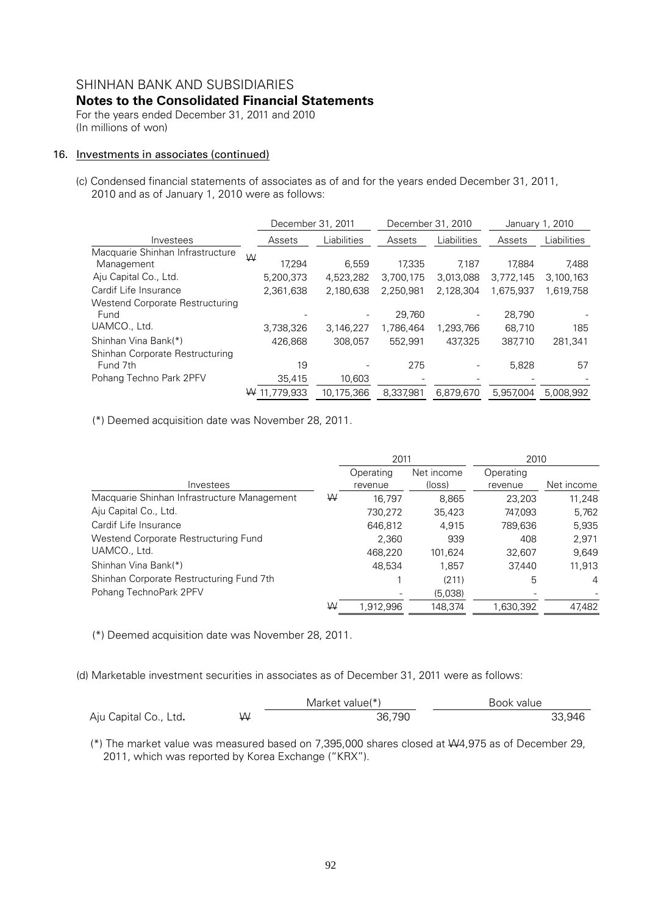### **Notes to the Consolidated Financial Statements**

For the years ended December 31, 2011 and 2010 (In millions of won)

#### 16. Investments in associates (continued)

(c) Condensed financial statements of associates as of and for the years ended December 31, 2011, 2010 and as of January 1, 2010 were as follows:

|                                        |              | December 31, 2011 |           | December 31, 2010 | January 1, 2010 |             |
|----------------------------------------|--------------|-------------------|-----------|-------------------|-----------------|-------------|
| Investees                              | Assets       | Liabilities       | Assets    | Liabilities       | Assets          | Liabilities |
| Macquarie Shinhan Infrastructure       | W            |                   |           |                   |                 |             |
| Management                             | 17,294       | 6,559             | 17,335    | 7,187             | 17.884          | 7,488       |
| Aju Capital Co., Ltd.                  | 5.200.373    | 4,523,282         | 3,700,175 | 3.013.088         | 3.772.145       | 3,100,163   |
| Cardif Life Insurance                  | 2,361,638    | 2,180,638         | 2.250.981 | 2,128,304         | 1.675.937       | 1,619,758   |
| <b>Westend Corporate Restructuring</b> |              |                   |           |                   |                 |             |
| Fund                                   |              |                   | 29.760    |                   | 28.790          |             |
| UAMCO., Ltd.                           | 3,738,326    | 3,146,227         | 1,786,464 | 1,293,766         | 68.710          | 185         |
| Shinhan Vina Bank(*)                   | 426.868      | 308.057           | 552.991   | 437.325           | 387,710         | 281,341     |
| Shinhan Corporate Restructuring        |              |                   |           |                   |                 |             |
| Fund 7th                               | 19           |                   | 275       |                   | 5,828           | 57          |
| Pohang Techno Park 2PFV                | 35,415       | 10,603            |           |                   |                 |             |
|                                        | W 11.779.933 | 10.175.366        | 8.337.981 | 6.879.670         | 5,957,004       | 5.008.992   |

(\*) Deemed acquisition date was November 28, 2011.

|                                             |   | 2011                 |                      | 2010                 |            |
|---------------------------------------------|---|----------------------|----------------------|----------------------|------------|
| Investees                                   |   | Operating<br>revenue | Net income<br>(loss) | Operating<br>revenue | Net income |
| Macquarie Shinhan Infrastructure Management | W | 16.797               | 8,865                | 23,203               | 11,248     |
| Aju Capital Co., Ltd.                       |   | 730,272              | 35,423               | 747.093              | 5,762      |
| Cardif Life Insurance                       |   | 646,812              | 4.915                | 789.636              | 5,935      |
| Westend Corporate Restructuring Fund        |   | 2,360                | 939                  | 408                  | 2,971      |
| UAMCO., Ltd.                                |   | 468.220              | 101,624              | 32,607               | 9.649      |
| Shinhan Vina Bank(*)                        |   | 48.534               | 1,857                | 37.440               | 11,913     |
| Shinhan Corporate Restructuring Fund 7th    |   |                      | (211)                | 5                    | 4          |
| Pohang TechnoPark 2PFV                      |   |                      | (5.038)              |                      |            |
|                                             | W | 1,912,996            | 148.374              | 1,630,392            | 47,482     |

(\*) Deemed acquisition date was November 28, 2011.

(d) Marketable investment securities in associates as of December 31, 2011 were as follows:

|                       |   | Market value(*) | Book value |
|-----------------------|---|-----------------|------------|
| Aju Capital Co., Ltd. | W | 36.790          | 33.946     |

(\*) The market value was measured based on 7,395,000 shares closed at W4,975 as of December 29, 2011, which was reported by Korea Exchange ("KRX").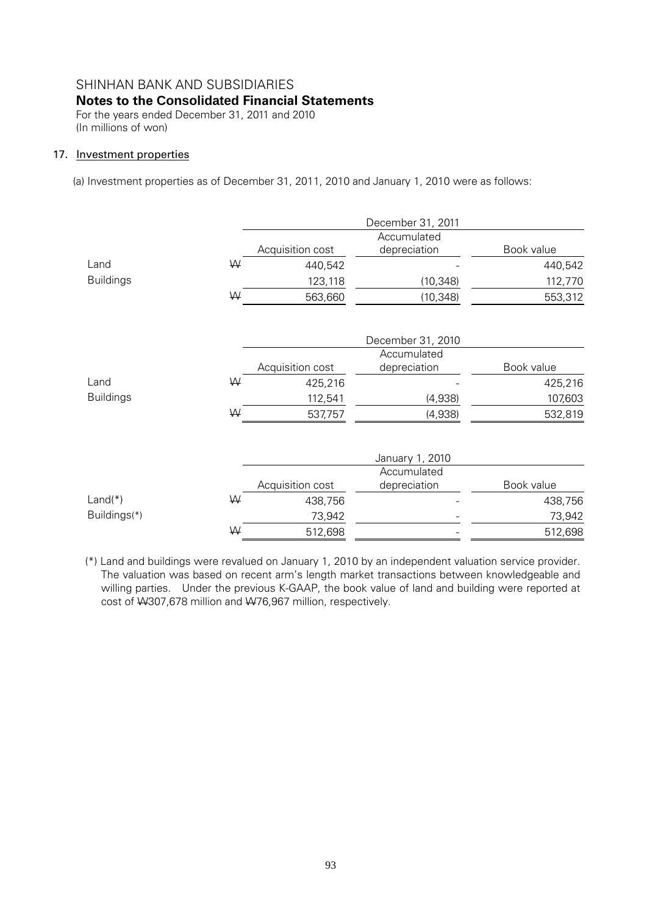(In millions of won)

#### 17. Investment properties

(a) Investment properties as of December 31, 2011, 2010 and January 1, 2010 were as follows:

|                  |   |                  | December 31, 2011                |            |
|------------------|---|------------------|----------------------------------|------------|
|                  |   |                  | Accumulated                      |            |
|                  |   | Acquisition cost | depreciation                     | Book value |
| Land             | ₩ | 440,542          |                                  | 440,542    |
| <b>Buildings</b> |   | 123,118          | (10, 348)                        | 112,770    |
|                  | W | 563,660          | (10, 348)                        | 553,312    |
|                  |   |                  |                                  |            |
|                  |   |                  | December 31, 2010<br>Accumulated |            |
|                  |   | Acquisition cost | depreciation                     | Book value |
| Land             | W | 425,216          |                                  | 425,216    |
| <b>Buildings</b> |   | 112,541          | (4,938)                          | 107,603    |
|                  | W | 537,757          | (4,938)                          | 532,819    |
|                  |   |                  |                                  |            |
|                  |   |                  | January 1, 2010                  |            |
|                  |   |                  | Accumulated                      |            |
|                  |   | Acquisition cost | depreciation                     | Book value |
| $Land(*)$        | W | 438,756          |                                  | 438,756    |
| Buildings(*)     |   | 73,942           |                                  | 73,942     |
|                  | W | 512,698          |                                  | 512,698    |

(\*) Land and buildings were revalued on January 1, 2010 by an independent valuation service provider. The valuation was based on recent arm's length market transactions between knowledgeable and willing parties. Under the previous K-GAAP, the book value of land and building were reported at cost of W307,678 million and W76,967 million, respectively.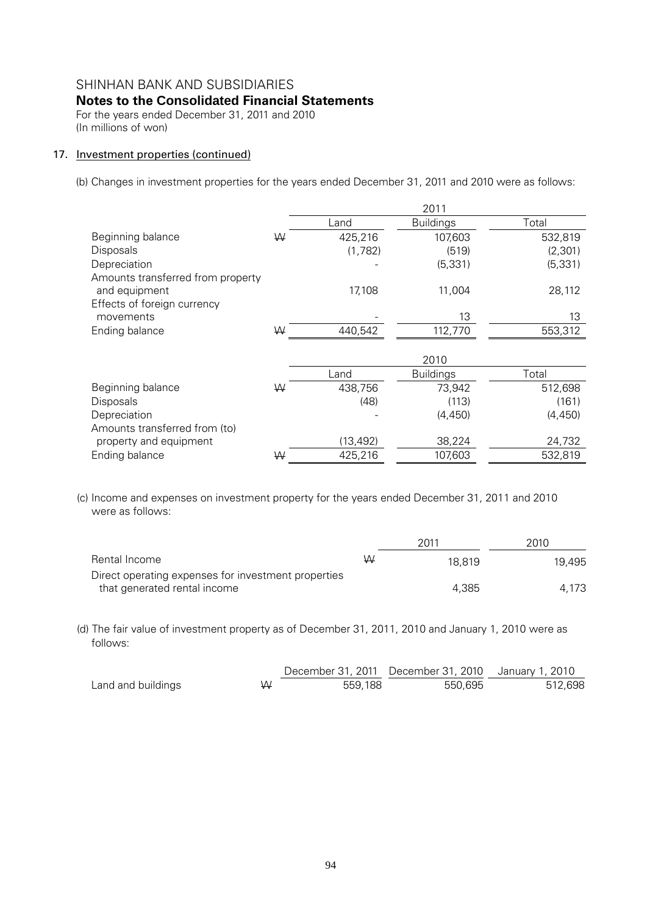## **Notes to the Consolidated Financial Statements**

For the years ended December 31, 2011 and 2010 (In millions of won)

#### 17. Investment properties (continued)

(b) Changes in investment properties for the years ended December 31, 2011 and 2010 were as follows:

|                                   |   |           | 2011             |          |
|-----------------------------------|---|-----------|------------------|----------|
|                                   |   | Land      | <b>Buildings</b> | Total    |
| Beginning balance                 | W | 425,216   | 107,603          | 532,819  |
| Disposals                         |   | (1,782)   | (519)            | (2,301)  |
| Depreciation                      |   |           | (5, 331)         | (5, 331) |
| Amounts transferred from property |   |           |                  |          |
| and equipment                     |   | 17,108    | 11,004           | 28,112   |
| Effects of foreign currency       |   |           |                  |          |
| movements                         |   |           | 13               | 13       |
| Ending balance                    | W | 440,542   | 112,770          | 553,312  |
|                                   |   |           |                  |          |
|                                   |   |           | 2010             |          |
|                                   |   | Land      | <b>Buildings</b> | Total    |
| Beginning balance                 | W | 438,756   | 73,942           | 512,698  |
| Disposals                         |   | (48)      | (113)            | (161)    |
| Depreciation                      |   |           | (4,450)          | (4,450)  |
| Amounts transferred from (to)     |   |           |                  |          |
| property and equipment            |   | (13, 492) | 38,224           | 24,732   |
| Ending balance                    | ₩ | 425,216   | 107,603          | 532,819  |

(c) Income and expenses on investment property for the years ended December 31, 2011 and 2010 were as follows:

|                                                     |   | 2011   | 2010   |
|-----------------------------------------------------|---|--------|--------|
| Rental Income                                       | W | 18.819 | 19.495 |
| Direct operating expenses for investment properties |   |        |        |
| that generated rental income                        |   | 4.385  | 4.173  |

(d) The fair value of investment property as of December 31, 2011, 2010 and January 1, 2010 were as follows:

|                    |   | December 31, 2011 December 31, 2010 January 1, 2010 |         |         |
|--------------------|---|-----------------------------------------------------|---------|---------|
| Land and buildings | W | 559,188                                             | 550.695 | 512,698 |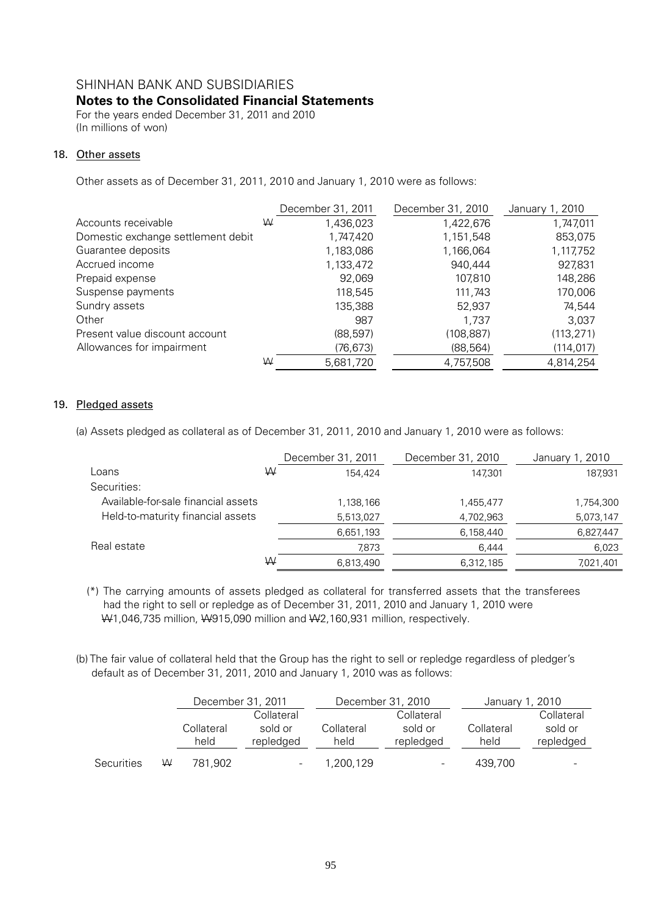## **Notes to the Consolidated Financial Statements**

For the years ended December 31, 2011 and 2010 (In millions of won)

#### 18. Other assets

Other assets as of December 31, 2011, 2010 and January 1, 2010 were as follows:

|                                    |   | December 31, 2011 | December 31, 2010 | January 1, 2010 |
|------------------------------------|---|-------------------|-------------------|-----------------|
| Accounts receivable                | W | 1,436,023         | 1,422,676         | 1,747,011       |
| Domestic exchange settlement debit |   | 1,747,420         | 1,151,548         | 853,075         |
| Guarantee deposits                 |   | 1,183,086         | 1,166,064         | 1,117,752       |
| Accrued income                     |   | 1,133,472         | 940,444           | 927,831         |
| Prepaid expense                    |   | 92,069            | 107,810           | 148,286         |
| Suspense payments                  |   | 118,545           | 111,743           | 170,006         |
| Sundry assets                      |   | 135,388           | 52,937            | 74,544          |
| Other                              |   | 987               | 1.737             | 3,037           |
| Present value discount account     |   | (88, 597)         | (108, 887)        | (113, 271)      |
| Allowances for impairment          |   | (76,673)          | (88, 564)         | (114, 017)      |
|                                    | W | 5,681,720         | 4,757,508         | 4,814,254       |

#### 19. Pledged assets

(a) Assets pledged as collateral as of December 31, 2011, 2010 and January 1, 2010 were as follows:

|                                     |   | December 31, 2011 | December 31, 2010 | January 1, 2010 |
|-------------------------------------|---|-------------------|-------------------|-----------------|
| Loans                               | W | 154.424           | 147.301           | 187,931         |
| Securities:                         |   |                   |                   |                 |
| Available-for-sale financial assets |   | 1,138,166         | 1,455,477         | 1,754,300       |
| Held-to-maturity financial assets   |   | 5,513,027         | 4,702,963         | 5,073,147       |
|                                     |   | 6,651,193         | 6,158,440         | 6,827,447       |
| Real estate                         |   | 7,873             | 6,444             | 6,023           |
|                                     | W | 6,813,490         | 6,312,185         | 7,021,401       |

(\*) The carrying amounts of assets pledged as collateral for transferred assets that the transferees had the right to sell or repledge as of December 31, 2011, 2010 and January 1, 2010 were W<sub>1</sub>,046,735 million, W915,090 million and W<sub>2</sub>,160,931 million, respectively.

(b) The fair value of collateral held that the Group has the right to sell or repledge regardless of pledger's default as of December 31, 2011, 2010 and January 1, 2010 was as follows:

|                   |   | December 31, 2011  |                                    |                    | December 31, 2010                  | . 2010<br>January 1, |                                    |  |
|-------------------|---|--------------------|------------------------------------|--------------------|------------------------------------|----------------------|------------------------------------|--|
|                   |   | Collateral<br>held | Collateral<br>sold or<br>repledged | Collateral<br>held | Collateral<br>sold or<br>repledged | Collateral<br>held   | Collateral<br>sold or<br>repledged |  |
| <b>Securities</b> | W | 781.902            | $\overline{\phantom{0}}$           | 1,200,129          | $\overline{\phantom{a}}$           | 439,700              | $\overline{\phantom{a}}$           |  |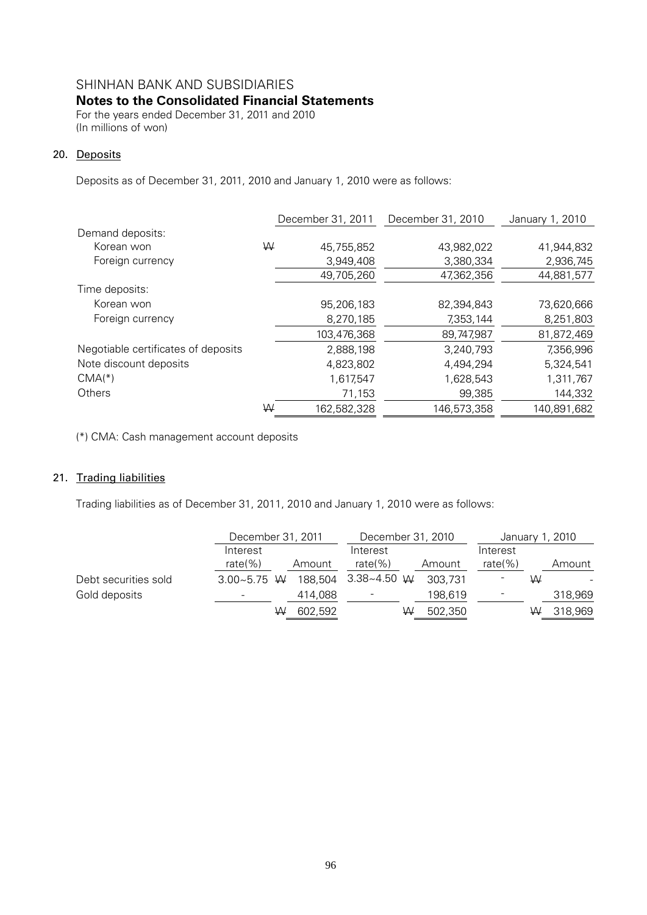## **Notes to the Consolidated Financial Statements**

For the years ended December 31, 2011 and 2010 (In millions of won)

## 20. Deposits

Deposits as of December 31, 2011, 2010 and January 1, 2010 were as follows:

|                                     |   | December 31, 2011 | December 31, 2010 | January 1, 2010 |
|-------------------------------------|---|-------------------|-------------------|-----------------|
| Demand deposits:                    |   |                   |                   |                 |
| Korean won                          | ₩ | 45,755,852        | 43,982,022        | 41,944,832      |
| Foreign currency                    |   | 3,949,408         | 3,380,334         | 2,936,745       |
|                                     |   | 49,705,260        | 47,362,356        | 44,881,577      |
| Time deposits:                      |   |                   |                   |                 |
| Korean won                          |   | 95,206,183        | 82,394,843        | 73,620,666      |
| Foreign currency                    |   | 8,270,185         | 7,353,144         | 8,251,803       |
|                                     |   | 103,476,368       | 89,747,987        | 81,872,469      |
| Negotiable certificates of deposits |   | 2,888,198         | 3,240,793         | 7,356,996       |
| Note discount deposits              |   | 4,823,802         | 4,494,294         | 5,324,541       |
| $CMA(*)$                            |   | 1,617,547         | 1,628,543         | 1,311,767       |
| Others                              |   | 71,153            | 99,385            | 144,332         |
|                                     | W | 162,582,328       | 146,573,358       | 140,891,682     |

(\*) CMA: Cash management account deposits

#### 21. Trading liabilities

Trading liabilities as of December 31, 2011, 2010 and January 1, 2010 were as follows:

|                      | December 31, 2011       |         | December 31, 2010       |         | January 1, 2010         |   |         |
|----------------------|-------------------------|---------|-------------------------|---------|-------------------------|---|---------|
|                      | Interest<br>rate $(\%)$ | Amount  | Interest<br>rate $(\%)$ | Amount  | Interest<br>rate $(\%)$ |   | Amount  |
| Debt securities sold | $3.00 - 5.75$ W         | 188,504 | 3.38~4.50 W             | 303,731 |                         | W |         |
| Gold deposits        | -                       | 414.088 |                         | 198.619 |                         |   | 318,969 |
|                      | W                       | 602,592 | W                       | 502,350 |                         | W | 318,969 |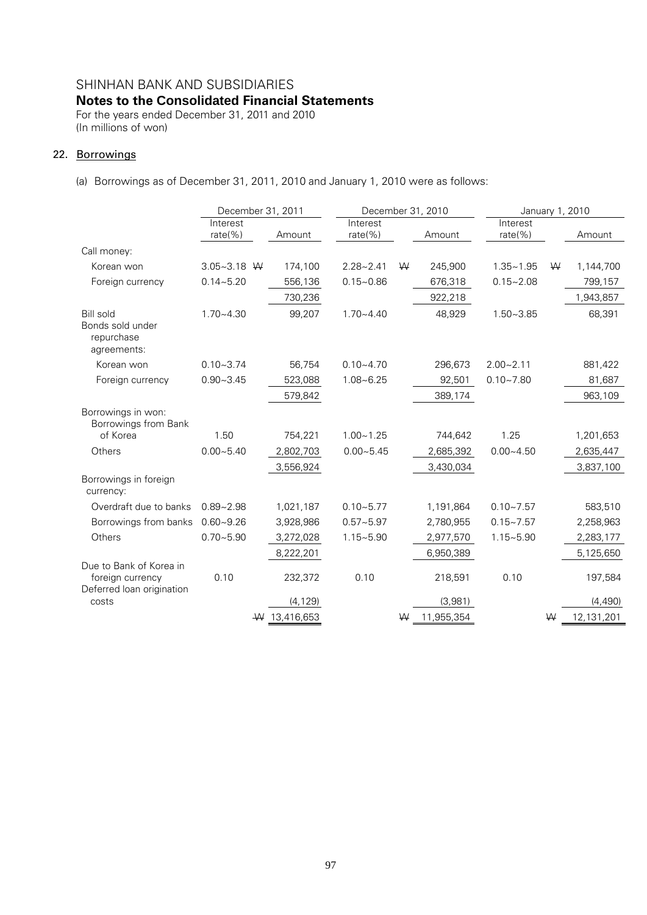## **Notes to the Consolidated Financial Statements**

For the years ended December 31, 2011 and 2010 (In millions of won)

## 22. Borrowings

(a) Borrowings as of December 31, 2011, 2010 and January 1, 2010 were as follows:

|                                                                          | December 31, 2011 |              |               | December 31, 2010 |            |               |   | January 1, 2010 |  |  |
|--------------------------------------------------------------------------|-------------------|--------------|---------------|-------------------|------------|---------------|---|-----------------|--|--|
|                                                                          | Interest          |              | Interest      |                   |            | Interest      |   |                 |  |  |
|                                                                          | $rate(\%)$        | Amount       | $rate(\%)$    |                   | Amount     | $rate(\%)$    |   | Amount          |  |  |
| Call money:                                                              |                   |              |               |                   |            |               |   |                 |  |  |
| Korean won                                                               | $3.05 - 3.18$ W   | 174,100      | $2.28 - 2.41$ | W                 | 245,900    | $1.35 - 1.95$ | W | 1,144,700       |  |  |
| Foreign currency                                                         | $0.14 - 5.20$     | 556,136      | $0.15 - 0.86$ |                   | 676,318    | $0.15 - 2.08$ |   | 799,157         |  |  |
|                                                                          |                   | 730,236      |               |                   | 922,218    |               |   | 1,943,857       |  |  |
| <b>Bill sold</b><br>Bonds sold under<br>repurchase<br>agreements:        | $1.70 - 4.30$     | 99,207       | $1.70 - 4.40$ |                   | 48,929     | $1.50 - 3.85$ |   | 68,391          |  |  |
| Korean won                                                               | $0.10 - 3.74$     | 56,754       | $0.10 - 4.70$ |                   | 296,673    | $2.00 - 2.11$ |   | 881,422         |  |  |
| Foreign currency                                                         | $0.90 - 3.45$     | 523,088      | $1.08 - 6.25$ |                   | 92,501     | $0.10 - 7.80$ |   | 81,687          |  |  |
|                                                                          |                   | 579,842      |               |                   | 389,174    |               |   | 963,109         |  |  |
| Borrowings in won:<br>Borrowings from Bank<br>of Korea                   | 1.50              | 754,221      | $1.00 - 1.25$ |                   | 744,642    | 1.25          |   | 1,201,653       |  |  |
| Others                                                                   | $0.00 - 5.40$     | 2,802,703    | $0.00 - 5.45$ |                   | 2,685,392  | $0.00 - 4.50$ |   | 2,635,447       |  |  |
|                                                                          |                   | 3,556,924    |               |                   | 3,430,034  |               |   | 3,837,100       |  |  |
| Borrowings in foreign<br>currency:                                       |                   |              |               |                   |            |               |   |                 |  |  |
| Overdraft due to banks                                                   | $0.89 - 2.98$     | 1,021,187    | $0.10 - 5.77$ |                   | 1,191,864  | $0.10 - 7.57$ |   | 583,510         |  |  |
| Borrowings from banks                                                    | $0.60 - 9.26$     | 3,928,986    | $0.57 - 5.97$ |                   | 2,780,955  | $0.15 - 7.57$ |   | 2,258,963       |  |  |
| Others                                                                   | $0.70 - 5.90$     | 3,272,028    | $1.15 - 5.90$ |                   | 2,977,570  | $1.15 - 5.90$ |   | 2,283,177       |  |  |
|                                                                          |                   | 8,222,201    |               |                   | 6,950,389  |               |   | 5,125,650       |  |  |
| Due to Bank of Korea in<br>foreign currency<br>Deferred loan origination | 0.10              | 232,372      | 0.10          |                   | 218,591    | 0.10          |   | 197,584         |  |  |
| costs                                                                    |                   | (4, 129)     |               |                   | (3,981)    |               |   | (4, 490)        |  |  |
|                                                                          |                   | W 13,416,653 |               | W                 | 11,955,354 |               | W | 12,131,201      |  |  |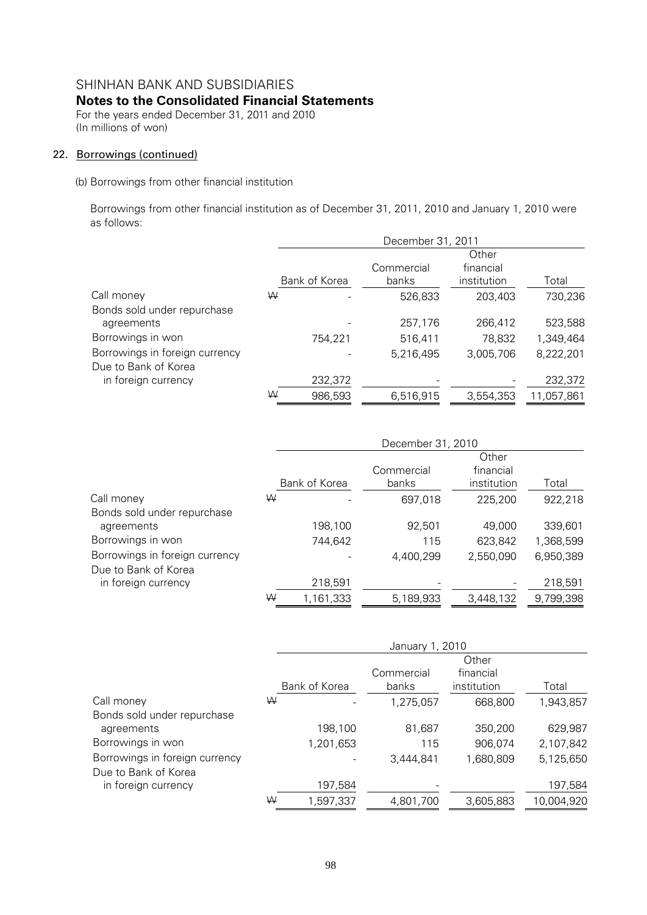(In millions of won)

#### 22. Borrowings (continued)

(b) Borrowings from other financial institution

Borrowings from other financial institution as of December 31, 2011, 2010 and January 1, 2010 were as follows:

|                                | December 31, 2011 |               |            |             |            |  |  |
|--------------------------------|-------------------|---------------|------------|-------------|------------|--|--|
|                                |                   |               |            | Other       |            |  |  |
|                                |                   |               | Commercial | financial   |            |  |  |
|                                |                   | Bank of Korea | banks      | institution | Total      |  |  |
| Call money                     | W                 |               | 526,833    | 203,403     | 730,236    |  |  |
| Bonds sold under repurchase    |                   |               |            |             |            |  |  |
| agreements                     |                   |               | 257,176    | 266,412     | 523,588    |  |  |
| Borrowings in won              |                   | 754,221       | 516,411    | 78,832      | 1,349,464  |  |  |
| Borrowings in foreign currency |                   |               | 5,216,495  | 3,005,706   | 8,222,201  |  |  |
| Due to Bank of Korea           |                   |               |            |             |            |  |  |
| in foreign currency            |                   | 232,372       |            |             | 232,372    |  |  |
|                                | W                 | 986,593       | 6,516,915  | 3,554,353   | 11,057,861 |  |  |

|                                                        |   |               | December 31, 2010   |                                   |           |
|--------------------------------------------------------|---|---------------|---------------------|-----------------------------------|-----------|
|                                                        |   | Bank of Korea | Commercial<br>banks | Other<br>financial<br>institution | Total     |
| Call money                                             | W |               | 697,018             | 225,200                           | 922,218   |
| Bonds sold under repurchase<br>agreements              |   | 198,100       | 92,501              | 49,000                            | 339,601   |
| Borrowings in won                                      |   | 744,642       | 115                 | 623,842                           | 1,368,599 |
| Borrowings in foreign currency<br>Due to Bank of Korea |   |               | 4,400,299           | 2,550,090                         | 6,950,389 |
| in foreign currency                                    |   | 218,591       |                     |                                   | 218,591   |
|                                                        | W | 1,161,333     | 5,189,933           | 3,448,132                         | 9,799,398 |

|                                | January 1, 2010 |               |            |             |            |  |  |
|--------------------------------|-----------------|---------------|------------|-------------|------------|--|--|
|                                |                 |               |            | Other       |            |  |  |
|                                |                 |               | Commercial | financial   |            |  |  |
|                                |                 | Bank of Korea | banks      | institution | Total      |  |  |
| Call money                     | W               |               | 1,275,057  | 668,800     | 1,943,857  |  |  |
| Bonds sold under repurchase    |                 |               |            |             |            |  |  |
| agreements                     |                 | 198,100       | 81,687     | 350,200     | 629,987    |  |  |
| Borrowings in won              |                 | 1,201,653     | 115        | 906,074     | 2,107,842  |  |  |
| Borrowings in foreign currency |                 |               | 3,444,841  | 1,680,809   | 5,125,650  |  |  |
| Due to Bank of Korea           |                 |               |            |             |            |  |  |
| in foreign currency            |                 | 197,584       |            |             | 197,584    |  |  |
|                                | W               | 1,597,337     | 4,801,700  | 3,605,883   | 10,004,920 |  |  |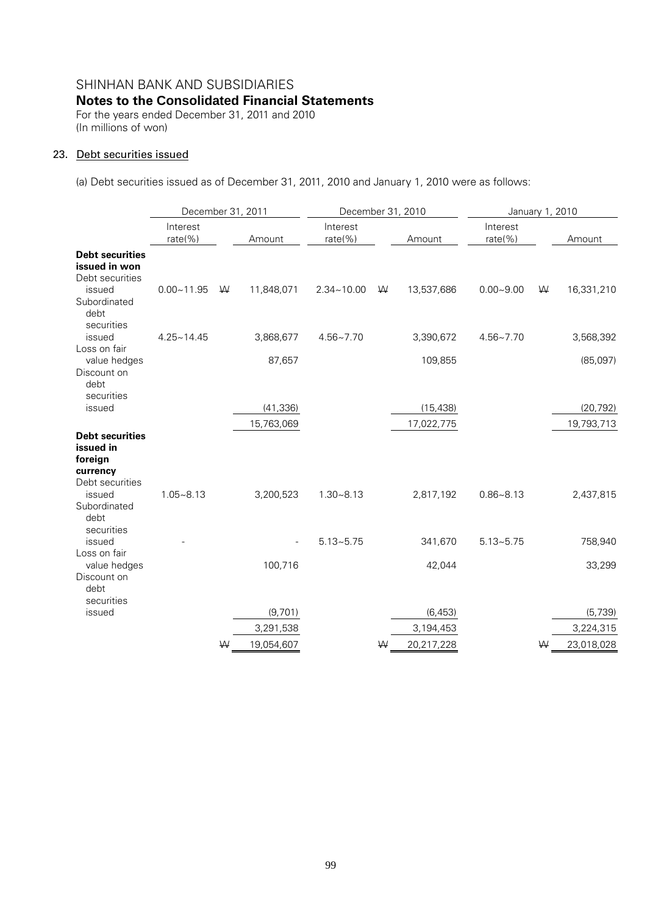(In millions of won)

#### 23. Debt securities issued

(a) Debt securities issued as of December 31, 2011, 2010 and January 1, 2010 were as follows:

|                                                                      | December 31, 2011      |   | December 31, 2010 |                        |   | January 1, 2010 |                        |   |            |
|----------------------------------------------------------------------|------------------------|---|-------------------|------------------------|---|-----------------|------------------------|---|------------|
|                                                                      | Interest<br>$rate(\%)$ |   | Amount            | Interest<br>$rate(\%)$ |   | Amount          | Interest<br>$rate(\%)$ |   | Amount     |
| <b>Debt securities</b><br>issued in won<br>Debt securities<br>issued | $0.00 - 11.95$         | W | 11,848,071        | $2.34 - 10.00$         | W | 13,537,686      | $0.00 - 9.00$          | W | 16,331,210 |
| Subordinated<br>debt<br>securities                                   |                        |   |                   |                        |   |                 |                        |   |            |
| issued                                                               | $4.25 - 14.45$         |   | 3,868,677         | $4.56 - 7.70$          |   | 3,390,672       | $4.56 - 7.70$          |   | 3,568,392  |
| Loss on fair<br>value hedges<br>Discount on<br>debt<br>securities    |                        |   | 87,657            |                        |   | 109,855         |                        |   | (85,097)   |
| issued                                                               |                        |   | (41, 336)         |                        |   | (15, 438)       |                        |   | (20, 792)  |
|                                                                      |                        |   | 15,763,069        |                        |   | 17,022,775      |                        |   | 19,793,713 |
| <b>Debt securities</b><br>issued in<br>foreign<br>currency           |                        |   |                   |                        |   |                 |                        |   |            |
| Debt securities<br>issued<br>Subordinated<br>debt<br>securities      | $1.05 - 8.13$          |   | 3,200,523         | $1.30 - 8.13$          |   | 2,817,192       | $0.86 - 8.13$          |   | 2,437,815  |
| issued<br>Loss on fair                                               |                        |   |                   | $5.13 - 5.75$          |   | 341,670         | $5.13 - 5.75$          |   | 758,940    |
| value hedges<br>Discount on<br>debt<br>securities                    |                        |   | 100,716           |                        |   | 42,044          |                        |   | 33,299     |
| issued                                                               |                        |   | (9,701)           |                        |   | (6, 453)        |                        |   | (5,739)    |
|                                                                      |                        |   | 3,291,538         |                        |   | 3,194,453       |                        |   | 3,224,315  |
|                                                                      |                        | W | 19,054,607        |                        | W | 20,217,228      |                        | W | 23,018,028 |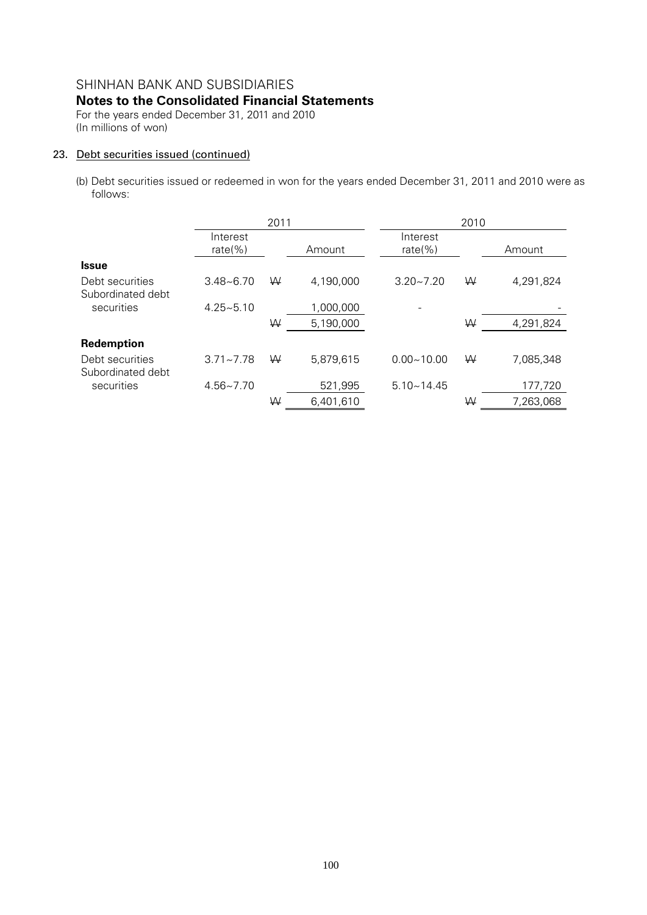For the years ended December 31, 2011 and 2010 (In millions of won)

#### 23. Debt securities issued (continued)

(b) Debt securities issued or redeemed in won for the years ended December 31, 2011 and 2010 were as follows:

|                                      | 2011                    |   |           | 2010                    |   |           |  |
|--------------------------------------|-------------------------|---|-----------|-------------------------|---|-----------|--|
|                                      | Interest<br>rate $(\%)$ |   | Amount    | Interest<br>rate $(\%)$ |   | Amount    |  |
| <b>Issue</b>                         |                         |   |           |                         |   |           |  |
| Debt securities<br>Subordinated debt | $3.48 - 6.70$           | W | 4,190,000 | $3.20 - 7.20$           | W | 4,291,824 |  |
| securities                           | $4.25 - 5.10$           |   | 1,000,000 |                         |   |           |  |
|                                      |                         | W | 5,190,000 |                         | ₩ | 4,291,824 |  |
| <b>Redemption</b>                    |                         |   |           |                         |   |           |  |
| Debt securities<br>Subordinated debt | $3.71 - 7.78$           | W | 5,879,615 | $0.00 - 10.00$          | W | 7,085,348 |  |
| securities                           | $4.56 - 7.70$           |   | 521,995   | $5.10 - 14.45$          |   | 177,720   |  |
|                                      |                         | W | 6,401,610 |                         | ₩ | 7,263,068 |  |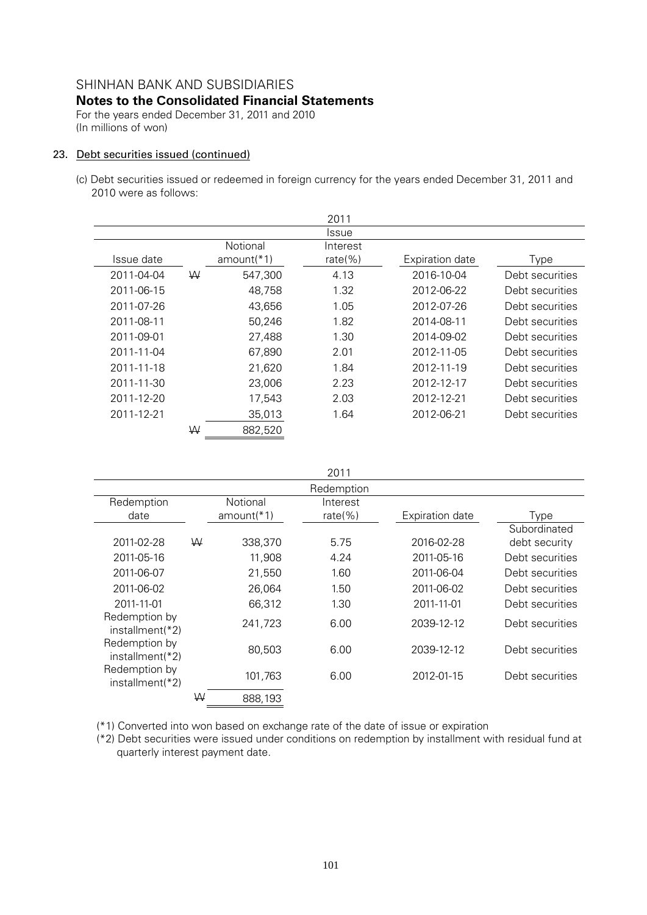For the years ended December 31, 2011 and 2010 (In millions of won)

#### 23. Debt securities issued (continued)

(c) Debt securities issued or redeemed in foreign currency for the years ended December 31, 2011 and 2010 were as follows:

|            |       |                          | 2011                    |                 |                 |  |  |  |  |
|------------|-------|--------------------------|-------------------------|-----------------|-----------------|--|--|--|--|
|            | Issue |                          |                         |                 |                 |  |  |  |  |
| Issue date |       | Notional<br>$amount(*1)$ | Interest<br>rate $(\%)$ | Expiration date | Type            |  |  |  |  |
| 2011-04-04 | W     | 547,300                  | 4.13                    | 2016-10-04      | Debt securities |  |  |  |  |
| 2011-06-15 |       | 48,758                   | 1.32                    | 2012-06-22      | Debt securities |  |  |  |  |
| 2011-07-26 |       | 43,656                   | 1.05                    | 2012-07-26      | Debt securities |  |  |  |  |
| 2011-08-11 |       | 50,246                   | 1.82                    | 2014-08-11      | Debt securities |  |  |  |  |
| 2011-09-01 |       | 27,488                   | 1.30                    | 2014-09-02      | Debt securities |  |  |  |  |
| 2011-11-04 |       | 67,890                   | 2.01                    | 2012-11-05      | Debt securities |  |  |  |  |
| 2011-11-18 |       | 21,620                   | 1.84                    | 2012-11-19      | Debt securities |  |  |  |  |
| 2011-11-30 |       | 23,006                   | 2.23                    | 2012-12-17      | Debt securities |  |  |  |  |
| 2011-12-20 |       | 17,543                   | 2.03                    | 2012-12-21      | Debt securities |  |  |  |  |
| 2011-12-21 |       | 35,013                   | 1.64                    | 2012-06-21      | Debt securities |  |  |  |  |
|            | W     | 882,520                  |                         |                 |                 |  |  |  |  |

|                                  |   |                          | 2011                    |                 |                               |  |  |  |
|----------------------------------|---|--------------------------|-------------------------|-----------------|-------------------------------|--|--|--|
| Redemption                       |   |                          |                         |                 |                               |  |  |  |
| Redemption<br>date               |   | Notional<br>$amount(*1)$ | Interest<br>rate $(\%)$ | Expiration date | Type                          |  |  |  |
| 2011-02-28                       | W | 338,370                  | 5.75                    | 2016-02-28      | Subordinated<br>debt security |  |  |  |
| 2011-05-16                       |   | 11,908                   | 4.24                    | 2011-05-16      | Debt securities               |  |  |  |
| 2011-06-07                       |   | 21,550                   | 1.60                    | 2011-06-04      | Debt securities               |  |  |  |
| 2011-06-02                       |   | 26,064                   | 1.50                    | 2011-06-02      | Debt securities               |  |  |  |
| 2011-11-01                       |   | 66,312                   | 1.30                    | 2011-11-01      | Debt securities               |  |  |  |
| Redemption by<br>installment(*2) |   | 241,723                  | 6.00                    | 2039-12-12      | Debt securities               |  |  |  |
| Redemption by<br>installment(*2) |   | 80,503                   | 6.00                    | 2039-12-12      | Debt securities               |  |  |  |
| Redemption by<br>installment(*2) |   | 101,763                  | 6.00                    | 2012-01-15      | Debt securities               |  |  |  |
|                                  | W | 888,193                  |                         |                 |                               |  |  |  |

(\*1) Converted into won based on exchange rate of the date of issue or expiration

(\*2) Debt securities were issued under conditions on redemption by installment with residual fund at quarterly interest payment date.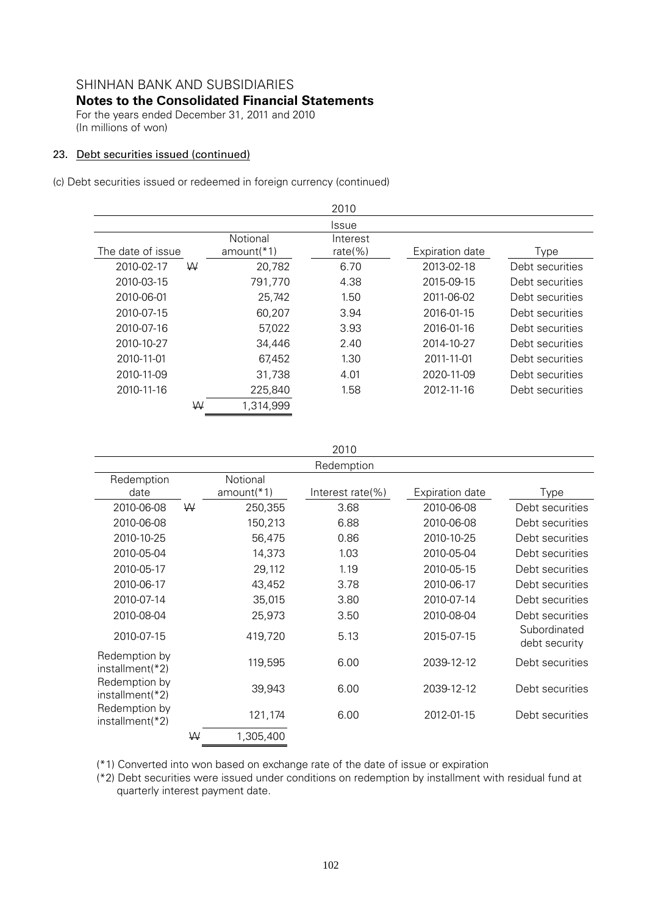(In millions of won)

#### 23. Debt securities issued (continued)

(c) Debt securities issued or redeemed in foreign currency (continued)

|                   |   |                 | 2010        |                 |                 |
|-------------------|---|-----------------|-------------|-----------------|-----------------|
|                   |   |                 | Issue       |                 |                 |
|                   |   | <b>Notional</b> | Interest    |                 |                 |
| The date of issue |   | $amount(*1)$    | rate $(\%)$ | Expiration date | Type            |
| 2010-02-17        | ₩ | 20,782          | 6.70        | 2013-02-18      | Debt securities |
| 2010-03-15        |   | 791,770         | 4.38        | 2015-09-15      | Debt securities |
| 2010-06-01        |   | 25,742          | 1.50        | 2011-06-02      | Debt securities |
| 2010-07-15        |   | 60,207          | 3.94        | 2016-01-15      | Debt securities |
| 2010-07-16        |   | 57.022          | 3.93        | 2016-01-16      | Debt securities |
| 2010-10-27        |   | 34,446          | 2.40        | 2014-10-27      | Debt securities |
| 2010-11-01        |   | 67,452          | 1.30        | 2011-11-01      | Debt securities |
| 2010-11-09        |   | 31,738          | 4.01        | 2020-11-09      | Debt securities |
| 2010-11-16        |   | 225,840         | 1.58        | 2012-11-16      | Debt securities |
|                   | W | 1,314,999       |             |                 |                 |

2010

|                                  |            |            | ∠∪∣∪             |                 |                               |  |  |  |
|----------------------------------|------------|------------|------------------|-----------------|-------------------------------|--|--|--|
|                                  | Redemption |            |                  |                 |                               |  |  |  |
| Redemption                       |            | Notional   |                  |                 |                               |  |  |  |
| date                             |            | amount(*1) | Interest rate(%) | Expiration date | Type                          |  |  |  |
| 2010-06-08                       | W          | 250,355    | 3.68             | 2010-06-08      | Debt securities               |  |  |  |
| 2010-06-08                       |            | 150,213    | 6.88             | 2010-06-08      | Debt securities               |  |  |  |
| 2010-10-25                       |            | 56,475     | 0.86             | 2010-10-25      | Debt securities               |  |  |  |
| 2010-05-04                       |            | 14,373     | 1.03             | 2010-05-04      | Debt securities               |  |  |  |
| 2010-05-17                       |            | 29,112     | 1.19             | 2010-05-15      | Debt securities               |  |  |  |
| 2010-06-17                       |            | 43,452     | 3.78             | 2010-06-17      | Debt securities               |  |  |  |
| 2010-07-14                       |            | 35,015     | 3.80             | 2010-07-14      | Debt securities               |  |  |  |
| 2010-08-04                       |            | 25,973     | 3.50             | 2010-08-04      | Debt securities               |  |  |  |
| 2010-07-15                       |            | 419,720    | 5.13             | 2015-07-15      | Subordinated<br>debt security |  |  |  |
| Redemption by<br>installment(*2) |            | 119,595    | 6.00             | 2039-12-12      | Debt securities               |  |  |  |
| Redemption by<br>installment(*2) |            | 39,943     | 6.00             | 2039-12-12      | Debt securities               |  |  |  |
| Redemption by<br>installment(*2) |            | 121,174    | 6.00             | 2012-01-15      | Debt securities               |  |  |  |
|                                  | W          | 1,305,400  |                  |                 |                               |  |  |  |

(\*1) Converted into won based on exchange rate of the date of issue or expiration

(\*2) Debt securities were issued under conditions on redemption by installment with residual fund at quarterly interest payment date.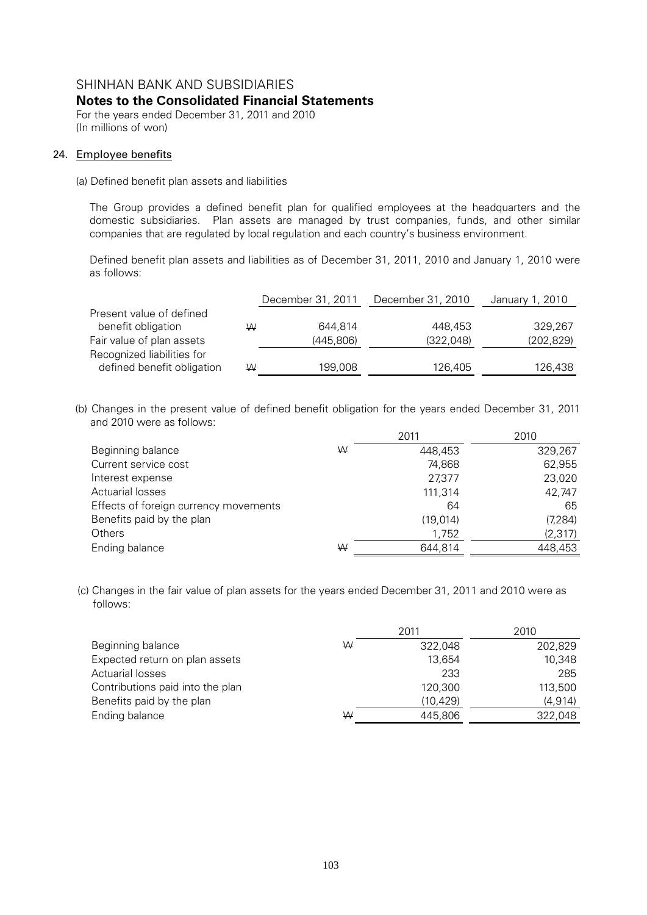(In millions of won)

#### 24. Employee benefits

(a) Defined benefit plan assets and liabilities

The Group provides a defined benefit plan for qualified employees at the headquarters and the domestic subsidiaries. Plan assets are managed by trust companies, funds, and other similar companies that are regulated by local regulation and each country's business environment.

Defined benefit plan assets and liabilities as of December 31, 2011, 2010 and January 1, 2010 were as follows:

|                            |   | December 31, 2011 | December 31, 2010 | January 1, 2010 |
|----------------------------|---|-------------------|-------------------|-----------------|
| Present value of defined   |   |                   |                   |                 |
| benefit obligation         | ₩ | 644.814           | 448.453           | 329.267         |
| Fair value of plan assets  |   | (445, 806)        | (322,048)         | (202, 829)      |
| Recognized liabilities for |   |                   |                   |                 |
| defined benefit obligation | W | 199,008           | 126,405           | 126,438         |

(b) Changes in the present value of defined benefit obligation for the years ended December 31, 2011 and 2010 were as follows:

|                                       |   | 2011     | 2010     |
|---------------------------------------|---|----------|----------|
| Beginning balance                     | W | 448.453  | 329,267  |
| Current service cost                  |   | 74,868   | 62,955   |
| Interest expense                      |   | 27,377   | 23,020   |
| <b>Actuarial losses</b>               |   | 111,314  | 42,747   |
| Effects of foreign currency movements |   | 64       | 65       |
| Benefits paid by the plan             |   | (19,014) | (7, 284) |
| <b>Others</b>                         |   | 1,752    | (2, 317) |
| Ending balance                        | W | 644,814  | 448,453  |

(c) Changes in the fair value of plan assets for the years ended December 31, 2011 and 2010 were as follows:

|                                  |   | 2011     | 2010     |
|----------------------------------|---|----------|----------|
| Beginning balance                | W | 322,048  | 202,829  |
| Expected return on plan assets   |   | 13.654   | 10,348   |
| <b>Actuarial losses</b>          |   | 233      | 285      |
| Contributions paid into the plan |   | 120,300  | 113,500  |
| Benefits paid by the plan        |   | (10.429) | (4, 914) |
| Ending balance                   | W | 445,806  | 322,048  |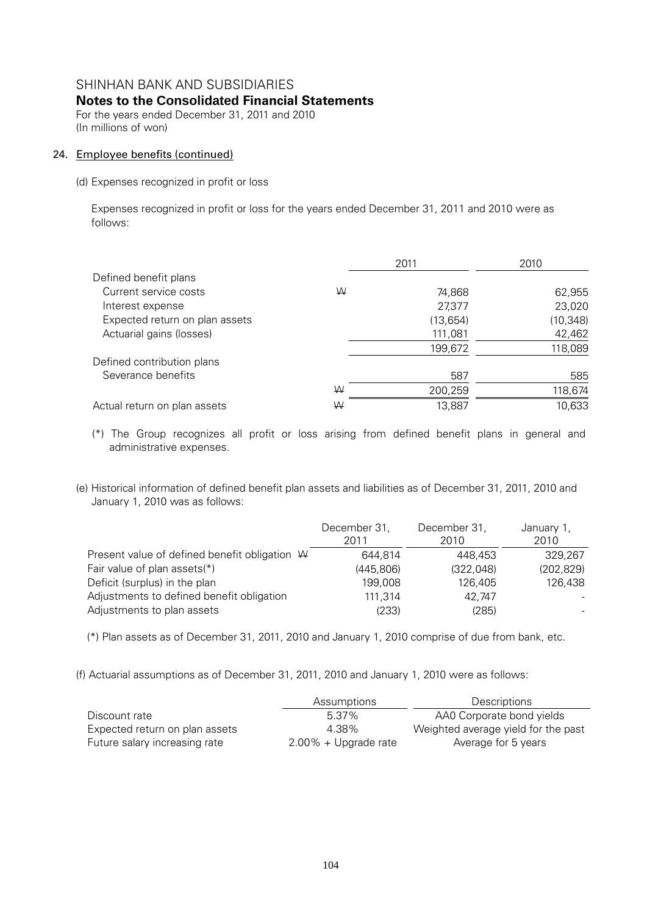(In millions of won)

#### 24. Employee benefits (continued)

#### (d) Expenses recognized in profit or loss

Expenses recognized in profit or loss for the years ended December 31, 2011 and 2010 were as follows:

|                                |   | 2011      | 2010      |
|--------------------------------|---|-----------|-----------|
| Defined benefit plans          |   |           |           |
| Current service costs          | W | 74,868    | 62,955    |
| Interest expense               |   | 27,377    | 23,020    |
| Expected return on plan assets |   | (13, 654) | (10, 348) |
| Actuarial gains (losses)       |   | 111,081   | 42,462    |
|                                |   | 199,672   | 118,089   |
| Defined contribution plans     |   |           |           |
| Severance benefits             |   | 587       | 585       |
|                                | W | 200,259   | 118,674   |
| Actual return on plan assets   | W | 13,887    | 10,633    |

(\*) The Group recognizes all profit or loss arising from defined benefit plans in general and administrative expenses.

(e) Historical information of defined benefit plan assets and liabilities as of December 31, 2011, 2010 and January 1, 2010 was as follows:

|                                               | December 31,<br>2011 | December 31,<br>2010 | January 1,<br>2010 |
|-----------------------------------------------|----------------------|----------------------|--------------------|
| Present value of defined benefit obligation W | 644.814              | 448.453              | 329.267            |
| Fair value of plan assets(*)                  | (445, 806)           | (322, 048)           | (202, 829)         |
| Deficit (surplus) in the plan                 | 199,008              | 126,405              | 126,438            |
| Adjustments to defined benefit obligation     | 111,314              | 42.747               |                    |
| Adjustments to plan assets                    | (233)                | (285)                |                    |

(\*) Plan assets as of December 31, 2011, 2010 and January 1, 2010 comprise of due from bank, etc.

(f) Actuarial assumptions as of December 31, 2011, 2010 and January 1, 2010 were as follows:

|                                | Assumptions             | Descriptions                        |
|--------------------------------|-------------------------|-------------------------------------|
| Discount rate                  | 5.37%                   | AA0 Corporate bond yields           |
| Expected return on plan assets | 4.38%                   | Weighted average yield for the past |
| Future salary increasing rate  | $2.00\% +$ Upgrade rate | Average for 5 years                 |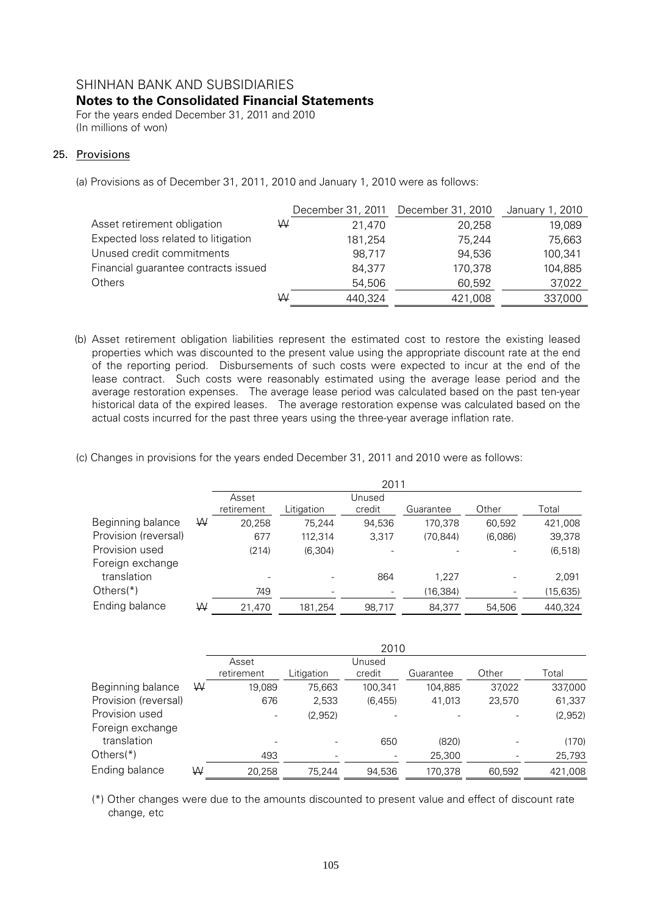For the years ended December 31, 2011 and 2010 (In millions of won)

#### 25. Provisions

(a) Provisions as of December 31, 2011, 2010 and January 1, 2010 were as follows:

|                                      |   | December 31, 2011 | December 31, 2010 | January 1, 2010 |
|--------------------------------------|---|-------------------|-------------------|-----------------|
| Asset retirement obligation          | ₩ | 21,470            | 20,258            | 19,089          |
| Expected loss related to litigation  |   | 181,254           | 75.244            | 75,663          |
| Unused credit commitments            |   | 98,717            | 94.536            | 100,341         |
| Financial guarantee contracts issued |   | 84,377            | 170,378           | 104,885         |
| <b>Others</b>                        |   | 54,506            | 60,592            | 37,022          |
|                                      | W | 440.324           | 421,008           | 337,000         |

- (b) Asset retirement obligation liabilities represent the estimated cost to restore the existing leased properties which was discounted to the present value using the appropriate discount rate at the end of the reporting period. Disbursements of such costs were expected to incur at the end of the lease contract. Such costs were reasonably estimated using the average lease period and the average restoration expenses. The average lease period was calculated based on the past ten-year historical data of the expired leases. The average restoration expense was calculated based on the actual costs incurred for the past three years using the three-year average inflation rate.
- (c) Changes in provisions for the years ended December 31, 2011 and 2010 were as follows:

|                      |   | 2011                |            |                  |           |         |           |  |
|----------------------|---|---------------------|------------|------------------|-----------|---------|-----------|--|
|                      |   | Asset<br>retirement | Litigation | Unused<br>credit | Guarantee | Other   | Total     |  |
| Beginning balance    | W | 20.258              | 75.244     | 94.536           | 170.378   | 60,592  | 421,008   |  |
| Provision (reversal) |   | 677                 | 112,314    | 3,317            | (70.844)  | (6,086) | 39,378    |  |
| Provision used       |   | (214)               | (6, 304)   |                  |           |         | (6, 518)  |  |
| Foreign exchange     |   |                     |            |                  |           |         |           |  |
| translation          |   |                     |            | 864              | 1.227     |         | 2,091     |  |
| Others $(*)$         |   | 749                 |            |                  | (16,384)  |         | (15, 635) |  |
| Ending balance       | W | 21,470              | 181.254    | 98,717           | 84.377    | 54.506  | 440.324   |  |

|                      |   |            | 2010       |          |           |        |         |  |  |
|----------------------|---|------------|------------|----------|-----------|--------|---------|--|--|
|                      |   | Asset      |            | Unused   |           |        |         |  |  |
|                      |   | retirement | Litigation | credit   | Guarantee | Other  | Total   |  |  |
| Beginning balance    | ₩ | 19,089     | 75,663     | 100,341  | 104,885   | 37,022 | 337,000 |  |  |
| Provision (reversal) |   | 676        | 2,533      | (6, 455) | 41.013    | 23,570 | 61,337  |  |  |
| Provision used       |   |            | (2,952)    |          |           |        | (2,952) |  |  |
| Foreign exchange     |   |            |            |          |           |        |         |  |  |
| translation          |   |            |            | 650      | (820)     |        | (170)   |  |  |
| Others $(*)$         |   | 493        |            |          | 25,300    |        | 25,793  |  |  |
| Ending balance       | W | 20,258     | 75,244     | 94,536   | 170,378   | 60,592 | 421,008 |  |  |

(\*) Other changes were due to the amounts discounted to present value and effect of discount rate change, etc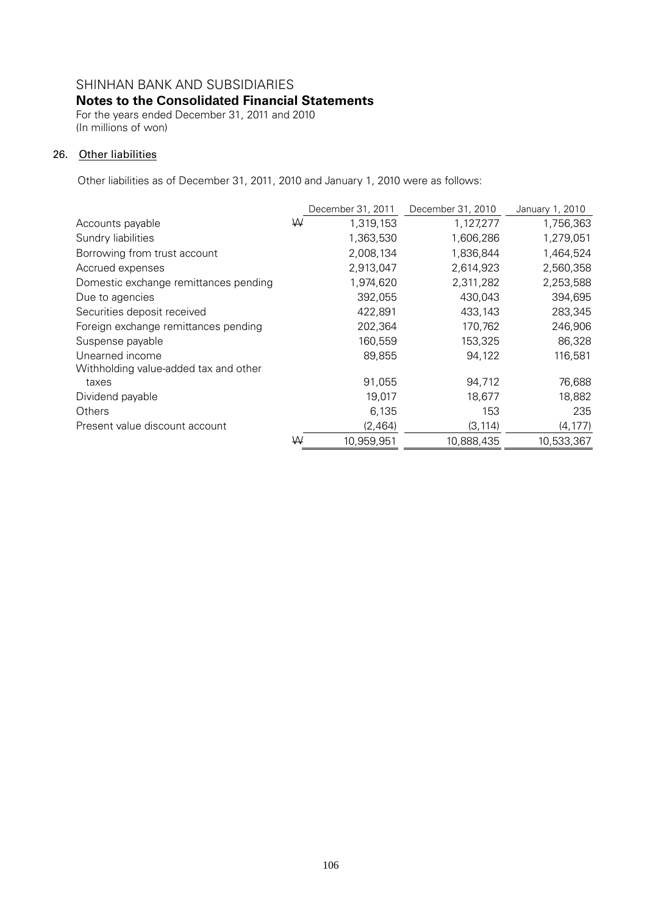For the years ended December 31, 2011 and 2010 (In millions of won)

## 26. Other liabilities

Other liabilities as of December 31, 2011, 2010 and January 1, 2010 were as follows:

|                                       |   | December 31, 2011 | December 31, 2010 | January 1, 2010 |
|---------------------------------------|---|-------------------|-------------------|-----------------|
| Accounts payable                      | W | 1,319,153         | 1,127,277         | 1,756,363       |
| Sundry liabilities                    |   | 1,363,530         | 1,606,286         | 1,279,051       |
| Borrowing from trust account          |   | 2,008,134         | 1,836,844         | 1,464,524       |
| Accrued expenses                      |   | 2,913,047         | 2,614,923         | 2,560,358       |
| Domestic exchange remittances pending |   | 1,974,620         | 2,311,282         | 2,253,588       |
| Due to agencies                       |   | 392,055           | 430,043           | 394,695         |
| Securities deposit received           |   | 422,891           | 433,143           | 283,345         |
| Foreign exchange remittances pending  |   | 202,364           | 170,762           | 246,906         |
| Suspense payable                      |   | 160,559           | 153,325           | 86,328          |
| Unearned income                       |   | 89,855            | 94,122            | 116,581         |
| Withholding value-added tax and other |   |                   |                   |                 |
| taxes                                 |   | 91,055            | 94,712            | 76,688          |
| Dividend payable                      |   | 19,017            | 18,677            | 18,882          |
| <b>Others</b>                         |   | 6,135             | 153               | 235             |
| Present value discount account        |   | (2,464)           | (3, 114)          | (4, 177)        |
|                                       | W | 10,959,951        | 10,888,435        | 10,533,367      |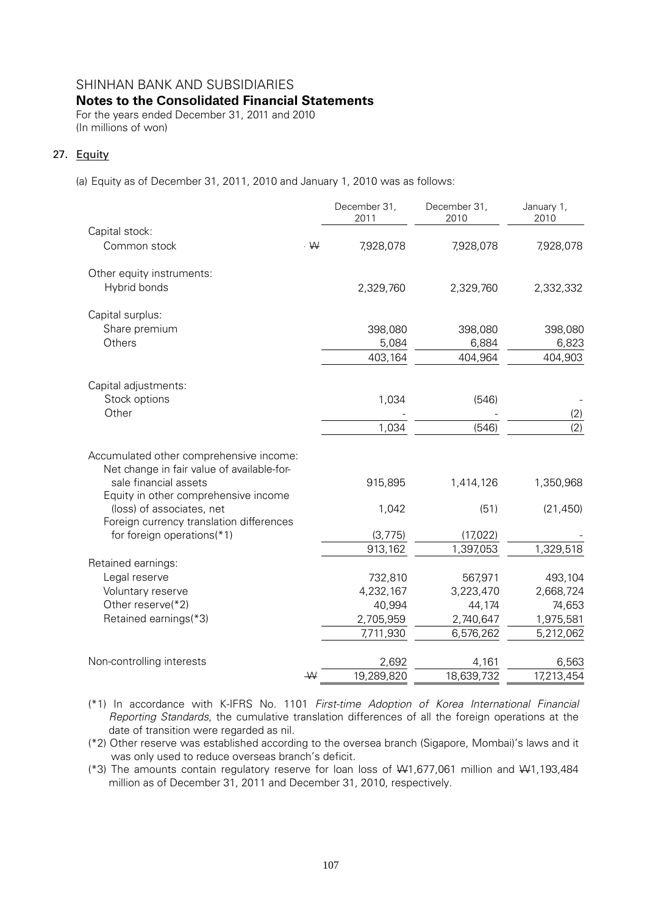### **Notes to the Consolidated Financial Statements**

For the years ended December 31, 2011 and 2010 (In millions of won)

### 27. Equity

(a) Equity as of December 31, 2011, 2010 and January 1, 2010 was as follows:

|                                            |          | December 31,<br>2011 | December 31,<br>2010 | January 1,<br>2010 |
|--------------------------------------------|----------|----------------------|----------------------|--------------------|
| Capital stock:                             |          |                      |                      |                    |
| Common stock                               | <b>W</b> | 7,928,078            | 7,928,078            | 7,928,078          |
| Other equity instruments:                  |          |                      |                      |                    |
| Hybrid bonds                               |          | 2,329,760            | 2,329,760            | 2,332,332          |
| Capital surplus:                           |          |                      |                      |                    |
| Share premium                              |          | 398,080              | 398,080              | 398,080            |
| Others                                     |          | 5,084                | 6,884                | 6,823              |
|                                            |          | 403,164              | 404,964              | 404,903            |
| Capital adjustments:                       |          |                      |                      |                    |
| Stock options                              |          | 1,034                | (546)                |                    |
| Other                                      |          |                      |                      | (2)                |
|                                            |          | 1,034                | (546)                | (2)                |
| Accumulated other comprehensive income:    |          |                      |                      |                    |
| Net change in fair value of available-for- |          |                      |                      |                    |
| sale financial assets                      |          | 915,895              | 1,414,126            | 1,350,968          |
| Equity in other comprehensive income       |          |                      |                      |                    |
| (loss) of associates, net                  |          | 1,042                | (51)                 | (21, 450)          |
| Foreign currency translation differences   |          |                      |                      |                    |
| for foreign operations(*1)                 |          | (3,775)              | (17,022)             |                    |
|                                            |          | 913,162              | 1,397,053            | 1,329,518          |
| Retained earnings:                         |          |                      |                      |                    |
| Legal reserve                              |          | 732,810              | 567,971              | 493,104            |
| Voluntary reserve                          |          | 4,232,167            | 3,223,470            | 2,668,724          |
| Other reserve(*2)                          |          | 40,994               | 44,174               | 74,653             |
| Retained earnings(*3)                      |          | 2,705,959            | 2,740,647            | 1,975,581          |
|                                            |          | 7,711,930            | 6,576,262            | 5,212,062          |
| Non-controlling interests                  |          | 2,692                | 4,161                | 6,563              |
|                                            | W        | 19,289,820           | 18,639,732           | 17,213,454         |

- (\*1) In accordance with K-IFRS No. 1101 *First-time Adoption of Korea International Financial Reporting Standards*, the cumulative translation differences of all the foreign operations at the date of transition were regarded as nil.
- (\*2) Other reserve was established according to the oversea branch (Sigapore, Mombai)'s laws and it was only used to reduce overseas branch's deficit.
- (\*3) The amounts contain regulatory reserve for loan loss of W1,677,061 million and W1,193,484 million as of December 31, 2011 and December 31, 2010, respectively.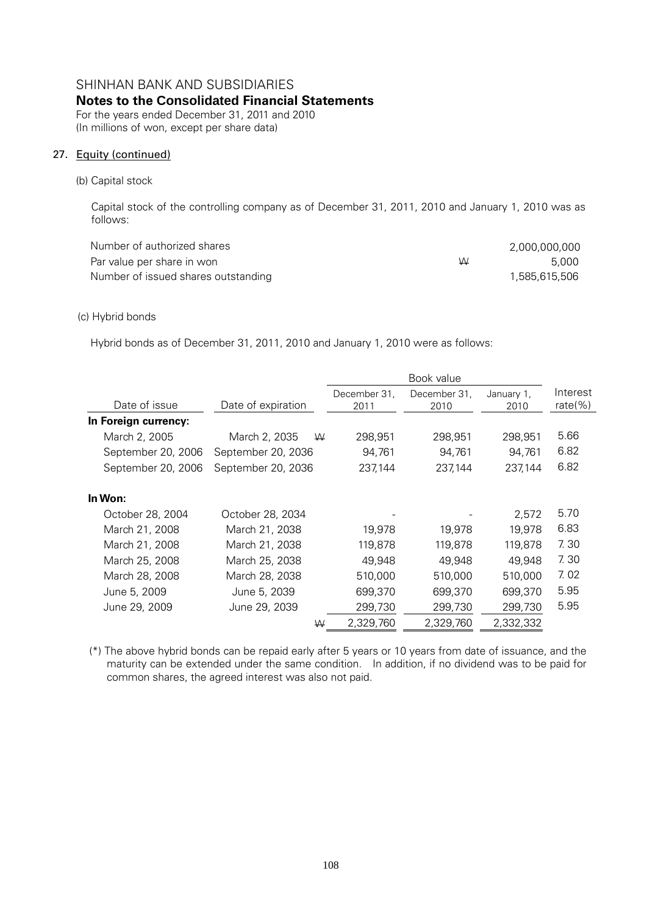## **Notes to the Consolidated Financial Statements**

For the years ended December 31, 2011 and 2010 (In millions of won, except per share data)

### 27. Equity (continued)

#### (b) Capital stock

Capital stock of the controlling company as of December 31, 2011, 2010 and January 1, 2010 was as follows:

| Number of authorized shares         |   | 2,000,000,000 |
|-------------------------------------|---|---------------|
| Par value per share in won          | W | 5.000         |
| Number of issued shares outstanding |   | 1,585,615,506 |

### (c) Hybrid bonds

Hybrid bonds as of December 31, 2011, 2010 and January 1, 2010 were as follows:

|                      |                    |                      | Book value           |                    |                         |
|----------------------|--------------------|----------------------|----------------------|--------------------|-------------------------|
| Date of issue        | Date of expiration | December 31,<br>2011 | December 31,<br>2010 | January 1,<br>2010 | Interest<br>rate $(\%)$ |
| In Foreign currency: |                    |                      |                      |                    |                         |
| March 2, 2005        | March 2, 2035<br>W | 298,951              | 298,951              | 298,951            | 5.66                    |
| September 20, 2006   | September 20, 2036 | 94,761               | 94,761               | 94,761             | 6.82                    |
| September 20, 2006   | September 20, 2036 | 237,144              | 237,144              | 237,144            | 6.82                    |
| In Won:              |                    |                      |                      |                    |                         |
| October 28, 2004     | October 28, 2034   |                      |                      | 2,572              | 5.70                    |
| March 21, 2008       | March 21, 2038     | 19,978               | 19,978               | 19,978             | 6.83                    |
| March 21, 2008       | March 21, 2038     | 119,878              | 119,878              | 119,878            | 7.30                    |
| March 25, 2008       | March 25, 2038     | 49.948               | 49,948               | 49,948             | 7.30                    |
| March 28, 2008       | March 28, 2038     | 510,000              | 510,000              | 510,000            | 7.02                    |
| June 5, 2009         | June 5, 2039       | 699,370              | 699,370              | 699,370            | 5.95                    |
| June 29, 2009        | June 29, 2039      | 299,730              | 299,730              | 299,730            | 5.95                    |
|                      | W                  | 2,329,760            | 2,329,760            | 2,332,332          |                         |

(\*) The above hybrid bonds can be repaid early after 5 years or 10 years from date of issuance, and the maturity can be extended under the same condition. In addition, if no dividend was to be paid for common shares, the agreed interest was also not paid.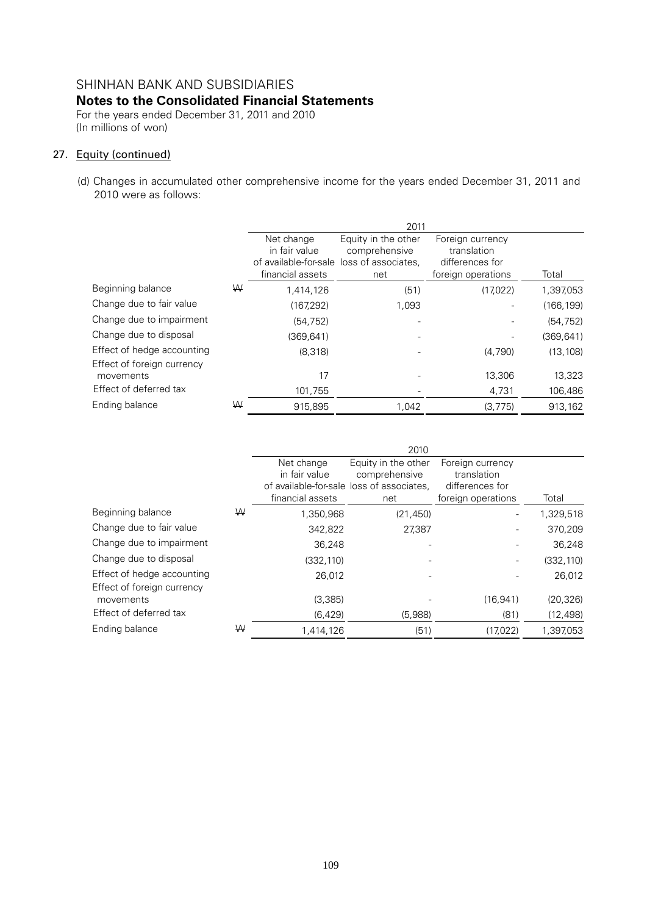## SHINHAN BANK AND SUBSIDIARIES **Notes to the Consolidated Financial Statements**  For the years ended December 31, 2011 and 2010

(In millions of won)

### 27. Equity (continued)

(d) Changes in accumulated other comprehensive income for the years ended December 31, 2011 and 2010 were as follows:

|                                                          |   |                                                                                              | 2011                                        |                                                                          |            |
|----------------------------------------------------------|---|----------------------------------------------------------------------------------------------|---------------------------------------------|--------------------------------------------------------------------------|------------|
|                                                          |   | Net change<br>in fair value<br>of available-for-sale loss of associates.<br>financial assets | Equity in the other<br>comprehensive<br>net | Foreign currency<br>translation<br>differences for<br>foreign operations | Total      |
| Beginning balance                                        | W | 1,414,126                                                                                    | (51)                                        | (17,022)                                                                 | 1,397,053  |
| Change due to fair value                                 |   | (167, 292)                                                                                   | 1,093                                       |                                                                          | (166, 199) |
| Change due to impairment                                 |   | (54, 752)                                                                                    |                                             |                                                                          | (54, 752)  |
| Change due to disposal                                   |   | (369.641)                                                                                    |                                             |                                                                          | (369, 641) |
| Effect of hedge accounting<br>Effect of foreign currency |   | (8,318)                                                                                      |                                             | (4,790)                                                                  | (13, 108)  |
| movements                                                |   | 17                                                                                           |                                             | 13,306                                                                   | 13,323     |
| Effect of deferred tax                                   |   | 101,755                                                                                      |                                             | 4,731                                                                    | 106,486    |
| Ending balance                                           | ₩ | 915,895                                                                                      | 1,042                                       | (3,775)                                                                  | 913,162    |

|                                                          |   |                                                                                              | 2010                                        |                                                                          |            |
|----------------------------------------------------------|---|----------------------------------------------------------------------------------------------|---------------------------------------------|--------------------------------------------------------------------------|------------|
|                                                          |   | Net change<br>in fair value<br>of available-for-sale loss of associates.<br>financial assets | Equity in the other<br>comprehensive<br>net | Foreign currency<br>translation<br>differences for<br>foreign operations | Total      |
| Beginning balance                                        | ₩ | 1,350,968                                                                                    | (21, 450)                                   |                                                                          | 1,329,518  |
| Change due to fair value                                 |   | 342,822                                                                                      | 27,387                                      |                                                                          | 370,209    |
| Change due to impairment                                 |   | 36,248                                                                                       |                                             |                                                                          | 36,248     |
| Change due to disposal                                   |   | (332, 110)                                                                                   |                                             | $\overline{\phantom{a}}$                                                 | (332, 110) |
| Effect of hedge accounting<br>Effect of foreign currency |   | 26,012                                                                                       |                                             |                                                                          | 26,012     |
| movements                                                |   | (3,385)                                                                                      |                                             | (16, 941)                                                                | (20, 326)  |
| Effect of deferred tax                                   |   | (6, 429)                                                                                     | (5,988)                                     | (81)                                                                     | (12, 498)  |
| Ending balance                                           | W | 1,414,126                                                                                    | (51)                                        | (17,022)                                                                 | 1,397,053  |
|                                                          |   |                                                                                              |                                             |                                                                          |            |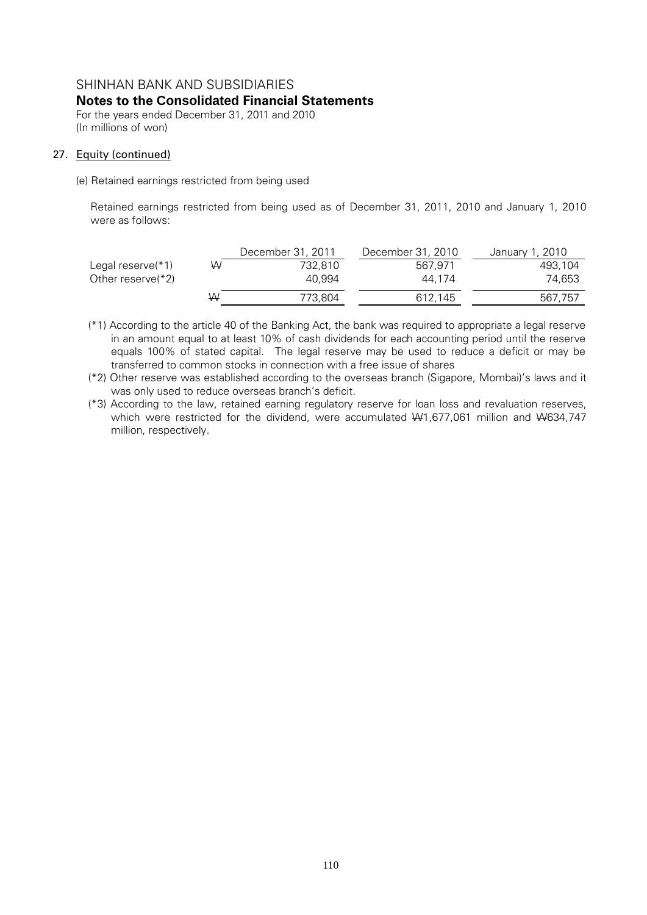# SHINHAN BANK AND SUBSIDIARIES **Notes to the Consolidated Financial Statements**  For the years ended December 31, 2011 and 2010

(In millions of won)

#### 27. Equity (continued)

(e) Retained earnings restricted from being used

Retained earnings restricted from being used as of December 31, 2011, 2010 and January 1, 2010 were as follows:

|                      |   | December 31, 2011 | December 31, 2010 | January 1, 2010 |
|----------------------|---|-------------------|-------------------|-----------------|
| Legal reserve $(*1)$ | W | 732.810           | 567,971           | 493.104         |
| Other reserve(*2)    |   | 40.994            | 44.174            | 74,653          |
|                      | W | 773,804           | 612.145           | 567,757         |
|                      |   |                   |                   |                 |

- (\*1) According to the article 40 of the Banking Act, the bank was required to appropriate a legal reserve in an amount equal to at least 10% of cash dividends for each accounting period until the reserve equals 100% of stated capital. The legal reserve may be used to reduce a deficit or may be transferred to common stocks in connection with a free issue of shares
- (\*2) Other reserve was established according to the overseas branch (Sigapore, Mombai)'s laws and it was only used to reduce overseas branch's deficit.
- (\*3) According to the law, retained earning regulatory reserve for loan loss and revaluation reserves, which were restricted for the dividend, were accumulated W1,677,061 million and W634,747 million, respectively.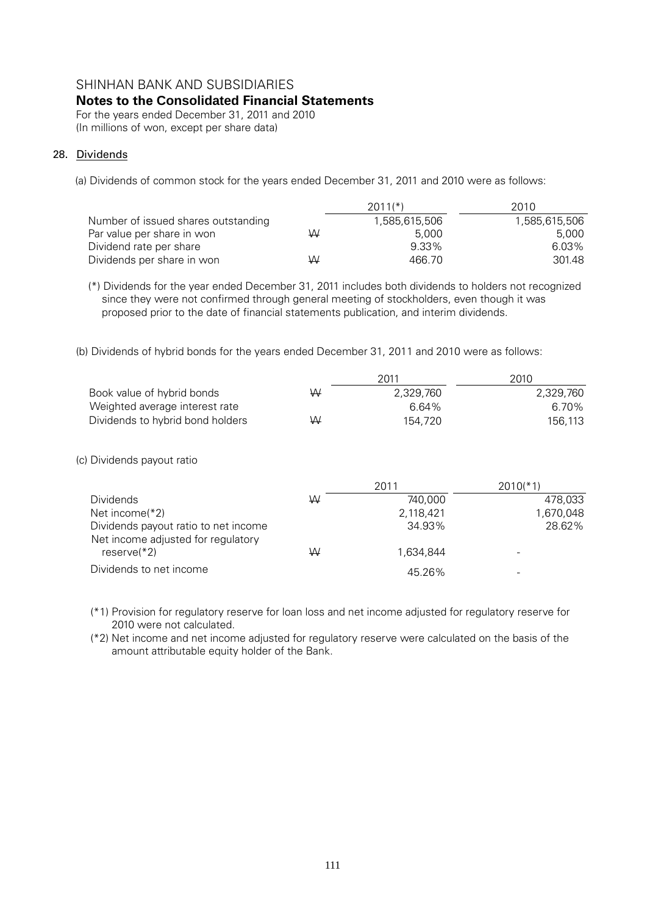### **Notes to the Consolidated Financial Statements**

For the years ended December 31, 2011 and 2010 (In millions of won, except per share data)

### 28. Dividends

(a) Dividends of common stock for the years ended December 31, 2011 and 2010 were as follows:

|                                     |   | $2011$ <sup>*</sup> ) | 2010          |
|-------------------------------------|---|-----------------------|---------------|
| Number of issued shares outstanding |   | 1,585,615,506         | 1,585,615,506 |
| Par value per share in won          | W | 5.000                 | 5.000         |
| Dividend rate per share             |   | $9.33\%$              | 6.03%         |
| Dividends per share in won          | W | 466.70                | 301.48        |

(\*) Dividends for the year ended December 31, 2011 includes both dividends to holders not recognized since they were not confirmed through general meeting of stockholders, even though it was proposed prior to the date of financial statements publication, and interim dividends.

(b) Dividends of hybrid bonds for the years ended December 31, 2011 and 2010 were as follows:

|                                  |   | 2011      | 2010      |
|----------------------------------|---|-----------|-----------|
| Book value of hybrid bonds       | W | 2,329,760 | 2,329,760 |
| Weighted average interest rate   |   | 6.64%     | 6.70%     |
| Dividends to hybrid bond holders | W | 154.720   | 156.113   |

#### (c) Dividends payout ratio

|                                      |   | 2011      | $2010(*1)$ |
|--------------------------------------|---|-----------|------------|
| <b>Dividends</b>                     | W | 740,000   | 478,033    |
| Net income $(*2)$                    |   | 2,118,421 | 1,670,048  |
| Dividends payout ratio to net income |   | 34.93%    | 28.62%     |
| Net income adjusted for regulatory   |   |           |            |
| reserve $(*2)$                       | W | 1.634.844 | -          |
| Dividends to net income              |   | 45.26%    | -          |

(\*1) Provision for regulatory reserve for loan loss and net income adjusted for regulatory reserve for 2010 were not calculated.

(\*2) Net income and net income adjusted for regulatory reserve were calculated on the basis of the amount attributable equity holder of the Bank.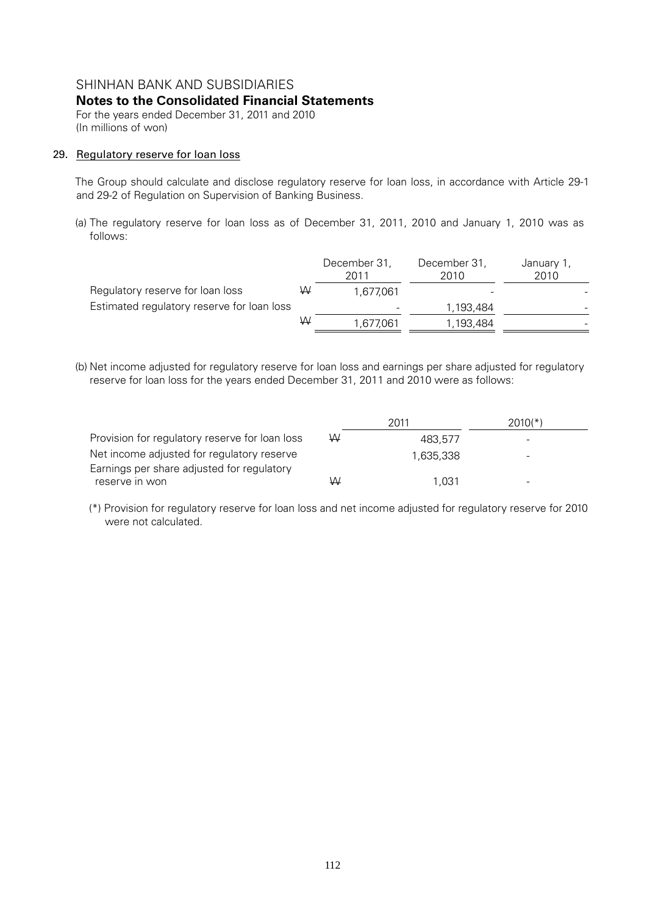## SHINHAN BANK AND SUBSIDIARIES **Notes to the Consolidated Financial Statements**  For the years ended December 31, 2011 and 2010

(In millions of won)

#### 29. Regulatory reserve for loan loss

The Group should calculate and disclose regulatory reserve for loan loss, in accordance with Article 29-1 and 29-2 of Regulation on Supervision of Banking Business.

(a) The regulatory reserve for loan loss as of December 31, 2011, 2010 and January 1, 2010 was as follows:

|                                            |   | December 31,<br>2011 | December 31,<br>2010 | January 1,<br>2010 |
|--------------------------------------------|---|----------------------|----------------------|--------------------|
| Regulatory reserve for loan loss           | ₩ | 1.677.061            |                      |                    |
| Estimated regulatory reserve for loan loss |   |                      | 1.193.484            |                    |
|                                            | ₩ | 1.677.061            | 1,193,484            |                    |

(b) Net income adjusted for regulatory reserve for loan loss and earnings per share adjusted for regulatory reserve for loan loss for the years ended December 31, 2011 and 2010 were as follows:

|                                                              |   | 2011      | $2010(*)$                |
|--------------------------------------------------------------|---|-----------|--------------------------|
| Provision for regulatory reserve for loan loss               | W | 483.577   | -                        |
| Net income adjusted for regulatory reserve                   |   | 1.635.338 | $\overline{\phantom{0}}$ |
| Earnings per share adjusted for regulatory<br>reserve in won | W | 1.031     | $\overline{\phantom{a}}$ |

(\*) Provision for regulatory reserve for loan loss and net income adjusted for regulatory reserve for 2010 were not calculated.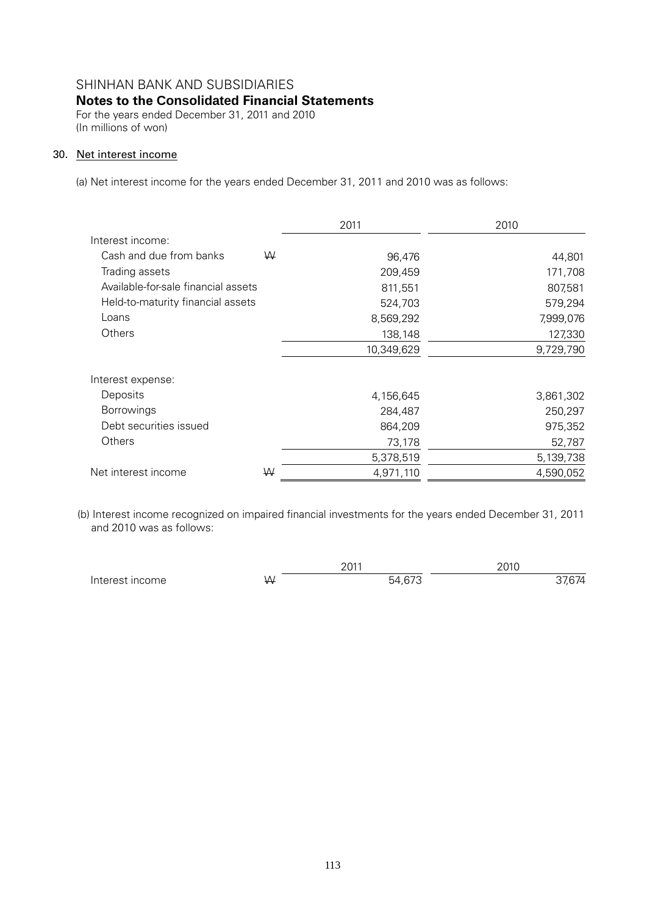# SHINHAN BANK AND SUBSIDIARIES **Notes to the Consolidated Financial Statements**

For the years ended December 31, 2011 and 2010 (In millions of won)

## 30. Net interest income

(a) Net interest income for the years ended December 31, 2011 and 2010 was as follows:

|                                     |   | 2011       | 2010      |
|-------------------------------------|---|------------|-----------|
| Interest income:                    |   |            |           |
| Cash and due from banks             | W | 96,476     | 44,801    |
| Trading assets                      |   | 209,459    | 171,708   |
| Available-for-sale financial assets |   | 811,551    | 807,581   |
| Held-to-maturity financial assets   |   | 524,703    | 579,294   |
| Loans                               |   | 8,569,292  | 7,999,076 |
| <b>Others</b>                       |   | 138,148    | 127,330   |
|                                     |   | 10,349,629 | 9,729,790 |
| Interest expense:                   |   |            |           |
| Deposits                            |   | 4,156,645  | 3,861,302 |
| <b>Borrowings</b>                   |   | 284,487    | 250,297   |
| Debt securities issued              |   | 864,209    | 975,352   |
| <b>Others</b>                       |   | 73,178     | 52,787    |
|                                     |   | 5,378,519  | 5,139,738 |
| Net interest income                 | W | 4,971,110  | 4,590,052 |

(b) Interest income recognized on impaired financial investments for the years ended December 31, 2011 and 2010 was as follows:

|                 |   | 2011                      | 2010 |  |
|-----------------|---|---------------------------|------|--|
| Interest income | W | $\sim$<br>n/l<br><u>_</u> | 7674 |  |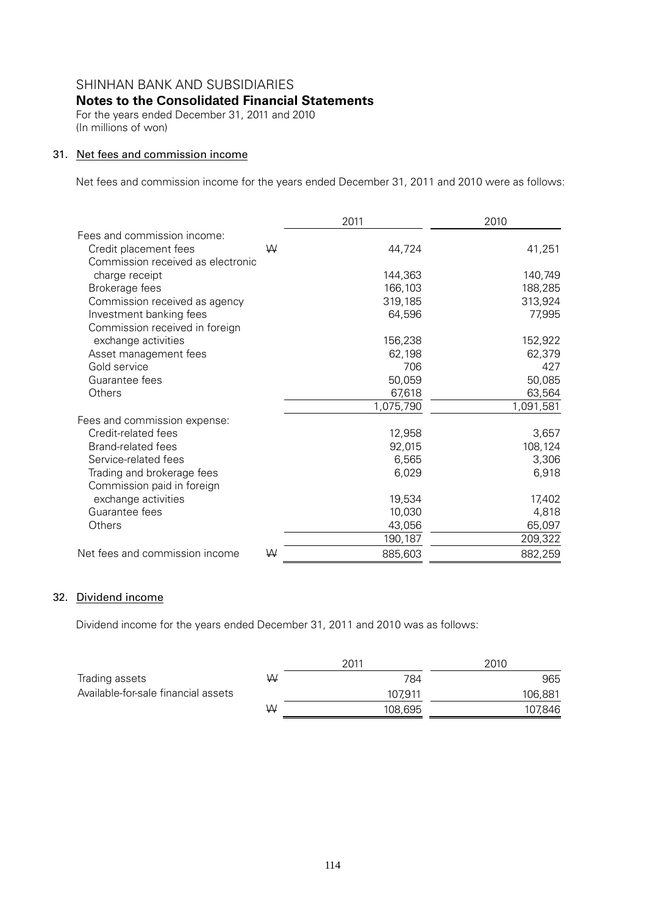## **Notes to the Consolidated Financial Statements**

For the years ended December 31, 2011 and 2010 (In millions of won)

### 31. Net fees and commission income

Net fees and commission income for the years ended December 31, 2011 and 2010 were as follows:

|                                   |   | 2011      | 2010      |
|-----------------------------------|---|-----------|-----------|
| Fees and commission income:       |   |           |           |
| Credit placement fees             | W | 44,724    | 41,251    |
| Commission received as electronic |   |           |           |
| charge receipt                    |   | 144,363   | 140,749   |
| Brokerage fees                    |   | 166,103   | 188,285   |
| Commission received as agency     |   | 319,185   | 313,924   |
| Investment banking fees           |   | 64,596    | 77,995    |
| Commission received in foreign    |   |           |           |
| exchange activities               |   | 156,238   | 152,922   |
| Asset management fees             |   | 62,198    | 62,379    |
| Gold service                      |   | 706       | 427       |
| Guarantee fees                    |   | 50,059    | 50,085    |
| Others                            |   | 67,618    | 63,564    |
|                                   |   | 1,075,790 | 1,091,581 |
| Fees and commission expense:      |   |           |           |
| Credit-related fees               |   | 12,958    | 3,657     |
| <b>Brand-related fees</b>         |   | 92,015    | 108,124   |
| Service-related fees              |   | 6,565     | 3,306     |
| Trading and brokerage fees        |   | 6,029     | 6,918     |
| Commission paid in foreign        |   |           |           |
| exchange activities               |   | 19,534    | 17,402    |
| Guarantee fees                    |   | 10,030    | 4,818     |
| Others                            |   | 43,056    | 65,097    |
|                                   |   | 190,187   | 209,322   |
| Net fees and commission income    | W | 885,603   | 882,259   |

#### 32. Dividend income

Dividend income for the years ended December 31, 2011 and 2010 was as follows:

|                                     |   | 2011    | 2010    |
|-------------------------------------|---|---------|---------|
| Trading assets                      | W | 784     | 965     |
| Available-for-sale financial assets |   | 107.911 | 106,881 |
|                                     | W | 108,695 | 107,846 |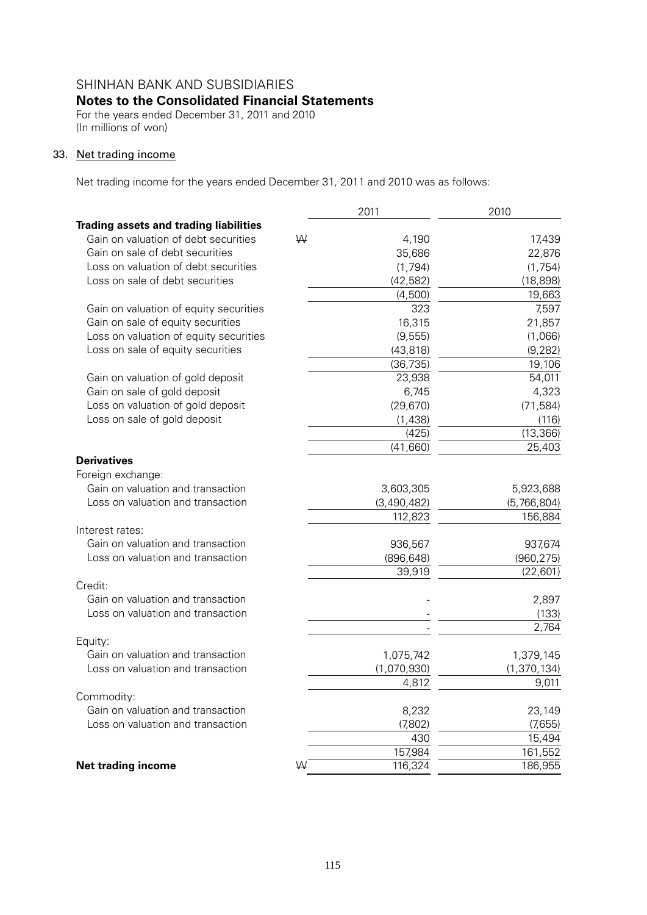## SHINHAN BANK AND SUBSIDIARIES **Notes to the Consolidated Financial Statements**

For the years ended December 31, 2011 and 2010 (In millions of won)

## 33. Net trading income

Net trading income for the years ended December 31, 2011 and 2010 was as follows:

|                                               |   | 2011        | 2010          |
|-----------------------------------------------|---|-------------|---------------|
| <b>Trading assets and trading liabilities</b> |   |             |               |
| Gain on valuation of debt securities          | W | 4,190       | 17,439        |
| Gain on sale of debt securities               |   | 35,686      | 22,876        |
| Loss on valuation of debt securities          |   | (1,794)     | (1, 754)      |
| Loss on sale of debt securities               |   | (42, 582)   | (18, 898)     |
|                                               |   | (4,500)     | 19,663        |
| Gain on valuation of equity securities        |   | 323         | 7,597         |
| Gain on sale of equity securities             |   | 16,315      | 21,857        |
| Loss on valuation of equity securities        |   | (9, 555)    | (1,066)       |
| Loss on sale of equity securities             |   | (43, 818)   | (9, 282)      |
|                                               |   | (36, 735)   | 19,106        |
| Gain on valuation of gold deposit             |   | 23,938      | 54,011        |
| Gain on sale of gold deposit                  |   | 6,745       | 4,323         |
| Loss on valuation of gold deposit             |   | (29, 670)   | (71, 584)     |
| Loss on sale of gold deposit                  |   | (1,438)     | (116)         |
|                                               |   | (425)       | (13, 366)     |
|                                               |   | (41,660)    | 25,403        |
| <b>Derivatives</b>                            |   |             |               |
| Foreign exchange:                             |   |             |               |
| Gain on valuation and transaction             |   | 3,603,305   | 5,923,688     |
| Loss on valuation and transaction             |   | (3,490,482) | (5,766,804)   |
|                                               |   | 112,823     | 156,884       |
| Interest rates:                               |   |             |               |
| Gain on valuation and transaction             |   | 936,567     | 937,674       |
| Loss on valuation and transaction             |   | (896, 648)  | (960, 275)    |
|                                               |   | 39,919      | (22, 601)     |
| Credit:                                       |   |             |               |
| Gain on valuation and transaction             |   |             | 2,897         |
| Loss on valuation and transaction             |   |             | (133)         |
|                                               |   |             | 2,764         |
| Equity:                                       |   |             |               |
| Gain on valuation and transaction             |   | 1,075,742   | 1,379,145     |
| Loss on valuation and transaction             |   | (1,070,930) | (1, 370, 134) |
|                                               |   | 4,812       | 9,011         |
| Commodity:                                    |   |             |               |
| Gain on valuation and transaction             |   | 8,232       | 23,149        |
| Loss on valuation and transaction             |   | (7,802)     | (7,655)       |
|                                               |   | 430         | 15,494        |
|                                               |   | 157,984     | 161,552       |
| <b>Net trading income</b>                     | W | 116,324     | 186,955       |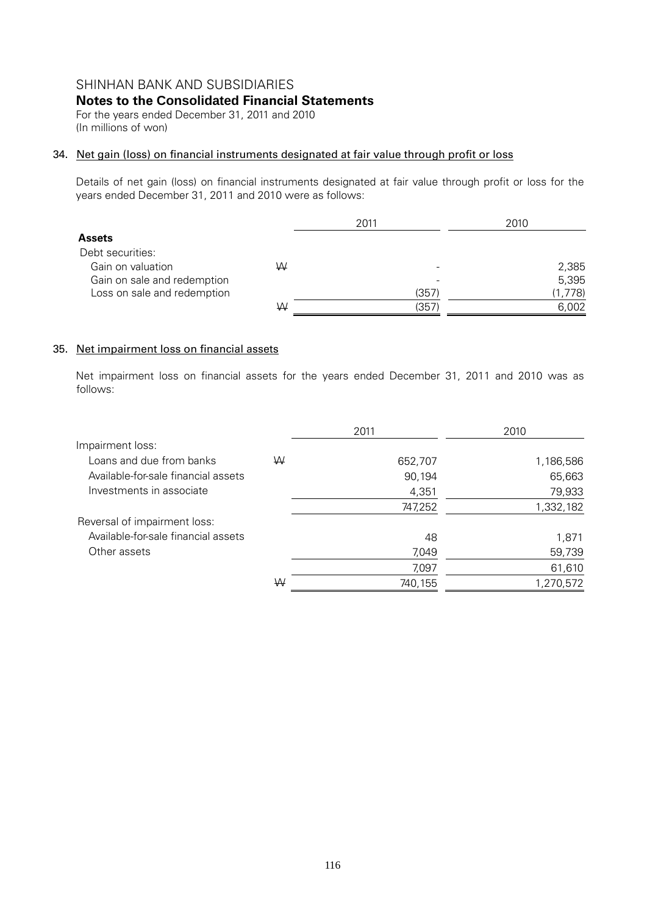## **Notes to the Consolidated Financial Statements**

For the years ended December 31, 2011 and 2010 (In millions of won)

#### 34. Net gain (loss) on financial instruments designated at fair value through profit or loss

Details of net gain (loss) on financial instruments designated at fair value through profit or loss for the years ended December 31, 2011 and 2010 were as follows:

|                             |   | 2011  | 2010    |
|-----------------------------|---|-------|---------|
| <b>Assets</b>               |   |       |         |
| Debt securities:            |   |       |         |
| Gain on valuation           | W | -     | 2,385   |
| Gain on sale and redemption |   |       | 5,395   |
| Loss on sale and redemption |   | (357) | (1,778) |
|                             | ₩ | (357) | 6,002   |

#### 35. Net impairment loss on financial assets

Net impairment loss on financial assets for the years ended December 31, 2011 and 2010 was as follows:

|                                     |   | 2011    | 2010      |
|-------------------------------------|---|---------|-----------|
| Impairment loss:                    |   |         |           |
| Loans and due from banks            | W | 652,707 | 1,186,586 |
| Available-for-sale financial assets |   | 90,194  | 65,663    |
| Investments in associate            |   | 4,351   | 79,933    |
|                                     |   | 747,252 | 1,332,182 |
| Reversal of impairment loss:        |   |         |           |
| Available-for-sale financial assets |   | 48      | 1,871     |
| Other assets                        |   | 7,049   | 59,739    |
|                                     |   | 7,097   | 61,610    |
|                                     | W | 740,155 | 1,270,572 |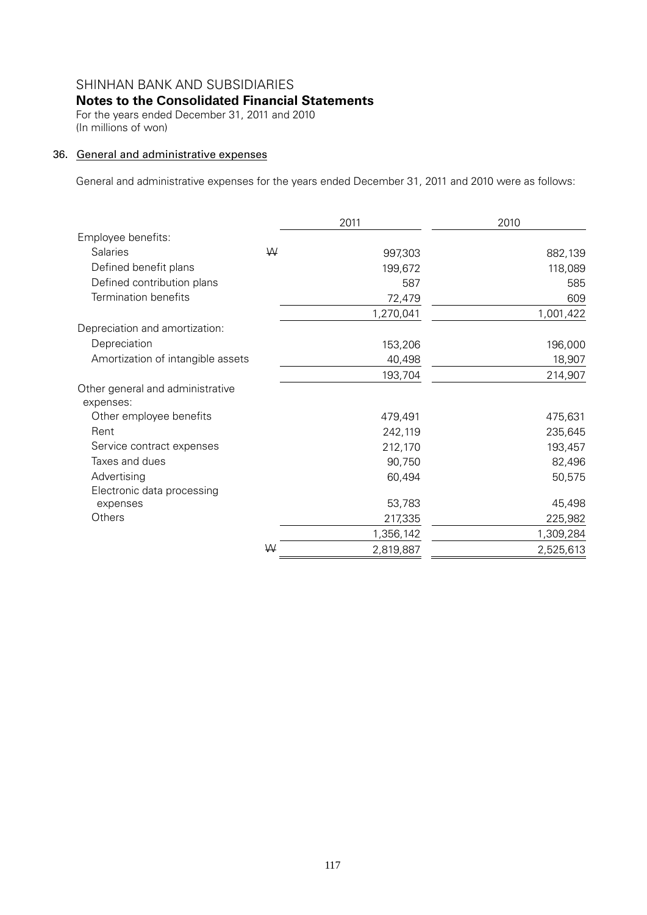## **Notes to the Consolidated Financial Statements**

For the years ended December 31, 2011 and 2010 (In millions of won)

### 36. General and administrative expenses

General and administrative expenses for the years ended December 31, 2011 and 2010 were as follows:

|                                   |   | 2011      | 2010      |
|-----------------------------------|---|-----------|-----------|
| Employee benefits:                |   |           |           |
| <b>Salaries</b>                   | W | 997,303   | 882,139   |
| Defined benefit plans             |   | 199,672   | 118,089   |
| Defined contribution plans        |   | 587       | 585       |
| Termination benefits              |   | 72,479    | 609       |
|                                   |   | 1,270,041 | 1,001,422 |
| Depreciation and amortization:    |   |           |           |
| Depreciation                      |   | 153,206   | 196,000   |
| Amortization of intangible assets |   | 40,498    | 18,907    |
|                                   |   | 193,704   | 214,907   |
| Other general and administrative  |   |           |           |
| expenses:                         |   |           |           |
| Other employee benefits           |   | 479,491   | 475,631   |
| Rent                              |   | 242,119   | 235,645   |
| Service contract expenses         |   | 212,170   | 193,457   |
| Taxes and dues                    |   | 90,750    | 82,496    |
| Advertising                       |   | 60,494    | 50,575    |
| Electronic data processing        |   |           |           |
| expenses                          |   | 53,783    | 45,498    |
| Others                            |   | 217,335   | 225,982   |
|                                   |   | 1,356,142 | 1,309,284 |
|                                   | ₩ | 2,819,887 | 2,525,613 |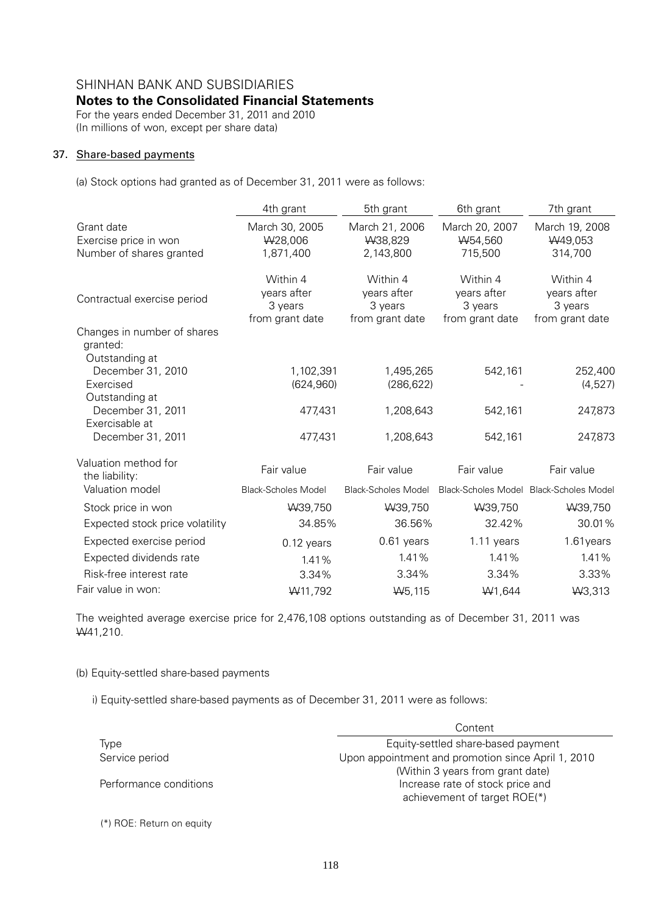## **Notes to the Consolidated Financial Statements**

For the years ended December 31, 2011 and 2010 (In millions of won, except per share data)

#### 37. Share-based payments

(a) Stock options had granted as of December 31, 2011 were as follows:

|                                                                 | 4th grant                                             | 5th grant                                             | 6th grant                                             | 7th grant                                             |
|-----------------------------------------------------------------|-------------------------------------------------------|-------------------------------------------------------|-------------------------------------------------------|-------------------------------------------------------|
| Grant date<br>Exercise price in won<br>Number of shares granted | March 30, 2005<br>W <sub>28,006</sub><br>1,871,400    | March 21, 2006<br>W38,829<br>2,143,800                | March 20, 2007<br>W54,560<br>715,500                  | March 19, 2008<br>W49,053<br>314,700                  |
| Contractual exercise period                                     | Within 4<br>years after<br>3 years<br>from grant date | Within 4<br>years after<br>3 years<br>from grant date | Within 4<br>years after<br>3 years<br>from grant date | Within 4<br>years after<br>3 years<br>from grant date |
| Changes in number of shares                                     |                                                       |                                                       |                                                       |                                                       |
| granted:<br>Outstanding at<br>December 31, 2010<br>Exercised    | 1,102,391<br>(624, 960)                               | 1,495,265<br>(286, 622)                               | 542,161                                               | 252,400<br>(4, 527)                                   |
| Outstanding at<br>December 31, 2011<br>Exercisable at           | 477,431                                               | 1,208,643                                             | 542,161                                               | 247,873                                               |
| December 31, 2011                                               | 477,431                                               | 1,208,643                                             | 542,161                                               | 247,873                                               |
| Valuation method for<br>the liability:                          | Fair value                                            | Fair value                                            | Fair value                                            | Fair value                                            |
| Valuation model                                                 | <b>Black-Scholes Model</b>                            | <b>Black-Scholes Model</b>                            | Black-Scholes Model Black-Scholes Model               |                                                       |
| Stock price in won                                              | W39,750                                               | W39,750                                               | W39,750                                               | W39,750                                               |
| Expected stock price volatility                                 | 34.85%                                                | 36.56%                                                | 32.42%                                                | 30.01%                                                |
| Expected exercise period                                        | $0.12$ years                                          | $0.61$ years                                          | $1.11$ years                                          | 1.61years                                             |
| Expected dividends rate                                         | 1.41%                                                 | 1.41%                                                 | 1.41%                                                 | 1.41%                                                 |
| Risk-free interest rate                                         | 3.34%                                                 | 3.34%                                                 | 3.34%                                                 | 3.33%                                                 |
| Fair value in won:                                              | W11,792                                               | W <sub>5</sub> ,115                                   | W <sub>1</sub> ,644                                   | W3,313                                                |

The weighted average exercise price for 2,476,108 options outstanding as of December 31, 2011 was W41,210.

(b) Equity-settled share-based payments

i) Equity-settled share-based payments as of December 31, 2011 were as follows:

|                        | Content                                            |
|------------------------|----------------------------------------------------|
| Type                   | Equity-settled share-based payment                 |
| Service period         | Upon appointment and promotion since April 1, 2010 |
|                        | (Within 3 years from grant date)                   |
| Performance conditions | Increase rate of stock price and                   |
|                        | achievement of target ROE(*)                       |
|                        |                                                    |

(\*) ROE: Return on equity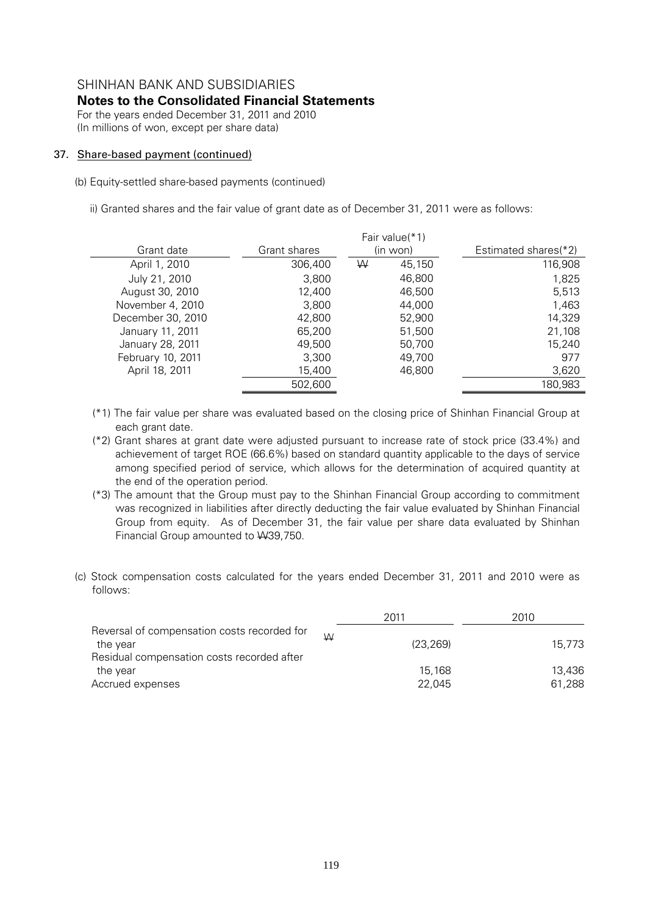## **Notes to the Consolidated Financial Statements**

For the years ended December 31, 2011 and 2010 (In millions of won, except per share data)

#### 37. Share-based payment (continued)

#### (b) Equity-settled share-based payments (continued)

ii) Granted shares and the fair value of grant date as of December 31, 2011 were as follows:

|                   |              |   | Fair value(*1) |                      |
|-------------------|--------------|---|----------------|----------------------|
| Grant date        | Grant shares |   | (in won)       | Estimated shares(*2) |
| April 1, 2010     | 306,400      | ₩ | 45,150         | 116,908              |
| July 21, 2010     | 3,800        |   | 46,800         | 1,825                |
| August 30, 2010   | 12,400       |   | 46,500         | 5,513                |
| November 4, 2010  | 3,800        |   | 44,000         | 1,463                |
| December 30, 2010 | 42,800       |   | 52,900         | 14,329               |
| January 11, 2011  | 65,200       |   | 51,500         | 21,108               |
| January 28, 2011  | 49,500       |   | 50,700         | 15,240               |
| February 10, 2011 | 3,300        |   | 49,700         | 977                  |
| April 18, 2011    | 15,400       |   | 46.800         | 3,620                |
|                   | 502,600      |   |                | 180,983              |

- (\*1) The fair value per share was evaluated based on the closing price of Shinhan Financial Group at each grant date.
- (\*2) Grant shares at grant date were adjusted pursuant to increase rate of stock price (33.4%) and achievement of target ROE (66.6%) based on standard quantity applicable to the days of service among specified period of service, which allows for the determination of acquired quantity at the end of the operation period.
- (\*3) The amount that the Group must pay to the Shinhan Financial Group according to commitment was recognized in liabilities after directly deducting the fair value evaluated by Shinhan Financial Group from equity. As of December 31, the fair value per share data evaluated by Shinhan Financial Group amounted to W39,750.
- (c) Stock compensation costs calculated for the years ended December 31, 2011 and 2010 were as follows:

|                                                                                                       |   | 2011      | 2010   |
|-------------------------------------------------------------------------------------------------------|---|-----------|--------|
| Reversal of compensation costs recorded for<br>the year<br>Residual compensation costs recorded after | W | (23, 269) | 15.773 |
| the year                                                                                              |   | 15,168    | 13.436 |
| Accrued expenses                                                                                      |   | 22,045    | 61,288 |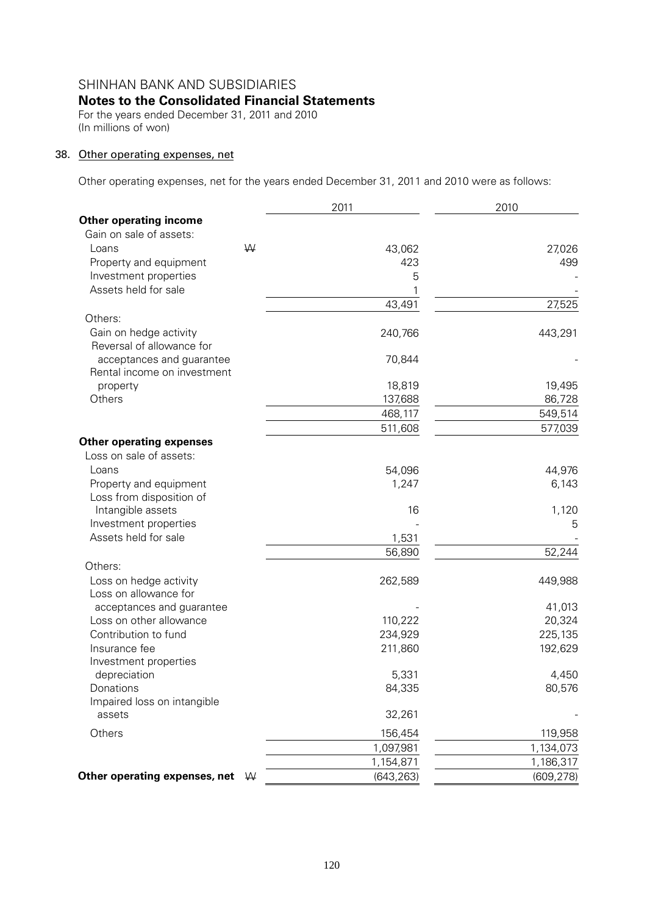# **Notes to the Consolidated Financial Statements**

For the years ended December 31, 2011 and 2010 (In millions of won)

## 38. Other operating expenses, net

Other operating expenses, net for the years ended December 31, 2011 and 2010 were as follows:

|                                                          | 2011       | 2010       |
|----------------------------------------------------------|------------|------------|
| <b>Other operating income</b>                            |            |            |
| Gain on sale of assets:                                  |            |            |
| W<br>Loans                                               | 43,062     | 27,026     |
| Property and equipment                                   | 423        | 499        |
| Investment properties                                    | 5          |            |
| Assets held for sale                                     | 1          |            |
|                                                          | 43,491     | 27,525     |
| Others:                                                  |            |            |
| Gain on hedge activity<br>Reversal of allowance for      | 240,766    | 443,291    |
| acceptances and guarantee<br>Rental income on investment | 70,844     |            |
| property                                                 | 18,819     | 19,495     |
| Others                                                   | 137,688    | 86,728     |
|                                                          | 468,117    | 549,514    |
|                                                          | 511,608    | 577,039    |
| <b>Other operating expenses</b>                          |            |            |
| Loss on sale of assets:                                  |            |            |
| Loans                                                    | 54,096     | 44,976     |
| Property and equipment                                   | 1,247      | 6,143      |
| Loss from disposition of                                 |            |            |
| Intangible assets<br>Investment properties               | 16         | 1,120<br>5 |
| Assets held for sale                                     | 1,531      |            |
|                                                          | 56,890     | 52,244     |
| Others:                                                  |            |            |
| Loss on hedge activity                                   | 262,589    | 449,988    |
| Loss on allowance for                                    |            |            |
| acceptances and guarantee                                |            | 41,013     |
| Loss on other allowance                                  | 110,222    | 20,324     |
| Contribution to fund                                     | 234,929    | 225,135    |
| Insurance fee                                            | 211,860    | 192,629    |
| Investment properties                                    |            |            |
| depreciation                                             | 5,331      | 4,450      |
| Donations                                                | 84,335     | 80,576     |
| Impaired loss on intangible                              |            |            |
| assets                                                   | 32,261     |            |
| Others                                                   | 156,454    | 119,958    |
|                                                          | 1,097,981  | 1,134,073  |
|                                                          | 1,154,871  | 1,186,317  |
| Other operating expenses, net<br>W                       | (643, 263) | (609, 278) |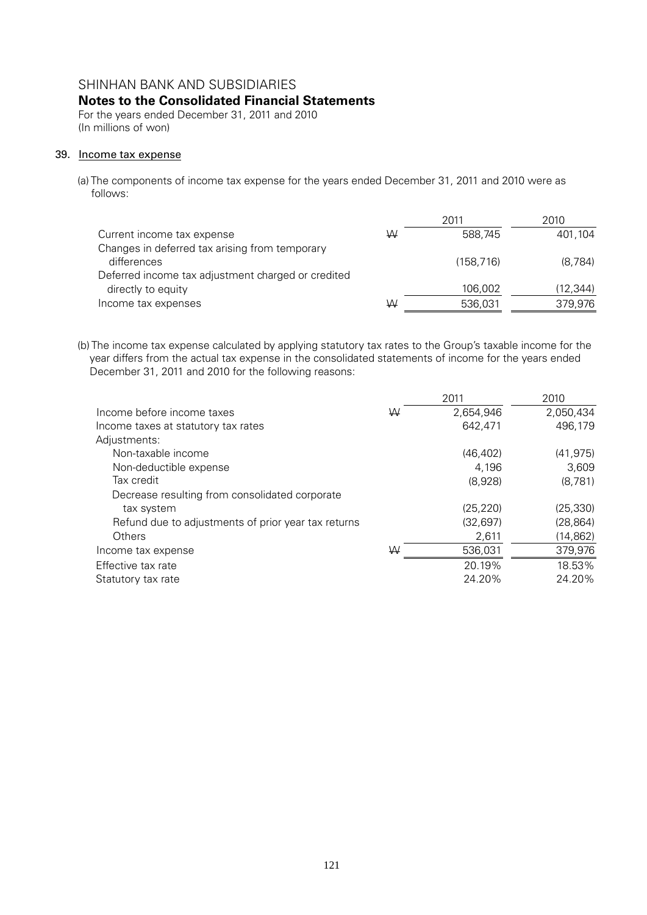## **Notes to the Consolidated Financial Statements**

For the years ended December 31, 2011 and 2010 (In millions of won)

#### 39. Income tax expense

(a) The components of income tax expense for the years ended December 31, 2011 and 2010 were as follows:

|                                                    |   | 2011       | 2010      |
|----------------------------------------------------|---|------------|-----------|
| Current income tax expense                         | W | 588,745    | 401,104   |
| Changes in deferred tax arising from temporary     |   |            |           |
| differences                                        |   | (158, 716) | (8, 784)  |
| Deferred income tax adjustment charged or credited |   |            |           |
| directly to equity                                 |   | 106,002    | (12, 344) |
| Income tax expenses                                | W | 536,031    | 379,976   |
|                                                    |   |            |           |

(b) The income tax expense calculated by applying statutory tax rates to the Group's taxable income for the year differs from the actual tax expense in the consolidated statements of income for the years ended December 31, 2011 and 2010 for the following reasons:

|   | 2011      | 2010      |
|---|-----------|-----------|
| W | 2,654,946 | 2,050,434 |
|   | 642,471   | 496,179   |
|   |           |           |
|   | (46, 402) | (41, 975) |
|   | 4,196     | 3,609     |
|   | (8,928)   | (8,781)   |
|   |           |           |
|   | (25, 220) | (25, 330) |
|   | (32, 697) | (28, 864) |
|   | 2,611     | (14, 862) |
| W | 536,031   | 379,976   |
|   | 20.19%    | 18.53%    |
|   | 24.20%    | 24.20%    |
|   |           |           |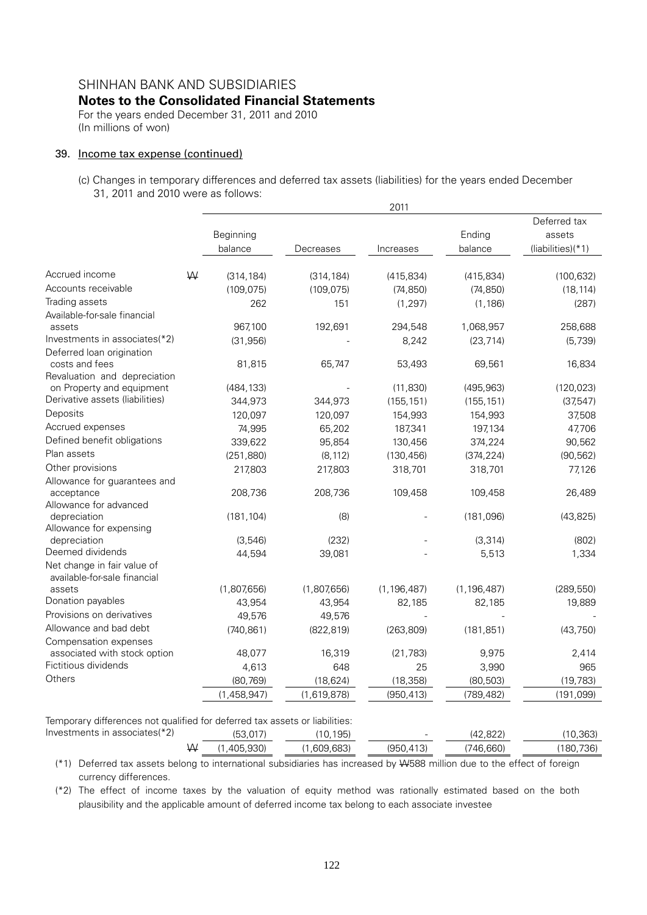#### **Notes to the Consolidated Financial Statements**

For the years ended December 31, 2011 and 2010 (In millions of won)

#### 39. Income tax expense (continued)

(c) Changes in temporary differences and deferred tax assets (liabilities) for the years ended December 31, 2011 and 2010 were as follows:

|                                                |   | 2011        |             |               |               |                        |
|------------------------------------------------|---|-------------|-------------|---------------|---------------|------------------------|
|                                                |   | Beginning   |             |               | Ending        | Deferred tax<br>assets |
|                                                |   | balance     | Decreases   | Increases     | balance       | $(liabilities)(*1)$    |
|                                                |   |             |             |               |               |                        |
| Accrued income                                 | W | (314, 184)  | (314, 184)  | (415, 834)    | (415, 834)    | (100, 632)             |
| Accounts receivable                            |   | (109, 075)  | (109, 075)  | (74, 850)     | (74, 850)     | (18, 114)              |
| Trading assets                                 |   | 262         | 151         | (1, 297)      | (1, 186)      | (287)                  |
| Available-for-sale financial                   |   |             |             |               |               |                        |
| assets                                         |   | 967,100     | 192,691     | 294,548       | 1,068,957     | 258,688                |
| Investments in associates(*2)                  |   | (31, 956)   |             | 8,242         | (23, 714)     | (5,739)                |
| Deferred loan origination                      |   |             |             |               |               |                        |
| costs and fees<br>Revaluation and depreciation |   | 81,815      | 65,747      | 53,493        | 69,561        | 16,834                 |
| on Property and equipment                      |   | (484, 133)  |             | (11, 830)     | (495, 963)    | (120, 023)             |
| Derivative assets (liabilities)                |   | 344,973     | 344,973     | (155, 151)    | (155, 151)    | (37, 547)              |
| Deposits                                       |   | 120,097     | 120,097     | 154,993       | 154,993       | 37,508                 |
| Accrued expenses                               |   | 74,995      | 65,202      | 187,341       | 197,134       | 47,706                 |
| Defined benefit obligations                    |   | 339,622     | 95,854      | 130,456       | 374,224       | 90,562                 |
| Plan assets                                    |   | (251, 880)  | (8, 112)    | (130, 456)    | (374, 224)    | (90, 562)              |
| Other provisions                               |   | 217,803     | 217,803     | 318,701       | 318,701       | 77,126                 |
| Allowance for guarantees and                   |   |             |             |               |               |                        |
| acceptance                                     |   | 208,736     | 208,736     | 109,458       | 109,458       | 26,489                 |
| Allowance for advanced                         |   |             |             |               |               |                        |
| depreciation                                   |   | (181, 104)  | (8)         |               | (181,096)     | (43, 825)              |
| Allowance for expensing                        |   |             | (232)       |               |               | (802)                  |
| depreciation<br>Deemed dividends               |   | (3, 546)    |             |               | (3, 314)      |                        |
| Net change in fair value of                    |   | 44,594      | 39,081      |               | 5,513         | 1,334                  |
| available-for-sale financial                   |   |             |             |               |               |                        |
| assets                                         |   | (1,807,656) | (1,807,656) | (1, 196, 487) | (1, 196, 487) | (289, 550)             |
| Donation payables                              |   | 43,954      | 43,954      | 82,185        | 82,185        | 19,889                 |
| Provisions on derivatives                      |   | 49,576      | 49,576      |               |               |                        |
| Allowance and bad debt                         |   | (740, 861)  | (822, 819)  | (263, 809)    | (181, 851)    | (43, 750)              |
| Compensation expenses                          |   |             |             |               |               |                        |
| associated with stock option                   |   | 48,077      | 16,319      | (21, 783)     | 9,975         | 2,414                  |
| Fictitious dividends                           |   | 4,613       | 648         | 25            | 3,990         | 965                    |
| Others                                         |   | (80, 769)   | (18, 624)   | (18, 358)     | (80, 503)     | (19, 783)              |
|                                                |   | (1,458,947) | (1,619,878) | (950, 413)    | (789, 482)    | (191, 099)             |

Temporary differences not qualified for deferred tax assets or liabilities: Investments in associates(\*

| (2) | 017<br>(53.0) | 0.195)    | $\overline{\phantom{0}}$ | (42, 822) | 10.363   |
|-----|---------------|-----------|--------------------------|-----------|----------|
| ₩   | .405.930)     | .609.683) | (950, 413)               | 746.660)  | 180,736) |

(\*1) Deferred tax assets belong to international subsidiaries has increased by W588 million due to the effect of foreign currency differences.

(\*2) The effect of income taxes by the valuation of equity method was rationally estimated based on the both plausibility and the applicable amount of deferred income tax belong to each associate investee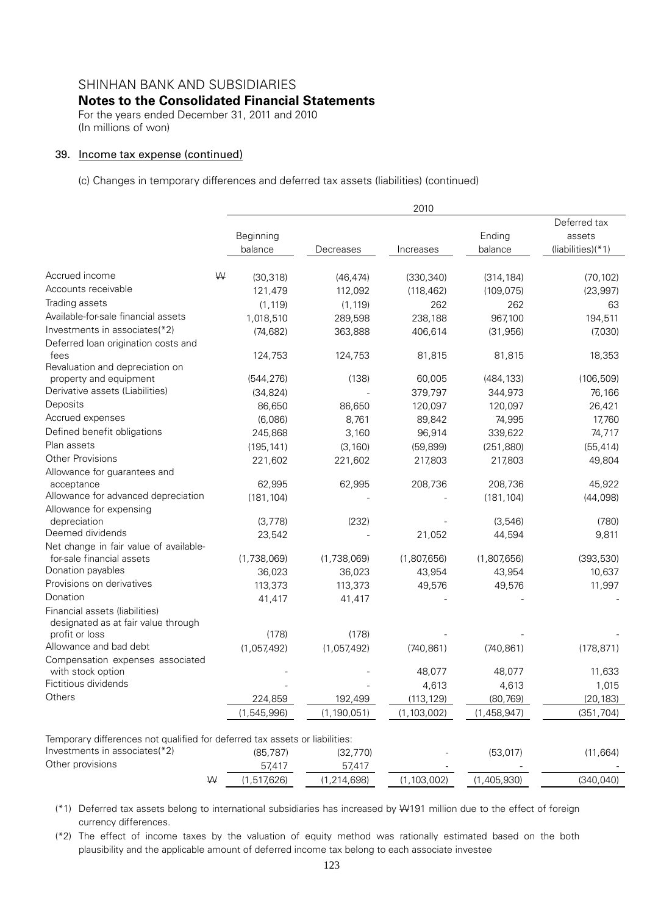#### **Notes to the Consolidated Financial Statements**

For the years ended December 31, 2011 and 2010 (In millions of won)

#### 39. Income tax expense (continued)

(c) Changes in temporary differences and deferred tax assets (liabilities) (continued)

|                                                                             | 2010                       |               |               |             |                   |
|-----------------------------------------------------------------------------|----------------------------|---------------|---------------|-------------|-------------------|
|                                                                             |                            |               |               |             | Deferred tax      |
|                                                                             | Beginning                  |               |               | Ending      | assets            |
|                                                                             | balance                    | Decreases     | Increases     | balance     | (liabilities)(*1) |
| Accrued income                                                              | W<br>(30, 318)             | (46, 474)     | (330, 340)    | (314, 184)  | (70, 102)         |
| Accounts receivable                                                         | 121,479                    | 112,092       | (118, 462)    | (109, 075)  | (23, 997)         |
| Trading assets                                                              | (1, 119)                   | (1, 119)      | 262           | 262         | 63                |
| Available-for-sale financial assets                                         | 1,018,510                  | 289,598       | 238,188       | 967,100     | 194,511           |
| Investments in associates(*2)                                               | (74, 682)                  | 363,888       | 406,614       | (31, 956)   | (7,030)           |
| Deferred loan origination costs and<br>fees                                 | 124,753                    | 124,753       | 81,815        | 81,815      | 18,353            |
| Revaluation and depreciation on                                             |                            |               |               |             |                   |
| property and equipment                                                      | (544, 276)                 | (138)         | 60,005        | (484, 133)  | (106, 509)        |
| Derivative assets (Liabilities)                                             | (34, 824)                  |               | 379,797       | 344,973     | 76,166            |
| Deposits                                                                    | 86,650                     | 86,650        | 120,097       | 120,097     | 26,421            |
| Accrued expenses                                                            | (6,086)                    | 8,761         | 89,842        | 74,995      | 17,760            |
| Defined benefit obligations                                                 | 245,868                    | 3,160         | 96,914        | 339,622     | 74,717            |
| Plan assets                                                                 | (195, 141)                 | (3, 160)      | (59, 899)     | (251, 880)  | (55, 414)         |
| <b>Other Provisions</b>                                                     | 221,602                    | 221,602       | 217,803       | 217,803     | 49,804            |
| Allowance for guarantees and                                                |                            |               |               |             |                   |
| acceptance                                                                  | 62,995                     | 62,995        | 208,736       | 208,736     | 45,922            |
| Allowance for advanced depreciation                                         | (181, 104)                 |               |               | (181, 104)  | (44,098)          |
| Allowance for expensing                                                     |                            |               |               |             |                   |
| depreciation                                                                | (3,778)                    | (232)         |               | (3,546)     | (780)             |
| Deemed dividends                                                            | 23,542                     |               | 21,052        | 44,594      | 9,811             |
| Net change in fair value of available-                                      |                            |               |               |             |                   |
| for-sale financial assets<br>Donation payables                              | (1,738,069)                | (1,738,069)   | (1,807,656)   | (1,807,656) | (393, 530)        |
| Provisions on derivatives                                                   | 36,023                     | 36,023        | 43,954        | 43,954      | 10,637            |
| Donation                                                                    | 113,373                    | 113,373       | 49,576        | 49,576      | 11,997            |
| Financial assets (liabilities)<br>designated as at fair value through       | 41,417                     | 41,417        |               |             |                   |
| profit or loss                                                              | (178)                      | (178)         |               |             |                   |
| Allowance and bad debt                                                      | (1,057,492)                | (1,057,492)   | (740, 861)    | (740, 861)  | (178, 871)        |
| Compensation expenses associated<br>with stock option                       |                            |               | 48,077        | 48,077      | 11,633            |
| Fictitious dividends                                                        |                            |               | 4,613         | 4,613       | 1,015             |
| Others                                                                      | 224,859                    | 192,499       | (113, 129)    | (80, 769)   | (20, 183)         |
|                                                                             | (1,545,996)                | (1, 190, 051) | (1, 103, 002) | (1,458,947) | (351, 704)        |
| Temporary differences not qualified for deferred tax assets or liabilities: |                            |               |               |             |                   |
| Investments in associates(*2)                                               | (85, 787)                  | (32, 770)     |               | (53, 017)   | (11, 664)         |
| Other provisions                                                            | 57,417                     | 57,417        |               |             |                   |
|                                                                             | $\mathsf W$<br>(1,517,626) | (1, 214, 698) | (1, 103, 002) | (1,405,930) | (340, 040)        |

(\*1) Deferred tax assets belong to international subsidiaries has increased by W191 million due to the effect of foreign currency differences.

(\*2) The effect of income taxes by the valuation of equity method was rationally estimated based on the both plausibility and the applicable amount of deferred income tax belong to each associate investee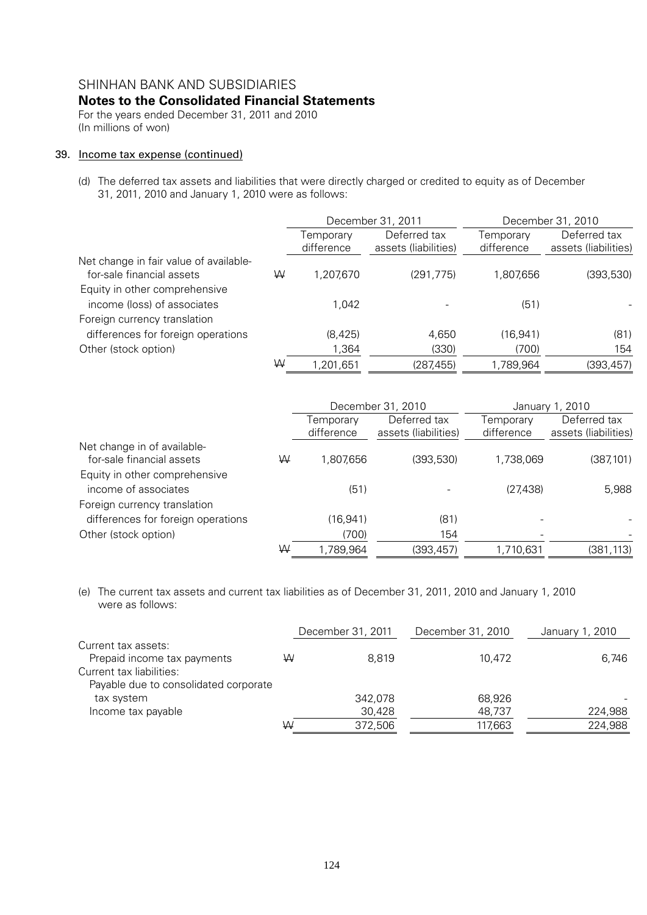## **Notes to the Consolidated Financial Statements**

For the years ended December 31, 2011 and 2010 (In millions of won)

## 39. Income tax expense (continued)

(d) The deferred tax assets and liabilities that were directly charged or credited to equity as of December 31, 2011, 2010 and January 1, 2010 were as follows:

|                                                                     |   |                         | December 31, 2011                    | December 31, 2010       |                                      |
|---------------------------------------------------------------------|---|-------------------------|--------------------------------------|-------------------------|--------------------------------------|
|                                                                     |   | Temporary<br>difference | Deferred tax<br>assets (liabilities) | Temporary<br>difference | Deferred tax<br>assets (liabilities) |
| Net change in fair value of available-<br>for-sale financial assets | W | 1,207,670               | (291, 775)                           | 1,807,656               | (393, 530)                           |
| Equity in other comprehensive<br>income (loss) of associates        |   | 1.042                   |                                      | (51)                    |                                      |
| Foreign currency translation                                        |   |                         |                                      |                         |                                      |
| differences for foreign operations                                  |   | (8, 425)                | 4,650                                | (16, 941)               | (81)                                 |
| Other (stock option)                                                |   | 1,364                   | (330)                                | (700)                   | 154                                  |
|                                                                     | ₩ | 1,201,651               | (287, 455)                           | 1,789,964               | (393, 457)                           |

|                                    |   | December 31, 2010       |                                      | January 1, 2010         |                                      |
|------------------------------------|---|-------------------------|--------------------------------------|-------------------------|--------------------------------------|
|                                    |   | Temporary<br>difference | Deferred tax<br>assets (liabilities) | Temporary<br>difference | Deferred tax<br>assets (liabilities) |
| Net change in of available-        |   |                         |                                      |                         |                                      |
| for-sale financial assets          | ₩ | 1,807,656               | (393, 530)                           | 1,738,069               | (387, 101)                           |
| Equity in other comprehensive      |   |                         |                                      |                         |                                      |
| income of associates               |   | (51)                    |                                      | (27, 438)               | 5,988                                |
| Foreign currency translation       |   |                         |                                      |                         |                                      |
| differences for foreign operations |   | (16, 941)               | (81)                                 |                         |                                      |
| Other (stock option)               |   | (700)                   | 154                                  |                         |                                      |
|                                    | W | 1,789,964               | (393, 457)                           | 1,710,631               | (381, 113)                           |

(e) The current tax assets and current tax liabilities as of December 31, 2011, 2010 and January 1, 2010 were as follows:

|                                                                   |   | December 31, 2011 | December 31, 2010 | January 1, 2010 |
|-------------------------------------------------------------------|---|-------------------|-------------------|-----------------|
| Current tax assets:<br>Prepaid income tax payments                | W | 8.819             | 10.472            | 6.746           |
| Current tax liabilities:<br>Payable due to consolidated corporate |   |                   |                   |                 |
| tax system                                                        |   | 342,078           | 68,926            |                 |
| Income tax payable                                                |   | 30,428            | 48,737            | 224,988         |
|                                                                   | W | 372,506           | 117,663           | 224,988         |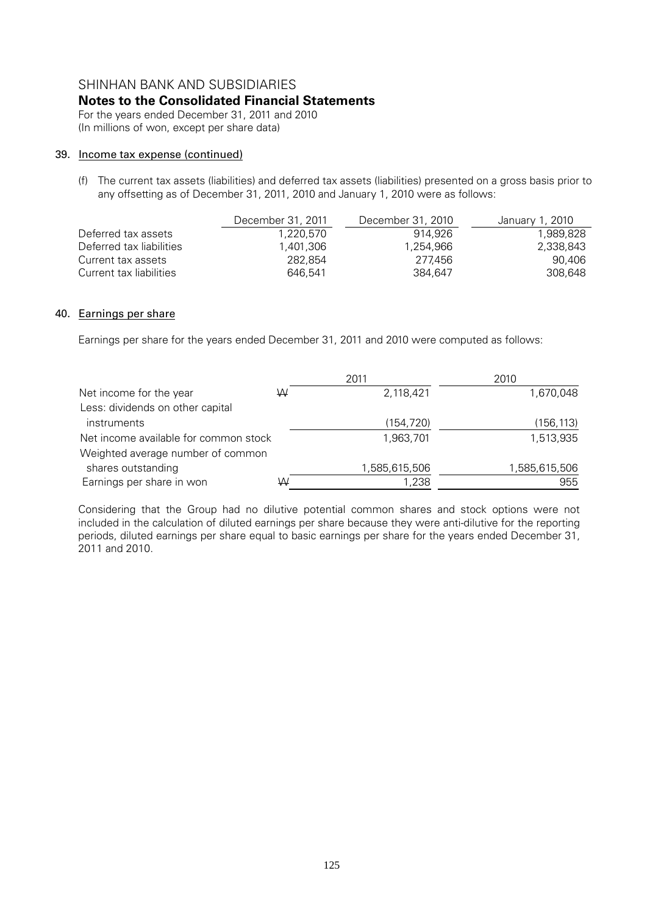## **Notes to the Consolidated Financial Statements**

For the years ended December 31, 2011 and 2010 (In millions of won, except per share data)

#### 39. Income tax expense (continued)

(f) The current tax assets (liabilities) and deferred tax assets (liabilities) presented on a gross basis prior to any offsetting as of December 31, 2011, 2010 and January 1, 2010 were as follows:

|                          | December 31, 2011 | December 31, 2010 | January 1, 2010 |
|--------------------------|-------------------|-------------------|-----------------|
| Deferred tax assets      | 1.220.570         | 914.926           | 1.989.828       |
| Deferred tax liabilities | 1.401.306         | 1.254.966         | 2,338,843       |
| Current tax assets       | 282.854           | 277.456           | 90.406          |
| Current tax liabilities  | 646.541           | 384.647           | 308,648         |

#### 40. Earnings per share

Earnings per share for the years ended December 31, 2011 and 2010 were computed as follows:

|                                       |   | 2011          | 2010          |
|---------------------------------------|---|---------------|---------------|
| Net income for the year               | W | 2,118,421     | 1,670,048     |
| Less: dividends on other capital      |   |               |               |
| instruments                           |   | (154,720)     | (156,113)     |
| Net income available for common stock |   | 1,963,701     | 1,513,935     |
| Weighted average number of common     |   |               |               |
| shares outstanding                    |   | 1,585,615,506 | 1,585,615,506 |
| Earnings per share in won             | W | 1,238         | 955           |
|                                       |   |               |               |

Considering that the Group had no dilutive potential common shares and stock options were not included in the calculation of diluted earnings per share because they were anti-dilutive for the reporting periods, diluted earnings per share equal to basic earnings per share for the years ended December 31, 2011 and 2010.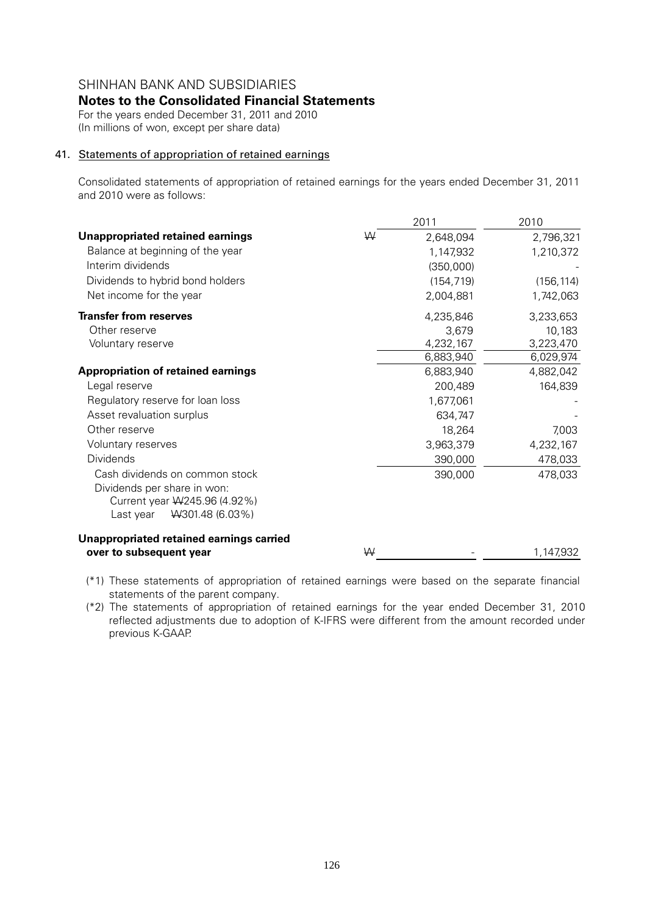## **Notes to the Consolidated Financial Statements**

For the years ended December 31, 2011 and 2010 (In millions of won, except per share data)

#### 41. Statements of appropriation of retained earnings

Consolidated statements of appropriation of retained earnings for the years ended December 31, 2011 and 2010 were as follows:

|                                           |   | 2011       | 2010       |
|-------------------------------------------|---|------------|------------|
| <b>Unappropriated retained earnings</b>   | ₩ | 2,648,094  | 2,796,321  |
| Balance at beginning of the year          |   | 1,147,932  | 1,210,372  |
| Interim dividends                         |   | (350,000)  |            |
| Dividends to hybrid bond holders          |   | (154, 719) | (156, 114) |
| Net income for the year                   |   | 2,004,881  | 1,742,063  |
| <b>Transfer from reserves</b>             |   | 4,235,846  | 3,233,653  |
| Other reserve                             |   | 3,679      | 10,183     |
| Voluntary reserve                         |   | 4,232,167  | 3,223,470  |
|                                           |   | 6,883,940  | 6,029,974  |
| <b>Appropriation of retained earnings</b> |   | 6,883,940  | 4,882,042  |
| Legal reserve                             |   | 200,489    | 164,839    |
| Regulatory reserve for loan loss          |   | 1,677,061  |            |
| Asset revaluation surplus                 |   | 634,747    |            |
| Other reserve                             |   | 18,264     | 7,003      |
| Voluntary reserves                        |   | 3,963,379  | 4,232,167  |
| <b>Dividends</b>                          |   | 390,000    | 478,033    |
| Cash dividends on common stock            |   | 390,000    | 478,033    |
| Dividends per share in won:               |   |            |            |
| Current year \\\$245.96 (4.92%)           |   |            |            |
| W301.48 (6.03%)<br>Last year              |   |            |            |
| Unappropriated retained earnings carried  |   |            |            |
| over to subsequent year                   | W |            | 1,147,932  |

- (\*1) These statements of appropriation of retained earnings were based on the separate financial statements of the parent company.
- (\*2) The statements of appropriation of retained earnings for the year ended December 31, 2010 reflected adjustments due to adoption of K-IFRS were different from the amount recorded under previous K-GAAP.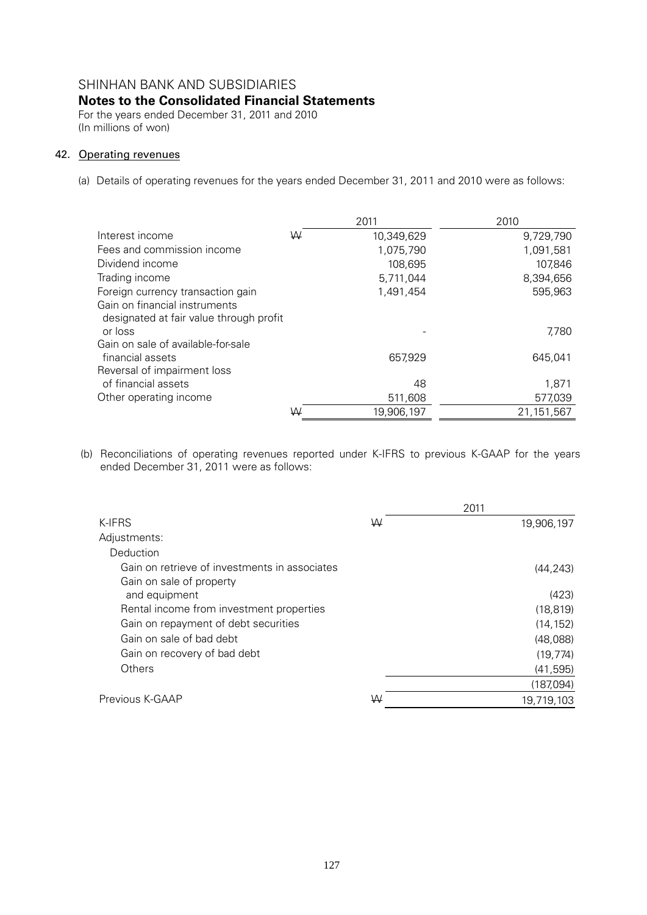## **Notes to the Consolidated Financial Statements**

For the years ended December 31, 2011 and 2010 (In millions of won)

## 42. Operating revenues

(a) Details of operating revenues for the years ended December 31, 2011 and 2010 were as follows:

|                                         |   | 2011       | 2010       |
|-----------------------------------------|---|------------|------------|
| Interest income                         | W | 10,349,629 | 9,729,790  |
| Fees and commission income              |   | 1,075,790  | 1,091,581  |
| Dividend income                         |   | 108,695    | 107,846    |
| Trading income                          |   | 5,711,044  | 8,394,656  |
| Foreign currency transaction gain       |   | 1,491,454  | 595,963    |
| Gain on financial instruments           |   |            |            |
| designated at fair value through profit |   |            |            |
| or loss                                 |   |            | 7,780      |
| Gain on sale of available-for-sale      |   |            |            |
| financial assets                        |   | 657,929    | 645,041    |
| Reversal of impairment loss             |   |            |            |
| of financial assets                     |   | 48         | 1,871      |
| Other operating income                  |   | 511,608    | 577,039    |
|                                         | W | 19,906,197 | 21.151.567 |

(b) Reconciliations of operating revenues reported under K-IFRS to previous K-GAAP for the years ended December 31, 2011 were as follows:

|                                               |   | 2011       |
|-----------------------------------------------|---|------------|
| K-IFRS                                        | W | 19,906,197 |
| Adjustments:                                  |   |            |
| Deduction                                     |   |            |
| Gain on retrieve of investments in associates |   | (44, 243)  |
| Gain on sale of property                      |   |            |
| and equipment                                 |   | (423)      |
| Rental income from investment properties      |   | (18, 819)  |
| Gain on repayment of debt securities          |   | (14, 152)  |
| Gain on sale of bad debt                      |   | (48,088)   |
| Gain on recovery of bad debt                  |   | (19, 774)  |
| Others                                        |   | (41, 595)  |
|                                               |   | (187,094)  |
| Previous K-GAAP                               | W | 19,719,103 |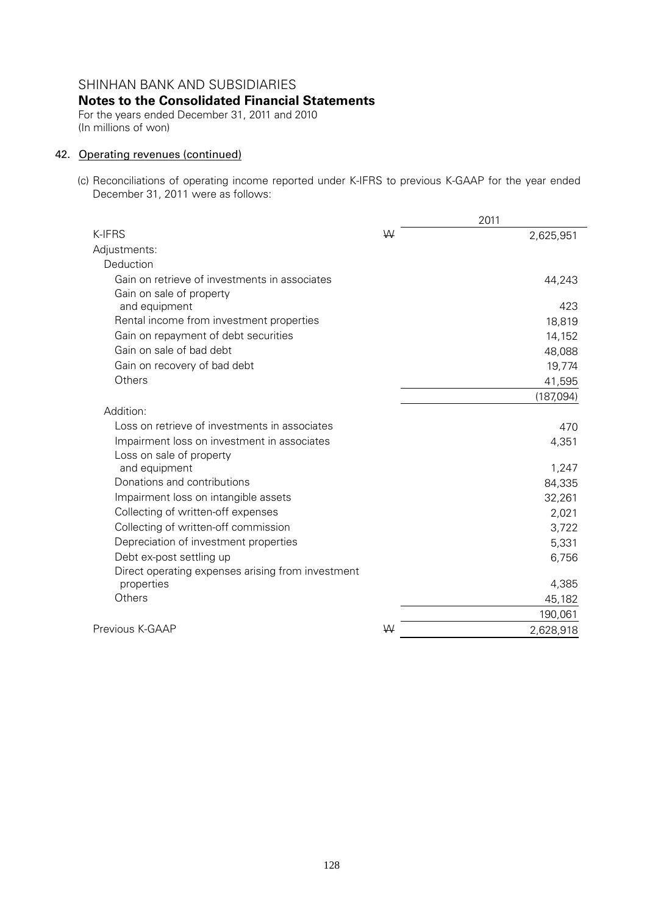## **Notes to the Consolidated Financial Statements**

For the years ended December 31, 2011 and 2010 (In millions of won)

### 42. Operating revenues (continued)

(c) Reconciliations of operating income reported under K-IFRS to previous K-GAAP for the year ended December 31, 2011 were as follows:

|                                                   |   | 2011      |
|---------------------------------------------------|---|-----------|
| K-IFRS                                            | W | 2,625,951 |
| Adjustments:                                      |   |           |
| Deduction                                         |   |           |
| Gain on retrieve of investments in associates     |   | 44,243    |
| Gain on sale of property                          |   |           |
| and equipment                                     |   | 423       |
| Rental income from investment properties          |   | 18,819    |
| Gain on repayment of debt securities              |   | 14,152    |
| Gain on sale of bad debt                          |   | 48,088    |
| Gain on recovery of bad debt                      |   | 19,774    |
| Others                                            |   | 41,595    |
|                                                   |   | (187,094) |
| Addition:                                         |   |           |
| Loss on retrieve of investments in associates     |   | 470       |
| Impairment loss on investment in associates       |   | 4,351     |
| Loss on sale of property                          |   |           |
| and equipment                                     |   | 1,247     |
| Donations and contributions                       |   | 84,335    |
| Impairment loss on intangible assets              |   | 32,261    |
| Collecting of written-off expenses                |   | 2,021     |
| Collecting of written-off commission              |   | 3,722     |
| Depreciation of investment properties             |   | 5,331     |
| Debt ex-post settling up                          |   | 6,756     |
| Direct operating expenses arising from investment |   |           |
| properties                                        |   | 4,385     |
| Others                                            |   | 45,182    |
|                                                   |   | 190,061   |
| Previous K-GAAP                                   | W | 2,628,918 |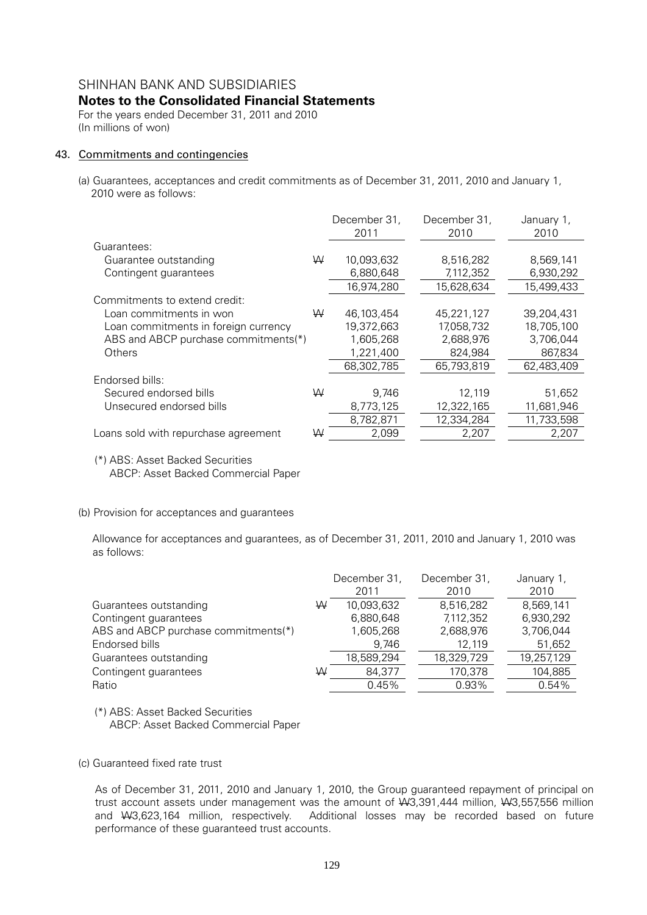### **Notes to the Consolidated Financial Statements**

For the years ended December 31, 2011 and 2010 (In millions of won)

#### 43. Commitments and contingencies

(a) Guarantees, acceptances and credit commitments as of December 31, 2011, 2010 and January 1, 2010 were as follows:

|                                      |   | December 31, | December 31, | January 1, |
|--------------------------------------|---|--------------|--------------|------------|
|                                      |   | 2011         | 2010         | 2010       |
| Guarantees:                          |   |              |              |            |
| Guarantee outstanding                | W | 10,093,632   | 8,516,282    | 8,569,141  |
| Contingent guarantees                |   | 6,880,648    | 7,112,352    | 6,930,292  |
|                                      |   | 16,974,280   | 15,628,634   | 15,499,433 |
| Commitments to extend credit:        |   |              |              |            |
| Loan commitments in won              | W | 46,103,454   | 45,221,127   | 39,204,431 |
| Loan commitments in foreign currency |   | 19,372,663   | 17,058,732   | 18,705,100 |
| ABS and ABCP purchase commitments(*) |   | 1,605,268    | 2,688,976    | 3,706,044  |
| Others                               |   | 1,221,400    | 824,984      | 867,834    |
|                                      |   | 68,302,785   | 65,793,819   | 62,483,409 |
| Endorsed bills:                      |   |              |              |            |
| Secured endorsed bills               | W | 9,746        | 12.119       | 51,652     |
| Unsecured endorsed bills             |   | 8,773,125    | 12,322,165   | 11,681,946 |
|                                      |   | 8,782,871    | 12,334,284   | 11,733,598 |
| Loans sold with repurchase agreement | W | 2,099        | 2,207        | 2,207      |

(\*) ABS: Asset Backed Securities ABCP: Asset Backed Commercial Paper

#### (b) Provision for acceptances and guarantees

Allowance for acceptances and guarantees, as of December 31, 2011, 2010 and January 1, 2010 was as follows:

|                                         |   | December 31,<br>2011 | December 31,<br>2010 | January 1,<br>2010 |
|-----------------------------------------|---|----------------------|----------------------|--------------------|
| Guarantees outstanding                  | ₩ | 10,093,632           | 8,516,282            | 8,569,141          |
| Contingent guarantees                   |   | 6,880,648            | 7,112,352            | 6,930,292          |
| ABS and ABCP purchase commitments $(*)$ |   | 1,605,268            | 2,688,976            | 3,706,044          |
| Endorsed bills                          |   | 9,746                | 12,119               | 51,652             |
| Guarantees outstanding                  |   | 18,589,294           | 18,329,729           | 19,257,129         |
| Contingent guarantees                   | W | 84.377               | 170,378              | 104,885            |
| Ratio                                   |   | 0.45%                | 0.93%                | 0.54%              |

(\*) ABS: Asset Backed Securities ABCP: Asset Backed Commercial Paper

(c) Guaranteed fixed rate trust

As of December 31, 2011, 2010 and January 1, 2010, the Group guaranteed repayment of principal on trust account assets under management was the amount of W3,391,444 million, W3,557,556 million and W3,623,164 million, respectively. Additional losses may be recorded based on future performance of these guaranteed trust accounts.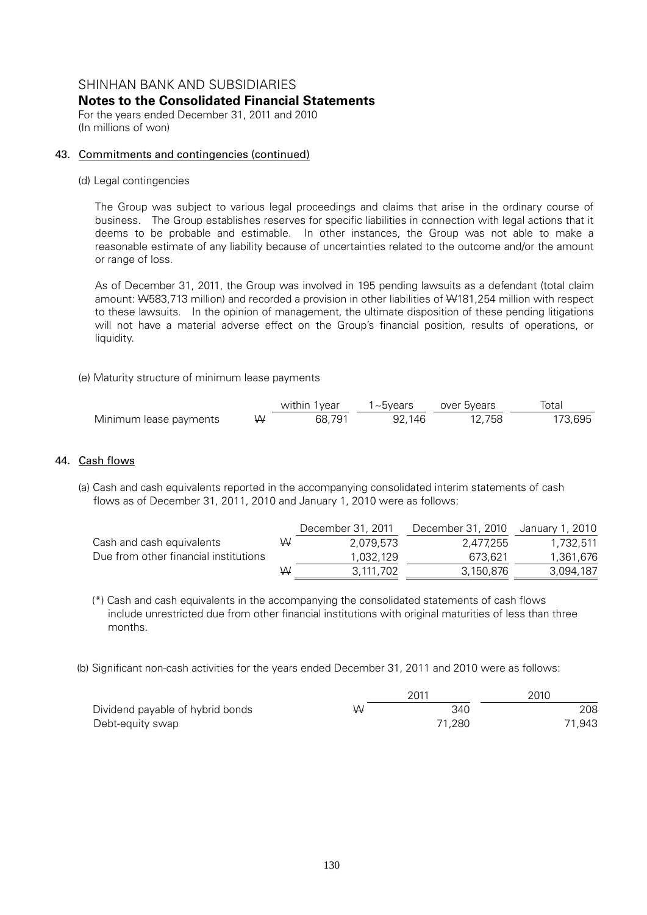# SHINHAN BANK AND SUBSIDIARIES **Notes to the Consolidated Financial Statements**

For the years ended December 31, 2011 and 2010 (In millions of won)

### 43. Commitments and contingencies (continued)

(d) Legal contingencies

The Group was subject to various legal proceedings and claims that arise in the ordinary course of business. The Group establishes reserves for specific liabilities in connection with legal actions that it deems to be probable and estimable. In other instances, the Group was not able to make a reasonable estimate of any liability because of uncertainties related to the outcome and/or the amount or range of loss.

As of December 31, 2011, the Group was involved in 195 pending lawsuits as a defendant (total claim amount: W583,713 million) and recorded a provision in other liabilities of W181,254 million with respect to these lawsuits. In the opinion of management, the ultimate disposition of these pending litigations will not have a material adverse effect on the Group's financial position, results of operations, or liquidity.

(e) Maturity structure of minimum lease payments

|                        |   | within 1 vear | 1~5vears | over 5vears | Total   |
|------------------------|---|---------------|----------|-------------|---------|
| Minimum lease payments | W | 68.791        | 92.146   | 12.758      | 173.695 |

#### 44. Cash flows

(a) Cash and cash equivalents reported in the accompanying consolidated interim statements of cash flows as of December 31, 2011, 2010 and January 1, 2010 were as follows:

|                                       |   | December 31, 2011 | December 31, 2010 January 1, 2010 |           |
|---------------------------------------|---|-------------------|-----------------------------------|-----------|
| Cash and cash equivalents             | ₩ | 2.079.573         | 2.477.255                         | 1.732.511 |
| Due from other financial institutions |   | 1.032.129         | 673.621                           | 1,361,676 |
|                                       | W | 3.111.702         | 3,150,876                         | 3,094,187 |

(\*) Cash and cash equivalents in the accompanying the consolidated statements of cash flows include unrestricted due from other financial institutions with original maturities of less than three months.

(b) Significant non-cash activities for the years ended December 31, 2011 and 2010 were as follows:

|                                  |   | 2011   | 2010   |
|----------------------------------|---|--------|--------|
| Dividend payable of hybrid bonds | W | 340    | 208    |
| Debt-equity swap                 |   | 71.280 | 71,943 |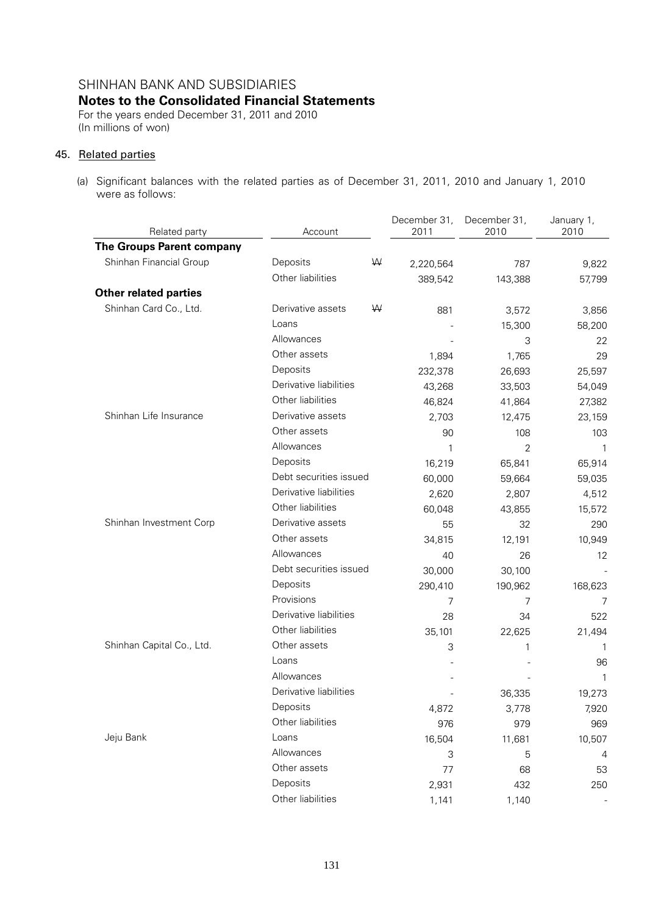# **Notes to the Consolidated Financial Statements**

For the years ended December 31, 2011 and 2010 (In millions of won)

## 45. Related parties

(a) Significant balances with the related parties as of December 31, 2011, 2010 and January 1, 2010 were as follows:

| Related party                    | Account                |   | December 31,<br>2011 | December 31,<br>2010 | January 1,<br>2010 |
|----------------------------------|------------------------|---|----------------------|----------------------|--------------------|
| <b>The Groups Parent company</b> |                        |   |                      |                      |                    |
| Shinhan Financial Group          | Deposits               | W | 2,220,564            | 787                  | 9,822              |
|                                  | Other liabilities      |   | 389,542              | 143,388              | 57,799             |
| <b>Other related parties</b>     |                        |   |                      |                      |                    |
| Shinhan Card Co., Ltd.           | Derivative assets      | W | 881                  | 3,572                | 3,856              |
|                                  | Loans                  |   |                      | 15,300               | 58,200             |
|                                  | Allowances             |   |                      | 3                    | 22                 |
|                                  | Other assets           |   | 1,894                | 1,765                | 29                 |
|                                  | Deposits               |   | 232,378              | 26,693               | 25,597             |
|                                  | Derivative liabilities |   | 43,268               | 33,503               | 54,049             |
|                                  | Other liabilities      |   | 46,824               | 41,864               | 27,382             |
| Shinhan Life Insurance           | Derivative assets      |   | 2,703                | 12,475               | 23,159             |
|                                  | Other assets           |   | 90                   | 108                  | 103                |
|                                  | Allowances             |   | 1                    | $\overline{2}$       | 1                  |
|                                  | Deposits               |   | 16,219               | 65,841               | 65,914             |
|                                  | Debt securities issued |   | 60,000               | 59,664               | 59,035             |
|                                  | Derivative liabilities |   | 2,620                | 2,807                | 4,512              |
|                                  | Other liabilities      |   | 60,048               | 43,855               | 15,572             |
| Shinhan Investment Corp          | Derivative assets      |   | 55                   | 32                   | 290                |
|                                  | Other assets           |   | 34,815               | 12,191               | 10,949             |
|                                  | Allowances             |   | 40                   | 26                   | 12                 |
|                                  | Debt securities issued |   | 30,000               | 30,100               |                    |
|                                  | Deposits               |   | 290,410              | 190,962              | 168,623            |
|                                  | Provisions             |   | 7                    | 7                    | 7                  |
|                                  | Derivative liabilities |   | 28                   | 34                   | 522                |
|                                  | Other liabilities      |   | 35,101               | 22,625               | 21,494             |
| Shinhan Capital Co., Ltd.        | Other assets           |   | 3                    | 1                    | 1                  |
|                                  | Loans                  |   |                      |                      | 96                 |
|                                  | Allowances             |   |                      |                      |                    |
|                                  | Derivative liabilities |   |                      | 36,335               | 19,273             |
|                                  | Deposits               |   | 4,872                | 3,778                | 7,920              |
|                                  | Other liabilities      |   | 976                  | 979                  | 969                |
| Jeju Bank                        | Loans                  |   | 16,504               | 11,681               | 10,507             |
|                                  | Allowances             |   | 3                    | 5                    | 4                  |
|                                  | Other assets           |   | 77                   | 68                   | 53                 |
|                                  | Deposits               |   | 2,931                | 432                  | 250                |
|                                  | Other liabilities      |   | 1,141                | 1,140                |                    |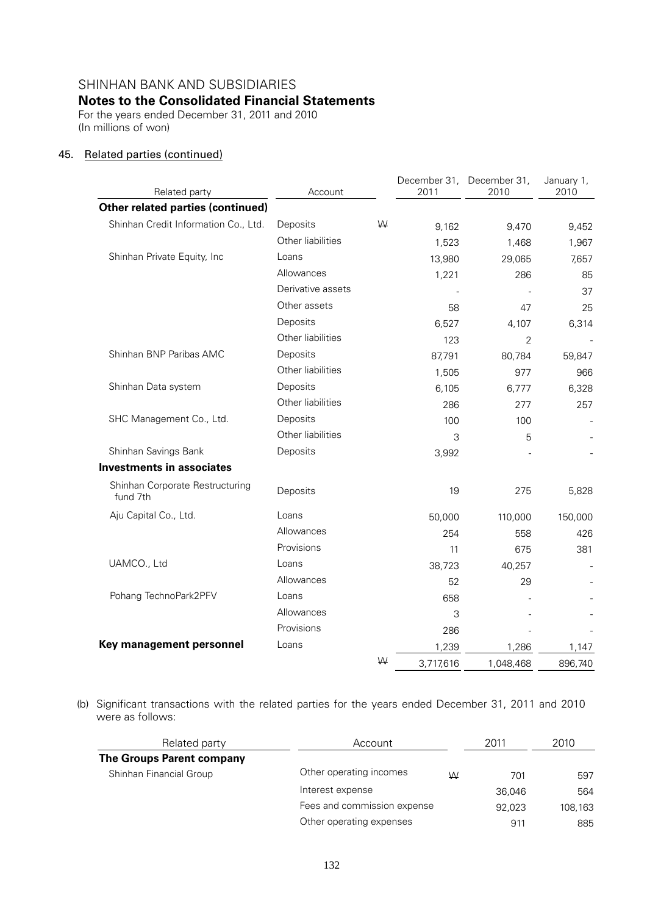## **Notes to the Consolidated Financial Statements**

For the years ended December 31, 2011 and 2010 (In millions of won)

### 45. Related parties (continued)

| Related party                               | Account           |   | 2011      | December 31, December 31,<br>2010 | January 1,<br>2010 |
|---------------------------------------------|-------------------|---|-----------|-----------------------------------|--------------------|
| <b>Other related parties (continued)</b>    |                   |   |           |                                   |                    |
| Shinhan Credit Information Co., Ltd.        | Deposits          | W | 9,162     | 9,470                             | 9,452              |
|                                             | Other liabilities |   | 1,523     | 1,468                             | 1,967              |
| Shinhan Private Equity, Inc                 | Loans             |   | 13,980    | 29,065                            | 7,657              |
|                                             | Allowances        |   | 1,221     | 286                               | 85                 |
|                                             | Derivative assets |   |           |                                   | 37                 |
|                                             | Other assets      |   | 58        | 47                                | 25                 |
|                                             | Deposits          |   | 6,527     | 4,107                             | 6,314              |
|                                             | Other liabilities |   | 123       | $\overline{2}$                    |                    |
| Shinhan BNP Paribas AMC                     | Deposits          |   | 87,791    | 80,784                            | 59,847             |
|                                             | Other liabilities |   | 1,505     | 977                               | 966                |
| Shinhan Data system                         | Deposits          |   | 6,105     | 6,777                             | 6,328              |
|                                             | Other liabilities |   | 286       | 277                               | 257                |
| SHC Management Co., Ltd.                    | Deposits          |   | 100       | 100                               |                    |
|                                             | Other liabilities |   | 3         | 5                                 |                    |
| Shinhan Savings Bank                        | Deposits          |   | 3,992     |                                   |                    |
| <b>Investments in associates</b>            |                   |   |           |                                   |                    |
| Shinhan Corporate Restructuring<br>fund 7th | Deposits          |   | 19        | 275                               | 5,828              |
| Aju Capital Co., Ltd.                       | Loans             |   | 50,000    | 110,000                           | 150,000            |
|                                             | Allowances        |   | 254       | 558                               | 426                |
|                                             | Provisions        |   | 11        | 675                               | 381                |
| UAMCO., Ltd                                 | Loans             |   | 38,723    | 40,257                            |                    |
|                                             | Allowances        |   | 52        | 29                                |                    |
| Pohang TechnoPark2PFV                       | Loans             |   | 658       |                                   |                    |
|                                             | Allowances        |   | 3         |                                   |                    |
|                                             | Provisions        |   | 286       |                                   |                    |
| Key management personnel                    | Loans             |   | 1,239     | 1,286                             | 1,147              |
|                                             |                   | W | 3,717,616 | 1,048,468                         | 896,740            |

(b) Significant transactions with the related parties for the years ended December 31, 2011 and 2010 were as follows:

| Related party             | Account                     |   | 2011   | 2010    |
|---------------------------|-----------------------------|---|--------|---------|
| The Groups Parent company |                             |   |        |         |
| Shinhan Financial Group   | Other operating incomes     | W | 701    | 597     |
|                           | Interest expense            |   | 36.046 | 564     |
|                           | Fees and commission expense |   | 92,023 | 108,163 |
|                           | Other operating expenses    |   | 911    | 885     |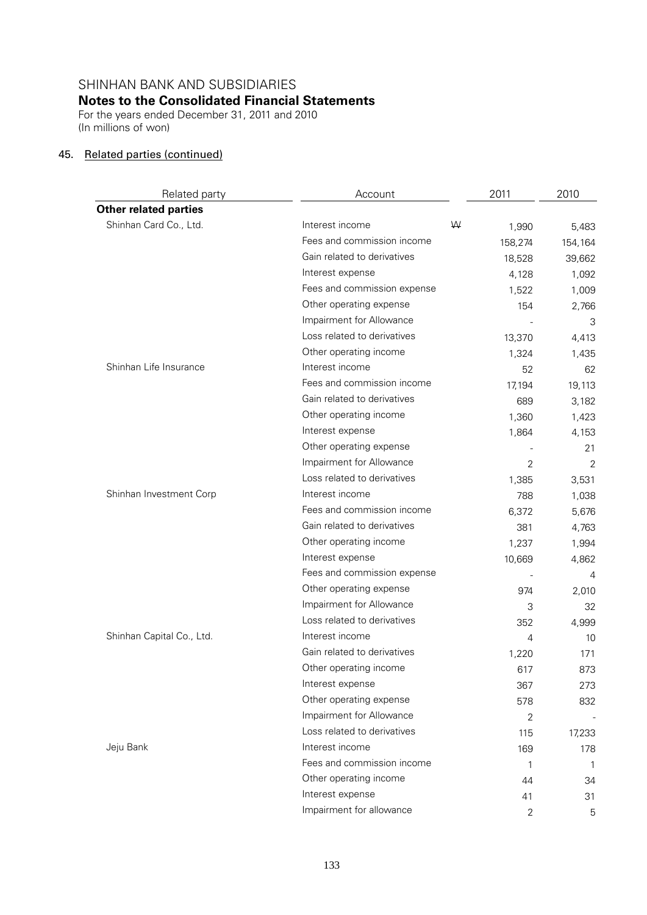### **Notes to the Consolidated Financial Statements**

For the years ended December 31, 2011 and 2010 (In millions of won)

### 45. Related parties (continued)

| Related party                | Account                     |   | 2011           | 2010    |
|------------------------------|-----------------------------|---|----------------|---------|
| <b>Other related parties</b> |                             |   |                |         |
| Shinhan Card Co., Ltd.       | Interest income             | W | 1,990          | 5,483   |
|                              | Fees and commission income  |   | 158,274        | 154,164 |
|                              | Gain related to derivatives |   | 18,528         | 39,662  |
|                              | Interest expense            |   | 4,128          | 1,092   |
|                              | Fees and commission expense |   | 1,522          | 1,009   |
|                              | Other operating expense     |   | 154            | 2,766   |
|                              | Impairment for Allowance    |   |                | 3       |
|                              | Loss related to derivatives |   | 13,370         | 4,413   |
|                              | Other operating income      |   | 1,324          | 1,435   |
| Shinhan Life Insurance       | Interest income             |   | 52             | 62      |
|                              | Fees and commission income  |   | 17,194         | 19,113  |
|                              | Gain related to derivatives |   | 689            | 3,182   |
|                              | Other operating income      |   | 1,360          | 1,423   |
|                              | Interest expense            |   | 1,864          | 4,153   |
|                              | Other operating expense     |   |                | 21      |
|                              | Impairment for Allowance    |   | 2              | 2       |
|                              | Loss related to derivatives |   | 1,385          | 3,531   |
| Shinhan Investment Corp      | Interest income             |   | 788            | 1,038   |
|                              | Fees and commission income  |   | 6,372          | 5,676   |
|                              | Gain related to derivatives |   | 381            | 4,763   |
|                              | Other operating income      |   | 1,237          | 1,994   |
|                              | Interest expense            |   | 10,669         | 4,862   |
|                              | Fees and commission expense |   |                | 4       |
|                              | Other operating expense     |   | 974            | 2,010   |
|                              | Impairment for Allowance    |   | 3              | 32      |
|                              | Loss related to derivatives |   | 352            | 4,999   |
| Shinhan Capital Co., Ltd.    | Interest income             |   | 4              | 10      |
|                              | Gain related to derivatives |   | 1,220          | 171     |
|                              | Other operating income      |   | 617            | 873     |
|                              | Interest expense            |   | 367            | 273     |
|                              | Other operating expense     |   | 578            | 832     |
|                              | Impairment for Allowance    |   | $\overline{2}$ |         |
|                              | Loss related to derivatives |   | 115            | 17,233  |
| Jeju Bank                    | Interest income             |   | 169            | 178     |
|                              | Fees and commission income  |   | 1              | 1       |
|                              | Other operating income      |   | 44             | 34      |
|                              | Interest expense            |   | 41             | 31      |
|                              | Impairment for allowance    |   | 2              | 5       |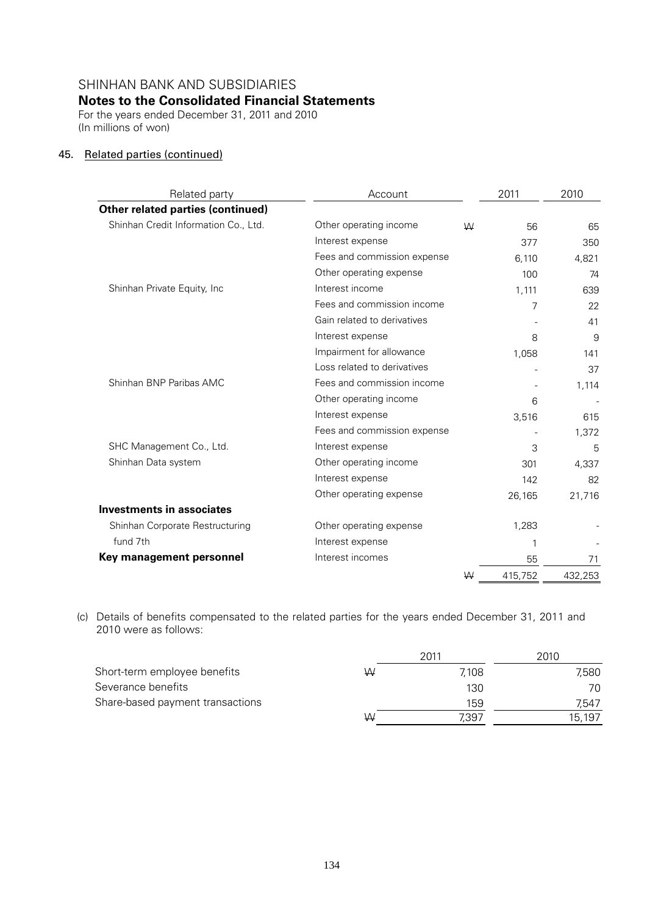## **Notes to the Consolidated Financial Statements**

For the years ended December 31, 2011 and 2010 (In millions of won)

### 45. Related parties (continued)

| Related party                            | Account                     |   | 2011    | 2010    |  |  |
|------------------------------------------|-----------------------------|---|---------|---------|--|--|
| <b>Other related parties (continued)</b> |                             |   |         |         |  |  |
| Shinhan Credit Information Co., Ltd.     | Other operating income      | W | 56      | 65      |  |  |
|                                          | Interest expense            |   | 377     | 350     |  |  |
|                                          | Fees and commission expense |   | 6,110   | 4,821   |  |  |
|                                          | Other operating expense     |   | 100     | 74      |  |  |
| Shinhan Private Equity, Inc.             | Interest income             |   | 1,111   | 639     |  |  |
|                                          | Fees and commission income  |   | 7       | 22      |  |  |
|                                          | Gain related to derivatives |   | 41      |         |  |  |
|                                          | Interest expense            | 8 |         |         |  |  |
|                                          | Impairment for allowance    |   | 1,058   | 141     |  |  |
|                                          | Loss related to derivatives |   |         | 37      |  |  |
| Shinhan BNP Paribas AMC                  | Fees and commission income  |   |         | 1,114   |  |  |
|                                          | Other operating income      |   | 6       |         |  |  |
|                                          | Interest expense            |   | 3,516   | 615     |  |  |
|                                          | Fees and commission expense |   |         | 1,372   |  |  |
| SHC Management Co., Ltd.                 | Interest expense            |   | 3       | 5       |  |  |
| Shinhan Data system                      | Other operating income      |   | 301     | 4,337   |  |  |
|                                          | Interest expense            |   | 142     | 82      |  |  |
|                                          | Other operating expense     |   | 26,165  | 21,716  |  |  |
| <b>Investments in associates</b>         |                             |   |         |         |  |  |
| Shinhan Corporate Restructuring          | Other operating expense     |   | 1,283   |         |  |  |
| fund 7th                                 | Interest expense            |   | 1       |         |  |  |
| Key management personnel                 | Interest incomes            |   | 55      | 71      |  |  |
|                                          |                             | W | 415,752 | 432,253 |  |  |

(c) Details of benefits compensated to the related parties for the years ended December 31, 2011 and 2010 were as follows:

|                                  |   | 2011  | 2010   |
|----------------------------------|---|-------|--------|
| Short-term employee benefits     | ₩ | 7.108 | 7.580  |
| Severance benefits               |   | 130   | 70     |
| Share-based payment transactions |   | 159   | 7.547  |
|                                  | W | 7.397 | 15.197 |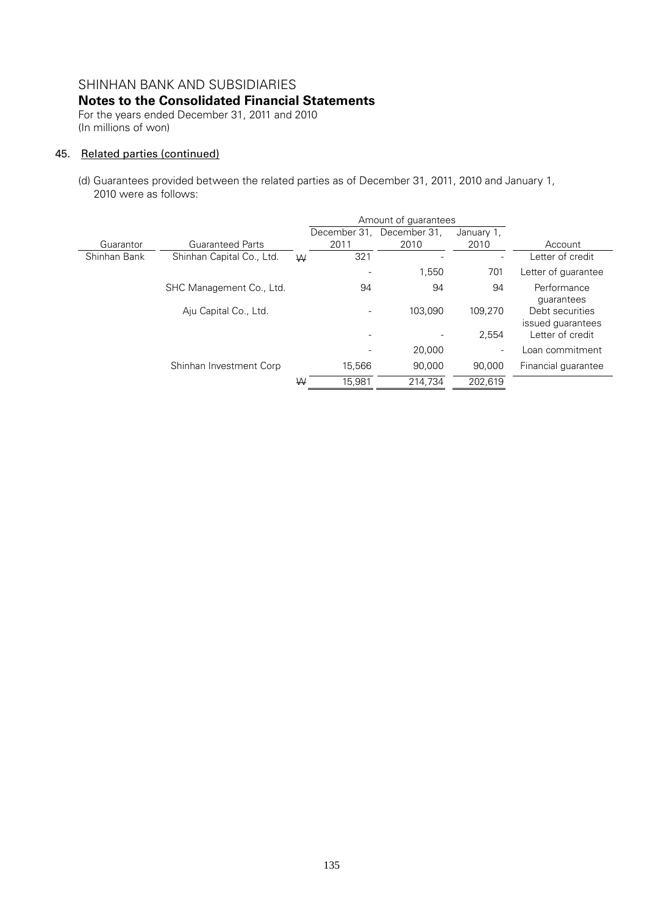## **Notes to the Consolidated Financial Statements**

For the years ended December 31, 2011 and 2010 (In millions of won)

### 45. Related parties (continued)

(d) Guarantees provided between the related parties as of December 31, 2011, 2010 and January 1, 2010 were as follows:

|              |                           |   | Amount of quarantees |                           |                          |                                      |
|--------------|---------------------------|---|----------------------|---------------------------|--------------------------|--------------------------------------|
|              |                           |   |                      | December 31. December 31. | January 1,               |                                      |
| Guarantor    | <b>Guaranteed Parts</b>   |   | 2011                 | 2010                      | 2010                     | Account                              |
| Shinhan Bank | Shinhan Capital Co., Ltd. | W | 321                  |                           |                          | Letter of credit                     |
|              |                           |   |                      | 1.550                     | 701                      | Letter of quarantee                  |
|              | SHC Management Co., Ltd.  |   | 94                   | 94                        | 94                       | Performance<br>quarantees            |
|              | Aju Capital Co., Ltd.     |   |                      | 103,090                   | 109.270                  | Debt securities<br>issued quarantees |
|              |                           |   |                      |                           | 2.554                    | Letter of credit                     |
|              |                           |   |                      | 20,000                    | $\overline{\phantom{a}}$ | Loan commitment.                     |
|              | Shinhan Investment Corp   |   | 15,566               | 90.000                    | 90.000                   | Financial guarantee                  |
|              |                           | W | 15.981               | 214.734                   | 202.619                  |                                      |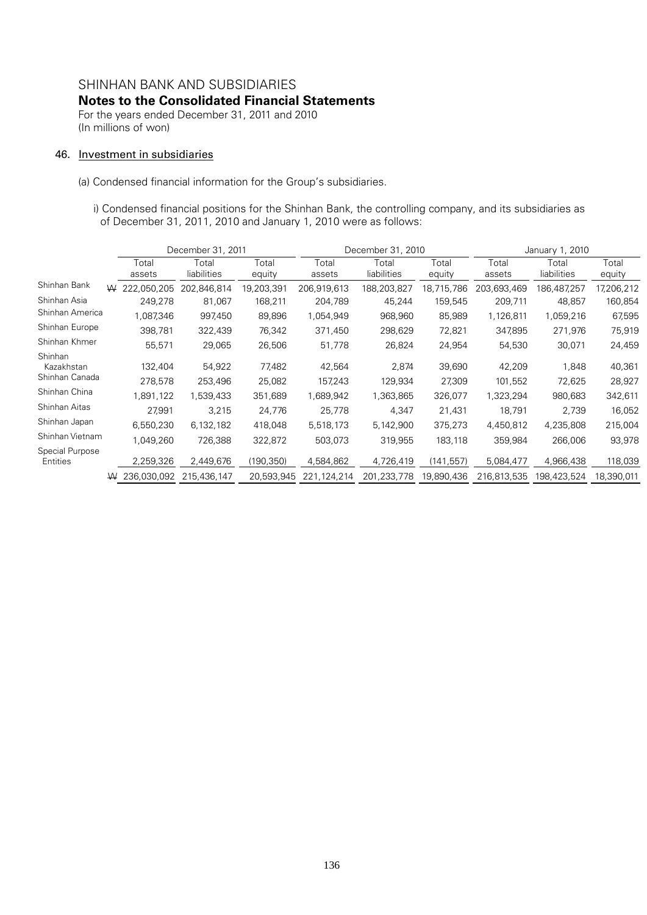## **Notes to the Consolidated Financial Statements**

For the years ended December 31, 2011 and 2010 (In millions of won)

#### 46. Investment in subsidiaries

(a) Condensed financial information for the Group's subsidiaries.

i) Condensed financial positions for the Shinhan Bank, the controlling company, and its subsidiaries as of December 31, 2011, 2010 and January 1, 2010 were as follows:

|                 |   |             | December 31, 2011 |            | December 31, 2010 |             |            | January 1, 2010 |             |            |
|-----------------|---|-------------|-------------------|------------|-------------------|-------------|------------|-----------------|-------------|------------|
|                 |   | Total       | Total             | Total      | Total             | Total       | Total      | Total           | Total       | Total      |
|                 |   | assets      | liabilities       | equity     | assets            | liabilities | equity     | assets          | liabilities | equity     |
| Shinhan Bank    | W | 222,050,205 | 202,846,814       | 19,203,391 | 206,919,613       | 188,203,827 | 18,715,786 | 203,693,469     | 186,487,257 | 17,206,212 |
| Shinhan Asia    |   | 249,278     | 81,067            | 168,211    | 204,789           | 45,244      | 159,545    | 209,711         | 48,857      | 160,854    |
| Shinhan America |   | 1,087,346   | 997,450           | 89,896     | 1,054,949         | 968,960     | 85,989     | 1,126,811       | 1,059,216   | 67,595     |
| Shinhan Europe  |   | 398,781     | 322,439           | 76,342     | 371,450           | 298,629     | 72,821     | 347,895         | 271,976     | 75,919     |
| Shinhan Khmer   |   | 55,571      | 29,065            | 26,506     | 51,778            | 26,824      | 24,954     | 54,530          | 30,071      | 24,459     |
| Shinhan         |   |             |                   |            |                   |             |            |                 |             |            |
| Kazakhstan      |   | 132,404     | 54,922            | 77,482     | 42,564            | 2,874       | 39,690     | 42,209          | 1,848       | 40,361     |
| Shinhan Canada  |   | 278,578     | 253,496           | 25,082     | 157,243           | 129,934     | 27,309     | 101,552         | 72,625      | 28,927     |
| Shinhan China   |   | 1,891,122   | 1,539,433         | 351,689    | 1,689,942         | 1,363,865   | 326,077    | 1,323,294       | 980,683     | 342,611    |
| Shinhan Aitas   |   | 27,991      | 3,215             | 24,776     | 25,778            | 4,347       | 21,431     | 18,791          | 2,739       | 16,052     |
| Shinhan Japan   |   | 6,550,230   | 6,132,182         | 418,048    | 5,518,173         | 5,142,900   | 375,273    | 4,450,812       | 4,235,808   | 215,004    |
| Shinhan Vietnam |   | 1,049,260   | 726,388           | 322,872    | 503,073           | 319,955     | 183,118    | 359,984         | 266,006     | 93,978     |
| Special Purpose |   |             |                   |            |                   |             |            |                 |             |            |
| <b>Entities</b> |   | 2,259,326   | 2,449,676         | (190, 350) | 4,584,862         | 4,726,419   | (141, 557) | 5,084,477       | 4,966,438   | 118,039    |
|                 | W | 236,030,092 | 215,436,147       | 20,593,945 | 221,124,214       | 201,233,778 | 19,890,436 | 216,813,535     | 198,423,524 | 18,390,011 |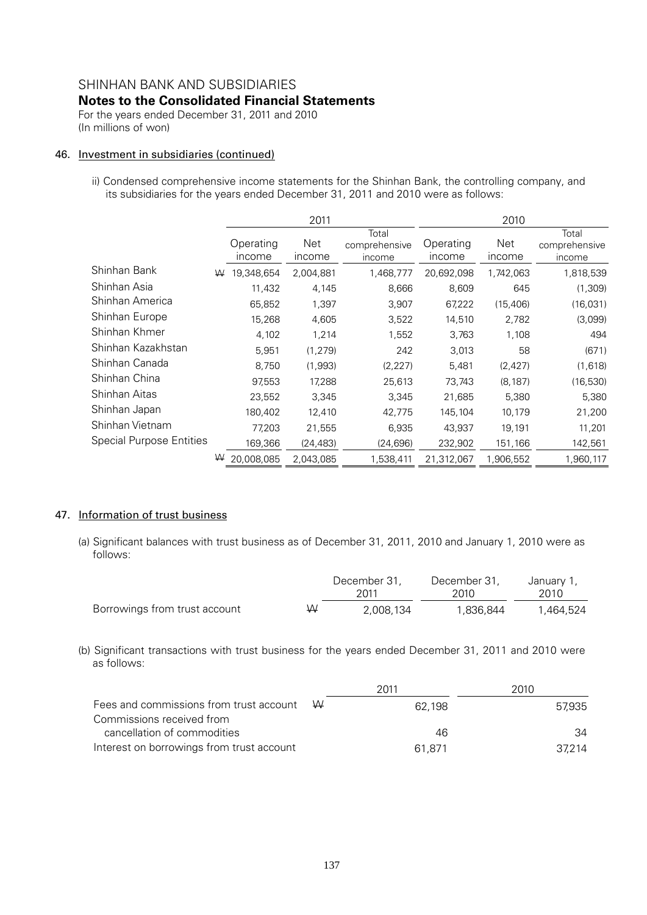## **Notes to the Consolidated Financial Statements**

For the years ended December 31, 2011 and 2010 (In millions of won)

#### 46. Investment in subsidiaries (continued)

ii) Condensed comprehensive income statements for the Shinhan Bank, the controlling company, and its subsidiaries for the years ended December 31, 2011 and 2010 were as follows:

|                                 |   |                     | 2011          |                                  |                     | 2010          |                                  |
|---------------------------------|---|---------------------|---------------|----------------------------------|---------------------|---------------|----------------------------------|
|                                 |   | Operating<br>income | Net<br>income | Total<br>comprehensive<br>income | Operating<br>income | Net<br>income | Total<br>comprehensive<br>income |
| Shinhan Bank                    | W | 19,348,654          | 2,004,881     | 1,468,777                        | 20,692,098          | 1,742,063     | 1,818,539                        |
| Shinhan Asia                    |   | 11,432              | 4,145         | 8,666                            | 8,609               | 645           | (1,309)                          |
| Shinhan America                 |   | 65,852              | 1,397         | 3,907                            | 67,222              | (15, 406)     | (16,031)                         |
| Shinhan Europe                  |   | 15,268              | 4,605         | 3,522                            | 14,510              | 2,782         | (3,099)                          |
| Shinhan Khmer                   |   | 4,102               | 1,214         | 1,552                            | 3,763               | 1,108         | 494                              |
| Shinhan Kazakhstan              |   | 5,951               | (1, 279)      | 242                              | 3,013               | 58            | (671)                            |
| Shinhan Canada                  |   | 8,750               | (1,993)       | (2, 227)                         | 5,481               | (2, 427)      | (1,618)                          |
| Shinhan China                   |   | 97,553              | 17,288        | 25,613                           | 73,743              | (8, 187)      | (16, 530)                        |
| Shinhan Aitas                   |   | 23,552              | 3,345         | 3,345                            | 21,685              | 5,380         | 5,380                            |
| Shinhan Japan                   |   | 180,402             | 12,410        | 42,775                           | 145,104             | 10,179        | 21,200                           |
| Shinhan Vietnam                 |   | 77,203              | 21,555        | 6,935                            | 43,937              | 19,191        | 11,201                           |
| <b>Special Purpose Entities</b> |   | 169,366             | (24, 483)     | (24, 696)                        | 232,902             | 151,166       | 142,561                          |
|                                 | W | 20,008,085          | 2,043,085     | 1,538,411                        | 21,312,067          | 1,906,552     | 1,960,117                        |

#### 47. Information of trust business

(a) Significant balances with trust business as of December 31, 2011, 2010 and January 1, 2010 were as follows:

|                               |   | December 31.<br>2011 | December 31,<br>2010 | January 1,<br>2010 |
|-------------------------------|---|----------------------|----------------------|--------------------|
| Borrowings from trust account | W | 2.008.134            | 1.836.844            | 1.464.524          |

(b) Significant transactions with trust business for the years ended December 31, 2011 and 2010 were as follows:

|                                           |   | 2011   | 2010   |
|-------------------------------------------|---|--------|--------|
| Fees and commissions from trust account   | W | 62.198 | 57.935 |
| Commissions received from                 |   |        |        |
| cancellation of commodities               |   | 46     | 34     |
| Interest on borrowings from trust account |   | 61.871 | 37.214 |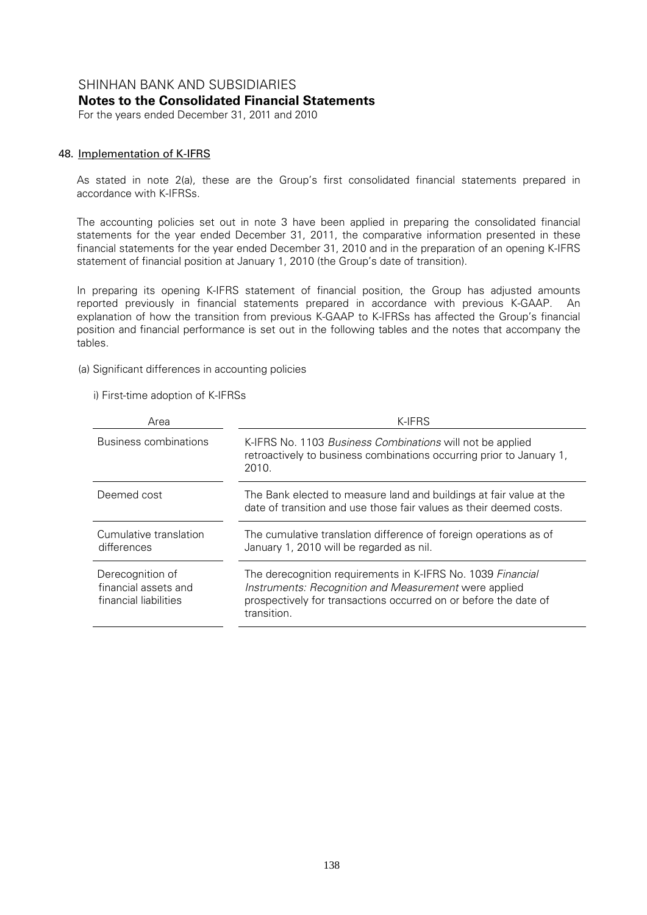### **Notes to the Consolidated Financial Statements**

For the years ended December 31, 2011 and 2010

#### 48. Implementation of K-IFRS

As stated in note 2(a), these are the Group's first consolidated financial statements prepared in accordance with K-IFRSs.

The accounting policies set out in note 3 have been applied in preparing the consolidated financial statements for the year ended December 31, 2011, the comparative information presented in these financial statements for the year ended December 31, 2010 and in the preparation of an opening K-IFRS statement of financial position at January 1, 2010 (the Group's date of transition).

In preparing its opening K-IFRS statement of financial position, the Group has adjusted amounts reported previously in financial statements prepared in accordance with previous K-GAAP. An explanation of how the transition from previous K-GAAP to K-IFRSs has affected the Group's financial position and financial performance is set out in the following tables and the notes that accompany the tables.

(a) Significant differences in accounting policies

#### i) First-time adoption of K-IFRSs

| Area                                                              | K-IFRS                                                                                                                                                                                                  |  |  |  |
|-------------------------------------------------------------------|---------------------------------------------------------------------------------------------------------------------------------------------------------------------------------------------------------|--|--|--|
| Business combinations                                             | K-IFRS No. 1103 Business Combinations will not be applied<br>retroactively to business combinations occurring prior to January 1,<br>2010.                                                              |  |  |  |
| Deemed cost                                                       | The Bank elected to measure land and buildings at fair value at the<br>date of transition and use those fair values as their deemed costs.                                                              |  |  |  |
| Cumulative translation<br>differences                             | The cumulative translation difference of foreign operations as of<br>January 1, 2010 will be regarded as nil.                                                                                           |  |  |  |
| Derecognition of<br>financial assets and<br>financial liabilities | The derecognition requirements in K-IFRS No. 1039 Financial<br>Instruments: Recognition and Measurement were applied<br>prospectively for transactions occurred on or before the date of<br>transition. |  |  |  |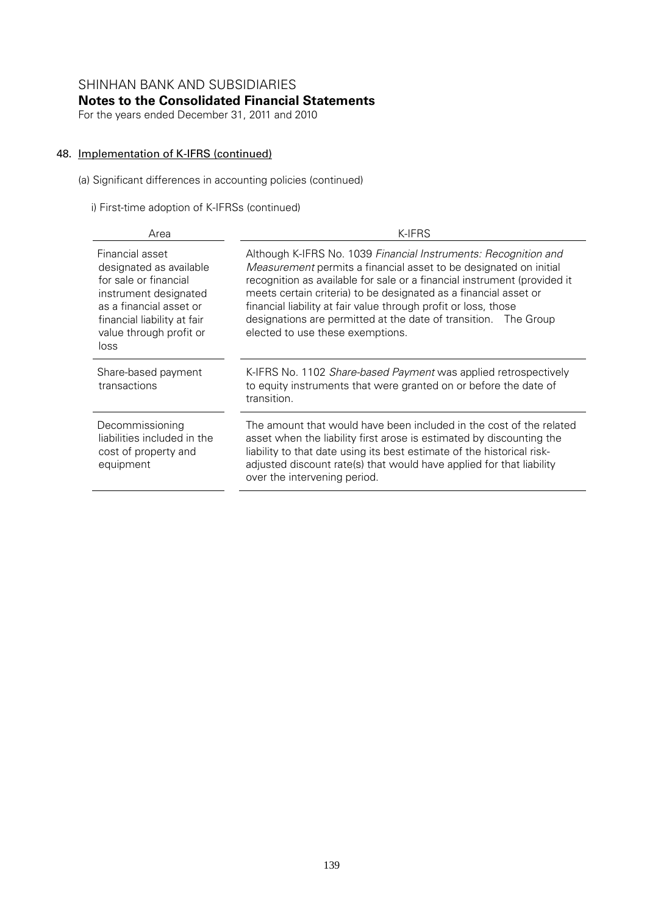# **Notes to the Consolidated Financial Statements**

For the years ended December 31, 2011 and 2010

### 48. Implementation of K-IFRS (continued)

#### (a) Significant differences in accounting policies (continued)

i) First-time adoption of K-IFRSs (continued)

| Area                                                                                                                                                                                      | K-IFRS                                                                                                                                                                                                                                                                                                                                                                                                                                                         |
|-------------------------------------------------------------------------------------------------------------------------------------------------------------------------------------------|----------------------------------------------------------------------------------------------------------------------------------------------------------------------------------------------------------------------------------------------------------------------------------------------------------------------------------------------------------------------------------------------------------------------------------------------------------------|
| Financial asset<br>designated as available<br>for sale or financial<br>instrument designated<br>as a financial asset or<br>financial liability at fair<br>value through profit or<br>loss | Although K-IFRS No. 1039 Financial Instruments: Recognition and<br>Measurement permits a financial asset to be designated on initial<br>recognition as available for sale or a financial instrument (provided it<br>meets certain criteria) to be designated as a financial asset or<br>financial liability at fair value through profit or loss, those<br>designations are permitted at the date of transition. The Group<br>elected to use these exemptions. |
| Share-based payment<br>transactions                                                                                                                                                       | K-IFRS No. 1102 Share-based Payment was applied retrospectively<br>to equity instruments that were granted on or before the date of<br>transition.                                                                                                                                                                                                                                                                                                             |
| Decommissioning<br>liabilities included in the<br>cost of property and<br>equipment                                                                                                       | The amount that would have been included in the cost of the related<br>asset when the liability first arose is estimated by discounting the<br>liability to that date using its best estimate of the historical risk-<br>adjusted discount rate(s) that would have applied for that liability<br>over the intervening period.                                                                                                                                  |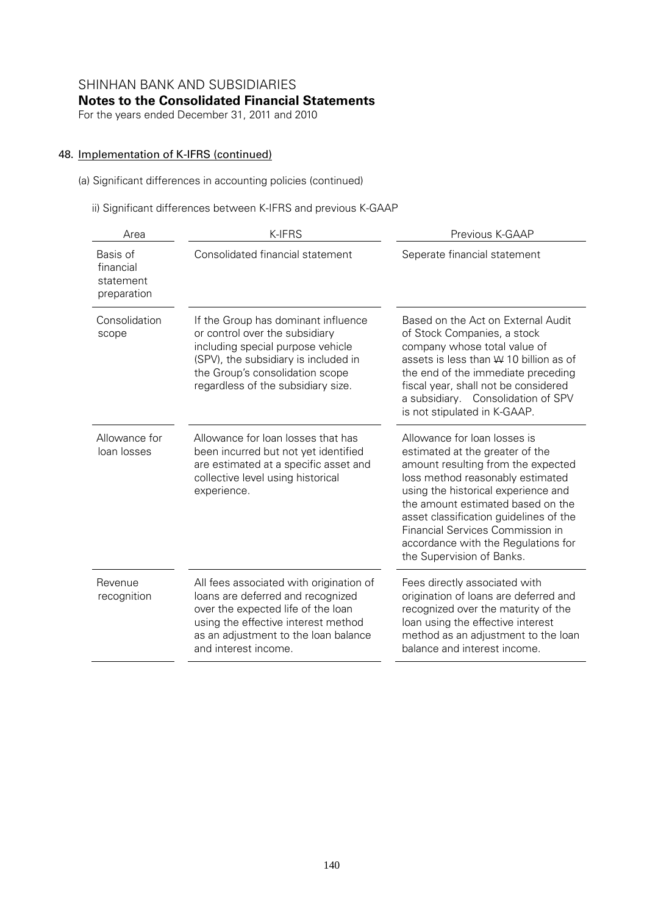### 48. Implementation of K-IFRS (continued)

### (a) Significant differences in accounting policies (continued)

### ii) Significant differences between K-IFRS and previous K-GAAP

| Area                                              | K-IFRS                                                                                                                                                                                                                      | Previous K-GAAP                                                                                                                                                                                                                                                                                                                                                         |
|---------------------------------------------------|-----------------------------------------------------------------------------------------------------------------------------------------------------------------------------------------------------------------------------|-------------------------------------------------------------------------------------------------------------------------------------------------------------------------------------------------------------------------------------------------------------------------------------------------------------------------------------------------------------------------|
| Basis of<br>financial<br>statement<br>preparation | Consolidated financial statement                                                                                                                                                                                            | Seperate financial statement                                                                                                                                                                                                                                                                                                                                            |
| Consolidation<br>scope                            | If the Group has dominant influence<br>or control over the subsidiary<br>including special purpose vehicle<br>(SPV), the subsidiary is included in<br>the Group's consolidation scope<br>regardless of the subsidiary size. | Based on the Act on External Audit<br>of Stock Companies, a stock<br>company whose total value of<br>assets is less than W 10 billion as of<br>the end of the immediate preceding<br>fiscal year, shall not be considered<br>a subsidiary. Consolidation of SPV<br>is not stipulated in K-GAAP.                                                                         |
| Allowance for<br>loan losses                      | Allowance for loan losses that has<br>been incurred but not yet identified<br>are estimated at a specific asset and<br>collective level using historical<br>experience.                                                     | Allowance for loan losses is<br>estimated at the greater of the<br>amount resulting from the expected<br>loss method reasonably estimated<br>using the historical experience and<br>the amount estimated based on the<br>asset classification guidelines of the<br>Financial Services Commission in<br>accordance with the Regulations for<br>the Supervision of Banks. |
| Revenue<br>recognition                            | All fees associated with origination of<br>loans are deferred and recognized<br>over the expected life of the loan<br>using the effective interest method<br>as an adjustment to the loan balance<br>and interest income.   | Fees directly associated with<br>origination of loans are deferred and<br>recognized over the maturity of the<br>loan using the effective interest<br>method as an adjustment to the loan<br>balance and interest income.                                                                                                                                               |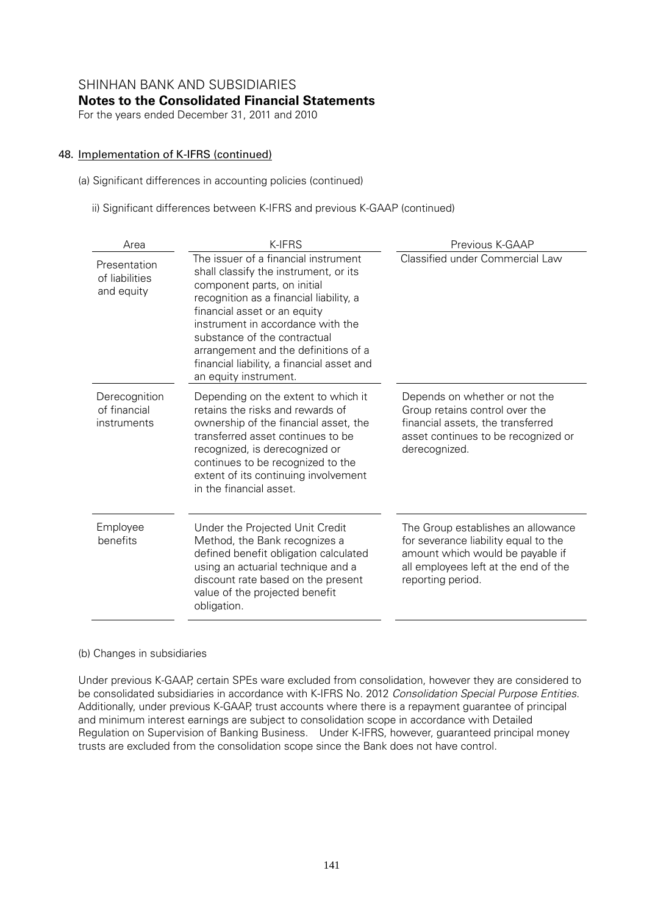### 48. Implementation of K-IFRS (continued)

#### (a) Significant differences in accounting policies (continued)

#### ii) Significant differences between K-IFRS and previous K-GAAP (continued)

| Area                                         | K-IFRS                                                                                                                                                                                                                                                                                                                                                                      | Previous K-GAAP                                                                                                                                                             |
|----------------------------------------------|-----------------------------------------------------------------------------------------------------------------------------------------------------------------------------------------------------------------------------------------------------------------------------------------------------------------------------------------------------------------------------|-----------------------------------------------------------------------------------------------------------------------------------------------------------------------------|
| Presentation<br>of liabilities<br>and equity | The issuer of a financial instrument<br>shall classify the instrument, or its<br>component parts, on initial<br>recognition as a financial liability, a<br>financial asset or an equity<br>instrument in accordance with the<br>substance of the contractual<br>arrangement and the definitions of a<br>financial liability, a financial asset and<br>an equity instrument. | Classified under Commercial Law                                                                                                                                             |
| Derecognition<br>of financial<br>instruments | Depending on the extent to which it<br>retains the risks and rewards of<br>ownership of the financial asset, the<br>transferred asset continues to be<br>recognized, is derecognized or<br>continues to be recognized to the<br>extent of its continuing involvement<br>in the financial asset.                                                                             | Depends on whether or not the<br>Group retains control over the<br>financial assets, the transferred<br>asset continues to be recognized or<br>derecognized.                |
| Employee<br>benefits                         | Under the Projected Unit Credit<br>Method, the Bank recognizes a<br>defined benefit obligation calculated<br>using an actuarial technique and a<br>discount rate based on the present<br>value of the projected benefit<br>obligation.                                                                                                                                      | The Group establishes an allowance<br>for severance liability equal to the<br>amount which would be payable if<br>all employees left at the end of the<br>reporting period. |

#### (b) Changes in subsidiaries

Under previous K-GAAP, certain SPEs ware excluded from consolidation, however they are considered to be consolidated subsidiaries in accordance with K-IFRS No. 2012 *Consolidation Special Purpose Entities*. Additionally, under previous K-GAAP, trust accounts where there is a repayment guarantee of principal and minimum interest earnings are subject to consolidation scope in accordance with Detailed Regulation on Supervision of Banking Business. Under K-IFRS, however, guaranteed principal money trusts are excluded from the consolidation scope since the Bank does not have control.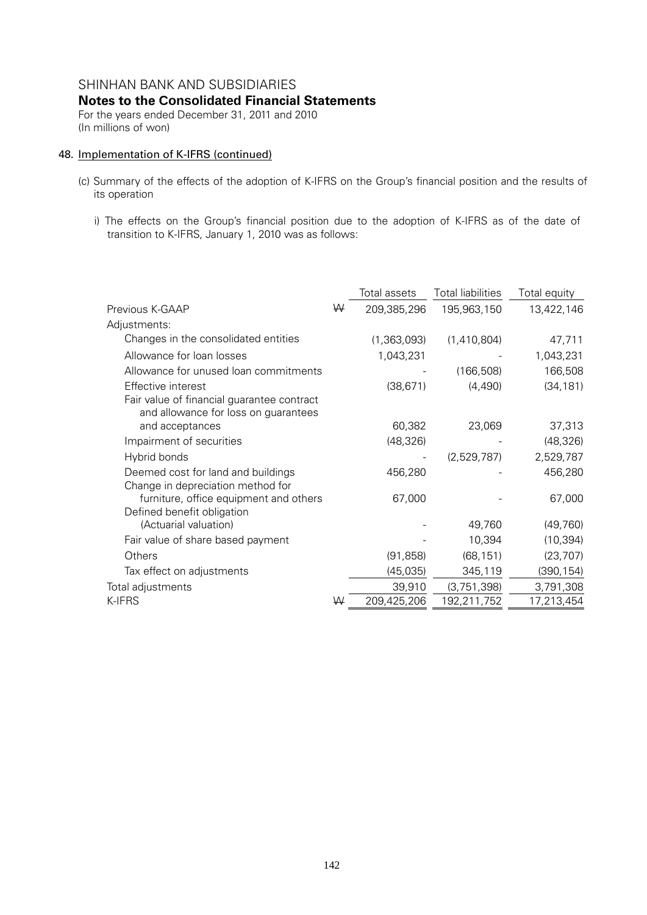## **Notes to the Consolidated Financial Statements**

For the years ended December 31, 2011 and 2010 (In millions of won)

#### 48. Implementation of K-IFRS (continued)

- (c) Summary of the effects of the adoption of K-IFRS on the Group's financial position and the results of its operation
	- i) The effects on the Group's financial position due to the adoption of K-IFRS as of the date of transition to K-IFRS, January 1, 2010 was as follows:

|                                            |   | Total assets | <b>Total liabilities</b> | Total equity |
|--------------------------------------------|---|--------------|--------------------------|--------------|
| Previous K-GAAP                            | W | 209,385,296  | 195,963,150              | 13,422,146   |
| Adjustments:                               |   |              |                          |              |
| Changes in the consolidated entities       |   | (1,363,093)  | (1,410,804)              | 47,711       |
| Allowance for loan losses                  |   | 1,043,231    |                          | 1,043,231    |
| Allowance for unused loan commitments      |   |              | (166, 508)               | 166,508      |
| Effective interest                         |   | (38, 671)    | (4,490)                  | (34, 181)    |
| Fair value of financial guarantee contract |   |              |                          |              |
| and allowance for loss on guarantees       |   |              |                          |              |
| and acceptances                            |   | 60,382       | 23,069                   | 37,313       |
| Impairment of securities                   |   | (48, 326)    |                          | (48, 326)    |
| Hybrid bonds                               |   |              | (2,529,787)              | 2,529,787    |
| Deemed cost for land and buildings         |   | 456,280      |                          | 456,280      |
| Change in depreciation method for          |   |              |                          |              |
| furniture, office equipment and others     |   | 67,000       |                          | 67,000       |
| Defined benefit obligation                 |   |              |                          |              |
| (Actuarial valuation)                      |   |              | 49,760                   | (49, 760)    |
| Fair value of share based payment          |   |              | 10,394                   | (10, 394)    |
| Others                                     |   | (91, 858)    | (68, 151)                | (23, 707)    |
| Tax effect on adjustments                  |   | (45,035)     | 345,119                  | (390, 154)   |
| Total adjustments                          |   | 39,910       | (3,751,398)              | 3,791,308    |
| K-IFRS                                     | W | 209,425,206  | 192,211,752              | 17,213,454   |